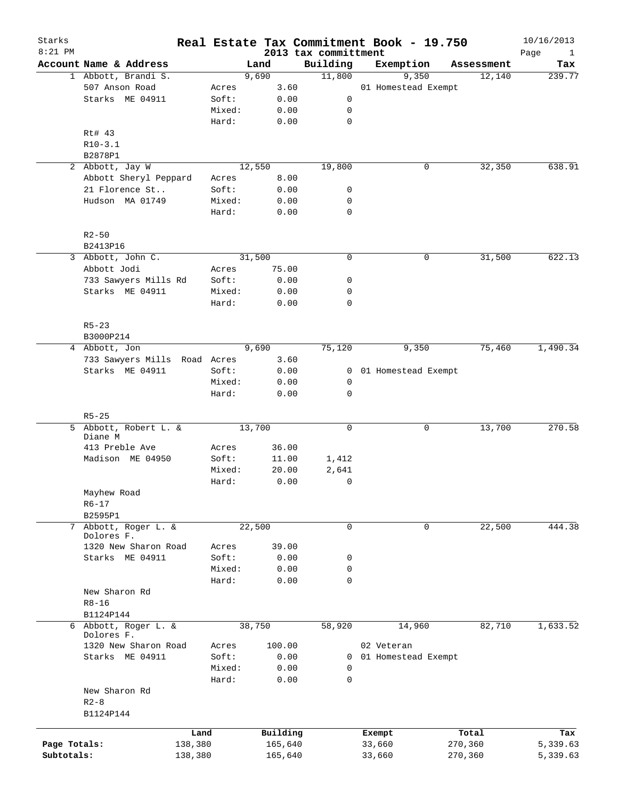| Starks<br>$8:21$ PM |                                                 |         |        |        |              | Real Estate Tax Commitment Book - 19.750 |            |                     |         |            | 10/16/2013                  |
|---------------------|-------------------------------------------------|---------|--------|--------|--------------|------------------------------------------|------------|---------------------|---------|------------|-----------------------------|
|                     | Account Name & Address                          |         |        | Land   |              | 2013 tax committment<br>Building         |            | Exemption           |         | Assessment | Page<br>$\mathbf{1}$<br>Tax |
|                     | 1 Abbott, Brandi S.                             |         |        | 9,690  |              | 11,800                                   |            | 9,350               |         | 12,140     | 239.77                      |
|                     | 507 Anson Road                                  |         | Acres  |        | 3.60         |                                          |            | 01 Homestead Exempt |         |            |                             |
|                     | Starks ME 04911                                 |         | Soft:  |        | 0.00         | 0                                        |            |                     |         |            |                             |
|                     |                                                 |         | Mixed: |        | 0.00         | 0                                        |            |                     |         |            |                             |
|                     |                                                 |         | Hard:  |        | 0.00         | $\mathbf 0$                              |            |                     |         |            |                             |
|                     | Rt# 43                                          |         |        |        |              |                                          |            |                     |         |            |                             |
|                     | $R10-3.1$                                       |         |        |        |              |                                          |            |                     |         |            |                             |
|                     | B2878P1                                         |         |        |        |              |                                          |            |                     |         |            |                             |
|                     | 2 Abbott, Jay W                                 |         |        | 12,550 |              | 19,800                                   |            | 0                   |         | 32,350     | 638.91                      |
|                     | Abbott Sheryl Peppard                           |         | Acres  |        | 8.00         |                                          |            |                     |         |            |                             |
|                     | 21 Florence St                                  |         | Soft:  |        | 0.00         | 0                                        |            |                     |         |            |                             |
|                     | Hudson MA 01749                                 |         | Mixed: |        | 0.00         | 0                                        |            |                     |         |            |                             |
|                     |                                                 |         | Hard:  |        | 0.00         | $\mathbf 0$                              |            |                     |         |            |                             |
|                     | $R2 - 50$                                       |         |        |        |              |                                          |            |                     |         |            |                             |
|                     | B2413P16                                        |         |        |        |              |                                          |            |                     |         |            |                             |
|                     | 3 Abbott, John C.                               |         |        | 31,500 |              | $\mathbf 0$                              |            | 0                   |         | 31,500     | 622.13                      |
|                     | Abbott Jodi                                     |         | Acres  |        | 75.00        |                                          |            |                     |         |            |                             |
|                     | 733 Sawyers Mills Rd                            |         | Soft:  |        | 0.00         | 0                                        |            |                     |         |            |                             |
|                     | Starks ME 04911                                 |         | Mixed: |        | 0.00         | 0                                        |            |                     |         |            |                             |
|                     |                                                 |         | Hard:  |        | 0.00         | $\mathbf 0$                              |            |                     |         |            |                             |
|                     | $R5 - 23$                                       |         |        |        |              |                                          |            |                     |         |            |                             |
|                     | B3000P214                                       |         |        | 9,690  |              |                                          |            |                     |         | 75,460     | 1,490.34                    |
|                     | 4 Abbott, Jon                                   |         |        |        |              | 75,120                                   |            | 9,350               |         |            |                             |
|                     | 733 Sawyers Mills Road Acres<br>Starks ME 04911 |         | Soft:  |        | 3.60<br>0.00 | 0                                        |            | 01 Homestead Exempt |         |            |                             |
|                     |                                                 |         | Mixed: |        | 0.00         | 0                                        |            |                     |         |            |                             |
|                     |                                                 |         | Hard:  |        | 0.00         | $\mathbf 0$                              |            |                     |         |            |                             |
|                     |                                                 |         |        |        |              |                                          |            |                     |         |            |                             |
|                     | $R5 - 25$                                       |         |        |        |              |                                          |            |                     |         |            |                             |
|                     | 5 Abbott, Robert L. &<br>Diane M                |         |        | 13,700 |              | 0                                        |            | 0                   |         | 13,700     | 270.58                      |
|                     | 413 Preble Ave                                  |         | Acres  |        | 36.00        |                                          |            |                     |         |            |                             |
|                     | Madison ME 04950                                |         | Soft:  |        | 11.00        | 1,412                                    |            |                     |         |            |                             |
|                     |                                                 |         | Mixed: |        | 20.00        | 2,641                                    |            |                     |         |            |                             |
|                     |                                                 |         | Hard:  |        | 0.00         | 0                                        |            |                     |         |            |                             |
|                     | Mayhew Road                                     |         |        |        |              |                                          |            |                     |         |            |                             |
|                     | $R6 - 17$                                       |         |        |        |              |                                          |            |                     |         |            |                             |
|                     | B2595P1                                         |         |        |        |              |                                          |            |                     |         |            |                             |
|                     | 7 Abbott, Roger L. &                            |         |        | 22,500 |              | 0                                        |            | 0                   |         | 22,500     | 444.38                      |
|                     | Dolores F.                                      |         |        |        |              |                                          |            |                     |         |            |                             |
|                     | 1320 New Sharon Road                            |         | Acres  |        | 39.00        |                                          |            |                     |         |            |                             |
|                     | Starks ME 04911                                 |         | Soft:  |        | 0.00         | 0                                        |            |                     |         |            |                             |
|                     |                                                 |         | Mixed: |        | 0.00         | 0                                        |            |                     |         |            |                             |
|                     |                                                 |         | Hard:  |        | 0.00         | $\mathbf 0$                              |            |                     |         |            |                             |
|                     | New Sharon Rd                                   |         |        |        |              |                                          |            |                     |         |            |                             |
|                     | $R8 - 16$                                       |         |        |        |              |                                          |            |                     |         |            |                             |
|                     | B1124P144                                       |         |        |        |              |                                          |            |                     |         |            |                             |
|                     | 6 Abbott, Roger L. &<br>Dolores F.              |         |        | 38,750 |              | 58,920                                   |            | 14,960              |         | 82,710     | 1,633.52                    |
|                     | 1320 New Sharon Road                            |         | Acres  |        | 100.00       |                                          | 02 Veteran |                     |         |            |                             |
|                     | Starks ME 04911                                 |         | Soft:  |        | 0.00         | $\mathbf{0}$                             |            | 01 Homestead Exempt |         |            |                             |
|                     |                                                 |         | Mixed: |        | 0.00         | 0                                        |            |                     |         |            |                             |
|                     |                                                 |         | Hard:  |        | 0.00         | $\mathbf 0$                              |            |                     |         |            |                             |
|                     | New Sharon Rd                                   |         |        |        |              |                                          |            |                     |         |            |                             |
|                     | $R2 - 8$                                        |         |        |        |              |                                          |            |                     |         |            |                             |
|                     | B1124P144                                       |         |        |        |              |                                          |            |                     |         |            |                             |
|                     |                                                 | Land    |        |        | Building     |                                          | Exempt     |                     |         | Total      | Tax                         |
| Page Totals:        |                                                 | 138,380 |        |        | 165,640      |                                          | 33,660     |                     | 270,360 |            | 5,339.63                    |
| Subtotals:          |                                                 | 138,380 |        |        | 165,640      |                                          | 33,660     |                     | 270,360 |            | 5,339.63                    |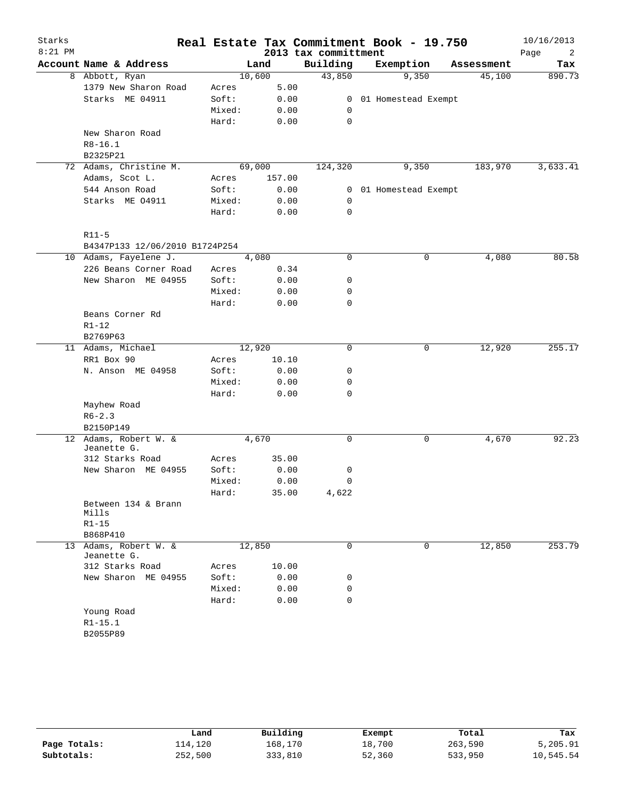| Starks    |                                      |        |        |       |                      | Real Estate Tax Commitment Book - 19.750 |            | 10/16/2013 |
|-----------|--------------------------------------|--------|--------|-------|----------------------|------------------------------------------|------------|------------|
| $8:21$ PM |                                      |        |        |       | 2013 tax committment |                                          |            | Page<br>2  |
|           | Account Name & Address               |        | Land   |       | Building             | Exemption                                | Assessment | Tax        |
|           | 8 Abbott, Ryan                       |        | 10,600 |       | 43,850               | 9,350                                    | 45,100     | 890.73     |
|           | 1379 New Sharon Road                 | Acres  |        | 5.00  |                      |                                          |            |            |
|           | Starks ME 04911                      | Soft:  |        | 0.00  | $\mathbf{0}$         | 01 Homestead Exempt                      |            |            |
|           |                                      | Mixed: |        | 0.00  | 0                    |                                          |            |            |
|           |                                      | Hard:  |        | 0.00  | 0                    |                                          |            |            |
|           | New Sharon Road                      |        |        |       |                      |                                          |            |            |
|           | $R8 - 16.1$                          |        |        |       |                      |                                          |            |            |
|           | B2325P21                             |        |        |       |                      |                                          |            |            |
|           | 72 Adams, Christine M.               |        | 69,000 |       | 124,320              | 9,350                                    | 183,970    | 3,633.41   |
|           | Adams, Scot L.                       | Acres  | 157.00 |       |                      |                                          |            |            |
|           | 544 Anson Road                       | Soft:  |        | 0.00  | $\mathbf{0}$         | 01 Homestead Exempt                      |            |            |
|           | Starks ME 04911                      | Mixed: |        | 0.00  | 0                    |                                          |            |            |
|           |                                      | Hard:  |        | 0.00  | 0                    |                                          |            |            |
|           | $R11-5$                              |        |        |       |                      |                                          |            |            |
|           | B4347P133 12/06/2010 B1724P254       |        |        |       |                      |                                          |            |            |
|           | 10 Adams, Fayelene J.                |        | 4,080  |       | 0                    | 0                                        | 4,080      | 80.58      |
|           | 226 Beans Corner Road                | Acres  |        | 0.34  |                      |                                          |            |            |
|           | New Sharon ME 04955                  | Soft:  |        | 0.00  | 0                    |                                          |            |            |
|           |                                      | Mixed: |        | 0.00  | 0                    |                                          |            |            |
|           |                                      | Hard:  |        | 0.00  | 0                    |                                          |            |            |
|           | Beans Corner Rd                      |        |        |       |                      |                                          |            |            |
|           | $R1 - 12$                            |        |        |       |                      |                                          |            |            |
|           | B2769P63                             |        |        |       |                      |                                          |            |            |
|           | 11 Adams, Michael                    |        | 12,920 |       | 0                    | 0                                        | 12,920     | 255.17     |
|           | RR1 Box 90                           | Acres  |        | 10.10 |                      |                                          |            |            |
|           | N. Anson ME 04958                    | Soft:  |        | 0.00  | 0                    |                                          |            |            |
|           |                                      | Mixed: |        | 0.00  | 0                    |                                          |            |            |
|           |                                      | Hard:  |        | 0.00  | 0                    |                                          |            |            |
|           | Mayhew Road                          |        |        |       |                      |                                          |            |            |
|           | $R6 - 2.3$                           |        |        |       |                      |                                          |            |            |
|           | B2150P149                            |        |        |       |                      |                                          |            |            |
|           | 12 Adams, Robert W. &<br>Jeanette G. |        | 4,670  |       | 0                    | 0                                        | 4,670      | 92.23      |
|           | 312 Starks Road                      | Acres  |        | 35.00 |                      |                                          |            |            |
|           | New Sharon ME 04955                  | Soft:  |        | 0.00  | 0                    |                                          |            |            |
|           |                                      | Mixed: |        | 0.00  | 0                    |                                          |            |            |
|           |                                      | Hard:  |        | 35.00 | 4,622                |                                          |            |            |
|           | Between 134 & Brann<br>Mills         |        |        |       |                      |                                          |            |            |
|           | $R1 - 15$                            |        |        |       |                      |                                          |            |            |
|           | B868P410                             |        |        |       |                      |                                          |            |            |
|           | 13 Adams, Robert W. &                |        | 12,850 |       | $\Omega$             | 0                                        | 12,850     | 253.79     |
|           | Jeanette G.                          |        |        |       |                      |                                          |            |            |
|           | 312 Starks Road                      | Acres  |        | 10.00 |                      |                                          |            |            |
|           | New Sharon ME 04955                  | Soft:  |        | 0.00  | 0                    |                                          |            |            |
|           |                                      | Mixed: |        | 0.00  | 0                    |                                          |            |            |
|           |                                      | Hard:  |        | 0.00  | 0                    |                                          |            |            |
|           | Young Road                           |        |        |       |                      |                                          |            |            |
|           | $R1 - 15.1$                          |        |        |       |                      |                                          |            |            |
|           | B2055P89                             |        |        |       |                      |                                          |            |            |

|              | Land    | Building | Exempt | Total   | Tax       |
|--------------|---------|----------|--------|---------|-----------|
| Page Totals: | 114,120 | 168,170  | 18,700 | 263,590 | 5,205.91  |
| Subtotals:   | 252,500 | 333,810  | 52,360 | 533,950 | 10,545.54 |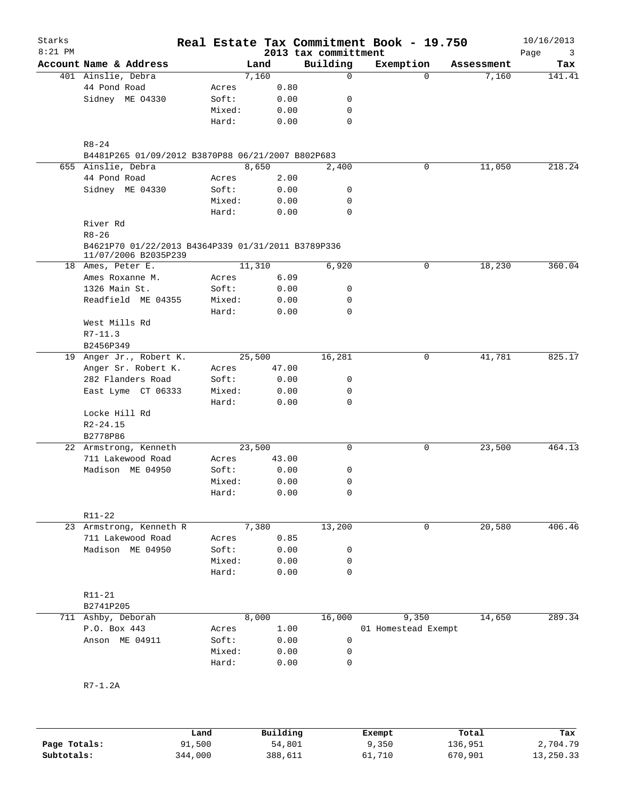| Starks<br>$8:21$ PM |                                                                            |                 |        |              |  | Real Estate Tax Commitment Book - 19.750<br>2013 tax committment |                     |          |            | 10/16/2013<br>Page<br>3 |
|---------------------|----------------------------------------------------------------------------|-----------------|--------|--------------|--|------------------------------------------------------------------|---------------------|----------|------------|-------------------------|
|                     | Account Name & Address                                                     |                 | Land   |              |  | Building                                                         | Exemption           |          | Assessment | Tax                     |
|                     | 401 Ainslie, Debra                                                         |                 | 7,160  |              |  | $\mathbf 0$                                                      |                     | $\Omega$ | 7,160      | 141.41                  |
|                     | 44 Pond Road                                                               | Acres           |        | 0.80         |  |                                                                  |                     |          |            |                         |
|                     | Sidney ME 04330                                                            | Soft:           |        | 0.00         |  | 0                                                                |                     |          |            |                         |
|                     |                                                                            | Mixed:          |        | 0.00         |  | 0                                                                |                     |          |            |                         |
|                     |                                                                            | Hard:           |        | 0.00         |  | $\mathbf 0$                                                      |                     |          |            |                         |
|                     | $R8 - 24$                                                                  |                 |        |              |  |                                                                  |                     |          |            |                         |
|                     | B4481P265 01/09/2012 B3870P88 06/21/2007 B802P683                          |                 |        |              |  |                                                                  |                     |          |            |                         |
|                     | 655 Ainslie, Debra                                                         |                 | 8,650  |              |  | 2,400                                                            |                     | 0        | 11,050     | 218.24                  |
|                     | 44 Pond Road                                                               | Acres           |        | 2.00         |  |                                                                  |                     |          |            |                         |
|                     | Sidney ME 04330                                                            | Soft:           |        | 0.00         |  | 0<br>0                                                           |                     |          |            |                         |
|                     |                                                                            | Mixed:<br>Hard: |        | 0.00<br>0.00 |  | $\mathbf 0$                                                      |                     |          |            |                         |
|                     | River Rd                                                                   |                 |        |              |  |                                                                  |                     |          |            |                         |
|                     | $R8 - 26$                                                                  |                 |        |              |  |                                                                  |                     |          |            |                         |
|                     | B4621P70 01/22/2013 B4364P339 01/31/2011 B3789P336<br>11/07/2006 B2035P239 |                 |        |              |  |                                                                  |                     |          |            |                         |
|                     | 18 Ames, Peter E.                                                          |                 | 11,310 |              |  | 6,920                                                            |                     | 0        | 18,230     | 360.04                  |
|                     | Ames Roxanne M.                                                            | Acres           |        | 6.09         |  |                                                                  |                     |          |            |                         |
|                     | 1326 Main St.                                                              | Soft:           |        | 0.00         |  | 0                                                                |                     |          |            |                         |
|                     | Readfield ME 04355                                                         | Mixed:          |        | 0.00         |  | 0                                                                |                     |          |            |                         |
|                     |                                                                            | Hard:           |        | 0.00         |  | 0                                                                |                     |          |            |                         |
|                     | West Mills Rd                                                              |                 |        |              |  |                                                                  |                     |          |            |                         |
|                     | $R7-11.3$                                                                  |                 |        |              |  |                                                                  |                     |          |            |                         |
|                     | B2456P349                                                                  |                 |        |              |  |                                                                  |                     |          |            |                         |
|                     | 19 Anger Jr., Robert K.                                                    | 25,500          |        |              |  | 16,281                                                           |                     | 0        | 41,781     | 825.17                  |
|                     | Anger Sr. Robert K.                                                        | Acres           |        | 47.00        |  |                                                                  |                     |          |            |                         |
|                     | 282 Flanders Road                                                          | Soft:           |        | 0.00         |  | 0                                                                |                     |          |            |                         |
|                     | East Lyme CT 06333                                                         | Mixed:          |        | 0.00         |  | 0                                                                |                     |          |            |                         |
|                     |                                                                            | Hard:           |        | 0.00         |  | 0                                                                |                     |          |            |                         |
|                     | Locke Hill Rd                                                              |                 |        |              |  |                                                                  |                     |          |            |                         |
|                     | $R2 - 24.15$                                                               |                 |        |              |  |                                                                  |                     |          |            |                         |
|                     | B2778P86                                                                   |                 |        |              |  |                                                                  |                     |          |            |                         |
|                     | 22 Armstrong, Kenneth                                                      |                 | 23,500 |              |  | 0                                                                |                     | 0        | 23,500     | 464.13                  |
|                     | 711 Lakewood Road                                                          | Acres           |        | 43.00        |  |                                                                  |                     |          |            |                         |
|                     | Madison ME 04950                                                           | Soft:           |        | 0.00         |  | 0                                                                |                     |          |            |                         |
|                     |                                                                            | Mixed:          |        | 0.00         |  | 0                                                                |                     |          |            |                         |
|                     |                                                                            | Hard:           |        | 0.00         |  | 0                                                                |                     |          |            |                         |
|                     | R11-22                                                                     |                 |        |              |  |                                                                  |                     |          |            |                         |
|                     | 23 Armstrong, Kenneth R                                                    |                 | 7,380  |              |  | 13,200                                                           |                     | 0        | 20,580     | 406.46                  |
|                     | 711 Lakewood Road                                                          | Acres           |        | 0.85         |  |                                                                  |                     |          |            |                         |
|                     | Madison ME 04950                                                           | Soft:           |        | 0.00         |  | 0                                                                |                     |          |            |                         |
|                     |                                                                            | Mixed:          |        | 0.00         |  | 0                                                                |                     |          |            |                         |
|                     |                                                                            | Hard:           |        | 0.00         |  | 0                                                                |                     |          |            |                         |
|                     | R11-21                                                                     |                 |        |              |  |                                                                  |                     |          |            |                         |
|                     | B2741P205                                                                  |                 |        |              |  |                                                                  |                     |          |            |                         |
|                     | 711 Ashby, Deborah                                                         |                 | 8,000  |              |  | 16,000                                                           |                     | 9,350    | 14,650     | 289.34                  |
|                     | P.O. Box 443                                                               | Acres           |        | 1.00         |  |                                                                  | 01 Homestead Exempt |          |            |                         |
|                     | Anson ME 04911                                                             | Soft:           |        | 0.00         |  | 0                                                                |                     |          |            |                         |
|                     |                                                                            | Mixed:          |        | 0.00         |  | 0                                                                |                     |          |            |                         |
|                     |                                                                            | Hard:           |        | 0.00         |  | 0                                                                |                     |          |            |                         |
|                     |                                                                            |                 |        |              |  |                                                                  |                     |          |            |                         |
|                     | R7-1.2A                                                                    |                 |        |              |  |                                                                  |                     |          |            |                         |
|                     |                                                                            |                 |        |              |  |                                                                  |                     |          |            |                         |
|                     |                                                                            |                 |        |              |  |                                                                  |                     |          |            |                         |

|              | Land    | Building | Exempt | Total   | Tax       |
|--------------|---------|----------|--------|---------|-----------|
| Page Totals: | 91,500  | 54,801   | 9,350  | 136,951 | 2,704.79  |
| Subtotals:   | 344,000 | 388,611  | 61,710 | 670,901 | 13,250.33 |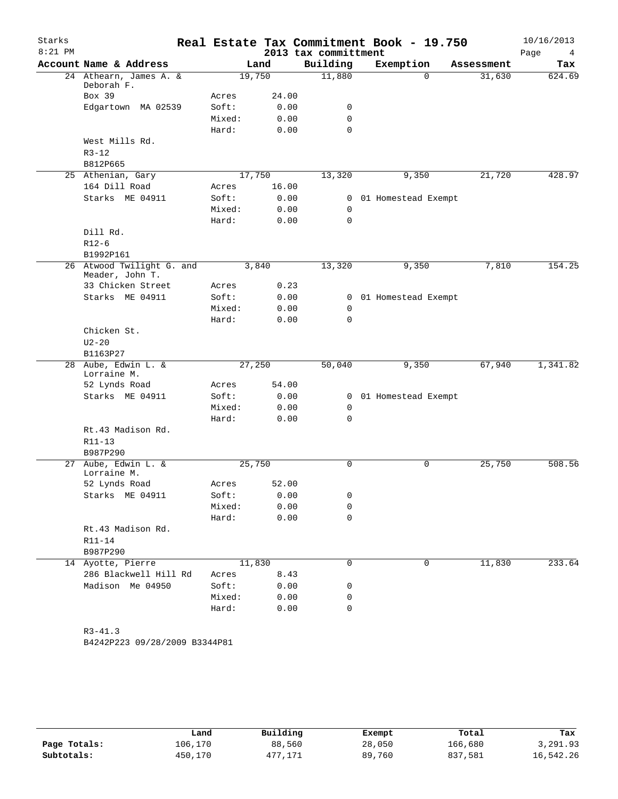| Starks    |                                              |        |        |                      |             | Real Estate Tax Commitment Book - 19.750 |          |            | 10/16/2013 |
|-----------|----------------------------------------------|--------|--------|----------------------|-------------|------------------------------------------|----------|------------|------------|
| $8:21$ PM |                                              |        |        | 2013 tax committment |             |                                          |          |            | Page<br>4  |
|           | Account Name & Address                       |        | Land   |                      | Building    | Exemption                                |          | Assessment | Tax        |
|           | 24 Athearn, James A. &<br>Deborah F.         |        | 19,750 |                      | 11,880      |                                          | $\Omega$ | 31,630     | 624.69     |
|           | Box 39                                       | Acres  | 24.00  |                      |             |                                          |          |            |            |
|           | Edgartown MA 02539                           | Soft:  | 0.00   |                      | 0           |                                          |          |            |            |
|           |                                              | Mixed: | 0.00   |                      | $\mathbf 0$ |                                          |          |            |            |
|           |                                              | Hard:  | 0.00   |                      | $\mathbf 0$ |                                          |          |            |            |
|           | West Mills Rd.                               |        |        |                      |             |                                          |          |            |            |
|           | $R3 - 12$                                    |        |        |                      |             |                                          |          |            |            |
|           | B812P665                                     |        |        |                      |             |                                          |          |            |            |
|           | 25 Athenian, Gary                            |        | 17,750 |                      | 13,320      |                                          | 9,350    | 21,720     | 428.97     |
|           | 164 Dill Road                                | Acres  | 16.00  |                      |             |                                          |          |            |            |
|           | Starks ME 04911                              | Soft:  | 0.00   |                      | 0           | 01 Homestead Exempt                      |          |            |            |
|           |                                              | Mixed: | 0.00   |                      | 0           |                                          |          |            |            |
|           |                                              | Hard:  | 0.00   |                      | $\mathbf 0$ |                                          |          |            |            |
|           | Dill Rd.                                     |        |        |                      |             |                                          |          |            |            |
|           | $R12-6$                                      |        |        |                      |             |                                          |          |            |            |
|           | B1992P161                                    |        |        |                      |             |                                          |          |            |            |
|           | 26 Atwood Twilight G. and<br>Meader, John T. |        | 3,840  |                      | 13,320      |                                          | 9,350    | 7,810      | 154.25     |
|           | 33 Chicken Street                            | Acres  | 0.23   |                      |             |                                          |          |            |            |
|           | Starks ME 04911                              | Soft:  | 0.00   |                      | 0           | 01 Homestead Exempt                      |          |            |            |
|           |                                              | Mixed: | 0.00   |                      | 0           |                                          |          |            |            |
|           |                                              | Hard:  | 0.00   |                      | $\mathbf 0$ |                                          |          |            |            |
|           | Chicken St.                                  |        |        |                      |             |                                          |          |            |            |
|           | $U2 - 20$                                    |        |        |                      |             |                                          |          |            |            |
|           | B1163P27                                     |        |        |                      |             |                                          |          |            |            |
|           | 28 Aube, Edwin L. &<br>Lorraine M.           |        | 27,250 |                      | 50,040      |                                          | 9,350    | 67,940     | 1,341.82   |
|           | 52 Lynds Road                                | Acres  | 54.00  |                      |             |                                          |          |            |            |
|           | Starks ME 04911                              | Soft:  | 0.00   |                      | 0           | 01 Homestead Exempt                      |          |            |            |
|           |                                              | Mixed: | 0.00   |                      | 0           |                                          |          |            |            |
|           |                                              | Hard:  | 0.00   |                      | $\mathbf 0$ |                                          |          |            |            |
|           | Rt.43 Madison Rd.                            |        |        |                      |             |                                          |          |            |            |
|           | $R11 - 13$                                   |        |        |                      |             |                                          |          |            |            |
|           | B987P290                                     |        |        |                      |             |                                          |          |            |            |
| 27        | Aube, Edwin L. &<br>Lorraine M.              |        | 25,750 |                      | 0           |                                          | 0        | 25,750     | 508.56     |
|           | 52 Lynds Road                                | Acres  | 52.00  |                      |             |                                          |          |            |            |
|           | Starks ME 04911                              | Soft:  | 0.00   |                      | 0           |                                          |          |            |            |
|           |                                              | Mixed: | 0.00   |                      | 0           |                                          |          |            |            |
|           |                                              | Hard:  | 0.00   |                      | $\mathbf 0$ |                                          |          |            |            |
|           | Rt.43 Madison Rd.                            |        |        |                      |             |                                          |          |            |            |
|           | R11-14                                       |        |        |                      |             |                                          |          |            |            |
|           | B987P290                                     |        |        |                      |             |                                          |          |            |            |
|           | 14 Ayotte, Pierre                            |        | 11,830 |                      | 0           |                                          | 0        | 11,830     | 233.64     |
|           | 286 Blackwell Hill Rd                        | Acres  | 8.43   |                      |             |                                          |          |            |            |
|           | Madison Me 04950                             | Soft:  | 0.00   |                      | 0           |                                          |          |            |            |
|           |                                              | Mixed: | 0.00   |                      | 0           |                                          |          |            |            |
|           |                                              | Hard:  | 0.00   |                      | $\mathbf 0$ |                                          |          |            |            |
|           |                                              |        |        |                      |             |                                          |          |            |            |
|           | $R3 - 41.3$                                  |        |        |                      |             |                                          |          |            |            |
|           | B4242P223 09/28/2009 B3344P81                |        |        |                      |             |                                          |          |            |            |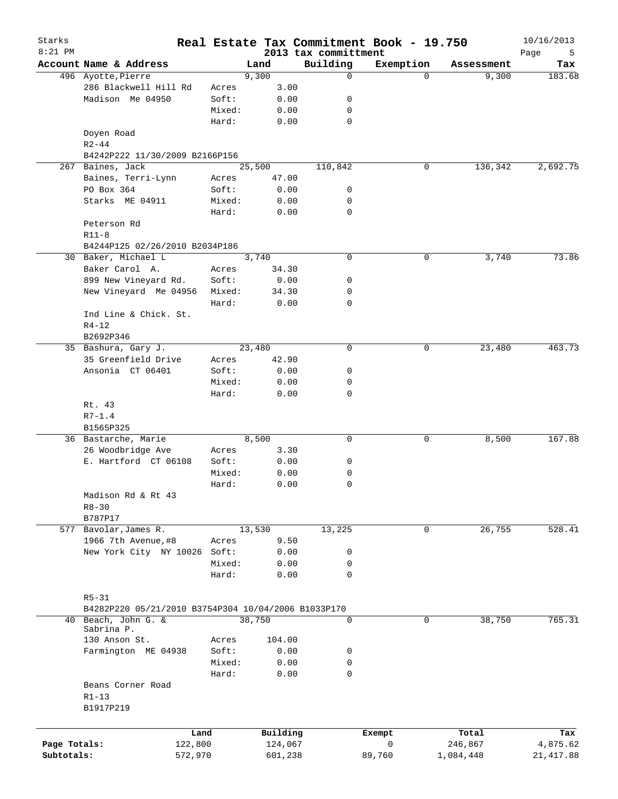| Starks<br>$8:21$ PM |                                                     |         |          |                                  | Real Estate Tax Commitment Book - 19.750 |            | 10/16/2013       |
|---------------------|-----------------------------------------------------|---------|----------|----------------------------------|------------------------------------------|------------|------------------|
|                     | Account Name & Address                              |         | Land     | 2013 tax committment<br>Building | Exemption                                | Assessment | Page<br>5<br>Tax |
|                     | 496 Ayotte, Pierre                                  |         | 9,300    | $\mathbf 0$                      | $\Omega$                                 | 9,300      | 183.68           |
|                     | 286 Blackwell Hill Rd                               | Acres   | 3.00     |                                  |                                          |            |                  |
|                     | Madison Me 04950                                    | Soft:   | 0.00     | 0                                |                                          |            |                  |
|                     |                                                     | Mixed:  | 0.00     | 0                                |                                          |            |                  |
|                     |                                                     | Hard:   | 0.00     | $\mathbf 0$                      |                                          |            |                  |
|                     | Doyen Road<br>$R2 - 44$                             |         |          |                                  |                                          |            |                  |
|                     | B4242P222 11/30/2009 B2166P156                      |         |          |                                  |                                          |            |                  |
|                     | 267 Baines, Jack                                    |         | 25,500   | 110,842                          | 0                                        | 136,342    | 2,692.75         |
|                     | Baines, Terri-Lynn                                  | Acres   | 47.00    |                                  |                                          |            |                  |
|                     | PO Box 364                                          | Soft:   | 0.00     | 0                                |                                          |            |                  |
|                     | Starks ME 04911                                     | Mixed:  | 0.00     | 0                                |                                          |            |                  |
|                     |                                                     | Hard:   | 0.00     | $\mathbf 0$                      |                                          |            |                  |
|                     | Peterson Rd                                         |         |          |                                  |                                          |            |                  |
|                     | $R11-8$                                             |         |          |                                  |                                          |            |                  |
|                     | B4244P125 02/26/2010 B2034P186                      |         |          |                                  |                                          |            |                  |
|                     | 30 Baker, Michael L                                 |         | 3,740    | 0                                | 0                                        | 3,740      | 73.86            |
|                     | Baker Carol A.                                      | Acres   | 34.30    |                                  |                                          |            |                  |
|                     | 899 New Vineyard Rd.                                | Soft:   | 0.00     | 0                                |                                          |            |                  |
|                     | New Vineyard Me 04956                               | Mixed:  | 34.30    | 0                                |                                          |            |                  |
|                     |                                                     | Hard:   | 0.00     | $\mathbf 0$                      |                                          |            |                  |
|                     |                                                     |         |          |                                  |                                          |            |                  |
|                     | Ind Line & Chick. St.                               |         |          |                                  |                                          |            |                  |
|                     | $R4 - 12$                                           |         |          |                                  |                                          |            |                  |
|                     | B2692P346                                           |         |          |                                  |                                          |            |                  |
|                     | 35 Bashura, Gary J.                                 |         | 23,480   | $\mathbf 0$                      | 0                                        | 23,480     | 463.73           |
|                     | 35 Greenfield Drive                                 | Acres   | 42.90    |                                  |                                          |            |                  |
|                     | Ansonia CT 06401                                    | Soft:   | 0.00     | 0                                |                                          |            |                  |
|                     |                                                     | Mixed:  | 0.00     | 0                                |                                          |            |                  |
|                     |                                                     | Hard:   | 0.00     | $\mathbf 0$                      |                                          |            |                  |
|                     | Rt. 43                                              |         |          |                                  |                                          |            |                  |
|                     | $R7 - 1.4$                                          |         |          |                                  |                                          |            |                  |
|                     | B1565P325                                           |         |          |                                  |                                          |            |                  |
|                     | 36 Bastarche, Marie                                 |         | 8,500    | 0                                | 0                                        | 8,500      | 167.88           |
|                     | 26 Woodbridge Ave                                   | Acres   | 3.30     |                                  |                                          |            |                  |
|                     | E. Hartford CT 06108                                | Soft:   | 0.00     | 0                                |                                          |            |                  |
|                     |                                                     | Mixed:  | 0.00     | 0                                |                                          |            |                  |
|                     |                                                     | Hard:   | 0.00     | 0                                |                                          |            |                  |
|                     | Madison Rd & Rt 43                                  |         |          |                                  |                                          |            |                  |
|                     | $R8 - 30$                                           |         |          |                                  |                                          |            |                  |
|                     | B787P17                                             |         |          |                                  |                                          |            |                  |
|                     | 577 Bavolar, James R.                               |         | 13,530   | 13,225                           | 0                                        | 26,755     | 528.41           |
|                     | 1966 7th Avenue, #8                                 | Acres   | 9.50     |                                  |                                          |            |                  |
|                     | New York City NY 10026                              | Soft:   | 0.00     | 0                                |                                          |            |                  |
|                     |                                                     | Mixed:  | 0.00     | 0                                |                                          |            |                  |
|                     |                                                     | Hard:   | 0.00     | 0                                |                                          |            |                  |
|                     |                                                     |         |          |                                  |                                          |            |                  |
|                     | $R5 - 31$                                           |         |          |                                  |                                          |            |                  |
|                     | B4282P220 05/21/2010 B3754P304 10/04/2006 B1033P170 |         |          |                                  |                                          |            |                  |
|                     | 40 Beach, John G. &                                 |         | 38,750   | 0                                | 0                                        | 38,750     | 765.31           |
|                     | Sabrina P.                                          |         |          |                                  |                                          |            |                  |
|                     | 130 Anson St.                                       | Acres   | 104.00   |                                  |                                          |            |                  |
|                     | Farmington ME 04938                                 | Soft:   | 0.00     | 0                                |                                          |            |                  |
|                     |                                                     | Mixed:  | 0.00     | 0                                |                                          |            |                  |
|                     |                                                     | Hard:   | 0.00     | 0                                |                                          |            |                  |
|                     | Beans Corner Road<br>$R1 - 13$                      |         |          |                                  |                                          |            |                  |
|                     | B1917P219                                           |         |          |                                  |                                          |            |                  |
|                     |                                                     |         |          |                                  |                                          |            |                  |
|                     |                                                     | Land    | Building |                                  | Exempt                                   | Total      | Tax              |
| Page Totals:        |                                                     | 122,800 | 124,067  |                                  | 0                                        | 246,867    | 4,875.62         |
| Subtotals:          |                                                     | 572,970 | 601,238  |                                  | 89,760                                   | 1,084,448  | 21, 417.88       |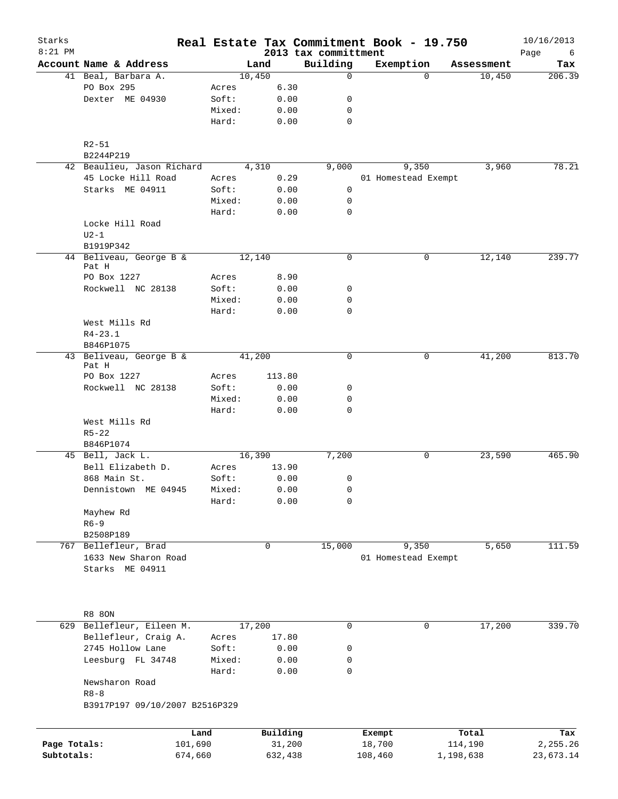| Starks<br>$8:21$ PM        |                                            |        |                   |                                  | Real Estate Tax Commitment Book - 19.750 |                      | 10/16/2013            |
|----------------------------|--------------------------------------------|--------|-------------------|----------------------------------|------------------------------------------|----------------------|-----------------------|
|                            | Account Name & Address                     |        | Land              | 2013 tax committment<br>Building | Exemption                                | Assessment           | Page<br>6<br>Tax      |
|                            | 41 Beal, Barbara A.                        |        | 10,450            | $\mathbf 0$                      | $\Omega$                                 | 10,450               | 206.39                |
|                            | PO Box 295                                 | Acres  | 6.30              |                                  |                                          |                      |                       |
|                            | Dexter ME 04930                            | Soft:  | 0.00              | 0                                |                                          |                      |                       |
|                            |                                            | Mixed: | 0.00              | 0                                |                                          |                      |                       |
|                            |                                            | Hard:  | 0.00              | $\mathbf 0$                      |                                          |                      |                       |
|                            | $R2 - 51$                                  |        |                   |                                  |                                          |                      |                       |
|                            | B2244P219                                  |        |                   |                                  |                                          |                      |                       |
|                            | 42 Beaulieu, Jason Richard                 |        | 4,310             | 9,000                            | 9,350                                    | 3,960                | 78.21                 |
|                            | 45 Locke Hill Road                         | Acres  | 0.29              |                                  | 01 Homestead Exempt                      |                      |                       |
|                            | Starks ME 04911                            | Soft:  | 0.00              | 0                                |                                          |                      |                       |
|                            |                                            | Mixed: | 0.00              | 0                                |                                          |                      |                       |
|                            |                                            | Hard:  | 0.00              | $\mathbf 0$                      |                                          |                      |                       |
|                            | Locke Hill Road                            |        |                   |                                  |                                          |                      |                       |
|                            | $U2-1$                                     |        |                   |                                  |                                          |                      |                       |
|                            | B1919P342                                  |        |                   |                                  |                                          |                      |                       |
|                            | 44 Beliveau, George B &<br>Pat H           |        | 12,140            | 0                                | 0                                        | 12,140               | 239.77                |
|                            | PO Box 1227                                | Acres  | 8.90              |                                  |                                          |                      |                       |
|                            | Rockwell NC 28138                          | Soft:  | 0.00              | 0                                |                                          |                      |                       |
|                            |                                            | Mixed: | 0.00              | 0                                |                                          |                      |                       |
|                            |                                            | Hard:  | 0.00              | 0                                |                                          |                      |                       |
|                            | West Mills Rd                              |        |                   |                                  |                                          |                      |                       |
|                            | $R4 - 23.1$                                |        |                   |                                  |                                          |                      |                       |
|                            | B846P1075                                  |        |                   |                                  |                                          |                      |                       |
|                            | 43 Beliveau, George B &                    |        | 41,200            | 0                                | 0                                        | 41,200               | 813.70                |
|                            | Pat H                                      |        |                   |                                  |                                          |                      |                       |
|                            | PO Box 1227                                | Acres  | 113.80            |                                  |                                          |                      |                       |
|                            | Rockwell NC 28138                          | Soft:  | 0.00              | 0                                |                                          |                      |                       |
|                            |                                            | Mixed: | 0.00              | 0                                |                                          |                      |                       |
|                            |                                            | Hard:  | 0.00              | 0                                |                                          |                      |                       |
|                            | West Mills Rd                              |        |                   |                                  |                                          |                      |                       |
|                            | $R5 - 22$                                  |        |                   |                                  |                                          |                      |                       |
|                            | B846P1074                                  |        |                   |                                  |                                          |                      |                       |
|                            | 45 Bell, Jack L.                           |        | 16,390            | 7,200                            | 0                                        | 23,590               | 465.90                |
|                            | Bell Elizabeth D.                          | Acres  | 13.90             |                                  |                                          |                      |                       |
|                            | 868 Main St.                               | Soft:  | 0.00              | 0                                |                                          |                      |                       |
|                            | Dennistown ME 04945                        | Mixed: | 0.00              | 0                                |                                          |                      |                       |
|                            |                                            | Hard:  | 0.00              | 0                                |                                          |                      |                       |
|                            | Mayhew Rd<br>$R6 - 9$                      |        |                   |                                  |                                          |                      |                       |
|                            | B2508P189                                  |        |                   |                                  |                                          |                      |                       |
|                            | 767 Bellefleur, Brad                       |        | $\mathbf 0$       | 15,000                           | 9,350                                    | 5,650                | 111.59                |
|                            | 1633 New Sharon Road                       |        |                   |                                  | 01 Homestead Exempt                      |                      |                       |
|                            | Starks ME 04911                            |        |                   |                                  |                                          |                      |                       |
|                            |                                            |        |                   |                                  |                                          |                      |                       |
|                            |                                            |        |                   |                                  |                                          |                      |                       |
|                            | <b>R8 80N</b>                              |        |                   |                                  |                                          |                      |                       |
|                            | 629 Bellefleur, Eileen M.                  |        | 17,200            | 0                                | 0                                        | 17,200               | 339.70                |
|                            | Bellefleur, Craig A.                       | Acres  | 17.80             |                                  |                                          |                      |                       |
|                            | 2745 Hollow Lane                           | Soft:  | 0.00              | 0                                |                                          |                      |                       |
|                            | Leesburg FL 34748                          | Mixed: | 0.00              | 0                                |                                          |                      |                       |
|                            |                                            | Hard:  | 0.00              | 0                                |                                          |                      |                       |
|                            | Newsharon Road                             |        |                   |                                  |                                          |                      |                       |
|                            | $R8 - 8$<br>B3917P197 09/10/2007 B2516P329 |        |                   |                                  |                                          |                      |                       |
|                            |                                            |        |                   |                                  |                                          |                      |                       |
|                            |                                            | Land   | Building          |                                  | Exempt                                   | Total                | Tax                   |
| Page Totals:<br>Subtotals: | 101,690<br>674,660                         |        | 31,200<br>632,438 |                                  | 18,700<br>108,460                        | 114,190<br>1,198,638 | 2,255.26<br>23,673.14 |
|                            |                                            |        |                   |                                  |                                          |                      |                       |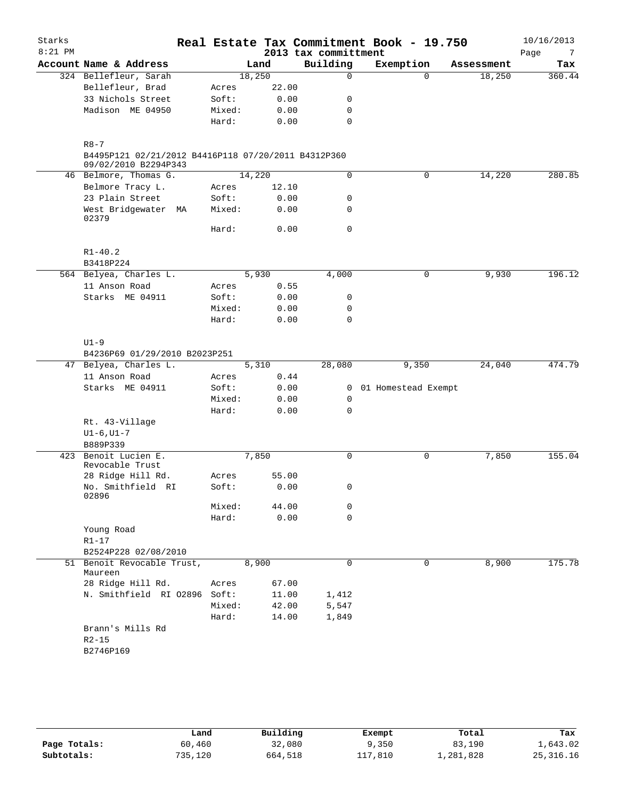| Starks    |                                                     |                |                    |                      | Real Estate Tax Commitment Book - 19.750 |            | 10/16/2013 |
|-----------|-----------------------------------------------------|----------------|--------------------|----------------------|------------------------------------------|------------|------------|
| $8:21$ PM |                                                     |                |                    | 2013 tax committment |                                          |            | Page<br>-7 |
|           | Account Name & Address                              |                | Land               | Building             | Exemption                                | Assessment | Tax        |
|           | 324 Bellefleur, Sarah                               |                | 18,250             | $\Omega$             | $\Omega$                                 | 18,250     | 360.44     |
|           | Bellefleur, Brad                                    | Acres          | 22.00              |                      |                                          |            |            |
|           | 33 Nichols Street                                   | Soft:          | 0.00               | 0                    |                                          |            |            |
|           | Madison ME 04950                                    | Mixed:         | 0.00               | 0                    |                                          |            |            |
|           |                                                     | Hard:          | 0.00               | 0                    |                                          |            |            |
|           | $R8 - 7$                                            |                |                    |                      |                                          |            |            |
|           | B4495P121 02/21/2012 B4416P118 07/20/2011 B4312P360 |                |                    |                      |                                          |            |            |
|           | 09/02/2010 B2294P343                                |                |                    |                      |                                          |            |            |
|           | 46 Belmore, Thomas G.                               |                | 14,220             | 0                    | $\mathbf 0$                              | 14,220     | 280.85     |
|           | Belmore Tracy L.                                    | Acres          | 12.10              |                      |                                          |            |            |
|           | 23 Plain Street                                     | Soft:          | 0.00               | 0                    |                                          |            |            |
|           | West Bridgewater MA<br>02379                        | Mixed:         | 0.00               | $\mathbf 0$          |                                          |            |            |
|           |                                                     | Hard:          | 0.00               | 0                    |                                          |            |            |
|           | $R1 - 40.2$                                         |                |                    |                      |                                          |            |            |
|           | B3418P224                                           |                | 5,930              | 4,000                | 0                                        | 9,930      | 196.12     |
|           | 564 Belyea, Charles L.<br>11 Anson Road             |                |                    |                      |                                          |            |            |
|           | Starks ME 04911                                     | Acres<br>Soft: | 0.55<br>0.00       | 0                    |                                          |            |            |
|           |                                                     | Mixed:         | 0.00               | 0                    |                                          |            |            |
|           |                                                     | Hard:          |                    | $\mathbf 0$          |                                          |            |            |
|           |                                                     |                | 0.00               |                      |                                          |            |            |
|           | $U1-9$                                              |                |                    |                      |                                          |            |            |
|           | B4236P69 01/29/2010 B2023P251                       |                |                    |                      |                                          |            |            |
| 47        | Belyea, Charles L.                                  |                | $\overline{5,310}$ | 28,080               | 9,350                                    | 24,040     | 474.79     |
|           | 11 Anson Road                                       | Acres          | 0.44               |                      |                                          |            |            |
|           | Starks ME 04911                                     | Soft:          | 0.00               | $\overline{0}$       | 01 Homestead Exempt                      |            |            |
|           |                                                     | Mixed:         | 0.00               | 0                    |                                          |            |            |
|           |                                                     | Hard:          | 0.00               | $\mathbf 0$          |                                          |            |            |
|           | Rt. 43-Village                                      |                |                    |                      |                                          |            |            |
|           | $UI-6$ , $UI-7$                                     |                |                    |                      |                                          |            |            |
|           | B889P339                                            |                |                    |                      |                                          |            |            |
| 423       | Benoit Lucien E.                                    |                | 7,850              | 0                    | $\mathsf{O}$                             | 7,850      | 155.04     |
|           | Revocable Trust                                     |                |                    |                      |                                          |            |            |
|           | 28 Ridge Hill Rd.                                   | Acres          | 55.00              |                      |                                          |            |            |
|           | No. Smithfield RI<br>02896                          | Soft:          | 0.00               | 0                    |                                          |            |            |
|           |                                                     | Mixed:         | 44.00              | 0                    |                                          |            |            |
|           |                                                     | Hard:          | 0.00               | $\mathbf 0$          |                                          |            |            |
|           | Young Road                                          |                |                    |                      |                                          |            |            |
|           | $R1 - 17$                                           |                |                    |                      |                                          |            |            |
|           | B2524P228 02/08/2010                                |                |                    |                      |                                          |            |            |
|           | 51 Benoit Revocable Trust,                          |                | 8,900              | 0                    | 0                                        | 8,900      | 175.78     |
|           | Maureen                                             |                |                    |                      |                                          |            |            |
|           | 28 Ridge Hill Rd.                                   | Acres          | 67.00              |                      |                                          |            |            |
|           | N. Smithfield RI 02896 Soft:                        |                | 11.00              | 1,412                |                                          |            |            |
|           |                                                     | Mixed:         | 42.00              | 5,547                |                                          |            |            |
|           |                                                     | Hard:          | 14.00              | 1,849                |                                          |            |            |
|           | Brann's Mills Rd<br>$R2 - 15$                       |                |                    |                      |                                          |            |            |
|           | B2746P169                                           |                |                    |                      |                                          |            |            |
|           |                                                     |                |                    |                      |                                          |            |            |

|              | Land    | Building | Exempt                  | Total     | Tax         |
|--------------|---------|----------|-------------------------|-----------|-------------|
| Page Totals: | 60,460  | 32,080   | 9,350                   | 83,190    | 1,643.02    |
| Subtotals:   | 735,120 | 664,518  | $^{\prime}$ .810<br>117 | 1,281,828 | 25, 316. 16 |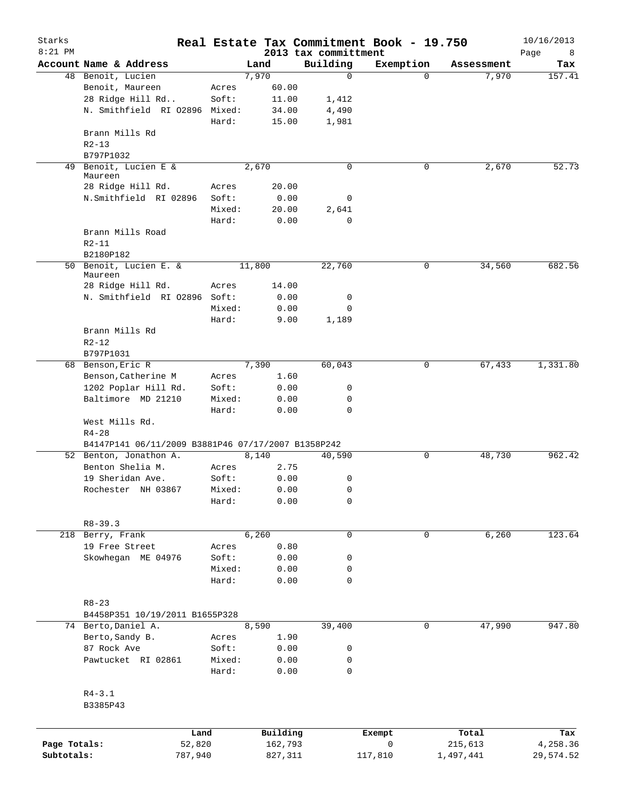| Starks<br>$8:21$ PM |                                                    |        |        |          | 2013 tax committment | Real Estate Tax Commitment Book - 19.750 |            | 10/16/2013<br>Page<br>8 |
|---------------------|----------------------------------------------------|--------|--------|----------|----------------------|------------------------------------------|------------|-------------------------|
|                     | Account Name & Address                             |        |        | Land     | Building             | Exemption                                | Assessment | Tax                     |
|                     | 48 Benoit, Lucien                                  |        |        | 7,970    | 0                    | $\Omega$                                 | 7,970      | 157.41                  |
|                     | Benoit, Maureen                                    |        | Acres  | 60.00    |                      |                                          |            |                         |
|                     | 28 Ridge Hill Rd                                   |        | Soft:  | 11.00    | 1,412                |                                          |            |                         |
|                     | N. Smithfield RI 02896 Mixed:                      |        |        | 34.00    | 4,490                |                                          |            |                         |
|                     |                                                    |        | Hard:  | 15.00    | 1,981                |                                          |            |                         |
|                     | Brann Mills Rd                                     |        |        |          |                      |                                          |            |                         |
|                     | $R2 - 13$                                          |        |        |          |                      |                                          |            |                         |
|                     | B797P1032                                          |        |        |          |                      |                                          |            |                         |
| 49                  | Benoit, Lucien E &                                 |        |        | 2,670    | 0                    | 0                                        | 2,670      | 52.73                   |
|                     | Maureen                                            |        |        |          |                      |                                          |            |                         |
|                     | 28 Ridge Hill Rd.                                  |        | Acres  | 20.00    |                      |                                          |            |                         |
|                     | N.Smithfield RI 02896                              |        | Soft:  | 0.00     | 0                    |                                          |            |                         |
|                     |                                                    |        | Mixed: | 20.00    | 2,641                |                                          |            |                         |
|                     |                                                    |        | Hard:  | 0.00     | $\mathbf 0$          |                                          |            |                         |
|                     | Brann Mills Road                                   |        |        |          |                      |                                          |            |                         |
|                     | $R2 - 11$                                          |        |        |          |                      |                                          |            |                         |
|                     | B2180P182                                          |        |        |          |                      |                                          |            |                         |
|                     | 50 Benoit, Lucien E. &                             |        |        | 11,800   | 22,760               | 0                                        | 34,560     | 682.56                  |
|                     | Maureen                                            |        |        |          |                      |                                          |            |                         |
|                     | 28 Ridge Hill Rd.                                  |        | Acres  | 14.00    |                      |                                          |            |                         |
|                     | N. Smithfield RI 02896 Soft:                       |        |        | 0.00     | 0                    |                                          |            |                         |
|                     |                                                    |        | Mixed: | 0.00     | $\mathbf 0$          |                                          |            |                         |
|                     |                                                    |        | Hard:  | 9.00     | 1,189                |                                          |            |                         |
|                     | Brann Mills Rd                                     |        |        |          |                      |                                          |            |                         |
|                     | $R2 - 12$                                          |        |        |          |                      |                                          |            |                         |
|                     | B797P1031                                          |        |        |          |                      |                                          |            |                         |
|                     | 68 Benson, Eric R                                  |        |        | 7,390    | 60,043               | 0                                        | 67,433     | 1,331.80                |
|                     | Benson, Catherine M                                |        | Acres  | 1.60     |                      |                                          |            |                         |
|                     | 1202 Poplar Hill Rd.                               |        | Soft:  | 0.00     | 0                    |                                          |            |                         |
|                     | Baltimore MD 21210                                 |        | Mixed: | 0.00     | 0                    |                                          |            |                         |
|                     |                                                    |        | Hard:  | 0.00     | $\mathbf 0$          |                                          |            |                         |
|                     | West Mills Rd.                                     |        |        |          |                      |                                          |            |                         |
|                     | $R4 - 28$                                          |        |        |          |                      |                                          |            |                         |
|                     | B4147P141 06/11/2009 B3881P46 07/17/2007 B1358P242 |        |        |          |                      |                                          |            |                         |
|                     | 52 Benton, Jonathon A.                             |        |        | 8,140    | 40,590               | 0                                        | 48,730     | 962.42                  |
|                     | Benton Shelia M.                                   |        | Acres  | 2.75     |                      |                                          |            |                         |
|                     | 19 Sheridan Ave.                                   |        | Soft:  | 0.00     | 0                    |                                          |            |                         |
|                     | Rochester NH 03867                                 |        | Mixed: | 0.00     | 0                    |                                          |            |                         |
|                     |                                                    |        | Hard:  | 0.00     | 0                    |                                          |            |                         |
|                     |                                                    |        |        |          |                      |                                          |            |                         |
|                     | $R8 - 39.3$                                        |        |        |          |                      |                                          |            |                         |
|                     | 218 Berry, Frank                                   |        |        | 6,260    | 0                    | 0                                        | 6,260      | 123.64                  |
|                     | 19 Free Street                                     |        | Acres  | 0.80     |                      |                                          |            |                         |
|                     | Skowhegan ME 04976                                 |        | Soft:  | 0.00     | 0                    |                                          |            |                         |
|                     |                                                    |        | Mixed: | 0.00     | 0                    |                                          |            |                         |
|                     |                                                    |        | Hard:  | 0.00     | 0                    |                                          |            |                         |
|                     |                                                    |        |        |          |                      |                                          |            |                         |
|                     | $R8 - 23$                                          |        |        |          |                      |                                          |            |                         |
|                     | B4458P351 10/19/2011 B1655P328                     |        |        |          |                      |                                          |            |                         |
|                     | 74 Berto, Daniel A.                                |        |        | 8,590    | 39,400               | 0                                        | 47,990     | 947.80                  |
|                     | Berto, Sandy B.                                    |        | Acres  | 1.90     |                      |                                          |            |                         |
|                     | 87 Rock Ave                                        |        | Soft:  | 0.00     | 0                    |                                          |            |                         |
|                     | Pawtucket RI 02861                                 |        | Mixed: | 0.00     | 0                    |                                          |            |                         |
|                     |                                                    |        | Hard:  | 0.00     | $\mathbf 0$          |                                          |            |                         |
|                     |                                                    |        |        |          |                      |                                          |            |                         |
|                     | $R4 - 3.1$                                         |        |        |          |                      |                                          |            |                         |
|                     | B3385P43                                           |        |        |          |                      |                                          |            |                         |
|                     |                                                    |        |        |          |                      |                                          |            |                         |
|                     |                                                    |        |        |          |                      |                                          |            |                         |
|                     |                                                    | Land   |        | Building |                      | Exempt                                   | Total      | Tax                     |
| Page Totals:        |                                                    | 52,820 |        | 162,793  |                      | 0                                        | 215,613    | 4,258.36                |

**Subtotals:** 787,940 827,311 117,810 1,497,441 29,574.52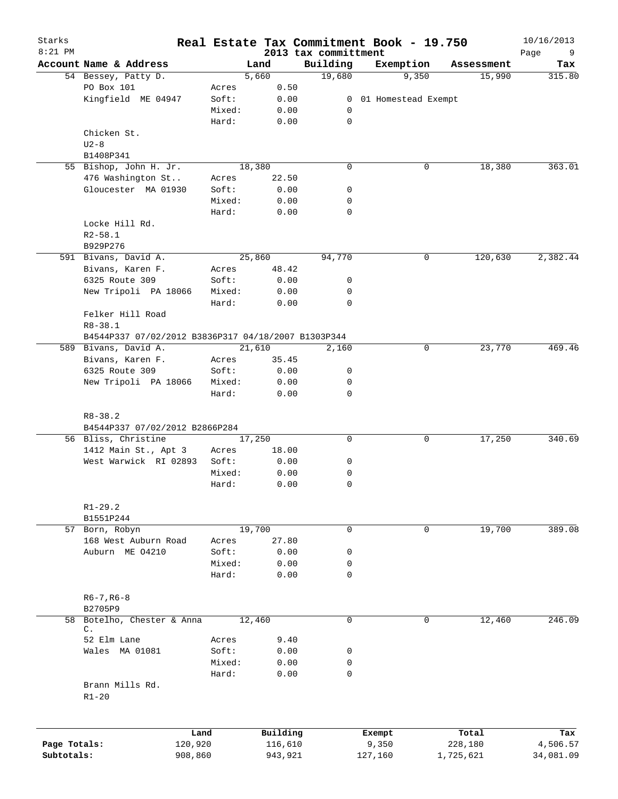| Starks<br>$8:21$ PM |                                                                      |        |          |       | 2013 tax committment | Real Estate Tax Commitment Book - 19.750 |            | 10/16/2013<br>Page<br>9 |
|---------------------|----------------------------------------------------------------------|--------|----------|-------|----------------------|------------------------------------------|------------|-------------------------|
|                     | Account Name & Address                                               |        | Land     |       | Building             | Exemption                                | Assessment | Tax                     |
|                     | 54 Bessey, Patty D.                                                  |        | 5,660    |       | 19,680               | 9,350                                    | 15,990     | 315.80                  |
|                     | PO Box 101                                                           | Acres  |          | 0.50  |                      |                                          |            |                         |
|                     | Kingfield ME 04947                                                   | Soft:  |          | 0.00  |                      | 0 01 Homestead Exempt                    |            |                         |
|                     |                                                                      | Mixed: |          | 0.00  | 0                    |                                          |            |                         |
|                     |                                                                      | Hard:  |          | 0.00  | $\mathbf 0$          |                                          |            |                         |
|                     | Chicken St.                                                          |        |          |       |                      |                                          |            |                         |
|                     | $U2-8$                                                               |        |          |       |                      |                                          |            |                         |
|                     | B1408P341                                                            |        |          |       |                      |                                          |            |                         |
|                     | 55 Bishop, John H. Jr.                                               |        | 18,380   |       | $\mathbf 0$          | 0                                        | 18,380     | 363.01                  |
|                     | 476 Washington St                                                    | Acres  |          | 22.50 |                      |                                          |            |                         |
|                     | Gloucester MA 01930                                                  | Soft:  |          | 0.00  | 0                    |                                          |            |                         |
|                     |                                                                      | Mixed: |          | 0.00  | 0                    |                                          |            |                         |
|                     |                                                                      | Hard:  |          | 0.00  | 0                    |                                          |            |                         |
|                     | Locke Hill Rd.                                                       |        |          |       |                      |                                          |            |                         |
|                     | $R2 - 58.1$                                                          |        |          |       |                      |                                          |            |                         |
|                     | B929P276                                                             |        |          |       |                      |                                          |            |                         |
|                     | 591 Bivans, David A.                                                 |        | 25,860   |       | 94,770               | 0                                        | 120,630    | 2,382.44                |
|                     | Bivans, Karen F.                                                     | Acres  |          | 48.42 |                      |                                          |            |                         |
|                     | 6325 Route 309                                                       | Soft:  |          | 0.00  | 0                    |                                          |            |                         |
|                     | New Tripoli PA 18066                                                 | Mixed: |          | 0.00  | 0                    |                                          |            |                         |
|                     |                                                                      | Hard:  |          | 0.00  | 0                    |                                          |            |                         |
|                     | Felker Hill Road                                                     |        |          |       |                      |                                          |            |                         |
|                     | $R8 - 38.1$                                                          |        |          |       |                      |                                          |            |                         |
|                     | B4544P337 07/02/2012 B3836P317 04/18/2007 B1303P344                  |        |          |       |                      |                                          |            |                         |
|                     | 589 Bivans, David A.                                                 |        | 21,610   |       | 2,160                | 0                                        | 23,770     | 469.46                  |
|                     | Bivans, Karen F.                                                     | Acres  |          | 35.45 |                      |                                          |            |                         |
|                     | 6325 Route 309                                                       | Soft:  |          | 0.00  | 0                    |                                          |            |                         |
|                     | New Tripoli PA 18066                                                 | Mixed: |          | 0.00  | 0                    |                                          |            |                         |
|                     |                                                                      | Hard:  |          | 0.00  | 0                    |                                          |            |                         |
|                     | $R8 - 38.2$<br>B4544P337 07/02/2012 B2866P284<br>56 Bliss, Christine | 17,250 |          |       | $\mathbf 0$          | 0                                        | 17,250     | 340.69                  |
|                     | 1412 Main St., Apt 3                                                 | Acres  | 18.00    |       |                      |                                          |            |                         |
|                     | West Warwick RI 02893                                                | Soft:  |          | 0.00  | 0                    |                                          |            |                         |
|                     |                                                                      | Mixed: |          | 0.00  | 0                    |                                          |            |                         |
|                     |                                                                      | Hard:  |          | 0.00  | $\mathbf 0$          |                                          |            |                         |
|                     |                                                                      |        |          |       |                      |                                          |            |                         |
|                     | $R1 - 29.2$                                                          |        |          |       |                      |                                          |            |                         |
|                     | B1551P244                                                            |        |          |       |                      |                                          |            |                         |
|                     | 57 Born, Robyn                                                       |        | 19,700   |       | $\mathbf 0$          | $\mathbf 0$                              | 19,700     | 389.08                  |
|                     | 168 West Auburn Road                                                 | Acres  |          | 27.80 |                      |                                          |            |                         |
|                     | Auburn ME 04210                                                      | Soft:  |          | 0.00  | 0                    |                                          |            |                         |
|                     |                                                                      | Mixed: |          | 0.00  | 0                    |                                          |            |                         |
|                     |                                                                      | Hard:  |          | 0.00  | 0                    |                                          |            |                         |
|                     |                                                                      |        |          |       |                      |                                          |            |                         |
|                     | $R6 - 7, R6 - 8$                                                     |        |          |       |                      |                                          |            |                         |
|                     | B2705P9                                                              |        |          |       |                      |                                          |            |                         |
| 58                  | Botelho, Chester & Anna                                              |        | 12,460   |       | $\mathbf 0$          | 0                                        | 12,460     | 246.09                  |
|                     | С.                                                                   |        |          |       |                      |                                          |            |                         |
|                     | 52 Elm Lane                                                          | Acres  |          | 9.40  |                      |                                          |            |                         |
|                     | Wales MA 01081                                                       | Soft:  |          | 0.00  | 0                    |                                          |            |                         |
|                     |                                                                      | Mixed: |          | 0.00  | 0                    |                                          |            |                         |
|                     |                                                                      | Hard:  |          | 0.00  | $\mathbf 0$          |                                          |            |                         |
|                     | Brann Mills Rd.<br>$R1 - 20$                                         |        |          |       |                      |                                          |            |                         |
|                     |                                                                      |        |          |       |                      |                                          |            |                         |
|                     | Land                                                                 |        | Building |       |                      | Exempt                                   | Total      | Tax                     |
| Page Totals:        | 120,920                                                              |        | 116,610  |       |                      | 9,350                                    | 228,180    | 4,506.57                |
| Subtotals:          | 908,860                                                              |        | 943,921  |       |                      | 127,160                                  | 1,725,621  | 34,081.09               |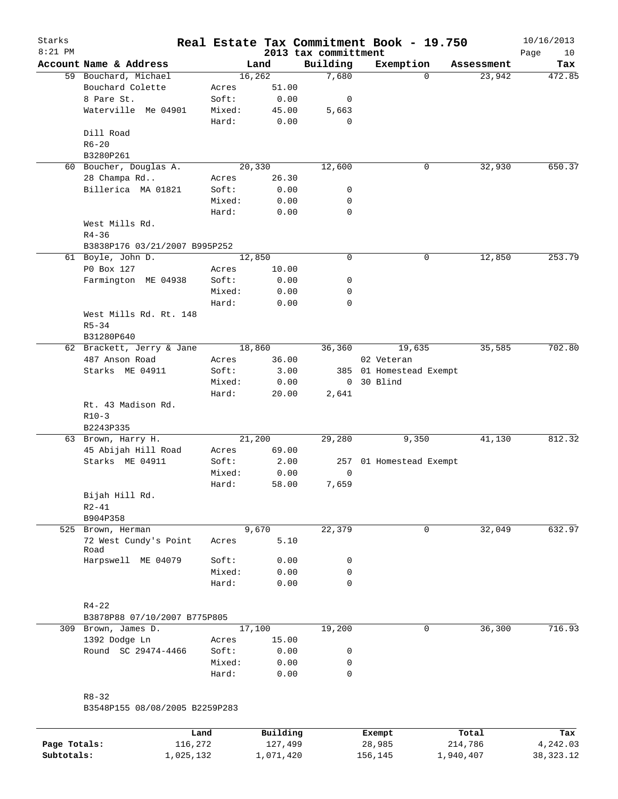| Starks<br>$8:21$ PM |                                |        |         | 2013 tax committment | Real Estate Tax Commitment Book - 19.750 |            | 10/16/2013<br>Page<br>10 |
|---------------------|--------------------------------|--------|---------|----------------------|------------------------------------------|------------|--------------------------|
|                     | Account Name & Address         |        | Land    | Building             | Exemption                                | Assessment | Tax                      |
|                     | 59 Bouchard, Michael           |        | 16, 262 | 7,680                | $\Omega$                                 | 23,942     | 472.85                   |
|                     | Bouchard Colette               | Acres  | 51.00   |                      |                                          |            |                          |
|                     | 8 Pare St.                     | Soft:  | 0.00    | 0                    |                                          |            |                          |
|                     | Waterville Me 04901            | Mixed: | 45.00   | 5,663                |                                          |            |                          |
|                     |                                | Hard:  | 0.00    | 0                    |                                          |            |                          |
|                     | Dill Road                      |        |         |                      |                                          |            |                          |
|                     | $R6 - 20$                      |        |         |                      |                                          |            |                          |
|                     | B3280P261                      |        |         |                      |                                          |            |                          |
|                     | 60 Boucher, Douglas A.         |        | 20,330  | 12,600               | 0                                        | 32,930     | 650.37                   |
|                     | 28 Champa Rd                   | Acres  | 26.30   |                      |                                          |            |                          |
|                     | Billerica MA 01821             | Soft:  | 0.00    | 0                    |                                          |            |                          |
|                     |                                | Mixed: | 0.00    | 0                    |                                          |            |                          |
|                     |                                | Hard:  | 0.00    | 0                    |                                          |            |                          |
|                     | West Mills Rd.                 |        |         |                      |                                          |            |                          |
|                     | $R4 - 36$                      |        |         |                      |                                          |            |                          |
|                     | B3838P176 03/21/2007 B995P252  |        |         |                      |                                          |            |                          |
|                     | 61 Boyle, John D.              |        | 12,850  | 0                    | 0                                        | 12,850     | 253.79                   |
|                     | P0 Box 127                     | Acres  | 10.00   |                      |                                          |            |                          |
|                     | Farmington ME 04938            | Soft:  | 0.00    | 0                    |                                          |            |                          |
|                     |                                | Mixed: | 0.00    | 0                    |                                          |            |                          |
|                     |                                | Hard:  | 0.00    | $\mathbf 0$          |                                          |            |                          |
|                     | West Mills Rd. Rt. 148         |        |         |                      |                                          |            |                          |
|                     | $R5 - 34$                      |        |         |                      |                                          |            |                          |
|                     | B31280P640                     |        |         |                      |                                          |            |                          |
|                     | 62 Brackett, Jerry & Jane      |        | 18,860  | 36,360               | 19,635                                   | 35,585     | 702.80                   |
|                     | 487 Anson Road                 | Acres  | 36.00   |                      | 02 Veteran                               |            |                          |
|                     | Starks ME 04911                | Soft:  | 3.00    |                      | 385 01 Homestead Exempt                  |            |                          |
|                     |                                | Mixed: | 0.00    | $\overline{0}$       | 30 Blind                                 |            |                          |
|                     |                                | Hard:  | 20.00   | 2,641                |                                          |            |                          |
|                     | Rt. 43 Madison Rd.<br>$R10-3$  |        |         |                      |                                          |            |                          |
|                     | B2243P335                      |        |         |                      |                                          |            |                          |
|                     | 63 Brown, Harry H.             |        | 21,200  | 29,280               | 9,350                                    | 41,130     | 812.32                   |
|                     | 45 Abijah Hill Road            | Acres  | 69.00   |                      |                                          |            |                          |
|                     | Starks ME 04911                | Soft:  | 2.00    |                      | 257 01 Homestead Exempt                  |            |                          |
|                     |                                | Mixed: | 0.00    | 0                    |                                          |            |                          |
|                     |                                | Hard:  | 58.00   | 7,659                |                                          |            |                          |
|                     | Bijah Hill Rd.                 |        |         |                      |                                          |            |                          |
|                     | $R2 - 41$                      |        |         |                      |                                          |            |                          |
|                     | B904P358                       |        |         |                      |                                          |            |                          |
|                     | 525 Brown, Herman              |        | 9,670   | 22,379               | 0                                        | 32,049     | 632.97                   |
|                     | 72 West Cundy's Point          | Acres  | 5.10    |                      |                                          |            |                          |
|                     | Road                           |        |         |                      |                                          |            |                          |
|                     | Harpswell ME 04079             | Soft:  | 0.00    | 0                    |                                          |            |                          |
|                     |                                | Mixed: | 0.00    | 0                    |                                          |            |                          |
|                     |                                | Hard:  | 0.00    | 0                    |                                          |            |                          |
|                     |                                |        |         |                      |                                          |            |                          |
|                     | $R4 - 22$                      |        |         |                      |                                          |            |                          |
|                     | B3878P88 07/10/2007 B775P805   |        |         |                      |                                          |            |                          |
|                     | 309 Brown, James D.            |        | 17,100  | 19,200               | 0                                        | 36,300     | 716.93                   |
|                     | 1392 Dodge Ln                  | Acres  | 15.00   |                      |                                          |            |                          |
|                     | Round SC 29474-4466            | Soft:  | 0.00    | 0                    |                                          |            |                          |
|                     |                                | Mixed: | 0.00    | 0                    |                                          |            |                          |
|                     |                                | Hard:  | 0.00    | 0                    |                                          |            |                          |
|                     |                                |        |         |                      |                                          |            |                          |
|                     | $R8 - 32$                      |        |         |                      |                                          |            |                          |
|                     | B3548P155 08/08/2005 B2259P283 |        |         |                      |                                          |            |                          |
|                     |                                |        |         |                      |                                          |            |                          |

|              | Land      | Building  | Exempt  | Total     | Tax       |
|--------------|-----------|-----------|---------|-----------|-----------|
| Page Totals: | 116,272   | 127,499   | 28,985  | 214,786   | 4,242.03  |
| Subtotals:   | 1,025,132 | 1,071,420 | 156,145 | 1,940,407 | 38,323.12 |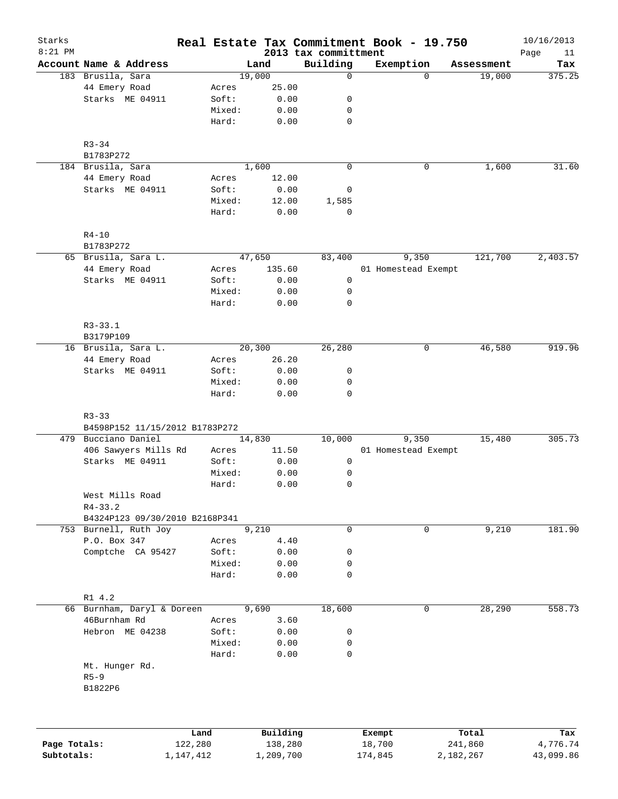| Starks<br>$8:21$ PM |                                |           |        |           | 2013 tax committment |              | Real Estate Tax Commitment Book - 19.750 |            | 10/16/2013<br>Page<br>11 |
|---------------------|--------------------------------|-----------|--------|-----------|----------------------|--------------|------------------------------------------|------------|--------------------------|
|                     | Account Name & Address         |           |        | Land      | Building             |              | Exemption                                | Assessment | Tax                      |
|                     | 183 Brusila, Sara              |           | 19,000 |           |                      | $\mathbf 0$  | $\Omega$                                 | 19,000     | 375.25                   |
|                     | 44 Emery Road                  | Acres     |        | 25.00     |                      |              |                                          |            |                          |
|                     | Starks ME 04911                | Soft:     |        | 0.00      |                      | 0            |                                          |            |                          |
|                     |                                | Mixed:    |        | 0.00      |                      | 0            |                                          |            |                          |
|                     |                                | Hard:     |        | 0.00      |                      | 0            |                                          |            |                          |
|                     | $R3 - 34$                      |           |        |           |                      |              |                                          |            |                          |
|                     | B1783P272                      |           |        |           |                      |              |                                          |            |                          |
|                     | 184 Brusila, Sara              |           | 1,600  |           |                      | $\mathbf 0$  | 0                                        | 1,600      | 31.60                    |
|                     | 44 Emery Road                  | Acres     |        | 12.00     |                      |              |                                          |            |                          |
|                     | Starks ME 04911                | Soft:     |        | 0.00      |                      | 0            |                                          |            |                          |
|                     |                                | Mixed:    |        | 12.00     | 1,585                |              |                                          |            |                          |
|                     |                                | Hard:     |        | 0.00      |                      | $\mathbf 0$  |                                          |            |                          |
|                     | $R4 - 10$<br>B1783P272         |           |        |           |                      |              |                                          |            |                          |
|                     | 65 Brusila, Sara L.            |           | 47,650 |           | 83,400               |              | 9,350                                    | 121,700    | 2,403.57                 |
|                     | 44 Emery Road                  | Acres     |        | 135.60    |                      |              | 01 Homestead Exempt                      |            |                          |
|                     | Starks ME 04911                | Soft:     |        | 0.00      |                      | 0            |                                          |            |                          |
|                     |                                | Mixed:    |        | 0.00      |                      | 0            |                                          |            |                          |
|                     |                                | Hard:     |        | 0.00      |                      | $\mathsf{O}$ |                                          |            |                          |
|                     |                                |           |        |           |                      |              |                                          |            |                          |
|                     | $R3 - 33.1$<br>B3179P109       |           |        |           |                      |              |                                          |            |                          |
|                     | 16 Brusila, Sara L.            |           | 20,300 |           | 26,280               |              | 0                                        | 46,580     | 919.96                   |
|                     | 44 Emery Road                  | Acres     |        | 26.20     |                      |              |                                          |            |                          |
|                     | Starks ME 04911                | Soft:     |        | 0.00      |                      | 0            |                                          |            |                          |
|                     |                                | Mixed:    |        | 0.00      |                      | 0            |                                          |            |                          |
|                     |                                | Hard:     |        | 0.00      |                      | $\mathbf 0$  |                                          |            |                          |
|                     | $R3 - 33$                      |           |        |           |                      |              |                                          |            |                          |
|                     | B4598P152 11/15/2012 B1783P272 |           |        |           |                      |              |                                          |            |                          |
|                     | 479 Bucciano Daniel            |           | 14,830 |           | 10,000               |              | 9,350                                    | 15,480     | 305.73                   |
|                     | 406 Sawyers Mills Rd           | Acres     |        | 11.50     |                      |              | 01 Homestead Exempt                      |            |                          |
|                     | Starks ME 04911                | Soft:     |        | 0.00      |                      | 0            |                                          |            |                          |
|                     |                                | Mixed:    |        | 0.00      |                      | 0            |                                          |            |                          |
|                     |                                | Hard:     |        | 0.00      |                      | $\mathbf 0$  |                                          |            |                          |
|                     | West Mills Road                |           |        |           |                      |              |                                          |            |                          |
|                     | $R4 - 33.2$                    |           |        |           |                      |              |                                          |            |                          |
|                     | B4324P123 09/30/2010 B2168P341 |           |        |           |                      |              |                                          |            |                          |
|                     | 753 Burnell, Ruth Joy          |           |        | 9,210     |                      | 0            | 0                                        | 9,210      | 181.90                   |
|                     | P.O. Box 347                   | Acres     |        | 4.40      |                      |              |                                          |            |                          |
|                     | Comptche CA 95427              | Soft:     |        | 0.00      |                      | 0            |                                          |            |                          |
|                     |                                | Mixed:    |        | 0.00      |                      | 0            |                                          |            |                          |
|                     |                                | Hard:     |        | 0.00      |                      | $\mathbf 0$  |                                          |            |                          |
|                     | R1 4.2                         |           |        |           |                      |              |                                          |            |                          |
|                     | 66 Burnham, Daryl & Doreen     |           |        | 9,690     | 18,600               |              | 0                                        | 28,290     | 558.73                   |
|                     | 46Burnham Rd                   | Acres     |        | 3.60      |                      |              |                                          |            |                          |
|                     | Hebron ME 04238                | Soft:     |        | 0.00      |                      | 0            |                                          |            |                          |
|                     |                                | Mixed:    |        | 0.00      |                      | 0            |                                          |            |                          |
|                     |                                | Hard:     |        | 0.00      |                      | 0            |                                          |            |                          |
|                     | Mt. Hunger Rd.                 |           |        |           |                      |              |                                          |            |                          |
|                     | $R5 - 9$                       |           |        |           |                      |              |                                          |            |                          |
|                     | B1822P6                        |           |        |           |                      |              |                                          |            |                          |
|                     |                                |           |        |           |                      |              |                                          |            |                          |
|                     |                                | Land      |        | Building  |                      |              | Exempt                                   | Total      | Tax                      |
| Page Totals:        |                                | 122,280   |        | 138,280   |                      |              | 18,700                                   | 241,860    | 4,776.74                 |
| Subtotals:          |                                | 1,147,412 |        | 1,209,700 |                      |              | 174,845                                  | 2,182,267  | 43,099.86                |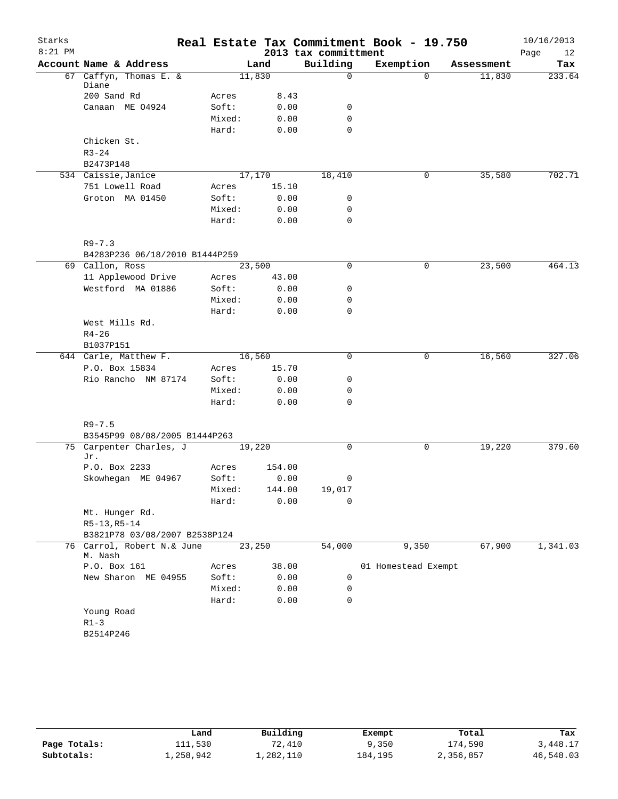| Starks    |                                       |                 |              |                      | Real Estate Tax Commitment Book - 19.750 |            | 10/16/2013 |
|-----------|---------------------------------------|-----------------|--------------|----------------------|------------------------------------------|------------|------------|
| $8:21$ PM |                                       |                 |              | 2013 tax committment |                                          |            | Page<br>12 |
|           | Account Name & Address                |                 | Land         | Building             | Exemption                                | Assessment | Tax        |
|           | 67 Caffyn, Thomas E. &<br>Diane       |                 | 11,830       | $\mathsf{O}$         | $\Omega$                                 | 11,830     | 233.64     |
|           | 200 Sand Rd                           | Acres           | 8.43         |                      |                                          |            |            |
|           | Canaan ME 04924                       | Soft:           | 0.00         | 0                    |                                          |            |            |
|           |                                       | Mixed:          | 0.00         | $\mathbf 0$          |                                          |            |            |
|           |                                       | Hard:           | 0.00         | $\mathbf 0$          |                                          |            |            |
|           | Chicken St.                           |                 |              |                      |                                          |            |            |
|           | $R3 - 24$                             |                 |              |                      |                                          |            |            |
|           | B2473P148                             |                 |              |                      |                                          |            |            |
|           | 534 Caissie, Janice                   |                 | 17,170       | 18,410               | 0                                        | 35,580     | 702.71     |
|           | 751 Lowell Road                       | Acres           | 15.10        |                      |                                          |            |            |
|           | Groton MA 01450                       | Soft:           | 0.00         | 0                    |                                          |            |            |
|           |                                       | Mixed:          | 0.00         | $\mathbf 0$          |                                          |            |            |
|           |                                       | Hard:           | 0.00         | 0                    |                                          |            |            |
|           |                                       |                 |              |                      |                                          |            |            |
|           | $R9 - 7.3$                            |                 |              |                      |                                          |            |            |
|           | B4283P236 06/18/2010 B1444P259        |                 | 23,500       | 0                    | 0                                        |            | 464.13     |
|           | 69 Callon, Ross<br>11 Applewood Drive |                 |              |                      |                                          | 23,500     |            |
|           |                                       | Acres           | 43.00        |                      |                                          |            |            |
|           | Westford MA 01886                     | Soft:           | 0.00         | 0                    |                                          |            |            |
|           |                                       | Mixed:<br>Hard: | 0.00<br>0.00 | 0<br>0               |                                          |            |            |
|           | West Mills Rd.                        |                 |              |                      |                                          |            |            |
|           | $R4 - 26$                             |                 |              |                      |                                          |            |            |
|           | B1037P151                             |                 |              |                      |                                          |            |            |
|           | 644 Carle, Matthew F.                 |                 | 16,560       | $\Omega$             | 0                                        | 16,560     | 327.06     |
|           | P.O. Box 15834                        | Acres           | 15.70        |                      |                                          |            |            |
|           | Rio Rancho NM 87174                   | Soft:           | 0.00         | 0                    |                                          |            |            |
|           |                                       | Mixed:          | 0.00         | 0                    |                                          |            |            |
|           |                                       | Hard:           | 0.00         | 0                    |                                          |            |            |
|           |                                       |                 |              |                      |                                          |            |            |
|           | $R9 - 7.5$                            |                 |              |                      |                                          |            |            |
|           | B3545P99 08/08/2005 B1444P263         |                 |              |                      |                                          |            |            |
|           | 75 Carpenter Charles, J<br>Jr.        |                 | 19,220       | 0                    | 0                                        | 19,220     | 379.60     |
|           | P.O. Box 2233                         | Acres           | 154.00       |                      |                                          |            |            |
|           | Skowhegan ME 04967                    | Soft:           | 0.00         | 0                    |                                          |            |            |
|           |                                       | Mixed:          | 144.00       | 19,017               |                                          |            |            |
|           |                                       | Hard:           | 0.00         | 0                    |                                          |            |            |
|           | Mt. Hunger Rd.                        |                 |              |                      |                                          |            |            |
|           | $R5-13, R5-14$                        |                 |              |                      |                                          |            |            |
|           | B3821P78 03/08/2007 B2538P124         |                 |              |                      |                                          |            |            |
|           | 76 Carrol, Robert N.& June<br>M. Nash |                 | 23,250       | 54,000               | 9,350                                    | 67,900     | 1,341.03   |
|           | P.O. Box 161                          | Acres           | 38.00        |                      | 01 Homestead Exempt                      |            |            |
|           | New Sharon ME 04955                   | Soft:           | 0.00         | 0                    |                                          |            |            |
|           |                                       | Mixed:          | 0.00         | 0                    |                                          |            |            |
|           |                                       | Hard:           | 0.00         | 0                    |                                          |            |            |
|           | Young Road                            |                 |              |                      |                                          |            |            |
|           | $R1-3$                                |                 |              |                      |                                          |            |            |
|           | B2514P246                             |                 |              |                      |                                          |            |            |
|           |                                       |                 |              |                      |                                          |            |            |

|              | Land      | Building  | Exempt  | Total     | Tax       |
|--------------|-----------|-----------|---------|-----------|-----------|
| Page Totals: | 111,530   | 72,410    | 9,350   | 174,590   | 3,448.17  |
| Subtotals:   | ⊥,258,942 | ⊥,282,110 | 184,195 | 2,356,857 | 46,548.03 |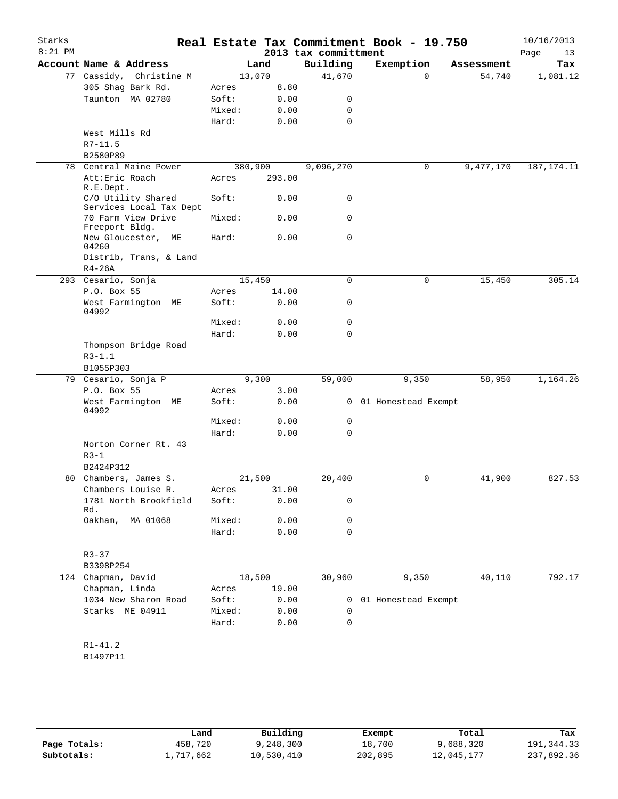| Starks<br>$8:21$ PM |                                      |         |             | 2013 tax committment | Real Estate Tax Commitment Book - 19.750 |            | 10/16/2013<br>Page<br>13 |
|---------------------|--------------------------------------|---------|-------------|----------------------|------------------------------------------|------------|--------------------------|
|                     | Account Name & Address               |         | Land        | Building             | Exemption                                | Assessment | Tax                      |
|                     | 77 Cassidy, Christine M              |         | 13,070      | 41,670               | $\Omega$                                 | 54,740     | 1,081.12                 |
|                     | 305 Shag Bark Rd.                    | Acres   | 8.80        |                      |                                          |            |                          |
|                     | Taunton MA 02780                     | Soft:   | 0.00        | 0                    |                                          |            |                          |
|                     |                                      | Mixed:  | 0.00        | 0                    |                                          |            |                          |
|                     |                                      | Hard:   | 0.00        | 0                    |                                          |            |                          |
|                     | West Mills Rd                        |         |             |                      |                                          |            |                          |
|                     | $R7 - 11.5$                          |         |             |                      |                                          |            |                          |
|                     | B2580P89                             |         |             |                      |                                          |            |                          |
| 78                  | Central Maine Power                  | 380,900 |             | 9,096,270            | 0                                        | 9,477,170  | 187, 174. 11             |
|                     | Att: Eric Roach                      | Acres   | 293.00      |                      |                                          |            |                          |
|                     | R.E.Dept.                            |         |             |                      |                                          |            |                          |
|                     | C/O Utility Shared                   | Soft:   | 0.00        | 0                    |                                          |            |                          |
|                     | Services Local Tax Dept              |         |             |                      |                                          |            |                          |
|                     | 70 Farm View Drive<br>Freeport Bldg. | Mixed:  | 0.00        | 0                    |                                          |            |                          |
|                     | New Gloucester,<br>МE                | Hard:   | 0.00        | 0                    |                                          |            |                          |
|                     | 04260                                |         |             |                      |                                          |            |                          |
|                     | Distrib, Trans, & Land               |         |             |                      |                                          |            |                          |
|                     | $R4-26A$                             |         |             |                      |                                          |            |                          |
|                     | 293 Cesario, Sonja                   |         | 15,450      | 0                    | 0                                        | 15,450     | 305.14                   |
|                     | P.O. Box 55                          | Acres   | 14.00       |                      |                                          |            |                          |
|                     | West Farmington ME<br>04992          | Soft:   | 0.00        | 0                    |                                          |            |                          |
|                     |                                      | Mixed:  | 0.00        | 0                    |                                          |            |                          |
|                     |                                      | Hard:   | 0.00        | 0                    |                                          |            |                          |
|                     | Thompson Bridge Road                 |         |             |                      |                                          |            |                          |
|                     | $R3 - 1.1$                           |         |             |                      |                                          |            |                          |
|                     | B1055P303                            |         |             |                      |                                          |            |                          |
|                     | 79 Cesario, Sonja P                  |         | 9,300       | 59,000               | 9,350                                    | 58,950     | 1,164.26                 |
|                     | P.O. Box 55                          | Acres   | 3.00        |                      |                                          |            |                          |
|                     | West Farmington ME<br>04992          | Soft:   | 0.00        |                      | 0 01 Homestead Exempt                    |            |                          |
|                     |                                      | Mixed:  | 0.00        | 0                    |                                          |            |                          |
|                     |                                      | Hard:   | 0.00        | 0                    |                                          |            |                          |
|                     | Norton Corner Rt. 43                 |         |             |                      |                                          |            |                          |
|                     | $R3 - 1$                             |         |             |                      |                                          |            |                          |
|                     | B2424P312                            |         |             |                      |                                          |            |                          |
|                     | 80 Chambers, James S.                |         | 21,500      | 20,400               | 0                                        | 41,900     | 827.53                   |
|                     | Chambers Louise R.                   |         | Acres 31.00 |                      |                                          |            |                          |
|                     | 1781 North Brookfield<br>Rd.         | Soft:   | 0.00        | 0                    |                                          |            |                          |
|                     | Oakham,<br>MA 01068                  | Mixed:  | 0.00        | 0                    |                                          |            |                          |
|                     |                                      | Hard:   | 0.00        | 0                    |                                          |            |                          |
|                     | $R3 - 37$                            |         |             |                      |                                          |            |                          |
|                     | B3398P254                            |         |             |                      |                                          |            |                          |
|                     | 124 Chapman, David                   |         | 18,500      | 30,960               | 9,350                                    | 40,110     | 792.17                   |
|                     | Chapman, Linda                       | Acres   | 19.00       |                      |                                          |            |                          |
|                     | 1034 New Sharon Road                 | Soft:   | 0.00        | $\mathbf{0}$         | 01 Homestead Exempt                      |            |                          |
|                     | Starks ME 04911                      | Mixed:  | 0.00        | 0                    |                                          |            |                          |
|                     |                                      | Hard:   | 0.00        | 0                    |                                          |            |                          |
|                     |                                      |         |             |                      |                                          |            |                          |
|                     | $R1 - 41.2$                          |         |             |                      |                                          |            |                          |
|                     | B1497P11                             |         |             |                      |                                          |            |                          |
|                     |                                      |         |             |                      |                                          |            |                          |

**Page Totals:** 458,720 9,248,300 18,700 9,688,320 191,344.33<br>**Subtotals:** 1,717,662 10,530,410 202,895 12,045,177 237,892.36 **Subtotals:** 1,717,662 10,530,410 202,895 12,045,177 237,892.36 **Land Building Exempt Total Tax**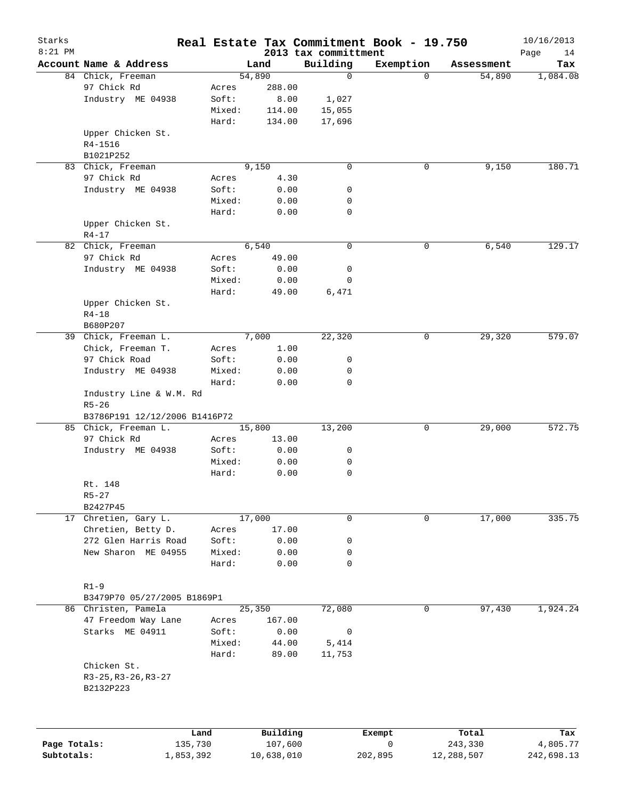| Starks       |                               |           |        |            |                                  | Real Estate Tax Commitment Book - 19.750 |            | 10/16/2013        |
|--------------|-------------------------------|-----------|--------|------------|----------------------------------|------------------------------------------|------------|-------------------|
| $8:21$ PM    | Account Name & Address        |           |        | Land       | 2013 tax committment<br>Building | Exemption                                | Assessment | Page<br>14<br>Tax |
|              | 84 Chick, Freeman             |           |        | 54,890     | $\mathbf 0$                      | $\Omega$                                 | 54,890     | 1,084.08          |
|              | 97 Chick Rd                   |           | Acres  | 288.00     |                                  |                                          |            |                   |
|              | Industry ME 04938             |           | Soft:  | 8.00       | 1,027                            |                                          |            |                   |
|              |                               |           | Mixed: | 114.00     | 15,055                           |                                          |            |                   |
|              |                               |           | Hard:  | 134.00     | 17,696                           |                                          |            |                   |
|              | Upper Chicken St.             |           |        |            |                                  |                                          |            |                   |
|              | R4-1516                       |           |        |            |                                  |                                          |            |                   |
|              | B1021P252                     |           |        |            |                                  |                                          |            |                   |
|              | 83 Chick, Freeman             |           |        | 9,150      | $\mathbf 0$                      | 0                                        | 9,150      | 180.71            |
|              | 97 Chick Rd                   |           | Acres  | 4.30       |                                  |                                          |            |                   |
|              | Industry ME 04938             |           | Soft:  | 0.00       | 0                                |                                          |            |                   |
|              |                               |           | Mixed: | 0.00       | 0                                |                                          |            |                   |
|              |                               |           | Hard:  | 0.00       | $\mathbf 0$                      |                                          |            |                   |
|              | Upper Chicken St.             |           |        |            |                                  |                                          |            |                   |
|              | $R4 - 17$                     |           |        |            |                                  |                                          |            |                   |
|              | 82 Chick, Freeman             |           |        | 6,540      | $\mathbf 0$                      | 0                                        | 6,540      | 129.17            |
|              | 97 Chick Rd                   |           |        | 49.00      |                                  |                                          |            |                   |
|              |                               |           | Acres  |            |                                  |                                          |            |                   |
|              | Industry ME 04938             |           | Soft:  | 0.00       | 0                                |                                          |            |                   |
|              |                               |           | Mixed: | 0.00       | 0                                |                                          |            |                   |
|              |                               |           | Hard:  | 49.00      | 6,471                            |                                          |            |                   |
|              | Upper Chicken St.             |           |        |            |                                  |                                          |            |                   |
|              | $R4 - 18$                     |           |        |            |                                  |                                          |            |                   |
|              | B680P207                      |           |        |            |                                  |                                          |            |                   |
|              | 39 Chick, Freeman L.          |           |        | 7,000      | 22,320                           | 0                                        | 29,320     | 579.07            |
|              | Chick, Freeman T.             |           | Acres  | 1.00       |                                  |                                          |            |                   |
|              | 97 Chick Road                 |           | Soft:  | 0.00       | 0                                |                                          |            |                   |
|              | Industry ME 04938             |           | Mixed: | 0.00       | 0                                |                                          |            |                   |
|              |                               |           | Hard:  | 0.00       | $\mathbf 0$                      |                                          |            |                   |
|              | Industry Line & W.M. Rd       |           |        |            |                                  |                                          |            |                   |
|              | $R5 - 26$                     |           |        |            |                                  |                                          |            |                   |
|              | B3786P191 12/12/2006 B1416P72 |           |        |            |                                  |                                          |            |                   |
|              | 85 Chick, Freeman L.          |           |        | 15,800     | 13,200                           | 0                                        | 29,000     | 572.75            |
|              | 97 Chick Rd                   |           | Acres  | 13.00      |                                  |                                          |            |                   |
|              | Industry ME 04938             |           | Soft:  | 0.00       | 0                                |                                          |            |                   |
|              |                               |           | Mixed: | 0.00       | 0                                |                                          |            |                   |
|              |                               |           | Hard:  | 0.00       | 0                                |                                          |            |                   |
|              | Rt. 148                       |           |        |            |                                  |                                          |            |                   |
|              | $R5 - 27$                     |           |        |            |                                  |                                          |            |                   |
|              | B2427P45                      |           |        |            |                                  |                                          |            |                   |
| 17           | Chretien, Gary L.             |           |        | 17,000     | 0                                | 0                                        | 17,000     | 335.75            |
|              | Chretien, Betty D.            |           | Acres  | 17.00      |                                  |                                          |            |                   |
|              | 272 Glen Harris Road          |           | Soft:  | 0.00       | 0                                |                                          |            |                   |
|              | New Sharon ME 04955           |           | Mixed: | 0.00       | 0                                |                                          |            |                   |
|              |                               |           | Hard:  | 0.00       | $\mathbf 0$                      |                                          |            |                   |
|              |                               |           |        |            |                                  |                                          |            |                   |
|              | $R1-9$                        |           |        |            |                                  |                                          |            |                   |
|              | B3479P70 05/27/2005 B1869P1   |           |        |            |                                  |                                          |            |                   |
|              | 86 Christen, Pamela           |           |        | 25,350     | 72,080                           | 0                                        | 97,430     | 1,924.24          |
|              | 47 Freedom Way Lane           |           | Acres  | 167.00     |                                  |                                          |            |                   |
|              | Starks ME 04911               |           | Soft:  | 0.00       | 0                                |                                          |            |                   |
|              |                               |           | Mixed: | 44.00      | 5,414                            |                                          |            |                   |
|              |                               |           | Hard:  | 89.00      | 11,753                           |                                          |            |                   |
|              | Chicken St.                   |           |        |            |                                  |                                          |            |                   |
|              | $R3-25, R3-26, R3-27$         |           |        |            |                                  |                                          |            |                   |
|              | B2132P223                     |           |        |            |                                  |                                          |            |                   |
|              |                               |           |        |            |                                  |                                          |            |                   |
|              |                               | Land      |        | Building   |                                  | Exempt                                   | Total      | Tax               |
| Page Totals: |                               | 135,730   |        | 107,600    |                                  | 0                                        | 243,330    | 4,805.77          |
| Subtotals:   |                               | 1,853,392 |        | 10,638,010 |                                  | 202,895                                  | 12,288,507 | 242,698.13        |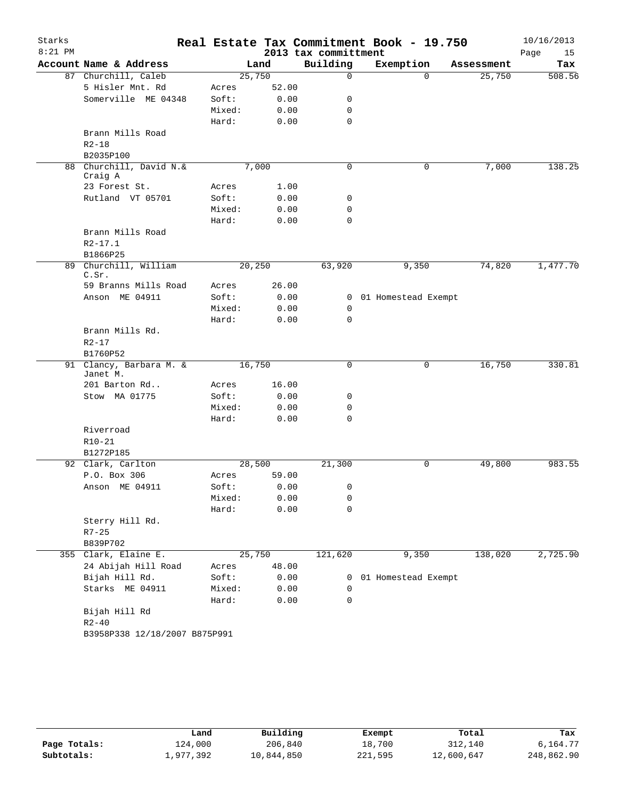| $8:21$ PM | Account Name & Address<br>87 Churchill, Caleb<br>5 Hisler Mnt. Rd<br>Somerville ME 04348 | 25,750         | Land  | 2013 tax committment<br>Building<br>$\mathbf 0$ | Exemption           | Assessment | Page<br>15<br>Tax |
|-----------|------------------------------------------------------------------------------------------|----------------|-------|-------------------------------------------------|---------------------|------------|-------------------|
|           |                                                                                          |                |       |                                                 |                     |            |                   |
|           |                                                                                          |                |       |                                                 |                     | 25,750     | 508.56            |
|           |                                                                                          |                | 52.00 |                                                 | $\Omega$            |            |                   |
|           |                                                                                          | Acres<br>Soft: | 0.00  | 0                                               |                     |            |                   |
|           |                                                                                          | Mixed:         | 0.00  | 0                                               |                     |            |                   |
|           |                                                                                          | Hard:          | 0.00  | $\mathbf 0$                                     |                     |            |                   |
|           | Brann Mills Road                                                                         |                |       |                                                 |                     |            |                   |
|           | $R2 - 18$                                                                                |                |       |                                                 |                     |            |                   |
|           | B2035P100                                                                                |                |       |                                                 |                     |            |                   |
|           | 88 Churchill, David N.&                                                                  |                | 7,000 | $\mathbf 0$                                     | 0                   | 7,000      | 138.25            |
|           | Craig A                                                                                  |                |       |                                                 |                     |            |                   |
|           | 23 Forest St.                                                                            | Acres          | 1.00  |                                                 |                     |            |                   |
|           | Rutland VT 05701                                                                         | Soft:          | 0.00  | 0                                               |                     |            |                   |
|           |                                                                                          | Mixed:         | 0.00  | 0                                               |                     |            |                   |
|           |                                                                                          | Hard:          | 0.00  | $\mathbf 0$                                     |                     |            |                   |
|           | Brann Mills Road                                                                         |                |       |                                                 |                     |            |                   |
|           | $R2 - 17.1$                                                                              |                |       |                                                 |                     |            |                   |
|           | B1866P25                                                                                 |                |       |                                                 |                     |            |                   |
|           | 89 Churchill, William                                                                    | 20,250         |       | 63,920                                          | 9,350               | 74,820     | 1,477.70          |
|           | C.Sr.                                                                                    |                |       |                                                 |                     |            |                   |
|           | 59 Branns Mills Road                                                                     | Acres          | 26.00 |                                                 |                     |            |                   |
|           | Anson ME 04911                                                                           | Soft:          | 0.00  | $\mathbf{0}$                                    | 01 Homestead Exempt |            |                   |
|           |                                                                                          | Mixed:         | 0.00  | 0                                               |                     |            |                   |
|           |                                                                                          | Hard:          | 0.00  | $\Omega$                                        |                     |            |                   |
|           | Brann Mills Rd.                                                                          |                |       |                                                 |                     |            |                   |
|           | $R2 - 17$                                                                                |                |       |                                                 |                     |            |                   |
|           | B1760P52                                                                                 |                |       |                                                 |                     |            |                   |
|           | 91 Clancy, Barbara M. &<br>Janet M.                                                      | 16,750         |       | 0                                               | 0                   | 16,750     | 330.81            |
|           | 201 Barton Rd                                                                            | Acres          | 16.00 |                                                 |                     |            |                   |
|           | Stow MA 01775                                                                            | Soft:          | 0.00  | 0                                               |                     |            |                   |
|           |                                                                                          | Mixed:         | 0.00  | 0                                               |                     |            |                   |
|           |                                                                                          | Hard:          | 0.00  | $\mathbf 0$                                     |                     |            |                   |
|           | Riverroad                                                                                |                |       |                                                 |                     |            |                   |
|           | $R10-21$                                                                                 |                |       |                                                 |                     |            |                   |
|           | B1272P185                                                                                |                |       |                                                 |                     |            |                   |
|           | 92 Clark, Carlton                                                                        | 28,500         |       | 21,300                                          | 0                   | 49,800     | 983.55            |
|           | P.O. Box 306                                                                             | Acres          | 59.00 |                                                 |                     |            |                   |
|           | Anson ME 04911                                                                           | Soft:          | 0.00  | 0                                               |                     |            |                   |
|           |                                                                                          | Mixed:         | 0.00  | 0                                               |                     |            |                   |
|           |                                                                                          | Hard:          | 0.00  | $\mathbf 0$                                     |                     |            |                   |
|           | Sterry Hill Rd.                                                                          |                |       |                                                 |                     |            |                   |
|           | $R7 - 25$                                                                                |                |       |                                                 |                     |            |                   |
|           | B839P702                                                                                 |                |       |                                                 |                     |            |                   |
|           | 355 Clark, Elaine E.                                                                     | 25,750         |       | 121,620                                         | 9,350               | 138,020    | 2,725.90          |
|           | 24 Abijah Hill Road                                                                      | Acres          | 48.00 |                                                 |                     |            |                   |
|           | Bijah Hill Rd.                                                                           | Soft:          | 0.00  | 0                                               | 01 Homestead Exempt |            |                   |
|           | Starks ME 04911                                                                          | Mixed:         | 0.00  | 0                                               |                     |            |                   |
|           |                                                                                          | Hard:          | 0.00  | 0                                               |                     |            |                   |
|           | Bijah Hill Rd                                                                            |                |       |                                                 |                     |            |                   |
|           | $R2 - 40$                                                                                |                |       |                                                 |                     |            |                   |
|           | B3958P338 12/18/2007 B875P991                                                            |                |       |                                                 |                     |            |                   |

|              | Land      | Building   | Exempt  | Total      | Tax        |
|--------------|-----------|------------|---------|------------|------------|
| Page Totals: | 124,000   | 206,840    | 18,700  | 312,140    | 6,164.77   |
| Subtotals:   | 1,977,392 | 10,844,850 | 221,595 | 12,600,647 | 248,862.90 |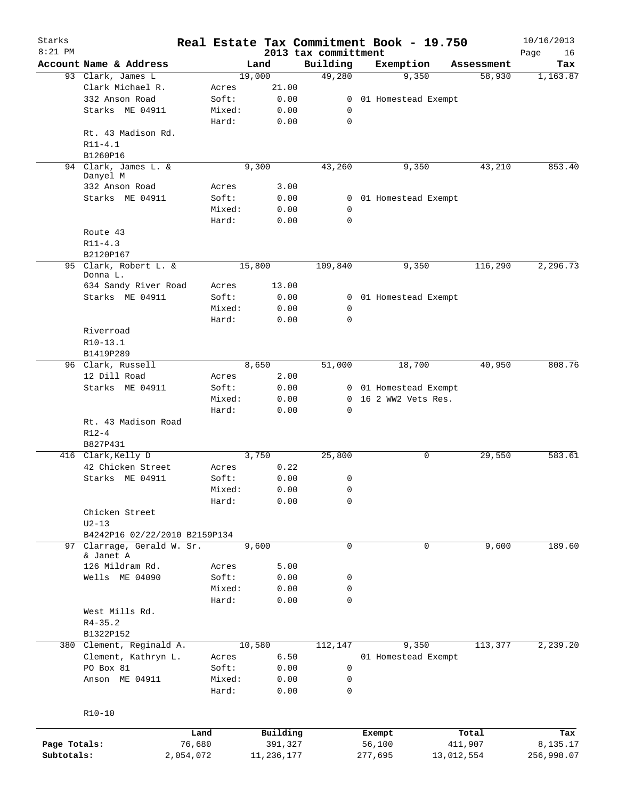| Starks       |                                         |        |            |                                  | Real Estate Tax Commitment Book - 19.750 |            | 10/16/2013        |
|--------------|-----------------------------------------|--------|------------|----------------------------------|------------------------------------------|------------|-------------------|
| $8:21$ PM    | Account Name & Address                  |        | Land       | 2013 tax committment<br>Building | Exemption                                | Assessment | Page<br>16<br>Tax |
|              | 93 Clark, James L                       |        | 19,000     | 49,280                           | 9,350                                    | 58,930     | 1,163.87          |
|              | Clark Michael R.                        | Acres  | 21.00      |                                  |                                          |            |                   |
|              | 332 Anson Road                          | Soft:  | 0.00       | 0                                | 01 Homestead Exempt                      |            |                   |
|              | Starks ME 04911                         | Mixed: | 0.00       | 0                                |                                          |            |                   |
|              |                                         | Hard:  | 0.00       | $\mathbf 0$                      |                                          |            |                   |
|              | Rt. 43 Madison Rd.                      |        |            |                                  |                                          |            |                   |
|              |                                         |        |            |                                  |                                          |            |                   |
|              | $R11 - 4.1$                             |        |            |                                  |                                          |            |                   |
|              | B1260P16                                |        |            |                                  |                                          |            |                   |
|              | 94 Clark, James L. &<br>Danyel M        |        | 9,300      | 43,260                           | 9,350                                    | 43,210     | 853.40            |
|              | 332 Anson Road                          | Acres  | 3.00       |                                  |                                          |            |                   |
|              | Starks ME 04911                         | Soft:  | 0.00       |                                  | 0 01 Homestead Exempt                    |            |                   |
|              |                                         | Mixed: | 0.00       | 0                                |                                          |            |                   |
|              |                                         |        |            | $\mathbf 0$                      |                                          |            |                   |
|              |                                         | Hard:  | 0.00       |                                  |                                          |            |                   |
|              | Route 43                                |        |            |                                  |                                          |            |                   |
|              | $R11 - 4.3$                             |        |            |                                  |                                          |            |                   |
|              | B2120P167                               |        |            |                                  |                                          |            |                   |
|              | 95 Clark, Robert L. &                   |        | 15,800     | 109,840                          | 9,350                                    | 116,290    | 2,296.73          |
|              | Donna L.<br>634 Sandy River Road        |        | 13.00      |                                  |                                          |            |                   |
|              | Starks ME 04911                         | Acres  |            |                                  |                                          |            |                   |
|              |                                         | Soft:  | 0.00       |                                  | 0 01 Homestead Exempt                    |            |                   |
|              |                                         | Mixed: | 0.00       | 0                                |                                          |            |                   |
|              |                                         | Hard:  | 0.00       | $\Omega$                         |                                          |            |                   |
|              | Riverroad                               |        |            |                                  |                                          |            |                   |
|              | R10-13.1                                |        |            |                                  |                                          |            |                   |
|              | B1419P289                               |        |            |                                  |                                          |            |                   |
|              | 96 Clark, Russell                       |        | 8,650      | 51,000                           | 18,700                                   | 40,950     | 808.76            |
|              | 12 Dill Road                            | Acres  | 2.00       |                                  |                                          |            |                   |
|              | Starks ME 04911                         | Soft:  | 0.00       |                                  | 0 01 Homestead Exempt                    |            |                   |
|              |                                         | Mixed: | 0.00       |                                  | 0 16 2 WW2 Vets Res.                     |            |                   |
|              |                                         | Hard:  | 0.00       | $\mathbf 0$                      |                                          |            |                   |
|              | Rt. 43 Madison Road                     |        |            |                                  |                                          |            |                   |
|              | $R12 - 4$                               |        |            |                                  |                                          |            |                   |
|              | B827P431                                |        |            |                                  |                                          |            |                   |
|              | 416 Clark, Kelly D                      |        | 3,750      | 25,800                           | 0                                        | 29,550     | 583.61            |
|              | 42 Chicken Street                       | Acres  | 0.22       |                                  |                                          |            |                   |
|              | Starks ME 04911                         | Soft:  | 0.00       | 0                                |                                          |            |                   |
|              |                                         | Mixed: | 0.00       | 0                                |                                          |            |                   |
|              |                                         | Hard:  | 0.00       | 0                                |                                          |            |                   |
|              | Chicken Street                          |        |            |                                  |                                          |            |                   |
|              | $U2-13$                                 |        |            |                                  |                                          |            |                   |
|              | B4242P16 02/22/2010 B2159P134           |        |            |                                  |                                          |            |                   |
|              |                                         |        |            | $\mathbf 0$                      | $\mathbf 0$                              |            |                   |
|              | 97 Clarrage, Gerald W. Sr.<br>& Janet A |        | 9,600      |                                  |                                          | 9,600      | 189.60            |
|              | 126 Mildram Rd.                         | Acres  | 5.00       |                                  |                                          |            |                   |
|              | Wells ME 04090                          | Soft:  | 0.00       | 0                                |                                          |            |                   |
|              |                                         | Mixed: | 0.00       | 0                                |                                          |            |                   |
|              |                                         |        |            | 0                                |                                          |            |                   |
|              |                                         | Hard:  | 0.00       |                                  |                                          |            |                   |
|              | West Mills Rd.                          |        |            |                                  |                                          |            |                   |
|              | $R4 - 35.2$                             |        |            |                                  |                                          |            |                   |
|              | B1322P152                               |        |            |                                  |                                          |            |                   |
|              | 380 Clement, Reginald A.                |        | 10,580     | 112,147                          | 9,350                                    | 113,377    | 2,239.20          |
|              | Clement, Kathryn L.                     | Acres  | 6.50       |                                  | 01 Homestead Exempt                      |            |                   |
|              | PO Box 81                               | Soft:  | 0.00       | 0                                |                                          |            |                   |
|              | Anson ME 04911                          | Mixed: | 0.00       | 0                                |                                          |            |                   |
|              |                                         | Hard:  | 0.00       | 0                                |                                          |            |                   |
|              |                                         |        |            |                                  |                                          |            |                   |
|              | $R10-10$                                |        |            |                                  |                                          |            |                   |
|              |                                         |        |            |                                  |                                          |            |                   |
|              |                                         | Land   | Building   |                                  | Exempt                                   | Total      | Tax               |
| Page Totals: |                                         | 76,680 | 391,327    |                                  | 56,100                                   | 411,907    | 8,135.17          |
| Subtotals:   | 2,054,072                               |        | 11,236,177 |                                  | 277,695                                  | 13,012,554 | 256,998.07        |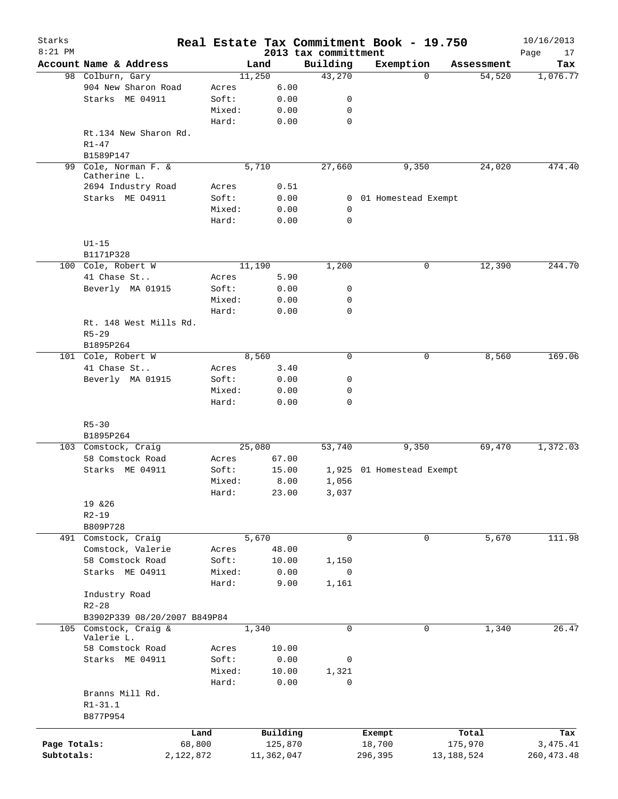| Starks<br>$8:21$ PM |                                                         |           |                 |        |              |                      |             | Real Estate Tax Commitment Book - 19.750 |             |              | 10/16/2013        |
|---------------------|---------------------------------------------------------|-----------|-----------------|--------|--------------|----------------------|-------------|------------------------------------------|-------------|--------------|-------------------|
|                     | Account Name & Address                                  |           |                 | Land   |              | 2013 tax committment | Building    | Exemption                                |             | Assessment   | Page<br>17<br>Tax |
|                     | 98 Colburn, Gary                                        |           |                 | 11,250 |              |                      | 43,270      |                                          | $\Omega$    | 54,520       | 1,076.77          |
|                     | 904 New Sharon Road                                     |           | Acres           |        | 6.00         |                      |             |                                          |             |              |                   |
|                     | Starks ME 04911                                         |           | Soft:           |        | 0.00         |                      | 0           |                                          |             |              |                   |
|                     |                                                         |           | Mixed:          |        | 0.00         |                      | 0           |                                          |             |              |                   |
|                     |                                                         |           | Hard:           |        | 0.00         |                      | $\mathbf 0$ |                                          |             |              |                   |
|                     | Rt.134 New Sharon Rd.<br>$R1 - 47$                      |           |                 |        |              |                      |             |                                          |             |              |                   |
|                     | B1589P147                                               |           |                 |        |              |                      |             |                                          |             |              |                   |
| 99                  | Cole, Norman F. &<br>Catherine L.<br>2694 Industry Road |           |                 | 5,710  | 0.51         |                      | 27,660      | 9,350                                    |             | 24,020       | 474.40            |
|                     | Starks ME 04911                                         |           | Acres<br>Soft:  |        | 0.00         |                      | 0           | 01 Homestead Exempt                      |             |              |                   |
|                     |                                                         |           | Mixed:          |        | 0.00         |                      | $\mathbf 0$ |                                          |             |              |                   |
|                     |                                                         |           | Hard:           |        | 0.00         |                      | $\mathbf 0$ |                                          |             |              |                   |
|                     | $U1-15$                                                 |           |                 |        |              |                      |             |                                          |             |              |                   |
|                     | B1171P328                                               |           |                 |        |              |                      |             |                                          |             |              |                   |
|                     | 100 Cole, Robert W                                      |           |                 | 11,190 |              |                      | 1,200       |                                          | 0           | 12,390       | 244.70            |
|                     | 41 Chase St                                             |           | Acres           |        | 5.90         |                      |             |                                          |             |              |                   |
|                     | Beverly MA 01915                                        |           | Soft:           |        | 0.00         |                      | 0           |                                          |             |              |                   |
|                     |                                                         |           | Mixed:          |        | 0.00         |                      | 0           |                                          |             |              |                   |
|                     |                                                         |           | Hard:           |        | 0.00         |                      | $\mathbf 0$ |                                          |             |              |                   |
|                     | Rt. 148 West Mills Rd.                                  |           |                 |        |              |                      |             |                                          |             |              |                   |
|                     | $R5 - 29$                                               |           |                 |        |              |                      |             |                                          |             |              |                   |
|                     | B1895P264                                               |           |                 |        |              |                      |             |                                          |             |              |                   |
|                     | 101 Cole, Robert W                                      |           |                 | 8,560  |              |                      | 0           |                                          | 0           | 8,560        | 169.06            |
|                     | 41 Chase St                                             |           | Acres           |        | 3.40         |                      |             |                                          |             |              |                   |
|                     | Beverly MA 01915                                        |           | Soft:           |        | 0.00         |                      | 0           |                                          |             |              |                   |
|                     |                                                         |           | Mixed:<br>Hard: |        | 0.00<br>0.00 |                      | 0<br>0      |                                          |             |              |                   |
|                     | $R5 - 30$                                               |           |                 |        |              |                      |             |                                          |             |              |                   |
|                     | B1895P264                                               |           |                 |        |              |                      |             |                                          |             |              |                   |
|                     | 103 Comstock, Craig                                     |           |                 | 25,080 |              |                      | 53,740      | 9,350                                    |             | 69,470       | 1,372.03          |
|                     | 58 Comstock Road                                        |           | Acres           |        | 67.00        |                      |             |                                          |             |              |                   |
|                     | Starks ME 04911                                         |           | Soft:           |        | 15.00        |                      | 1,925       | 01 Homestead Exempt                      |             |              |                   |
|                     |                                                         |           | Mixed:          |        | 8.00         |                      | 1,056       |                                          |             |              |                   |
|                     |                                                         |           | Hard:           |        | 23.00        |                      | 3,037       |                                          |             |              |                   |
|                     | 19 & 26                                                 |           |                 |        |              |                      |             |                                          |             |              |                   |
|                     | $R2 - 19$                                               |           |                 |        |              |                      |             |                                          |             |              |                   |
|                     | B809P728                                                |           |                 |        |              |                      |             |                                          |             |              |                   |
|                     | 491 Comstock, Craig                                     |           |                 | 5,670  |              |                      | $\mathbf 0$ |                                          | 0           | 5,670        | 111.98            |
|                     | Comstock, Valerie                                       |           | Acres           |        | 48.00        |                      |             |                                          |             |              |                   |
|                     | 58 Comstock Road                                        |           | Soft:           |        | 10.00        |                      | 1,150       |                                          |             |              |                   |
|                     | Starks ME 04911                                         |           | Mixed:          |        | 0.00         |                      | 0           |                                          |             |              |                   |
|                     |                                                         |           | Hard:           |        | 9.00         |                      | 1,161       |                                          |             |              |                   |
|                     | Industry Road                                           |           |                 |        |              |                      |             |                                          |             |              |                   |
|                     | $R2 - 28$                                               |           |                 |        |              |                      |             |                                          |             |              |                   |
|                     | B3902P339 08/20/2007 B849P84<br>Comstock, Craig &       |           |                 |        |              |                      | $\mathbf 0$ |                                          | $\mathbf 0$ |              | 26.47             |
| 105                 | Valerie L.                                              |           |                 | 1,340  |              |                      |             |                                          |             | 1,340        |                   |
|                     | 58 Comstock Road                                        |           | Acres           |        | 10.00        |                      |             |                                          |             |              |                   |
|                     | Starks ME 04911                                         |           | Soft:           |        | 0.00         |                      | 0           |                                          |             |              |                   |
|                     |                                                         |           | Mixed:          |        | 10.00        |                      | 1,321       |                                          |             |              |                   |
|                     |                                                         |           | Hard:           |        | 0.00         |                      | 0           |                                          |             |              |                   |
|                     | Branns Mill Rd.                                         |           |                 |        |              |                      |             |                                          |             |              |                   |
|                     | $R1 - 31.1$                                             |           |                 |        |              |                      |             |                                          |             |              |                   |
|                     | B877P954                                                |           |                 |        |              |                      |             |                                          |             |              |                   |
|                     |                                                         |           |                 |        |              |                      |             |                                          |             |              |                   |
|                     |                                                         | Land      |                 |        | Building     |                      |             | Exempt                                   |             | Total        | Tax               |
| Page Totals:        |                                                         | 68,800    |                 |        | 125,870      |                      |             | 18,700                                   |             | 175,970      | 3, 475. 41        |
| Subtotals:          |                                                         | 2,122,872 |                 |        | 11,362,047   |                      |             | 296,395                                  |             | 13, 188, 524 | 260, 473.48       |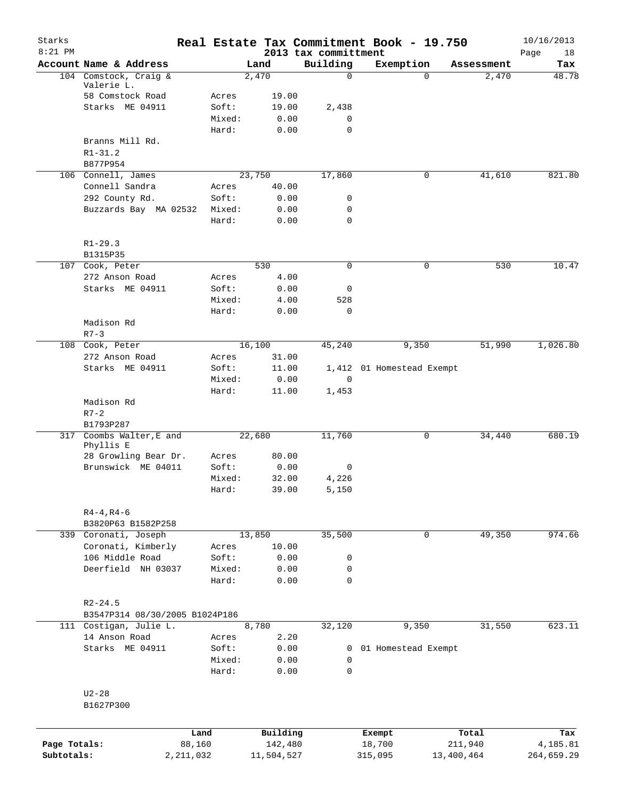| Starks<br>$8:21$ PM |                                       |        |            | 2013 tax committment | Real Estate Tax Commitment Book - 19.750 |            | 10/16/2013<br>Page<br>18 |
|---------------------|---------------------------------------|--------|------------|----------------------|------------------------------------------|------------|--------------------------|
|                     | Account Name & Address                |        | Land       | Building             | Exemption                                | Assessment | Tax                      |
|                     | 104 Comstock, Craig &<br>Valerie L.   |        | 2,470      | 0                    | $\Omega$                                 | 2,470      | 48.78                    |
|                     | 58 Comstock Road                      | Acres  | 19.00      |                      |                                          |            |                          |
|                     | Starks ME 04911                       | Soft:  | 19.00      | 2,438                |                                          |            |                          |
|                     |                                       | Mixed: | 0.00       | $\mathbf 0$          |                                          |            |                          |
|                     |                                       | Hard:  | 0.00       | $\mathbf 0$          |                                          |            |                          |
|                     | Branns Mill Rd.                       |        |            |                      |                                          |            |                          |
|                     | $R1 - 31.2$                           |        |            |                      |                                          |            |                          |
|                     | B877P954                              |        |            |                      |                                          |            |                          |
|                     | 106 Connell, James                    |        | 23,750     | 17,860               | 0                                        | 41,610     | 821.80                   |
|                     | Connell Sandra                        | Acres  | 40.00      |                      |                                          |            |                          |
|                     | 292 County Rd.                        | Soft:  | 0.00       | 0                    |                                          |            |                          |
|                     | Buzzards Bay MA 02532                 | Mixed: | 0.00       | 0                    |                                          |            |                          |
|                     |                                       | Hard:  | 0.00       | 0                    |                                          |            |                          |
|                     | $R1 - 29.3$                           |        |            |                      |                                          |            |                          |
|                     | B1315P35                              |        |            |                      |                                          |            |                          |
|                     | 107 Cook, Peter                       |        | 530        | 0                    | 0                                        | 530        | 10.47                    |
|                     | 272 Anson Road                        | Acres  | 4.00       |                      |                                          |            |                          |
|                     | Starks ME 04911                       | Soft:  | 0.00       | 0                    |                                          |            |                          |
|                     |                                       | Mixed: | 4.00       | 528                  |                                          |            |                          |
|                     |                                       | Hard:  | 0.00       | 0                    |                                          |            |                          |
|                     | Madison Rd                            |        |            |                      |                                          |            |                          |
|                     | $R7 - 3$                              |        |            |                      |                                          |            |                          |
|                     | 108 Cook, Peter                       |        | 16,100     | 45,240               | 9,350                                    | 51,990     | 1,026.80                 |
|                     | 272 Anson Road                        | Acres  | 31.00      |                      |                                          |            |                          |
|                     | Starks ME 04911                       | Soft:  | 11.00      |                      | 1,412 01 Homestead Exempt                |            |                          |
|                     |                                       | Mixed: | 0.00       | $\overline{0}$       |                                          |            |                          |
|                     |                                       | Hard:  | 11.00      | 1,453                |                                          |            |                          |
|                     | Madison Rd                            |        |            |                      |                                          |            |                          |
|                     | $R7 - 2$                              |        |            |                      |                                          |            |                          |
|                     | B1793P287                             |        |            |                      |                                          |            |                          |
|                     | 317 Coombs Walter, E and<br>Phyllis E |        | 22,680     | 11,760               | 0                                        | 34,440     | 680.19                   |
|                     | 28 Growling Bear Dr.                  | Acres  | 80.00      |                      |                                          |            |                          |
|                     | Brunswick ME 04011                    | Soft:  | 0.00       | 0                    |                                          |            |                          |
|                     |                                       | Mixed: | 32.00      | 4,226                |                                          |            |                          |
|                     |                                       | Hard:  | 39.00      | 5,150                |                                          |            |                          |
|                     | $R4 - 4, R4 - 6$                      |        |            |                      |                                          |            |                          |
|                     | B3820P63 B1582P258                    |        |            |                      |                                          |            |                          |
|                     | 339 Coronati, Joseph                  |        | 13,850     | 35,500               | 0                                        | 49,350     | 974.66                   |
|                     | Coronati, Kimberly                    | Acres  | 10.00      |                      |                                          |            |                          |
|                     | 106 Middle Road                       | Soft:  | 0.00       | 0                    |                                          |            |                          |
|                     | Deerfield NH 03037                    | Mixed: | 0.00       | $\mathsf{O}$         |                                          |            |                          |
|                     |                                       | Hard:  | 0.00       | $\mathbf 0$          |                                          |            |                          |
|                     | $R2 - 24.5$                           |        |            |                      |                                          |            |                          |
|                     | B3547P314 08/30/2005 B1024P186        |        |            |                      |                                          |            |                          |
|                     | 111 Costigan, Julie L.                |        | 8,780      | 32,120               | 9,350                                    | 31,550     | 623.11                   |
|                     | 14 Anson Road                         | Acres  | 2.20       |                      |                                          |            |                          |
|                     | Starks ME 04911                       | Soft:  | 0.00       | 0                    | 01 Homestead Exempt                      |            |                          |
|                     |                                       | Mixed: | 0.00       | 0                    |                                          |            |                          |
|                     |                                       | Hard:  | 0.00       | $\mathsf{O}$         |                                          |            |                          |
|                     | $U2-28$                               |        |            |                      |                                          |            |                          |
|                     | B1627P300                             |        |            |                      |                                          |            |                          |
|                     |                                       |        |            |                      |                                          |            |                          |
|                     |                                       | Land   | Building   |                      | Exempt                                   | Total      | Tax                      |
| Page Totals:        |                                       | 88,160 | 142,480    |                      | 18,700                                   | 211,940    | 4,185.81                 |
| Subtotals:          | 2, 211, 032                           |        | 11,504,527 |                      | 315,095                                  | 13,400,464 | 264,659.29               |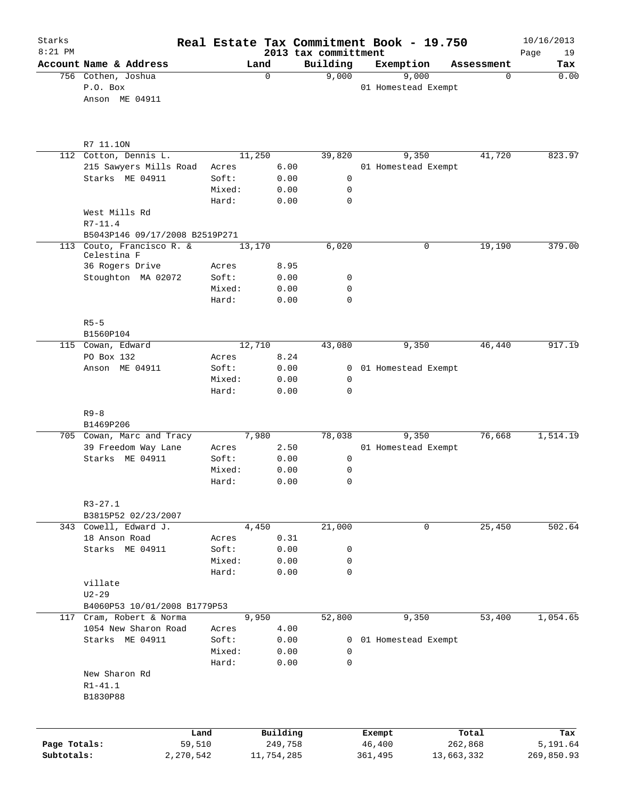| Starks<br>$8:21$ PM |                                          |                |                     | 2013 tax committment |              | Real Estate Tax Commitment Book - 19.750 |                  | 10/16/2013        |
|---------------------|------------------------------------------|----------------|---------------------|----------------------|--------------|------------------------------------------|------------------|-------------------|
|                     | Account Name & Address                   |                | Land                | Building             |              | Exemption                                | Assessment       | 19<br>Page<br>Tax |
|                     | 756 Cothen, Joshua                       |                | 0                   | 9,000                |              | 9,000                                    | $\mathbf 0$      | 0.00              |
|                     | P.O. Box                                 |                |                     |                      |              | 01 Homestead Exempt                      |                  |                   |
|                     | Anson ME 04911                           |                |                     |                      |              |                                          |                  |                   |
|                     | R7 11.10N                                |                |                     |                      |              |                                          |                  |                   |
|                     | 112 Cotton, Dennis L.                    |                | 11,250              | 39,820               |              | 9,350                                    | 41,720           | 823.97            |
|                     | 215 Sawyers Mills Road                   | Acres          | 6.00                |                      |              | 01 Homestead Exempt                      |                  |                   |
|                     | Starks ME 04911                          | Soft:          |                     | 0.00                 | 0            |                                          |                  |                   |
|                     |                                          | Mixed:         |                     | 0.00                 | 0            |                                          |                  |                   |
|                     | West Mills Rd<br>$R7 - 11.4$             | Hard:          |                     | 0.00                 | 0            |                                          |                  |                   |
|                     | B5043P146 09/17/2008 B2519P271           |                |                     |                      |              |                                          |                  |                   |
|                     | 113 Couto, Francisco R. &<br>Celestina F |                | 13,170              | 6,020                |              | $\mathbf 0$                              | 19,190           | 379.00            |
|                     | 36 Rogers Drive                          | Acres          |                     | 8.95                 |              |                                          |                  |                   |
|                     | Stoughton MA 02072                       | Soft:          |                     | 0.00                 | 0            |                                          |                  |                   |
|                     |                                          | Mixed:         |                     | 0.00                 | 0            |                                          |                  |                   |
|                     |                                          | Hard:          |                     | 0.00                 | $\Omega$     |                                          |                  |                   |
|                     | $R5 - 5$                                 |                |                     |                      |              |                                          |                  |                   |
|                     | B1560P104<br>115 Cowan, Edward           |                | 12,710              | 43,080               |              | 9,350                                    | 46,440           | 917.19            |
|                     | PO Box 132                               | Acres          |                     | 8.24                 |              |                                          |                  |                   |
|                     | Anson ME 04911                           | Soft:          |                     | 0.00                 | $\mathbf{0}$ | 01 Homestead Exempt                      |                  |                   |
|                     |                                          | Mixed:         |                     | 0.00                 | 0            |                                          |                  |                   |
|                     |                                          | Hard:          |                     | 0.00                 | $\Omega$     |                                          |                  |                   |
|                     | $R9 - 8$                                 |                |                     |                      |              |                                          |                  |                   |
|                     | B1469P206<br>705 Cowan, Marc and Tracy   |                | 7,980               | 78,038               |              | 9,350                                    | 76,668           | 1,514.19          |
|                     | 39 Freedom Way Lane                      | Acres          |                     | 2.50                 |              | 01 Homestead Exempt                      |                  |                   |
|                     | Starks ME 04911                          | Soft:          |                     | 0.00                 | $\mathsf{O}$ |                                          |                  |                   |
|                     |                                          | Mixed:         |                     | 0.00                 | 0            |                                          |                  |                   |
|                     |                                          | Hard:          | 0.00                |                      | 0            |                                          |                  |                   |
|                     | $R3 - 27.1$                              |                |                     |                      |              |                                          |                  |                   |
|                     | B3815P52 02/23/2007                      |                |                     |                      |              |                                          |                  |                   |
|                     | 343 Cowell, Edward J.                    |                | 4,450               | 21,000               |              | 0                                        | 25,450           | 502.64            |
|                     | 18 Anson Road<br>Starks ME 04911         | Acres<br>Soft: |                     | 0.31<br>0.00         | 0            |                                          |                  |                   |
|                     |                                          | Mixed:         |                     | 0.00                 | 0            |                                          |                  |                   |
|                     |                                          | Hard:          |                     | 0.00                 | $\mathbf 0$  |                                          |                  |                   |
|                     | villate                                  |                |                     |                      |              |                                          |                  |                   |
|                     | $U2 - 29$                                |                |                     |                      |              |                                          |                  |                   |
|                     | B4060P53 10/01/2008 B1779P53             |                |                     |                      |              |                                          |                  |                   |
|                     | 117 Cram, Robert & Norma                 |                | 9,950               | 52,800               |              | 9,350                                    | 53,400           | 1,054.65          |
|                     | 1054 New Sharon Road<br>Starks ME 04911  | Acres<br>Soft: |                     | 4.00<br>0.00         | 0            | 01 Homestead Exempt                      |                  |                   |
|                     |                                          | Mixed:         |                     | 0.00                 | 0            |                                          |                  |                   |
|                     |                                          | Hard:          |                     | 0.00                 | 0            |                                          |                  |                   |
|                     | New Sharon Rd                            |                |                     |                      |              |                                          |                  |                   |
|                     | R1-41.1                                  |                |                     |                      |              |                                          |                  |                   |
|                     | B1830P88                                 |                |                     |                      |              |                                          |                  |                   |
|                     |                                          |                |                     |                      |              |                                          |                  |                   |
| Page Totals:        | Land<br>59,510                           |                | Building<br>249,758 |                      |              | Exempt<br>46,400                         | Total<br>262,868 | Tax<br>5,191.64   |
| Subtotals:          | 2,270,542                                |                | 11,754,285          |                      |              | 361,495                                  | 13,663,332       | 269,850.93        |
|                     |                                          |                |                     |                      |              |                                          |                  |                   |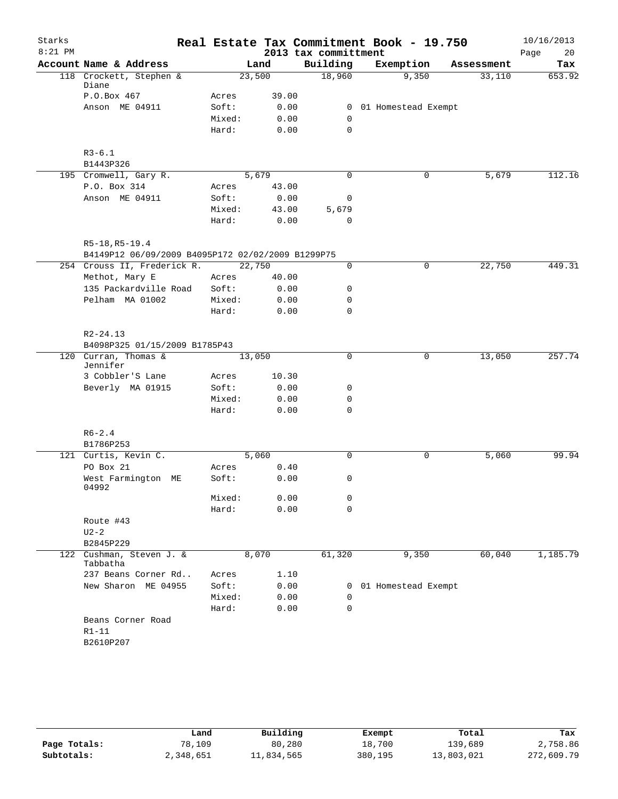| Starks    |                                                                     |        |        |       | Real Estate Tax Commitment Book - 19.750 |                       |              |            | 10/16/2013 |
|-----------|---------------------------------------------------------------------|--------|--------|-------|------------------------------------------|-----------------------|--------------|------------|------------|
| $8:21$ PM |                                                                     |        |        |       | 2013 tax committment                     |                       |              |            | Page<br>20 |
|           | Account Name & Address                                              |        | Land   |       | Building                                 | Exemption             |              | Assessment | Tax        |
|           | 118 Crockett, Stephen &<br>Diane                                    |        | 23,500 |       | 18,960                                   |                       | 9,350        | 33,110     | 653.92     |
|           | P.O.Box 467                                                         | Acres  |        | 39.00 |                                          |                       |              |            |            |
|           | Anson ME 04911                                                      | Soft:  |        | 0.00  |                                          | 0 01 Homestead Exempt |              |            |            |
|           |                                                                     | Mixed: |        | 0.00  | 0                                        |                       |              |            |            |
|           |                                                                     | Hard:  |        | 0.00  | $\mathbf 0$                              |                       |              |            |            |
|           | $R3 - 6.1$                                                          |        |        |       |                                          |                       |              |            |            |
|           | B1443P326                                                           |        |        |       |                                          |                       |              |            |            |
|           | 195 Cromwell, Gary R.                                               |        | 5,679  |       | 0                                        |                       | 0            | 5,679      | 112.16     |
|           | P.O. Box 314                                                        | Acres  |        | 43.00 |                                          |                       |              |            |            |
|           | Anson ME 04911                                                      | Soft:  |        | 0.00  | 0                                        |                       |              |            |            |
|           |                                                                     | Mixed: |        | 43.00 | 5,679                                    |                       |              |            |            |
|           |                                                                     | Hard:  |        | 0.00  | $\mathbf 0$                              |                       |              |            |            |
|           | R5-18, R5-19.4<br>B4149P12 06/09/2009 B4095P172 02/02/2009 B1299P75 |        |        |       |                                          |                       |              |            |            |
|           | 254 Crouss II, Frederick R.                                         |        | 22,750 |       | 0                                        |                       | $\mathsf{O}$ | 22,750     | 449.31     |
|           | Methot, Mary E                                                      | Acres  |        | 40.00 |                                          |                       |              |            |            |
|           | 135 Packardville Road                                               | Soft:  |        | 0.00  | 0                                        |                       |              |            |            |
|           | Pelham MA 01002                                                     | Mixed: |        | 0.00  | 0                                        |                       |              |            |            |
|           |                                                                     | Hard:  |        | 0.00  | 0                                        |                       |              |            |            |
|           | $R2 - 24.13$<br>B4098P325 01/15/2009 B1785P43                       |        |        |       |                                          |                       |              |            |            |
|           | 120 Curran, Thomas &<br>Jennifer                                    |        | 13,050 |       | $\mathbf 0$                              |                       | $\mathbf 0$  | 13,050     | 257.74     |
|           | 3 Cobbler'S Lane                                                    | Acres  |        | 10.30 |                                          |                       |              |            |            |
|           | Beverly MA 01915                                                    | Soft:  |        | 0.00  | 0                                        |                       |              |            |            |
|           |                                                                     | Mixed: |        | 0.00  | 0                                        |                       |              |            |            |
|           |                                                                     | Hard:  |        | 0.00  | $\mathbf 0$                              |                       |              |            |            |
|           | $R6 - 2.4$<br>B1786P253                                             |        |        |       |                                          |                       |              |            |            |
|           | 121 Curtis, Kevin C.                                                |        | 5,060  |       | 0                                        |                       | $\mathsf{O}$ | 5,060      | 99.94      |
|           | PO Box 21                                                           | Acres  |        | 0.40  |                                          |                       |              |            |            |
|           | West Farmington ME                                                  | Soft:  |        | 0.00  | 0                                        |                       |              |            |            |
|           | 04992                                                               | Mixed: |        | 0.00  | 0                                        |                       |              |            |            |
|           |                                                                     | Hard:  |        | 0.00  | $\Omega$                                 |                       |              |            |            |
|           | Route #43                                                           |        |        |       |                                          |                       |              |            |            |
|           | $U2-2$                                                              |        |        |       |                                          |                       |              |            |            |
|           | B2845P229                                                           |        |        |       |                                          |                       |              |            |            |
|           | 122 Cushman, Steven J. &<br>Tabbatha                                |        | 8,070  |       | 61,320                                   |                       | 9,350        | 60,040     | 1,185.79   |
|           | 237 Beans Corner Rd                                                 | Acres  |        | 1.10  |                                          |                       |              |            |            |
|           | New Sharon ME 04955                                                 | Soft:  |        | 0.00  |                                          | 0 01 Homestead Exempt |              |            |            |
|           |                                                                     | Mixed: |        | 0.00  | 0                                        |                       |              |            |            |
|           |                                                                     | Hard:  |        | 0.00  | 0                                        |                       |              |            |            |
|           | Beans Corner Road                                                   |        |        |       |                                          |                       |              |            |            |
|           | $R1-11$                                                             |        |        |       |                                          |                       |              |            |            |
|           | B2610P207                                                           |        |        |       |                                          |                       |              |            |            |

|              | Land      | Building   | Exempt  | Total      | Tax        |
|--------------|-----------|------------|---------|------------|------------|
| Page Totals: | 78,109    | 80,280     | 18,700  | 139,689    | 2,758.86   |
| Subtotals:   | 2,348,651 | 11,834,565 | 380,195 | 13,803,021 | 272,609.79 |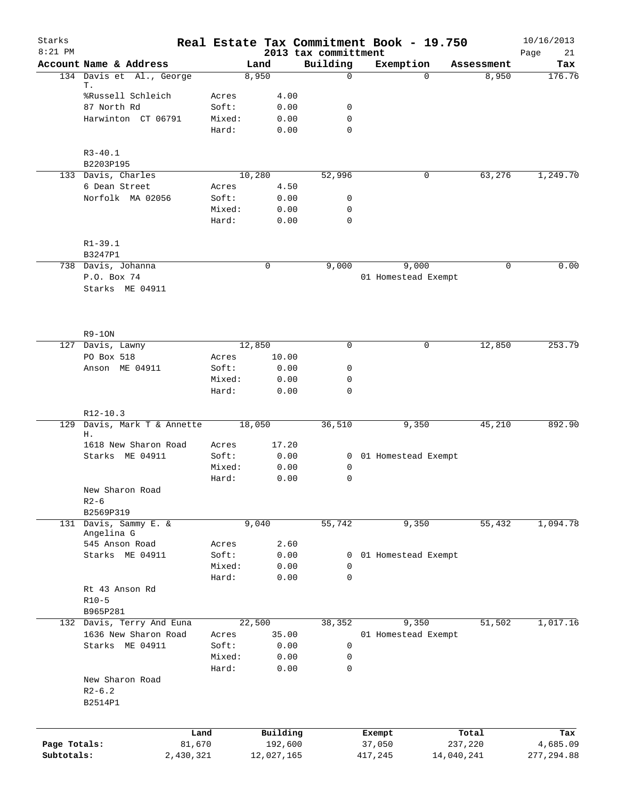| Starks<br>$8:21$ PM |                           |                |                     |      | 2013 tax committment | Real Estate Tax Commitment Book - 19.750 |             |                  | 10/16/2013<br>21<br>Page |
|---------------------|---------------------------|----------------|---------------------|------|----------------------|------------------------------------------|-------------|------------------|--------------------------|
|                     | Account Name & Address    |                | Land                |      | Building             | Exemption                                |             | Assessment       | Tax                      |
|                     | 134 Davis et Al., George  |                | 8,950               |      | $\mathbf 0$          |                                          | $\Omega$    | 8,950            | 176.76                   |
|                     | Т.                        |                |                     |      |                      |                                          |             |                  |                          |
|                     | %Russell Schleich         | Acres          | 4.00                |      |                      |                                          |             |                  |                          |
|                     | 87 North Rd               | Soft:          |                     | 0.00 | 0                    |                                          |             |                  |                          |
|                     | Harwinton CT 06791        | Mixed:         | 0.00                |      | 0                    |                                          |             |                  |                          |
|                     |                           | Hard:          |                     | 0.00 | 0                    |                                          |             |                  |                          |
|                     | $R3 - 40.1$               |                |                     |      |                      |                                          |             |                  |                          |
|                     | B2203P195                 |                |                     |      |                      |                                          |             |                  |                          |
|                     | 133 Davis, Charles        |                | 10,280              |      | 52,996               |                                          | 0           | 63,276           | 1,249.70                 |
|                     | 6 Dean Street             | Acres          | 4.50                |      |                      |                                          |             |                  |                          |
|                     | Norfolk MA 02056          | Soft:          |                     | 0.00 | 0                    |                                          |             |                  |                          |
|                     |                           | Mixed:         |                     | 0.00 | $\mathbf 0$          |                                          |             |                  |                          |
|                     |                           | Hard:          | 0.00                |      | $\mathbf 0$          |                                          |             |                  |                          |
|                     |                           |                |                     |      |                      |                                          |             |                  |                          |
|                     | $R1 - 39.1$<br>B3247P1    |                |                     |      |                      |                                          |             |                  |                          |
|                     | 738 Davis, Johanna        |                | 0                   |      | 9,000                | 9,000                                    |             | 0                | 0.00                     |
|                     | P.O. Box 74               |                |                     |      |                      | 01 Homestead Exempt                      |             |                  |                          |
|                     | Starks ME 04911           |                |                     |      |                      |                                          |             |                  |                          |
|                     |                           |                |                     |      |                      |                                          |             |                  |                          |
|                     |                           |                |                     |      |                      |                                          |             |                  |                          |
|                     |                           |                |                     |      |                      |                                          |             |                  |                          |
|                     | $R9-10N$                  |                |                     |      |                      |                                          |             |                  |                          |
|                     | 127 Davis, Lawny          |                | 12,850              |      | $\mathbf 0$          |                                          | $\mathbf 0$ | 12,850           | 253.79                   |
|                     | PO Box 518                | Acres<br>Soft: | 10.00<br>0.00       |      | $\mathbf 0$          |                                          |             |                  |                          |
|                     | Anson ME 04911            | Mixed:         | 0.00                |      | 0                    |                                          |             |                  |                          |
|                     |                           | Hard:          | 0.00                |      | $\mathbf 0$          |                                          |             |                  |                          |
|                     |                           |                |                     |      |                      |                                          |             |                  |                          |
|                     | $R12-10.3$                |                |                     |      |                      |                                          |             |                  |                          |
| 129                 | Davis, Mark T & Annette   |                | 18,050              |      | 36,510               | 9,350                                    |             | 45,210           | 892.90                   |
|                     | Η.                        |                |                     |      |                      |                                          |             |                  |                          |
|                     | 1618 New Sharon Road      | Acres          | 17.20               |      |                      |                                          |             |                  |                          |
|                     | Starks ME 04911           | Soft:          |                     | 0.00 |                      | 0 01 Homestead Exempt                    |             |                  |                          |
|                     |                           | Mixed:         | 0.00                |      | 0                    |                                          |             |                  |                          |
|                     |                           | Hard:          | 0.00                |      | 0                    |                                          |             |                  |                          |
|                     | New Sharon Road           |                |                     |      |                      |                                          |             |                  |                          |
|                     | $R2 - 6$<br>B2569P319     |                |                     |      |                      |                                          |             |                  |                          |
| 131                 | Davis, Sammy E. &         |                | 9,040               |      | 55,742               | 9,350                                    |             | 55,432           | 1,094.78                 |
|                     | Angelina G                |                |                     |      |                      |                                          |             |                  |                          |
|                     | 545 Anson Road            | Acres          |                     | 2.60 |                      |                                          |             |                  |                          |
|                     | Starks ME 04911           | Soft:          |                     | 0.00 | 0                    | 01 Homestead Exempt                      |             |                  |                          |
|                     |                           | Mixed:         |                     | 0.00 | $\mathbf 0$          |                                          |             |                  |                          |
|                     |                           | Hard:          |                     | 0.00 | $\mathbf 0$          |                                          |             |                  |                          |
|                     | Rt 43 Anson Rd            |                |                     |      |                      |                                          |             |                  |                          |
|                     | $R10-5$                   |                |                     |      |                      |                                          |             |                  |                          |
|                     | B965P281                  |                |                     |      |                      |                                          |             |                  |                          |
|                     | 132 Davis, Terry And Euna |                | 22,500              |      | 38,352               | 9,350                                    |             | 51,502           | 1,017.16                 |
|                     | 1636 New Sharon Road      | Acres          | 35.00               |      |                      | 01 Homestead Exempt                      |             |                  |                          |
|                     | Starks ME 04911           | Soft:          |                     | 0.00 | $\mathbf 0$          |                                          |             |                  |                          |
|                     |                           | Mixed:         |                     | 0.00 | $\mathsf{O}$         |                                          |             |                  |                          |
|                     |                           | Hard:          |                     | 0.00 | $\mathbf 0$          |                                          |             |                  |                          |
|                     | New Sharon Road           |                |                     |      |                      |                                          |             |                  |                          |
|                     | $R2 - 6.2$                |                |                     |      |                      |                                          |             |                  |                          |
|                     | B2514P1                   |                |                     |      |                      |                                          |             |                  |                          |
|                     |                           |                |                     |      |                      |                                          |             |                  |                          |
| Page Totals:        | Land<br>81,670            |                | Building<br>192,600 |      |                      | Exempt<br>37,050                         |             | Total<br>237,220 | Tax                      |
| Subtotals:          | 2,430,321                 |                | 12,027,165          |      |                      | 417,245                                  |             | 14,040,241       | 4,685.09<br>277, 294.88  |
|                     |                           |                |                     |      |                      |                                          |             |                  |                          |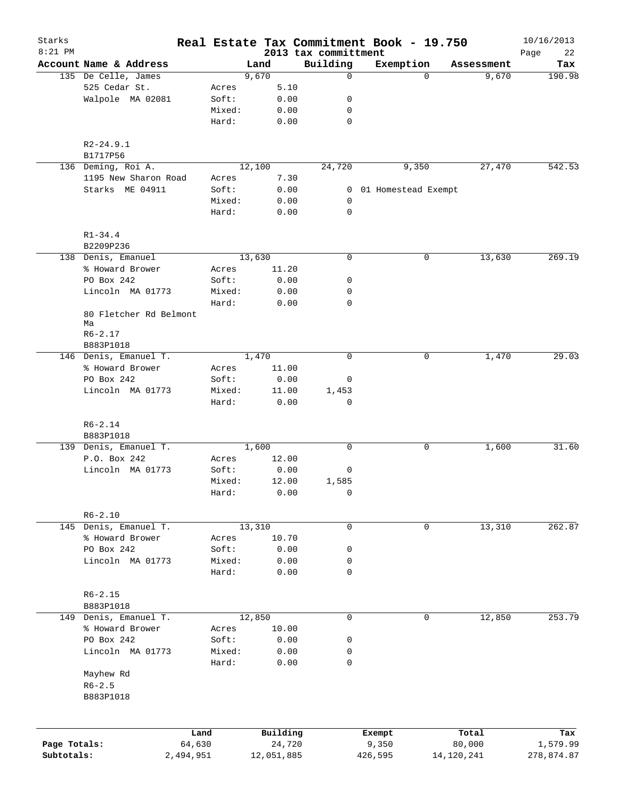| Starks<br>$8:21$ PM |                                            |           |                |        |            | Real Estate Tax Commitment Book - 19.750 |                     |          |            | 10/16/2013        |
|---------------------|--------------------------------------------|-----------|----------------|--------|------------|------------------------------------------|---------------------|----------|------------|-------------------|
|                     | Account Name & Address                     |           |                | Land   |            | 2013 tax committment<br>Building         | Exemption           |          | Assessment | Page<br>22<br>Tax |
|                     | 135 De Celle, James                        |           |                | 9,670  |            | 0                                        |                     | $\Omega$ | 9,670      | 190.98            |
|                     | 525 Cedar St.                              |           | Acres          |        | 5.10       |                                          |                     |          |            |                   |
|                     | Walpole MA 02081                           |           | Soft:          |        | 0.00       | 0                                        |                     |          |            |                   |
|                     |                                            |           | Mixed:         |        | 0.00       | 0                                        |                     |          |            |                   |
|                     |                                            |           | Hard:          |        | 0.00       | $\mathbf 0$                              |                     |          |            |                   |
|                     | $R2 - 24.9.1$                              |           |                |        |            |                                          |                     |          |            |                   |
|                     | B1717P56                                   |           |                |        |            |                                          |                     |          |            |                   |
|                     | 136 Deming, Roi A.<br>1195 New Sharon Road |           |                | 12,100 | 7.30       | 24,720                                   | 9,350               |          | 27,470     | 542.53            |
|                     | Starks ME 04911                            |           | Acres<br>Soft: |        | 0.00       | 0                                        | 01 Homestead Exempt |          |            |                   |
|                     |                                            |           | Mixed:         |        | 0.00       | 0                                        |                     |          |            |                   |
|                     |                                            |           | Hard:          |        | 0.00       | $\mathbf 0$                              |                     |          |            |                   |
|                     | $R1 - 34.4$                                |           |                |        |            |                                          |                     |          |            |                   |
|                     | B2209P236                                  |           |                |        |            |                                          |                     |          |            |                   |
|                     | 138 Denis, Emanuel                         |           |                | 13,630 |            | $\mathbf 0$                              |                     | 0        | 13,630     | 269.19            |
|                     | % Howard Brower                            |           | Acres          |        | 11.20      |                                          |                     |          |            |                   |
|                     | PO Box 242                                 |           | Soft:          |        | 0.00       | 0                                        |                     |          |            |                   |
|                     | Lincoln MA 01773                           |           | Mixed:         |        | 0.00       | 0                                        |                     |          |            |                   |
|                     |                                            |           | Hard:          |        | 0.00       | 0                                        |                     |          |            |                   |
|                     | 80 Fletcher Rd Belmont<br>Ma               |           |                |        |            |                                          |                     |          |            |                   |
|                     | $R6 - 2.17$                                |           |                |        |            |                                          |                     |          |            |                   |
|                     | B883P1018                                  |           |                |        |            |                                          |                     |          |            |                   |
|                     | 146 Denis, Emanuel T.                      |           |                | 1,470  |            | 0                                        |                     | 0        | 1,470      | 29.03             |
|                     | % Howard Brower                            |           | Acres          |        | 11.00      |                                          |                     |          |            |                   |
|                     | PO Box 242                                 |           | Soft:          |        | 0.00       | 0                                        |                     |          |            |                   |
|                     | Lincoln MA 01773                           |           | Mixed:         |        | 11.00      | 1,453                                    |                     |          |            |                   |
|                     |                                            |           | Hard:          |        | 0.00       | 0                                        |                     |          |            |                   |
|                     | $R6 - 2.14$                                |           |                |        |            |                                          |                     |          |            |                   |
|                     | B883P1018                                  |           |                |        |            |                                          |                     |          |            |                   |
|                     | 139 Denis, Emanuel T.                      |           |                | 1,600  |            | 0                                        |                     | 0        | 1,600      | 31.60             |
|                     | P.O. Box 242                               |           | Acres          |        | 12.00      |                                          |                     |          |            |                   |
|                     | Lincoln MA 01773                           |           | Soft:          |        | 0.00       | 0                                        |                     |          |            |                   |
|                     |                                            |           | Mixed:         |        | 12.00      | 1,585                                    |                     |          |            |                   |
|                     |                                            |           | Hard:          |        | 0.00       | 0                                        |                     |          |            |                   |
|                     | $R6 - 2.10$                                |           |                |        |            |                                          |                     |          |            |                   |
|                     | 145 Denis, Emanuel T.                      |           |                | 13,310 |            | 0                                        |                     | 0        | 13,310     | 262.87            |
|                     | % Howard Brower                            |           | Acres          |        | 10.70      |                                          |                     |          |            |                   |
|                     | PO Box 242                                 |           | Soft:          |        | 0.00       | 0                                        |                     |          |            |                   |
|                     | Lincoln MA 01773                           |           | Mixed:         |        | 0.00       | 0                                        |                     |          |            |                   |
|                     |                                            |           | Hard:          |        | 0.00       | 0                                        |                     |          |            |                   |
|                     | $R6 - 2.15$                                |           |                |        |            |                                          |                     |          |            |                   |
|                     | B883P1018                                  |           |                |        |            |                                          |                     |          |            |                   |
|                     | 149 Denis, Emanuel T.                      |           |                | 12,850 |            | $\mathbf 0$                              |                     | 0        | 12,850     | 253.79            |
|                     | % Howard Brower                            |           | Acres          |        | 10.00      |                                          |                     |          |            |                   |
|                     | PO Box 242                                 |           | Soft:          |        | 0.00       | 0                                        |                     |          |            |                   |
|                     | Lincoln MA 01773                           |           | Mixed:         |        | 0.00       | 0                                        |                     |          |            |                   |
|                     |                                            |           | Hard:          |        | 0.00       | 0                                        |                     |          |            |                   |
|                     | Mayhew Rd                                  |           |                |        |            |                                          |                     |          |            |                   |
|                     | $R6 - 2.5$                                 |           |                |        |            |                                          |                     |          |            |                   |
|                     | B883P1018                                  |           |                |        |            |                                          |                     |          |            |                   |
|                     |                                            |           |                |        |            |                                          |                     |          |            |                   |
|                     |                                            | Land      |                |        | Building   |                                          | Exempt              |          | Total      | Tax               |
| Page Totals:        |                                            | 64,630    |                |        | 24,720     |                                          | 9,350               |          | 80,000     | 1,579.99          |
| Subtotals:          |                                            | 2,494,951 |                |        | 12,051,885 |                                          | 426,595             |          | 14,120,241 | 278,874.87        |
|                     |                                            |           |                |        |            |                                          |                     |          |            |                   |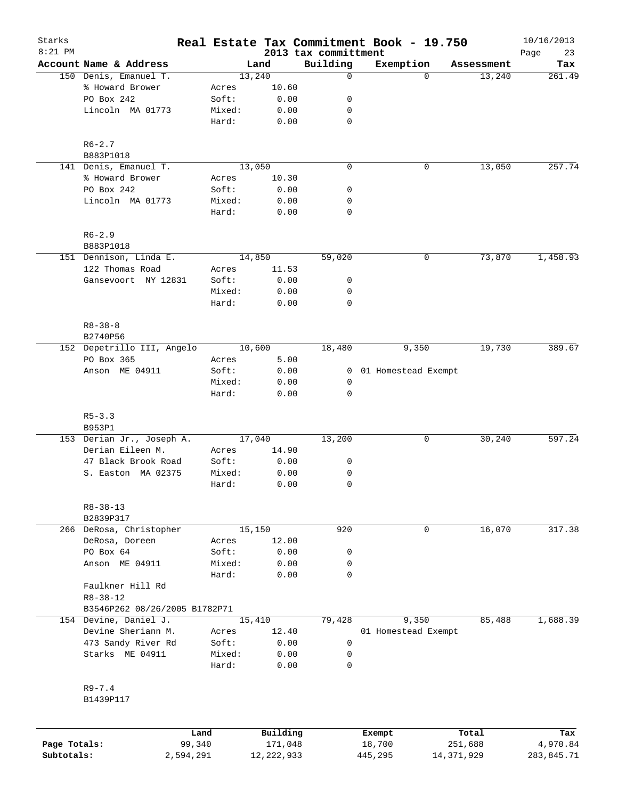| Starks       |                                                 |                 |                |                      | Real Estate Tax Commitment Book - 19.750 |                      | 10/16/2013    |
|--------------|-------------------------------------------------|-----------------|----------------|----------------------|------------------------------------------|----------------------|---------------|
| $8:21$ PM    |                                                 |                 |                | 2013 tax committment |                                          |                      | Page<br>23    |
|              | Account Name & Address<br>150 Denis, Emanuel T. |                 | Land<br>13,240 | Building<br>0        | Exemption<br>0                           | Assessment<br>13,240 | Tax<br>261.49 |
|              | % Howard Brower                                 | Acres           | 10.60          |                      |                                          |                      |               |
|              | PO Box 242                                      | Soft:           | 0.00           | 0                    |                                          |                      |               |
|              | Lincoln MA 01773                                | Mixed:          | 0.00           | 0                    |                                          |                      |               |
|              |                                                 | Hard:           | 0.00           | $\mathbf 0$          |                                          |                      |               |
|              | $R6 - 2.7$                                      |                 |                |                      |                                          |                      |               |
|              | B883P1018                                       |                 |                |                      |                                          |                      |               |
|              | 141 Denis, Emanuel T.                           |                 | 13,050         | $\mathbf 0$          | 0                                        | 13,050               | 257.74        |
|              | % Howard Brower                                 | Acres           | 10.30          |                      |                                          |                      |               |
|              | PO Box 242                                      | Soft:           | 0.00           | 0                    |                                          |                      |               |
|              | Lincoln MA 01773                                | Mixed:<br>Hard: | 0.00<br>0.00   | 0<br>$\mathbf 0$     |                                          |                      |               |
|              |                                                 |                 |                |                      |                                          |                      |               |
|              | $R6 - 2.9$<br>B883P1018                         |                 |                |                      |                                          |                      |               |
|              | 151 Dennison, Linda E.                          |                 | 14,850         | 59,020               | 0                                        | 73,870               | 1,458.93      |
|              | 122 Thomas Road                                 | Acres           | 11.53          |                      |                                          |                      |               |
|              | Gansevoort NY 12831                             | Soft:           | 0.00           | 0                    |                                          |                      |               |
|              |                                                 | Mixed:          | 0.00           | 0                    |                                          |                      |               |
|              |                                                 | Hard:           | 0.00           | $\mathbf 0$          |                                          |                      |               |
|              | $R8 - 38 - 8$                                   |                 |                |                      |                                          |                      |               |
|              | B2740P56                                        |                 |                |                      |                                          |                      |               |
|              | 152 Depetrillo III, Angelo                      |                 | 10,600         | 18,480               | 9,350                                    | 19,730               | 389.67        |
|              | PO Box 365                                      | Acres           | 5.00           |                      |                                          |                      |               |
|              | Anson ME 04911                                  | Soft:           | 0.00           | 0                    | 01 Homestead Exempt                      |                      |               |
|              |                                                 | Mixed:<br>Hard: | 0.00<br>0.00   | 0<br>$\mathbf 0$     |                                          |                      |               |
|              |                                                 |                 |                |                      |                                          |                      |               |
|              | $R5 - 3.3$<br>B953P1                            |                 |                |                      |                                          |                      |               |
|              | 153 Derian Jr., Joseph A.                       |                 | 17,040         | 13,200               | 0                                        | 30,240               | 597.24        |
|              | Derian Eileen M.                                | Acres           | 14.90          |                      |                                          |                      |               |
|              | 47 Black Brook Road                             | Soft:           | 0.00           | 0                    |                                          |                      |               |
|              | S. Easton MA 02375                              | Mixed:          | 0.00           | 0                    |                                          |                      |               |
|              |                                                 | Hard:           | 0.00           | 0                    |                                          |                      |               |
|              | $R8 - 38 - 13$                                  |                 |                |                      |                                          |                      |               |
|              | B2839P317                                       |                 |                |                      |                                          |                      |               |
|              | 266 DeRosa, Christopher                         |                 | 15,150         | 920                  | 0                                        | 16,070               | 317.38        |
|              | DeRosa, Doreen                                  | Acres           | 12.00          |                      |                                          |                      |               |
|              | PO Box 64                                       | Soft:           | 0.00           | 0                    |                                          |                      |               |
|              | Anson ME 04911                                  | Mixed:          | 0.00           | 0                    |                                          |                      |               |
|              |                                                 | Hard:           | 0.00           | $\mathbf 0$          |                                          |                      |               |
|              | Faulkner Hill Rd<br>$R8 - 38 - 12$              |                 |                |                      |                                          |                      |               |
|              | B3546P262 08/26/2005 B1782P71                   |                 |                |                      |                                          |                      |               |
|              | 154 Devine, Daniel J.                           |                 | 15,410         | 79,428               | 9,350                                    | 85,488               | 1,688.39      |
|              | Devine Sheriann M.                              | Acres           | 12.40          |                      | 01 Homestead Exempt                      |                      |               |
|              | 473 Sandy River Rd                              | Soft:           | 0.00           | 0                    |                                          |                      |               |
|              | Starks ME 04911                                 | Mixed:          | 0.00           | 0                    |                                          |                      |               |
|              |                                                 | Hard:           | 0.00           | 0                    |                                          |                      |               |
|              | $R9 - 7.4$                                      |                 |                |                      |                                          |                      |               |
|              | B1439P117                                       |                 |                |                      |                                          |                      |               |
|              |                                                 |                 |                |                      |                                          |                      |               |
|              |                                                 | Land            | Building       |                      | Exempt                                   | Total                | Tax           |
| Page Totals: |                                                 | 99,340          | 171,048        |                      | 18,700                                   | 251,688              | 4,970.84      |

**Subtotals:** 2,594,291 12,222,933 445,295 14,371,929 283,845.71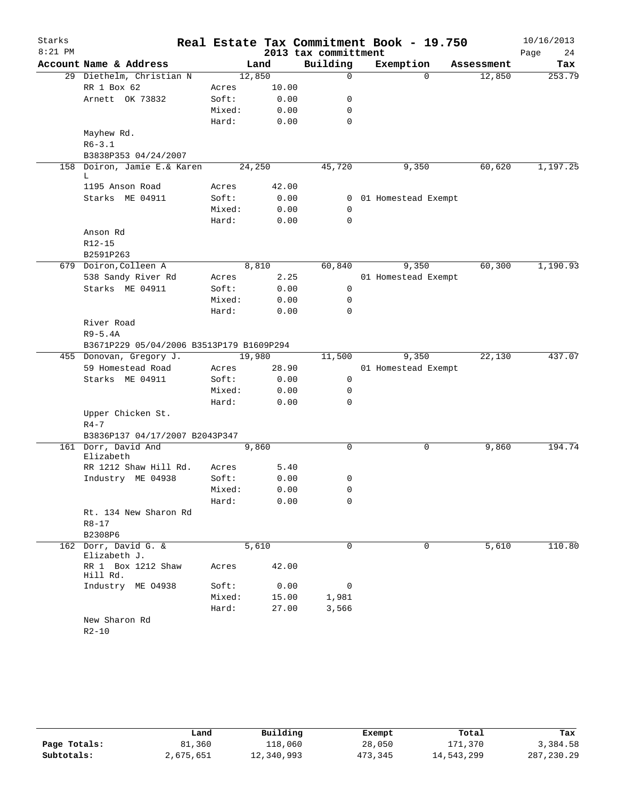| Starks    |                                          |        |         |                      | Real Estate Tax Commitment Book - 19.750 |            | 10/16/2013 |
|-----------|------------------------------------------|--------|---------|----------------------|------------------------------------------|------------|------------|
| $8:21$ PM |                                          |        |         | 2013 tax committment |                                          |            | Page<br>24 |
|           | Account Name & Address                   |        | Land    | Building             | Exemption                                | Assessment | Tax        |
|           | 29 Diethelm, Christian N                 |        | 12,850  | $\mathbf 0$          | $\Omega$                                 | 12,850     | 253.79     |
|           | RR 1 Box 62                              | Acres  | 10.00   |                      |                                          |            |            |
|           | Arnett OK 73832                          | Soft:  | 0.00    | 0                    |                                          |            |            |
|           |                                          | Mixed: | 0.00    | 0                    |                                          |            |            |
|           |                                          | Hard:  | 0.00    | $\mathbf 0$          |                                          |            |            |
|           | Mayhew Rd.                               |        |         |                      |                                          |            |            |
|           | $R6 - 3.1$                               |        |         |                      |                                          |            |            |
|           | B3838P353 04/24/2007                     |        |         |                      |                                          |            |            |
| 158       | Doiron, Jamie E.& Karen<br>L             |        | 24, 250 | 45,720               | 9,350                                    | 60,620     | 1,197.25   |
|           | 1195 Anson Road                          | Acres  | 42.00   |                      |                                          |            |            |
|           | Starks ME 04911                          | Soft:  | 0.00    | 0                    | 01 Homestead Exempt                      |            |            |
|           |                                          | Mixed: | 0.00    | 0                    |                                          |            |            |
|           |                                          | Hard:  | 0.00    | $\Omega$             |                                          |            |            |
|           | Anson Rd                                 |        |         |                      |                                          |            |            |
|           | $R12 - 15$                               |        |         |                      |                                          |            |            |
|           | B2591P263                                |        |         |                      |                                          |            |            |
|           | 679 Doiron, Colleen A                    |        | 8,810   | 60,840               | 9,350                                    | 60,300     | 1,190.93   |
|           | 538 Sandy River Rd                       | Acres  | 2.25    |                      | 01 Homestead Exempt                      |            |            |
|           | Starks ME 04911                          | Soft:  | 0.00    | $\mathbf 0$          |                                          |            |            |
|           |                                          | Mixed: | 0.00    | 0                    |                                          |            |            |
|           |                                          | Hard:  | 0.00    | $\Omega$             |                                          |            |            |
|           | River Road                               |        |         |                      |                                          |            |            |
|           | $R9-5.4A$                                |        |         |                      |                                          |            |            |
|           | B3671P229 05/04/2006 B3513P179 B1609P294 |        |         |                      |                                          |            |            |
|           | 455 Donovan, Gregory J.                  |        | 19,980  | 11,500               | 9,350                                    | 22,130     | 437.07     |
|           | 59 Homestead Road                        | Acres  | 28.90   |                      | 01 Homestead Exempt                      |            |            |
|           | Starks ME 04911                          | Soft:  | 0.00    | $\mathsf{O}$         |                                          |            |            |
|           |                                          | Mixed: | 0.00    | 0                    |                                          |            |            |
|           |                                          | Hard:  | 0.00    | 0                    |                                          |            |            |
|           | Upper Chicken St.                        |        |         |                      |                                          |            |            |
|           | $R4 - 7$                                 |        |         |                      |                                          |            |            |
|           | B3836P137 04/17/2007 B2043P347           |        |         |                      |                                          |            |            |
|           | 161 Dorr, David And<br>Elizabeth         |        | 9,860   | $\mathbf 0$          | 0                                        | 9,860      | 194.74     |
|           | RR 1212 Shaw Hill Rd.                    | Acres  | 5.40    |                      |                                          |            |            |
|           | Industry ME 04938                        | Soft:  | 0.00    | 0                    |                                          |            |            |
|           |                                          | Mixed: | 0.00    | 0                    |                                          |            |            |
|           |                                          | Hard:  | 0.00    | 0                    |                                          |            |            |
|           | Rt. 134 New Sharon Rd                    |        |         |                      |                                          |            |            |
|           | R8-17                                    |        |         |                      |                                          |            |            |
|           | B2308P6                                  |        |         |                      |                                          |            |            |
|           | 162 Dorr, David G. &                     |        | 5,610   | $\Omega$             | $\Omega$                                 | 5,610      | 110.80     |
|           | Elizabeth J.                             |        |         |                      |                                          |            |            |
|           | RR 1 Box 1212 Shaw<br>Hill Rd.           | Acres  | 42.00   |                      |                                          |            |            |
|           | Industry ME 04938                        | Soft:  | 0.00    | 0                    |                                          |            |            |
|           |                                          | Mixed: | 15.00   | 1,981                |                                          |            |            |
|           |                                          | Hard:  | 27.00   | 3,566                |                                          |            |            |
|           | New Sharon Rd<br>$R2-10$                 |        |         |                      |                                          |            |            |

|              | Land      | Building   | Exempt  | Total      | Tax         |
|--------------|-----------|------------|---------|------------|-------------|
| Page Totals: | 81,360    | 118,060    | 28,050  | 171,370    | 3,384.58    |
| Subtotals:   | 2,675,651 | 12,340,993 | 473,345 | 14,543,299 | 287, 230.29 |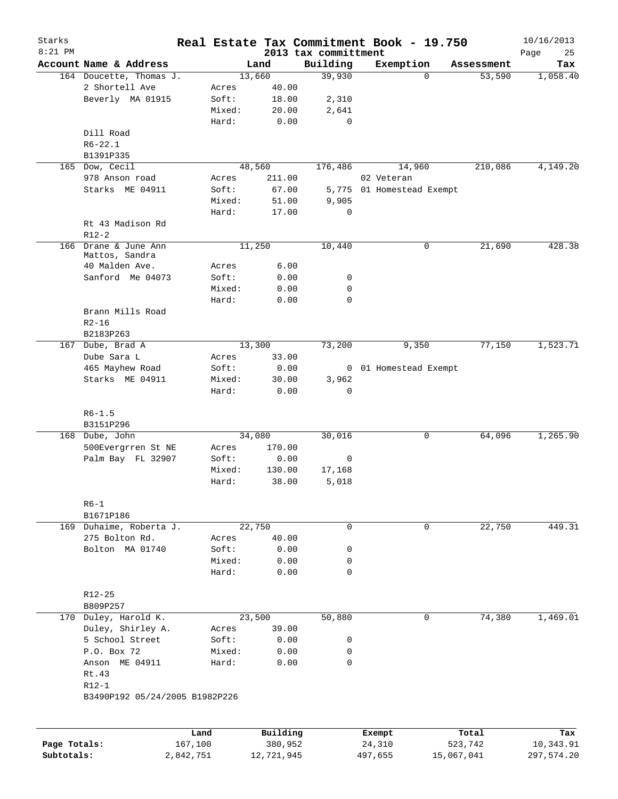| Starks       |                                 |           |                 |            |                                  | Real Estate Tax Commitment Book - 19.750 |            |            | 10/16/2013        |
|--------------|---------------------------------|-----------|-----------------|------------|----------------------------------|------------------------------------------|------------|------------|-------------------|
| $8:21$ PM    | Account Name & Address          |           |                 | Land       | 2013 tax committment<br>Building | Exemption                                |            | Assessment | Page<br>25<br>Tax |
|              | 164 Doucette, Thomas J.         |           |                 | 13,660     | 39,930                           |                                          | $\Omega$   | 53,590     | 1,058.40          |
|              | 2 Shortell Ave                  |           | Acres           | 40.00      |                                  |                                          |            |            |                   |
|              | Beverly MA 01915                |           | Soft:           | 18.00      | 2,310                            |                                          |            |            |                   |
|              |                                 |           | Mixed:          | 20.00      | 2,641                            |                                          |            |            |                   |
|              |                                 |           | Hard:           | 0.00       | 0                                |                                          |            |            |                   |
|              | Dill Road                       |           |                 |            |                                  |                                          |            |            |                   |
|              | $R6 - 22.1$                     |           |                 |            |                                  |                                          |            |            |                   |
|              | B1391P335                       |           |                 |            |                                  |                                          |            |            |                   |
|              | 165 Dow, Cecil                  |           |                 | 48,560     | 176,486                          | 14,960                                   |            | 210,086    | 4,149.20          |
|              | 978 Anson road                  |           | Acres           | 211.00     |                                  | 02 Veteran                               |            |            |                   |
|              | Starks ME 04911                 |           | Soft:           | 67.00      |                                  | 5,775 01 Homestead Exempt                |            |            |                   |
|              |                                 |           | Mixed:          | 51.00      | 9,905                            |                                          |            |            |                   |
|              |                                 |           | Hard:           | 17.00      | $\mathbf 0$                      |                                          |            |            |                   |
|              | Rt 43 Madison Rd                |           |                 |            |                                  |                                          |            |            |                   |
|              | $R12-2$                         |           |                 |            |                                  |                                          |            |            |                   |
|              | 166 Drane & June Ann            |           |                 | 11,250     | 10,440                           | $\mathsf{O}$                             |            | 21,690     | 428.38            |
|              | Mattos, Sandra                  |           |                 |            |                                  |                                          |            |            |                   |
|              | 40 Malden Ave.                  |           | Acres           | 6.00       |                                  |                                          |            |            |                   |
|              | Sanford Me 04073                |           | Soft:           | 0.00       | 0                                |                                          |            |            |                   |
|              |                                 |           | Mixed:          | 0.00       | 0                                |                                          |            |            |                   |
|              |                                 |           | Hard:           | 0.00       | 0                                |                                          |            |            |                   |
|              | Brann Mills Road                |           |                 |            |                                  |                                          |            |            |                   |
|              | $R2 - 16$                       |           |                 |            |                                  |                                          |            |            |                   |
|              | B2183P263                       |           |                 | 13,300     |                                  |                                          |            |            |                   |
|              | 167 Dube, Brad A<br>Dube Sara L |           |                 | 33.00      | 73,200                           | 9,350                                    |            | 77,150     | 1,523.71          |
|              | 465 Mayhew Road                 |           | Acres           | 0.00       |                                  |                                          |            |            |                   |
|              | Starks ME 04911                 |           | Soft:<br>Mixed: | 30.00      | 3,962                            | 0 01 Homestead Exempt                    |            |            |                   |
|              |                                 |           | Hard:           | 0.00       | 0                                |                                          |            |            |                   |
|              | $R6 - 1.5$                      |           |                 |            |                                  |                                          |            |            |                   |
|              | B3151P296                       |           |                 |            |                                  |                                          |            |            |                   |
|              | 168 Dube, John                  |           |                 | 34,080     | 30,016                           |                                          | 0          | 64,096     | 1,265.90          |
|              | 500Evergrren St NE              |           | Acres           | 170.00     |                                  |                                          |            |            |                   |
|              | Palm Bay FL 32907               |           | Soft:           | 0.00       | 0                                |                                          |            |            |                   |
|              |                                 |           | Mixed:          | 130.00     | 17,168                           |                                          |            |            |                   |
|              |                                 |           | Hard:           | 38.00      | 5,018                            |                                          |            |            |                   |
|              |                                 |           |                 |            |                                  |                                          |            |            |                   |
|              | $R6-1$<br>B1671P186             |           |                 |            |                                  |                                          |            |            |                   |
|              | 169 Duhaime, Roberta J.         |           |                 | 22,750     | 0                                |                                          | 0          | 22,750     | 449.31            |
|              | 275 Bolton Rd.                  |           | Acres           | 40.00      |                                  |                                          |            |            |                   |
|              | Bolton MA 01740                 |           | Soft:           | 0.00       | 0                                |                                          |            |            |                   |
|              |                                 |           | Mixed:          | 0.00       | 0                                |                                          |            |            |                   |
|              |                                 |           | Hard:           | 0.00       | 0                                |                                          |            |            |                   |
|              |                                 |           |                 |            |                                  |                                          |            |            |                   |
|              | $R12 - 25$                      |           |                 |            |                                  |                                          |            |            |                   |
|              | B809P257                        |           |                 |            |                                  |                                          |            |            |                   |
|              | 170 Duley, Harold K.            |           |                 | 23,500     | 50,880                           |                                          | 0          | 74,380     | 1,469.01          |
|              | Duley, Shirley A.               |           | Acres           | 39.00      |                                  |                                          |            |            |                   |
|              | 5 School Street                 |           | Soft:           | 0.00       | 0                                |                                          |            |            |                   |
|              | P.O. Box 72                     |           | Mixed:          | 0.00       | 0                                |                                          |            |            |                   |
|              | Anson ME 04911                  |           | Hard:           | 0.00       | 0                                |                                          |            |            |                   |
|              | Rt.43                           |           |                 |            |                                  |                                          |            |            |                   |
|              | $R12-1$                         |           |                 |            |                                  |                                          |            |            |                   |
|              | B3490P192 05/24/2005 B1982P226  |           |                 |            |                                  |                                          |            |            |                   |
|              |                                 | Land      |                 | Building   |                                  | Exempt                                   |            | Total      | Tax               |
| Page Totals: |                                 | 167,100   |                 | 380,952    |                                  | 24,310                                   |            | 523,742    | 10,343.91         |
| Subtotals:   |                                 | 2,842,751 |                 | 12,721,945 |                                  | 497,655                                  | 15,067,041 |            | 297,574.20        |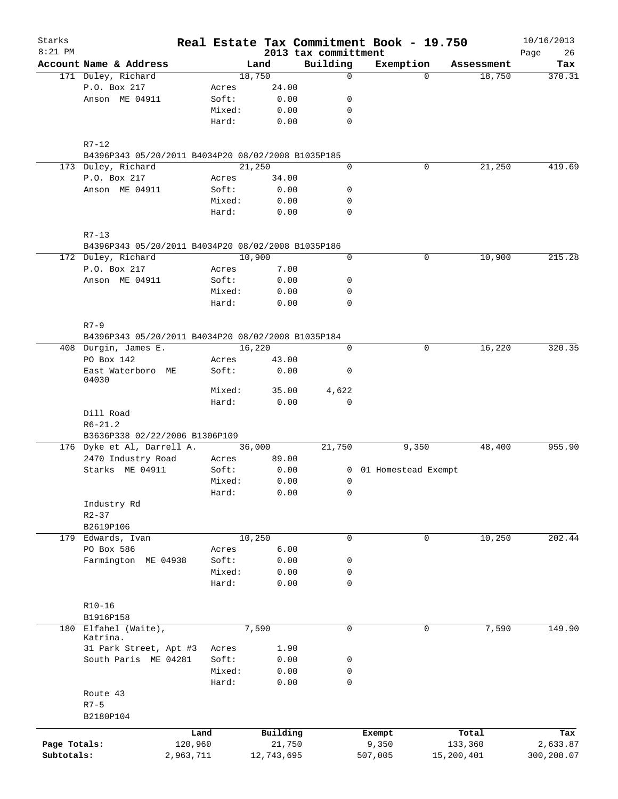| Starks<br>$8:21$ PM |                                                    |           |        |            | 2013 tax committment |             | Real Estate Tax Commitment Book - 19.750 |             |            | 10/16/2013        |
|---------------------|----------------------------------------------------|-----------|--------|------------|----------------------|-------------|------------------------------------------|-------------|------------|-------------------|
|                     | Account Name & Address                             |           |        | Land       |                      | Building    | Exemption                                |             | Assessment | 26<br>Page<br>Tax |
|                     | 171 Duley, Richard                                 |           |        | 18,750     |                      | $\mathbf 0$ |                                          | $\Omega$    | 18,750     | 370.31            |
|                     | P.O. Box 217                                       |           | Acres  | 24.00      |                      |             |                                          |             |            |                   |
|                     | Anson ME 04911                                     |           | Soft:  | 0.00       |                      | 0           |                                          |             |            |                   |
|                     |                                                    |           | Mixed: | 0.00       |                      | 0           |                                          |             |            |                   |
|                     |                                                    |           | Hard:  | 0.00       |                      | 0           |                                          |             |            |                   |
|                     |                                                    |           |        |            |                      |             |                                          |             |            |                   |
|                     | $R7 - 12$                                          |           |        |            |                      |             |                                          |             |            |                   |
|                     | B4396P343 05/20/2011 B4034P20 08/02/2008 B1035P185 |           |        |            |                      |             |                                          |             |            |                   |
|                     | 173 Duley, Richard                                 |           |        | 21,250     |                      | 0           |                                          | 0           | 21,250     | 419.69            |
|                     | P.O. Box 217                                       |           | Acres  | 34.00      |                      |             |                                          |             |            |                   |
|                     | Anson ME 04911                                     |           | Soft:  | 0.00       |                      | 0           |                                          |             |            |                   |
|                     |                                                    |           | Mixed: | 0.00       |                      | 0           |                                          |             |            |                   |
|                     |                                                    |           | Hard:  | 0.00       |                      | $\mathbf 0$ |                                          |             |            |                   |
|                     | $R7 - 13$                                          |           |        |            |                      |             |                                          |             |            |                   |
|                     | B4396P343 05/20/2011 B4034P20 08/02/2008 B1035P186 |           |        |            |                      |             |                                          |             |            |                   |
|                     | 172 Duley, Richard                                 |           |        | 10,900     |                      | 0           |                                          | 0           | 10,900     | 215.28            |
|                     | P.O. Box 217                                       |           | Acres  | 7.00       |                      |             |                                          |             |            |                   |
|                     | Anson ME 04911                                     |           | Soft:  | 0.00       |                      | 0           |                                          |             |            |                   |
|                     |                                                    |           | Mixed: | 0.00       |                      | 0           |                                          |             |            |                   |
|                     |                                                    |           | Hard:  | 0.00       |                      | 0           |                                          |             |            |                   |
|                     |                                                    |           |        |            |                      |             |                                          |             |            |                   |
|                     | $R7 - 9$                                           |           |        |            |                      |             |                                          |             |            |                   |
|                     | B4396P343 05/20/2011 B4034P20 08/02/2008 B1035P184 |           |        |            |                      |             |                                          |             |            |                   |
|                     | 408 Durgin, James E.                               |           |        | 16,220     |                      | $\mathbf 0$ |                                          | 0           | 16,220     | 320.35            |
|                     | PO Box 142                                         |           | Acres  | 43.00      |                      |             |                                          |             |            |                   |
|                     | East Waterboro ME<br>04030                         |           | Soft:  | 0.00       |                      | 0           |                                          |             |            |                   |
|                     |                                                    |           | Mixed: | 35.00      |                      | 4,622       |                                          |             |            |                   |
|                     |                                                    |           | Hard:  | 0.00       |                      | 0           |                                          |             |            |                   |
|                     | Dill Road                                          |           |        |            |                      |             |                                          |             |            |                   |
|                     | $R6 - 21.2$                                        |           |        |            |                      |             |                                          |             |            |                   |
|                     | B3636P338 02/22/2006 B1306P109                     |           |        |            |                      |             |                                          |             |            |                   |
|                     | 176 Dyke et Al, Darrell A.                         |           |        | 36,000     |                      | 21,750      | 9,350                                    |             | 48,400     | 955.90            |
|                     | 2470 Industry Road                                 |           | Acres  | 89.00      |                      |             |                                          |             |            |                   |
|                     | Starks ME 04911                                    |           | Soft:  | 0.00       |                      |             | 0 01 Homestead Exempt                    |             |            |                   |
|                     |                                                    |           | Mixed: | 0.00       |                      | 0           |                                          |             |            |                   |
|                     |                                                    |           | Hard:  | 0.00       |                      | 0           |                                          |             |            |                   |
|                     | Industry Rd                                        |           |        |            |                      |             |                                          |             |            |                   |
|                     | $R2 - 37$                                          |           |        |            |                      |             |                                          |             |            |                   |
|                     | B2619P106                                          |           |        |            |                      |             |                                          |             |            |                   |
|                     | 179 Edwards, Ivan                                  |           |        | 10,250     |                      | 0           |                                          | $\mathbf 0$ | 10,250     | 202.44            |
|                     | PO Box 586                                         |           | Acres  | 6.00       |                      |             |                                          |             |            |                   |
|                     | Farmington ME 04938                                |           | Soft:  | 0.00       |                      | 0           |                                          |             |            |                   |
|                     |                                                    |           | Mixed: | 0.00       |                      | 0           |                                          |             |            |                   |
|                     |                                                    |           | Hard:  | 0.00       |                      | 0           |                                          |             |            |                   |
|                     |                                                    |           |        |            |                      |             |                                          |             |            |                   |
|                     | $R10-16$<br>B1916P158                              |           |        |            |                      |             |                                          |             |            |                   |
|                     | 180 Elfahel (Waite),                               |           |        | 7,590      |                      | $\mathbf 0$ |                                          | 0           | 7,590      | 149.90            |
|                     | Katrina.                                           |           |        |            |                      |             |                                          |             |            |                   |
|                     | 31 Park Street, Apt #3                             |           | Acres  | 1.90       |                      |             |                                          |             |            |                   |
|                     | South Paris ME 04281                               |           | Soft:  | 0.00       |                      | 0           |                                          |             |            |                   |
|                     |                                                    |           | Mixed: | 0.00       |                      | 0           |                                          |             |            |                   |
|                     |                                                    |           | Hard:  | 0.00       |                      | $\mathbf 0$ |                                          |             |            |                   |
|                     | Route 43                                           |           |        |            |                      |             |                                          |             |            |                   |
|                     | $R7 - 5$                                           |           |        |            |                      |             |                                          |             |            |                   |
|                     | B2180P104                                          |           |        |            |                      |             |                                          |             |            |                   |
|                     |                                                    | Land      |        | Building   |                      |             | Exempt                                   |             | Total      | Tax               |
| Page Totals:        |                                                    | 120,960   |        | 21,750     |                      |             | 9,350                                    |             | 133,360    | 2,633.87          |
| Subtotals:          |                                                    | 2,963,711 |        | 12,743,695 |                      |             | 507,005                                  | 15,200,401  |            | 300,208.07        |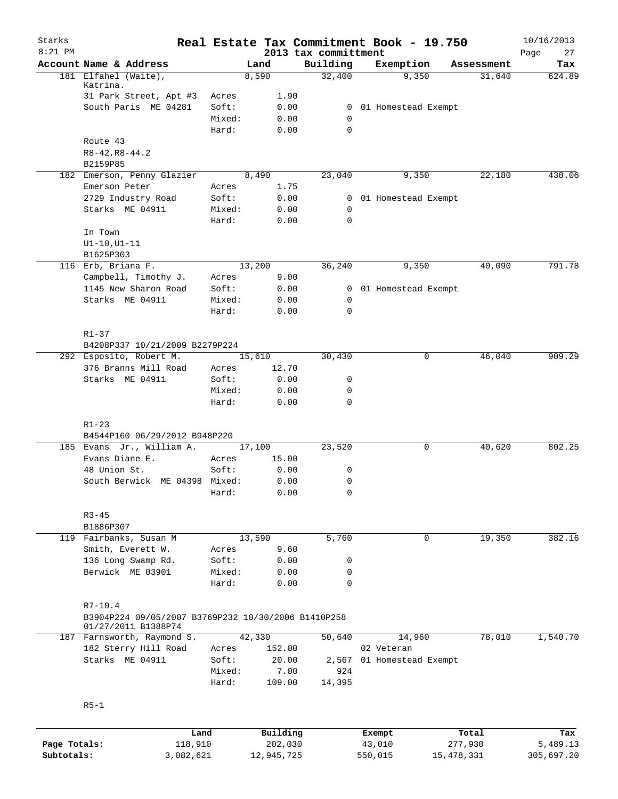| Starks       |                                                                            |                 |          |                                  | Real Estate Tax Commitment Book - 19.750 |                       | 10/16/2013        |
|--------------|----------------------------------------------------------------------------|-----------------|----------|----------------------------------|------------------------------------------|-----------------------|-------------------|
| $8:21$ PM    | Account Name & Address                                                     |                 | Land     | 2013 tax committment<br>Building | Exemption                                | Assessment            | Page<br>27<br>Tax |
|              | 181 Elfahel (Waite),                                                       |                 | 8,590    | 32,400                           | 9,350                                    | 31,640                | 624.89            |
|              | Katrina.                                                                   |                 |          |                                  |                                          |                       |                   |
|              | 31 Park Street, Apt #3                                                     | Acres           | 1.90     |                                  |                                          |                       |                   |
|              | South Paris ME 04281                                                       | Soft:           | 0.00     | $\overline{0}$                   | 01 Homestead Exempt                      |                       |                   |
|              |                                                                            | Mixed:          | 0.00     | 0                                |                                          |                       |                   |
|              |                                                                            | Hard:           | 0.00     | $\Omega$                         |                                          |                       |                   |
|              | Route 43<br>$R8 - 42, R8 - 44.2$                                           |                 |          |                                  |                                          |                       |                   |
|              | B2159P85                                                                   |                 |          |                                  |                                          |                       |                   |
|              | 182 Emerson, Penny Glazier                                                 |                 | 8,490    | 23,040                           | 9,350                                    | 22,180                | 438.06            |
|              | Emerson Peter                                                              | Acres           | 1.75     |                                  |                                          |                       |                   |
|              | 2729 Industry Road                                                         | Soft:           | 0.00     | $\mathbf{0}$                     | 01 Homestead Exempt                      |                       |                   |
|              | Starks ME 04911                                                            | Mixed:          | 0.00     | 0                                |                                          |                       |                   |
|              |                                                                            | Hard:           | 0.00     | 0                                |                                          |                       |                   |
|              | In Town                                                                    |                 |          |                                  |                                          |                       |                   |
|              | $UI-10, UI-11$                                                             |                 |          |                                  |                                          |                       |                   |
|              | B1625P303                                                                  |                 |          |                                  |                                          |                       |                   |
|              | 116 Erb, Briana F.                                                         |                 | 13,200   | 36,240                           | 9,350                                    | 40,090                | 791.78            |
|              | Campbell, Timothy J.                                                       | Acres           | 9.00     |                                  |                                          |                       |                   |
|              | 1145 New Sharon Road                                                       | Soft:           | 0.00     |                                  | 0 01 Homestead Exempt                    |                       |                   |
|              | Starks ME 04911                                                            | Mixed:          | 0.00     | 0                                |                                          |                       |                   |
|              |                                                                            | Hard:           | 0.00     | 0                                |                                          |                       |                   |
|              |                                                                            |                 |          |                                  |                                          |                       |                   |
|              | $R1 - 37$                                                                  |                 |          |                                  |                                          |                       |                   |
|              | B4208P337 10/21/2009 B2279P224                                             |                 |          |                                  |                                          |                       |                   |
|              | 292 Esposito, Robert M.                                                    |                 | 15,610   | 30,430                           |                                          | 46,040<br>0           | 909.29            |
|              | 376 Branns Mill Road                                                       | Acres           | 12.70    |                                  |                                          |                       |                   |
|              | Starks ME 04911                                                            | Soft:           | 0.00     | 0                                |                                          |                       |                   |
|              |                                                                            | Mixed:          | 0.00     | 0                                |                                          |                       |                   |
|              |                                                                            | Hard:           | 0.00     | 0                                |                                          |                       |                   |
|              |                                                                            |                 |          |                                  |                                          |                       |                   |
|              | $R1 - 23$<br>B4544P160 06/29/2012 B948P220                                 |                 |          |                                  |                                          |                       |                   |
|              | 185 Evans Jr., William A.                                                  |                 | 17,100   | 23,520                           |                                          | 40,620<br>0           | 802.25            |
|              | Evans Diane E.                                                             | Acres           | 15.00    |                                  |                                          |                       |                   |
|              | 48 Union St.                                                               | Soft:           | 0.00     | 0                                |                                          |                       |                   |
|              | South Berwick ME 04398 Mixed:                                              |                 | 0.00     | 0                                |                                          |                       |                   |
|              |                                                                            | Hard:           | 0.00     | 0                                |                                          |                       |                   |
|              |                                                                            |                 |          |                                  |                                          |                       |                   |
|              | $R3 - 45$                                                                  |                 |          |                                  |                                          |                       |                   |
|              | B1886P307                                                                  |                 |          |                                  |                                          |                       |                   |
|              | 119 Fairbanks, Susan M                                                     |                 | 13,590   | 5,760                            |                                          | $\mathbf 0$<br>19,350 | 382.16            |
|              | Smith, Everett W.                                                          | Acres           | 9.60     |                                  |                                          |                       |                   |
|              | 136 Long Swamp Rd.                                                         | Soft:           | 0.00     | 0                                |                                          |                       |                   |
|              | Berwick ME 03901                                                           | Mixed:<br>Hard: | 0.00     | 0<br>0                           |                                          |                       |                   |
|              |                                                                            |                 | 0.00     |                                  |                                          |                       |                   |
|              | $R7 - 10.4$                                                                |                 |          |                                  |                                          |                       |                   |
|              | B3904P224 09/05/2007 B3769P232 10/30/2006 B1410P258<br>01/27/2011 B1388P74 |                 |          |                                  |                                          |                       |                   |
|              | 187 Farnsworth, Raymond S.                                                 |                 | 42,330   | 50,640                           | 14,960                                   | 78,010                | 1,540.70          |
|              | 182 Sterry Hill Road                                                       | Acres           | 152.00   |                                  | 02 Veteran                               |                       |                   |
|              | Starks ME 04911                                                            | Soft:           | 20.00    | 2,567                            | 01 Homestead Exempt                      |                       |                   |
|              |                                                                            | Mixed:          | 7.00     | 924                              |                                          |                       |                   |
|              |                                                                            | Hard:           | 109.00   | 14,395                           |                                          |                       |                   |
|              | $R5-1$                                                                     |                 |          |                                  |                                          |                       |                   |
|              |                                                                            |                 |          |                                  |                                          |                       |                   |
|              | Land                                                                       |                 | Building |                                  | Exempt                                   | Total                 | Tax               |
| Page Totals: | 118,910                                                                    |                 | 202,030  |                                  | 43,010                                   | 277,930               | 5,489.13          |

**Subtotals:** 3,082,621 12,945,725 550,015 15,478,331 305,697.20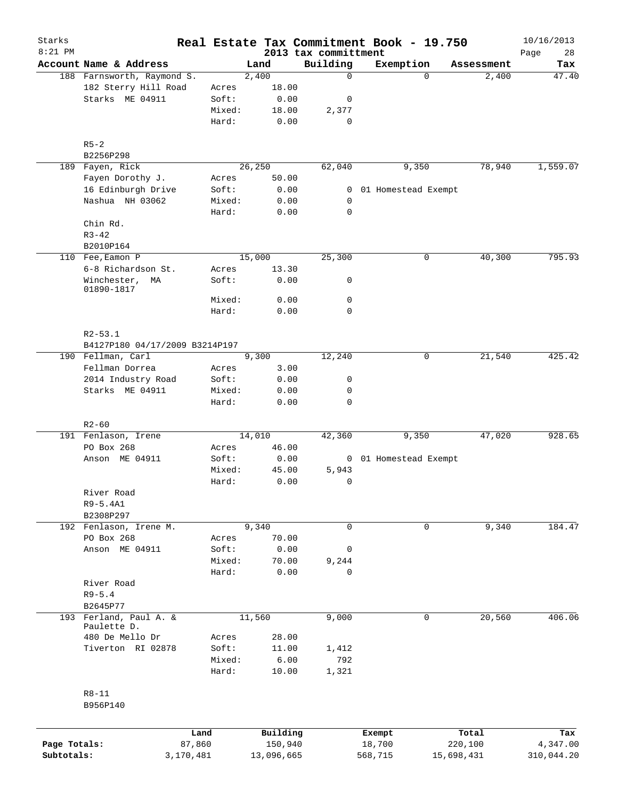| Starks<br>$8:21$ PM |                                    |                 |                 |                                  | Real Estate Tax Commitment Book - 19.750 |            | 10/16/2013        |
|---------------------|------------------------------------|-----------------|-----------------|----------------------------------|------------------------------------------|------------|-------------------|
|                     | Account Name & Address             |                 | Land            | 2013 tax committment<br>Building | Exemption                                | Assessment | 28<br>Page<br>Tax |
|                     | 188 Farnsworth, Raymond S.         |                 | 2,400           | 0                                | $\Omega$                                 | 2,400      | 47.40             |
|                     | 182 Sterry Hill Road               | Acres           | 18.00           |                                  |                                          |            |                   |
|                     | Starks ME 04911                    | Soft:           | 0.00            | 0                                |                                          |            |                   |
|                     |                                    | Mixed:          | 18.00           | 2,377                            |                                          |            |                   |
|                     |                                    | Hard:           | 0.00            | 0                                |                                          |            |                   |
|                     | $R5 - 2$                           |                 |                 |                                  |                                          |            |                   |
|                     | B2256P298                          |                 |                 |                                  |                                          |            |                   |
| 189                 | Fayen, Rick<br>Fayen Dorothy J.    | Acres           | 26,250<br>50.00 | 62,040                           | 9,350                                    | 78,940     | 1,559.07          |
|                     | 16 Edinburgh Drive                 | Soft:           | 0.00            | 0                                | 01 Homestead Exempt                      |            |                   |
|                     | Nashua NH 03062                    | Mixed:          | 0.00            | 0                                |                                          |            |                   |
|                     |                                    | Hard:           | 0.00            | 0                                |                                          |            |                   |
|                     | Chin Rd.                           |                 |                 |                                  |                                          |            |                   |
|                     | $R3 - 42$                          |                 |                 |                                  |                                          |            |                   |
|                     | B2010P164                          |                 |                 |                                  |                                          |            |                   |
|                     | 110 Fee, Eamon P                   |                 | 15,000          | 25,300                           | 0                                        | 40,300     | 795.93            |
|                     | 6-8 Richardson St.                 | Acres           | 13.30           |                                  |                                          |            |                   |
|                     | Winchester,<br>ΜA<br>01890-1817    | Soft:           | 0.00            | 0                                |                                          |            |                   |
|                     |                                    | Mixed:          | 0.00            | 0                                |                                          |            |                   |
|                     |                                    | Hard:           | 0.00            | 0                                |                                          |            |                   |
|                     | $R2 - 53.1$                        |                 |                 |                                  |                                          |            |                   |
|                     | B4127P180 04/17/2009 B3214P197     |                 |                 |                                  |                                          |            |                   |
|                     | 190 Fellman, Carl                  |                 | 9,300           | 12,240                           | 0                                        | 21,540     | 425.42            |
|                     | Fellman Dorrea                     | Acres           | 3.00            |                                  |                                          |            |                   |
|                     | 2014 Industry Road                 | Soft:           | 0.00            | 0                                |                                          |            |                   |
|                     | Starks ME 04911                    | Mixed:<br>Hard: | 0.00<br>0.00    | 0<br>0                           |                                          |            |                   |
|                     | $R2 - 60$                          |                 |                 |                                  |                                          |            |                   |
|                     | 191 Fenlason, Irene                |                 | 14,010          | 42,360                           | 9,350                                    | 47,020     | 928.65            |
|                     | PO Box 268                         | Acres           | 46.00           |                                  |                                          |            |                   |
|                     | Anson ME 04911                     | Soft:           | 0.00            |                                  | 0 01 Homestead Exempt                    |            |                   |
|                     |                                    | Mixed:          | 45.00           | 5,943                            |                                          |            |                   |
|                     |                                    | Hard:           | 0.00            | 0                                |                                          |            |                   |
|                     | River Road                         |                 |                 |                                  |                                          |            |                   |
|                     | $R9-5.4A1$                         |                 |                 |                                  |                                          |            |                   |
|                     | B2308P297                          |                 |                 |                                  |                                          |            |                   |
|                     | 192 Fenlason, Irene M.             |                 | 9,340           | 0                                | 0                                        | 9,340      | 184.47            |
|                     | PO Box 268                         | Acres           | 70.00           |                                  |                                          |            |                   |
|                     | Anson ME 04911                     | Soft:           | 0.00            | 0                                |                                          |            |                   |
|                     |                                    | Mixed:          | 70.00           | 9,244                            |                                          |            |                   |
|                     |                                    | Hard:           | 0.00            | 0                                |                                          |            |                   |
|                     | River Road                         |                 |                 |                                  |                                          |            |                   |
|                     | $R9 - 5.4$                         |                 |                 |                                  |                                          |            |                   |
|                     | B2645P77<br>193 Ferland, Paul A. & |                 | 11,560          | 9,000                            | 0                                        | 20,560     | 406.06            |
|                     | Paulette D.                        |                 |                 |                                  |                                          |            |                   |
|                     | 480 De Mello Dr                    | Acres           | 28.00           |                                  |                                          |            |                   |
|                     | Tiverton RI 02878                  | Soft:           | 11.00           | 1,412                            |                                          |            |                   |
|                     |                                    | Mixed:          | 6.00            | 792                              |                                          |            |                   |
|                     |                                    | Hard:           | 10.00           | 1,321                            |                                          |            |                   |
|                     | $R8 - 11$<br>B956P140              |                 |                 |                                  |                                          |            |                   |
|                     |                                    | Land            | Building        |                                  | Exempt                                   | Total      | Tax               |
| Page Totals:        |                                    | 87,860          | 150,940         |                                  | 18,700                                   | 220,100    | 4,347.00          |
| Subtotals:          | 3,170,481                          |                 | 13,096,665      |                                  | 568,715                                  | 15,698,431 | 310,044.20        |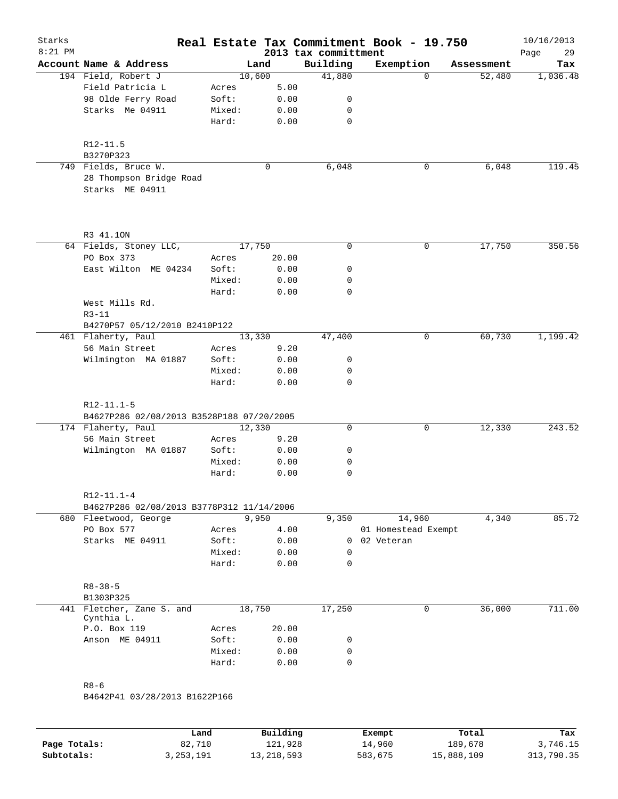| Starks<br>$8:21$ PM |                                                                    |        |             | 2013 tax committment | Real Estate Tax Commitment Book - 19.750 |            | 10/16/2013<br>29<br>Page |
|---------------------|--------------------------------------------------------------------|--------|-------------|----------------------|------------------------------------------|------------|--------------------------|
|                     | Account Name & Address                                             |        | Land        | Building             | Exemption                                | Assessment | Tax                      |
|                     | 194 Field, Robert J                                                |        | 10,600      | 41,880               | $\Omega$                                 | 52,480     | 1,036.48                 |
|                     | Field Patricia L                                                   | Acres  | 5.00        |                      |                                          |            |                          |
|                     | 98 Olde Ferry Road                                                 | Soft:  | 0.00        | 0                    |                                          |            |                          |
|                     | Starks Me 04911                                                    | Mixed: | 0.00        | 0                    |                                          |            |                          |
|                     |                                                                    | Hard:  | 0.00        | $\mathbf 0$          |                                          |            |                          |
|                     | R12-11.5                                                           |        |             |                      |                                          |            |                          |
|                     | B3270P323<br>749 Fields, Bruce W.                                  |        | $\mathbf 0$ |                      |                                          | 6,048      |                          |
|                     |                                                                    |        |             | 6,048                | 0                                        |            | 119.45                   |
|                     | 28 Thompson Bridge Road<br>Starks ME 04911                         |        |             |                      |                                          |            |                          |
|                     |                                                                    |        |             |                      |                                          |            |                          |
|                     | R3 41.10N                                                          |        |             |                      |                                          |            |                          |
|                     | 64 Fields, Stoney LLC,                                             |        | 17,750      | $\mathbf 0$          | 0                                        | 17,750     | 350.56                   |
|                     | PO Box 373                                                         | Acres  | 20.00       |                      |                                          |            |                          |
|                     | East Wilton ME 04234                                               | Soft:  | 0.00        | 0                    |                                          |            |                          |
|                     |                                                                    | Mixed: | 0.00        | 0                    |                                          |            |                          |
|                     |                                                                    | Hard:  | 0.00        | $\mathbf 0$          |                                          |            |                          |
|                     | West Mills Rd.                                                     |        |             |                      |                                          |            |                          |
|                     | $R3 - 11$                                                          |        |             |                      |                                          |            |                          |
|                     | B4270P57 05/12/2010 B2410P122                                      |        |             |                      |                                          |            |                          |
|                     | 461 Flaherty, Paul                                                 |        | 13,330      | 47,400               | 0                                        | 60,730     | 1,199.42                 |
|                     | 56 Main Street                                                     | Acres  | 9.20        |                      |                                          |            |                          |
|                     | Wilmington MA 01887                                                | Soft:  | 0.00        | 0                    |                                          |            |                          |
|                     |                                                                    | Mixed: | 0.00        | 0                    |                                          |            |                          |
|                     |                                                                    | Hard:  | 0.00        | $\mathbf 0$          |                                          |            |                          |
|                     | $R12 - 11.1 - 5$                                                   |        |             |                      |                                          |            |                          |
|                     | B4627P286 02/08/2013 B3528P188 07/20/2005                          |        |             |                      |                                          |            |                          |
|                     | 174 Flaherty, Paul                                                 |        | 12,330      | 0                    | 0                                        | 12,330     | 243.52                   |
|                     | 56 Main Street                                                     | Acres  | 9.20        |                      |                                          |            |                          |
|                     | Wilmington MA 01887                                                | Soft:  | 0.00        | 0                    |                                          |            |                          |
|                     |                                                                    | Mixed: | 0.00        | 0                    |                                          |            |                          |
|                     |                                                                    | Hard:  | 0.00        | 0                    |                                          |            |                          |
|                     | $R12 - 11.1 - 4$                                                   |        |             |                      |                                          |            |                          |
|                     | B4627P286 02/08/2013 B3778P312 11/14/2006<br>680 Fleetwood, George |        | 9,950       | 9,350                | 14,960                                   | 4,340      | 85.72                    |
|                     | PO Box 577                                                         | Acres  | 4.00        |                      | 01 Homestead Exempt                      |            |                          |
|                     | Starks ME 04911                                                    | Soft:  | 0.00        |                      | 0 02 Veteran                             |            |                          |
|                     |                                                                    | Mixed: | 0.00        | 0                    |                                          |            |                          |
|                     |                                                                    | Hard:  | 0.00        | 0                    |                                          |            |                          |
|                     | $R8 - 38 - 5$<br>B1303P325                                         |        |             |                      |                                          |            |                          |
|                     | 441 Fletcher, Zane S. and                                          |        | 18,750      | 17,250               | 0                                        | 36,000     | 711.00                   |
|                     | Cynthia L.                                                         |        |             |                      |                                          |            |                          |
|                     | P.O. Box 119                                                       | Acres  | 20.00       |                      |                                          |            |                          |
|                     | Anson ME 04911                                                     | Soft:  | 0.00        | 0                    |                                          |            |                          |
|                     |                                                                    | Mixed: | 0.00        | 0                    |                                          |            |                          |
|                     |                                                                    | Hard:  | 0.00        | $\mathbf 0$          |                                          |            |                          |
|                     | $R8 - 6$                                                           |        |             |                      |                                          |            |                          |
|                     | B4642P41 03/28/2013 B1622P166                                      |        |             |                      |                                          |            |                          |
|                     |                                                                    |        |             |                      |                                          |            |                          |

|              | Land      | Building   | Exempt  | Total      | Tax        |
|--------------|-----------|------------|---------|------------|------------|
| Page Totals: | 82,710    | 121,928    | 14,960  | 189,678    | 3,746.15   |
| Subtotals:   | 3,253,191 | 13,218,593 | 583,675 | 15,888,109 | 313,790.35 |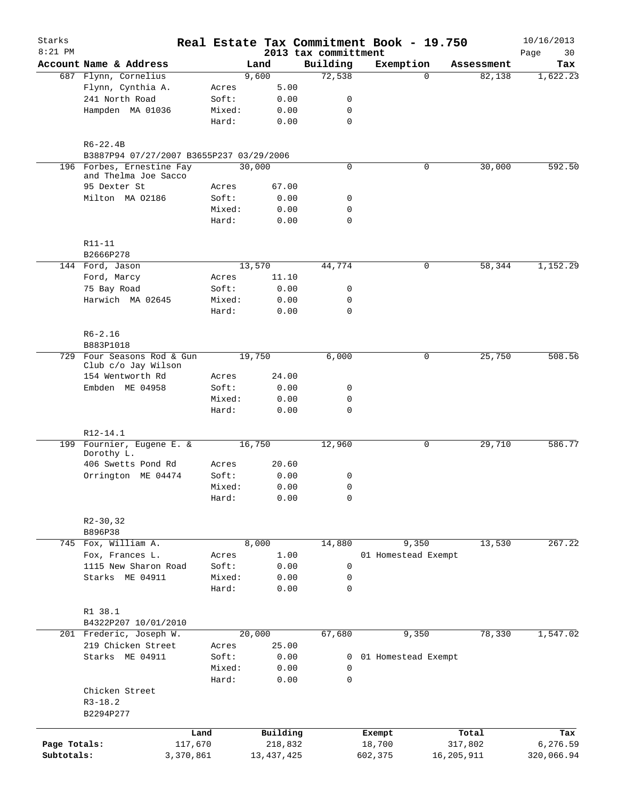| Starks<br>$8:21$ PM |                                                   |           |        |              | 2013 tax committment | Real Estate Tax Commitment Book - 19.750 |            |            | 10/16/2013<br>Page<br>30 |
|---------------------|---------------------------------------------------|-----------|--------|--------------|----------------------|------------------------------------------|------------|------------|--------------------------|
|                     | Account Name & Address                            |           |        | Land         | Building             | Exemption                                |            | Assessment | Tax                      |
|                     | 687 Flynn, Cornelius                              |           |        | 9,600        | 72,538               | $\Omega$                                 |            | 82,138     | 1,622.23                 |
|                     | Flynn, Cynthia A.                                 |           | Acres  | 5.00         |                      |                                          |            |            |                          |
|                     | 241 North Road                                    |           | Soft:  | 0.00         | 0                    |                                          |            |            |                          |
|                     |                                                   |           |        |              |                      |                                          |            |            |                          |
|                     | Hampden MA 01036                                  |           | Mixed: | 0.00         | 0                    |                                          |            |            |                          |
|                     |                                                   |           | Hard:  | 0.00         | $\mathbf 0$          |                                          |            |            |                          |
|                     | $R6 - 22.4B$                                      |           |        |              |                      |                                          |            |            |                          |
|                     | B3887P94 07/27/2007 B3655P237 03/29/2006          |           |        |              |                      |                                          |            |            |                          |
| 196                 | Forbes, Ernestine Fay                             |           |        | 30,000       | $\mathbf 0$          | 0                                        |            | 30,000     | 592.50                   |
|                     | and Thelma Joe Sacco<br>95 Dexter St              |           | Acres  | 67.00        |                      |                                          |            |            |                          |
|                     | Milton MA 02186                                   |           | Soft:  | 0.00         | 0                    |                                          |            |            |                          |
|                     |                                                   |           | Mixed: | 0.00         | 0                    |                                          |            |            |                          |
|                     |                                                   | Hard:     |        | 0.00         | $\mathbf 0$          |                                          |            |            |                          |
|                     |                                                   |           |        |              |                      |                                          |            |            |                          |
|                     | R11-11                                            |           |        |              |                      |                                          |            |            |                          |
|                     | B2666P278                                         |           |        |              |                      |                                          |            |            |                          |
|                     | 144 Ford, Jason                                   |           |        | 13,570       | 44,774               | 0                                        |            | 58,344     | 1,152.29                 |
|                     | Ford, Marcy                                       |           | Acres  | 11.10        |                      |                                          |            |            |                          |
|                     | 75 Bay Road                                       |           | Soft:  | 0.00         | 0                    |                                          |            |            |                          |
|                     | Harwich MA 02645                                  |           | Mixed: | 0.00         | $\mathbf 0$          |                                          |            |            |                          |
|                     |                                                   |           | Hard:  | 0.00         | $\mathbf 0$          |                                          |            |            |                          |
|                     | $R6 - 2.16$                                       |           |        |              |                      |                                          |            |            |                          |
|                     | B883P1018                                         |           |        |              |                      |                                          |            |            |                          |
|                     | 729 Four Seasons Rod & Gun<br>Club c/o Jay Wilson |           |        | 19,750       | 6,000                | 0                                        |            | 25,750     | 508.56                   |
|                     | 154 Wentworth Rd                                  |           | Acres  | 24.00        |                      |                                          |            |            |                          |
|                     | Embden ME 04958                                   |           | Soft:  | 0.00         | 0                    |                                          |            |            |                          |
|                     |                                                   |           | Mixed: | 0.00         | $\mathbf 0$          |                                          |            |            |                          |
|                     |                                                   |           | Hard:  | 0.00         | $\mathbf 0$          |                                          |            |            |                          |
|                     | R12-14.1                                          |           |        |              |                      |                                          |            |            |                          |
|                     | 199 Fournier, Eugene E. &<br>Dorothy L.           |           |        | 16,750       | 12,960               | 0                                        |            | 29,710     | 586.77                   |
|                     | 406 Swetts Pond Rd                                |           | Acres  | 20.60        |                      |                                          |            |            |                          |
|                     | Orrington ME 04474                                |           | Soft:  | 0.00         | 0                    |                                          |            |            |                          |
|                     |                                                   |           | Mixed: | 0.00         | 0                    |                                          |            |            |                          |
|                     |                                                   |           | Hard:  | 0.00         | $\mathbf 0$          |                                          |            |            |                          |
|                     |                                                   |           |        |              |                      |                                          |            |            |                          |
|                     | $R2 - 30, 32$                                     |           |        |              |                      |                                          |            |            |                          |
|                     | B896P38<br>745 Fox, William A.                    |           |        | 8,000        |                      |                                          |            | 13,530     | 267.22                   |
|                     |                                                   |           |        |              | 14,880               | 9,350                                    |            |            |                          |
|                     | Fox, Frances L.                                   |           | Acres  | 1.00         |                      | 01 Homestead Exempt                      |            |            |                          |
|                     | 1115 New Sharon Road                              |           | Soft:  | 0.00         | $\mathbf 0$          |                                          |            |            |                          |
|                     | Starks ME 04911                                   |           | Mixed: | 0.00         | 0                    |                                          |            |            |                          |
|                     |                                                   |           | Hard:  | 0.00         | 0                    |                                          |            |            |                          |
|                     | R1 38.1                                           |           |        |              |                      |                                          |            |            |                          |
|                     | B4322P207 10/01/2010                              |           |        |              |                      |                                          |            |            |                          |
|                     | 201 Frederic, Joseph W.                           |           |        | 20,000       | 67,680               | 9,350                                    |            | 78,330     | 1,547.02                 |
|                     | 219 Chicken Street                                |           | Acres  | 25.00        |                      |                                          |            |            |                          |
|                     | Starks ME 04911                                   |           | Soft:  | 0.00         | 0                    | 01 Homestead Exempt                      |            |            |                          |
|                     |                                                   |           | Mixed: | 0.00         | 0                    |                                          |            |            |                          |
|                     |                                                   |           | Hard:  | 0.00         | $\mathbf 0$          |                                          |            |            |                          |
|                     | Chicken Street<br>$R3 - 18.2$                     |           |        |              |                      |                                          |            |            |                          |
|                     | B2294P277                                         |           |        |              |                      |                                          |            |            |                          |
|                     |                                                   |           |        |              |                      |                                          |            |            |                          |
|                     |                                                   | Land      |        | Building     |                      | Exempt                                   |            | Total      | Tax                      |
| Page Totals:        |                                                   | 117,670   |        | 218,832      |                      | 18,700                                   |            | 317,802    | 6,276.59                 |
| Subtotals:          |                                                   | 3,370,861 |        | 13, 437, 425 |                      | 602,375                                  | 16,205,911 |            | 320,066.94               |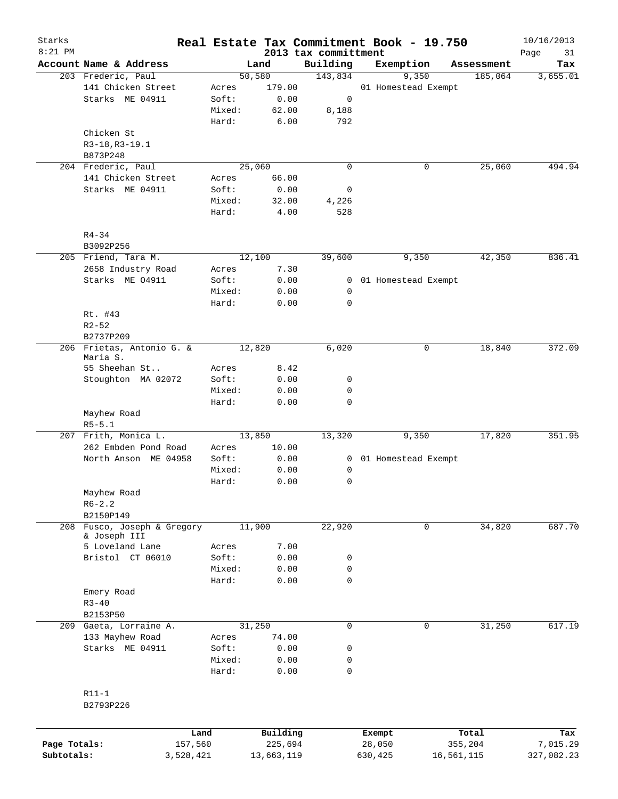| Starks       |                                       |                 |        |                     |                                  | Real Estate Tax Commitment Book - 19.750 |            |                  | 10/16/2013        |
|--------------|---------------------------------------|-----------------|--------|---------------------|----------------------------------|------------------------------------------|------------|------------------|-------------------|
| $8:21$ PM    | Account Name & Address                |                 |        | Land                | 2013 tax committment<br>Building | Exemption                                |            | Assessment       | Page<br>31<br>Tax |
|              | 203 Frederic, Paul                    |                 | 50,580 |                     | 143,834                          | 9,350                                    |            | 185,064          | 3,655.01          |
|              | 141 Chicken Street                    | Acres           |        | 179.00              |                                  | 01 Homestead Exempt                      |            |                  |                   |
|              | Starks ME 04911                       | Soft:           |        | 0.00                | 0                                |                                          |            |                  |                   |
|              |                                       | Mixed:          |        | 62.00               | 8,188                            |                                          |            |                  |                   |
|              |                                       | Hard:           |        | 6.00                | 792                              |                                          |            |                  |                   |
|              | Chicken St                            |                 |        |                     |                                  |                                          |            |                  |                   |
|              | R3-18, R3-19.1                        |                 |        |                     |                                  |                                          |            |                  |                   |
|              | B873P248                              |                 |        |                     |                                  |                                          |            |                  |                   |
|              | 204 Frederic, Paul                    |                 | 25,060 |                     | $\mathbf 0$                      |                                          | 0          | 25,060           | 494.94            |
|              | 141 Chicken Street                    | Acres           |        | 66.00               |                                  |                                          |            |                  |                   |
|              | Starks ME 04911                       | Soft:           |        | 0.00                | 0                                |                                          |            |                  |                   |
|              |                                       | Mixed:          |        | 32.00               | 4,226                            |                                          |            |                  |                   |
|              |                                       | Hard:           |        | 4.00                | 528                              |                                          |            |                  |                   |
|              | $R4 - 34$                             |                 |        |                     |                                  |                                          |            |                  |                   |
|              | B3092P256                             |                 |        |                     |                                  |                                          |            |                  |                   |
|              | 205 Friend, Tara M.                   |                 | 12,100 |                     | 39,600                           | 9,350                                    |            | 42,350           | 836.41            |
|              | 2658 Industry Road                    | Acres           |        | 7.30                |                                  |                                          |            |                  |                   |
|              | Starks ME 04911                       | Soft:           |        | 0.00                | $\overline{0}$                   | 01 Homestead Exempt                      |            |                  |                   |
|              |                                       | Mixed:          |        | 0.00                | 0                                |                                          |            |                  |                   |
|              |                                       | Hard:           |        | 0.00                | $\mathbf 0$                      |                                          |            |                  |                   |
|              | Rt. #43                               |                 |        |                     |                                  |                                          |            |                  |                   |
|              | $R2 - 52$                             |                 |        |                     |                                  |                                          |            |                  |                   |
|              | B2737P209                             |                 |        |                     |                                  |                                          |            |                  |                   |
|              | 206 Frietas, Antonio G. &<br>Maria S. |                 | 12,820 |                     | 6,020                            |                                          | 0          | 18,840           | 372.09            |
|              | 55 Sheehan St                         | Acres           |        | 8.42                |                                  |                                          |            |                  |                   |
|              | Stoughton MA 02072                    | Soft:           |        | 0.00                | 0                                |                                          |            |                  |                   |
|              |                                       | Mixed:          |        | 0.00                | 0                                |                                          |            |                  |                   |
|              |                                       | Hard:           |        | 0.00                | 0                                |                                          |            |                  |                   |
|              | Mayhew Road                           |                 |        |                     |                                  |                                          |            |                  |                   |
|              | $R5 - 5.1$                            |                 |        |                     |                                  |                                          |            |                  |                   |
|              | 207 Frith, Monica L.                  |                 | 13,850 |                     | 13,320                           | 9,350                                    |            | 17,820           | 351.95            |
|              | 262 Embden Pond Road                  | Acres           |        | 10.00               |                                  |                                          |            |                  |                   |
|              | North Anson ME 04958                  | Soft:           |        | 0.00                | $\mathbf{0}$                     | 01 Homestead Exempt                      |            |                  |                   |
|              |                                       | Mixed:          |        | 0.00                | $\mathbf 0$                      |                                          |            |                  |                   |
|              |                                       | Hard:           |        | 0.00                | 0                                |                                          |            |                  |                   |
|              | Mayhew Road                           |                 |        |                     |                                  |                                          |            |                  |                   |
|              | $R6 - 2.2$                            |                 |        |                     |                                  |                                          |            |                  |                   |
|              | B2150P149                             |                 |        |                     |                                  |                                          |            |                  |                   |
| 208          | Fusco, Joseph & Gregory               |                 | 11,900 |                     | 22,920                           |                                          | 0          | 34,820           | 687.70            |
|              | & Joseph III                          |                 |        |                     |                                  |                                          |            |                  |                   |
|              | 5 Loveland Lane                       | Acres           |        | 7.00                |                                  |                                          |            |                  |                   |
|              | Bristol CT 06010                      | Soft:<br>Mixed: |        | 0.00<br>0.00        | 0<br>$\mathsf{O}$                |                                          |            |                  |                   |
|              |                                       | Hard:           |        |                     | $\mathbf 0$                      |                                          |            |                  |                   |
|              |                                       |                 |        | 0.00                |                                  |                                          |            |                  |                   |
|              | Emery Road<br>$R3 - 40$               |                 |        |                     |                                  |                                          |            |                  |                   |
|              | B2153P50                              |                 |        |                     |                                  |                                          |            |                  |                   |
|              | 209 Gaeta, Lorraine A.                |                 | 31,250 |                     | 0                                |                                          | 0          | 31,250           | 617.19            |
|              | 133 Mayhew Road                       | Acres           |        | 74.00               |                                  |                                          |            |                  |                   |
|              | Starks ME 04911                       | Soft:           |        | 0.00                | 0                                |                                          |            |                  |                   |
|              |                                       | Mixed:          |        | 0.00                | 0                                |                                          |            |                  |                   |
|              |                                       | Hard:           |        | 0.00                | $\mathbf 0$                      |                                          |            |                  |                   |
|              |                                       |                 |        |                     |                                  |                                          |            |                  |                   |
|              | $R11-1$                               |                 |        |                     |                                  |                                          |            |                  |                   |
|              | B2793P226                             |                 |        |                     |                                  |                                          |            |                  |                   |
|              |                                       |                 |        |                     |                                  |                                          |            |                  |                   |
| Page Totals: |                                       | Land<br>157,560 |        | Building<br>225,694 |                                  | Exempt<br>28,050                         |            | Total<br>355,204 | Tax<br>7,015.29   |
| Subtotals:   |                                       | 3,528,421       |        | 13,663,119          |                                  | 630,425                                  | 16,561,115 |                  | 327,082.23        |
|              |                                       |                 |        |                     |                                  |                                          |            |                  |                   |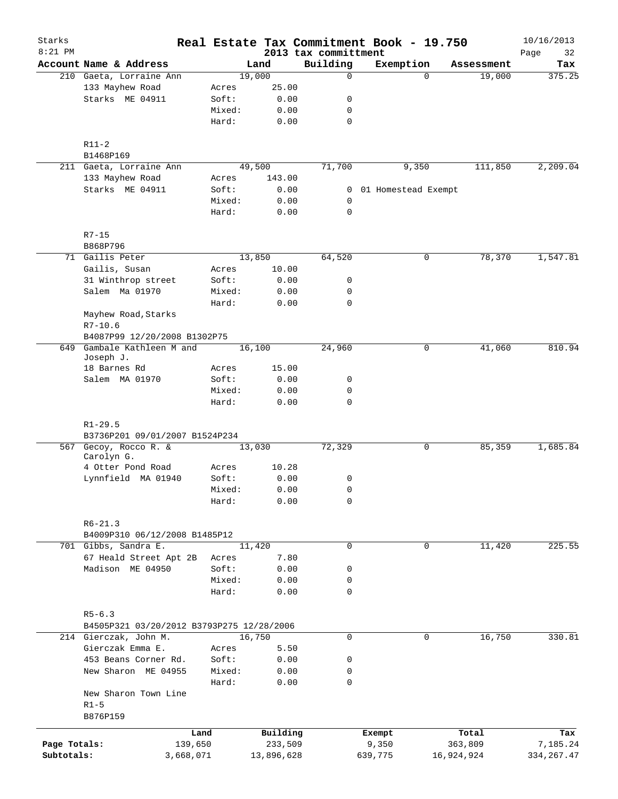| Starks<br>$8:21$ PM |                                           |           |        |            | Real Estate Tax Commitment Book - 19.750<br>2013 tax committment |                       |          |            | 10/16/2013<br>32<br>Page |
|---------------------|-------------------------------------------|-----------|--------|------------|------------------------------------------------------------------|-----------------------|----------|------------|--------------------------|
|                     | Account Name & Address                    |           |        | Land       | Building                                                         | Exemption             |          | Assessment | Tax                      |
|                     | 210 Gaeta, Lorraine Ann                   |           | 19,000 |            | $\mathbf 0$                                                      |                       | $\Omega$ | 19,000     | 375.25                   |
|                     | 133 Mayhew Road                           | Acres     |        | 25.00      |                                                                  |                       |          |            |                          |
|                     | Starks ME 04911                           | Soft:     |        | 0.00       | 0                                                                |                       |          |            |                          |
|                     |                                           | Mixed:    |        | 0.00       | $\mathbf 0$                                                      |                       |          |            |                          |
|                     |                                           | Hard:     |        | 0.00       | $\mathbf 0$                                                      |                       |          |            |                          |
|                     | $R11-2$                                   |           |        |            |                                                                  |                       |          |            |                          |
|                     | B1468P169                                 |           |        |            |                                                                  |                       |          |            |                          |
|                     | 211 Gaeta, Lorraine Ann                   |           | 49,500 |            | 71,700                                                           |                       | 9,350    | 111,850    | 2,209.04                 |
|                     | 133 Mayhew Road                           | Acres     |        | 143.00     |                                                                  |                       |          |            |                          |
|                     | Starks ME 04911                           | Soft:     |        | 0.00       |                                                                  | 0 01 Homestead Exempt |          |            |                          |
|                     |                                           | Mixed:    |        | 0.00       | 0                                                                |                       |          |            |                          |
|                     |                                           | Hard:     |        | 0.00       | $\mathbf 0$                                                      |                       |          |            |                          |
|                     | $R7 - 15$                                 |           |        |            |                                                                  |                       |          |            |                          |
|                     | B868P796                                  |           |        |            |                                                                  |                       |          |            |                          |
|                     | 71 Gailis Peter                           |           | 13,850 |            | 64,520                                                           |                       | 0        | 78,370     | 1,547.81                 |
|                     | Gailis, Susan                             | Acres     |        | 10.00      |                                                                  |                       |          |            |                          |
|                     | 31 Winthrop street                        | Soft:     |        | 0.00       | 0                                                                |                       |          |            |                          |
|                     | Salem Ma 01970                            | Mixed:    |        | 0.00       | 0                                                                |                       |          |            |                          |
|                     |                                           | Hard:     |        | 0.00       | $\mathbf 0$                                                      |                       |          |            |                          |
|                     | Mayhew Road, Starks                       |           |        |            |                                                                  |                       |          |            |                          |
|                     | $R7 - 10.6$                               |           |        |            |                                                                  |                       |          |            |                          |
|                     | B4087P99 12/20/2008 B1302P75              |           |        |            |                                                                  |                       |          |            |                          |
| 649                 | Gambale Kathleen M and<br>Joseph J.       |           | 16,100 |            | 24,960                                                           |                       | 0        | 41,060     | 810.94                   |
|                     | 18 Barnes Rd                              | Acres     |        | 15.00      |                                                                  |                       |          |            |                          |
|                     | Salem MA 01970                            | Soft:     |        | 0.00       | 0                                                                |                       |          |            |                          |
|                     |                                           | Mixed:    |        | 0.00       | $\mathsf{O}$                                                     |                       |          |            |                          |
|                     |                                           | Hard:     |        | 0.00       | $\mathbf 0$                                                      |                       |          |            |                          |
|                     | $R1 - 29.5$                               |           |        |            |                                                                  |                       |          |            |                          |
|                     | B3736P201 09/01/2007 B1524P234            |           |        |            |                                                                  |                       |          |            |                          |
|                     | 567 Gecoy, Rocco R. &<br>Carolyn G.       |           | 13,030 |            | 72,329                                                           |                       | 0        | 85,359     | 1,685.84                 |
|                     | 4 Otter Pond Road                         | Acres     |        | 10.28      |                                                                  |                       |          |            |                          |
|                     | Lynnfield MA 01940                        | Soft:     |        | 0.00       | 0                                                                |                       |          |            |                          |
|                     |                                           | Mixed:    |        | 0.00       | 0                                                                |                       |          |            |                          |
|                     |                                           | Hard:     |        | 0.00       | 0                                                                |                       |          |            |                          |
|                     | $R6 - 21.3$                               |           |        |            |                                                                  |                       |          |            |                          |
|                     | B4009P310 06/12/2008 B1485P12             |           |        |            |                                                                  |                       |          |            |                          |
|                     | 701 Gibbs, Sandra E.                      |           | 11,420 |            | $\mathbf 0$                                                      |                       | 0        | 11,420     | 225.55                   |
|                     | 67 Heald Street Apt 2B                    | Acres     |        | 7.80       |                                                                  |                       |          |            |                          |
|                     | Madison ME 04950                          | Soft:     |        | 0.00       | 0                                                                |                       |          |            |                          |
|                     |                                           | Mixed:    |        | 0.00       | 0                                                                |                       |          |            |                          |
|                     |                                           | Hard:     |        | 0.00       | $\mathbf 0$                                                      |                       |          |            |                          |
|                     | $R5 - 6.3$                                |           |        |            |                                                                  |                       |          |            |                          |
|                     | B4505P321 03/20/2012 B3793P275 12/28/2006 |           |        |            |                                                                  |                       |          |            |                          |
|                     | 214 Gierczak, John M.                     |           | 16,750 |            | 0                                                                |                       | 0        | 16,750     | 330.81                   |
|                     | Gierczak Emma E.                          | Acres     |        | 5.50       |                                                                  |                       |          |            |                          |
|                     | 453 Beans Corner Rd.                      | Soft:     |        | 0.00       | 0                                                                |                       |          |            |                          |
|                     | New Sharon ME 04955                       | Mixed:    |        | 0.00       | 0                                                                |                       |          |            |                          |
|                     |                                           | Hard:     |        | 0.00       | 0                                                                |                       |          |            |                          |
|                     | New Sharon Town Line                      |           |        |            |                                                                  |                       |          |            |                          |
|                     | $R1-5$<br>B876P159                        |           |        |            |                                                                  |                       |          |            |                          |
|                     |                                           | Land      |        | Building   |                                                                  | Exempt                |          | Total      | Tax                      |
| Page Totals:        |                                           | 139,650   |        | 233,509    |                                                                  | 9,350                 |          | 363,809    | 7,185.24                 |
| Subtotals:          |                                           | 3,668,071 |        | 13,896,628 |                                                                  | 639,775               |          | 16,924,924 | 334,267.47               |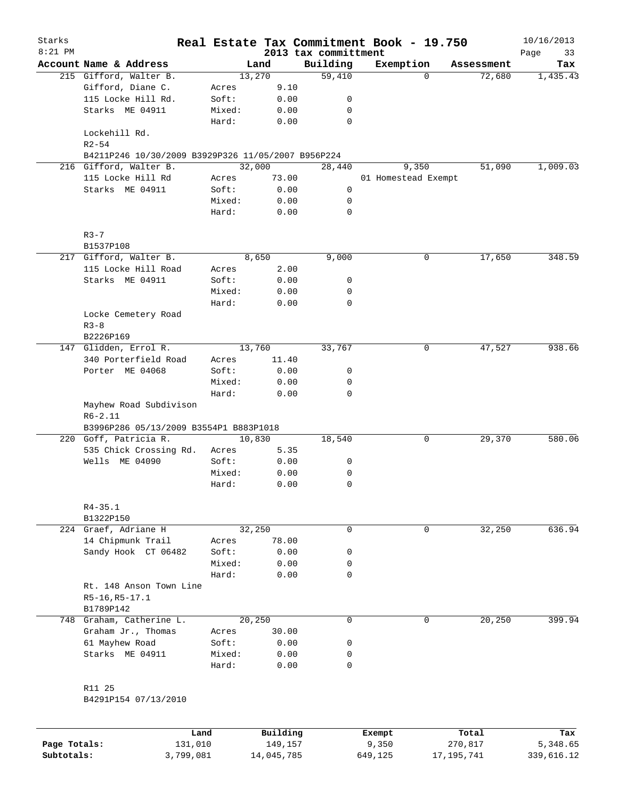| Starks       |                                                    |        |                |          |                      | Real Estate Tax Commitment Book - 19.750 |          |                      | 10/16/2013 |
|--------------|----------------------------------------------------|--------|----------------|----------|----------------------|------------------------------------------|----------|----------------------|------------|
| $8:21$ PM    |                                                    |        |                |          | 2013 tax committment |                                          |          |                      | Page<br>33 |
|              | Account Name & Address                             |        | Land<br>13,270 |          | Building<br>59,410   | Exemption                                | $\Omega$ | Assessment<br>72,680 | Tax        |
|              | 215 Gifford, Walter B.<br>Gifford, Diane C.        | Acres  |                | 9.10     |                      |                                          |          |                      | 1,435.43   |
|              | 115 Locke Hill Rd.                                 | Soft:  |                | 0.00     | 0                    |                                          |          |                      |            |
|              | Starks ME 04911                                    | Mixed: |                | 0.00     | 0                    |                                          |          |                      |            |
|              |                                                    | Hard:  |                | 0.00     | 0                    |                                          |          |                      |            |
|              | Lockehill Rd.<br>$R2 - 54$                         |        |                |          |                      |                                          |          |                      |            |
|              | B4211P246 10/30/2009 B3929P326 11/05/2007 B956P224 |        |                |          |                      |                                          |          |                      |            |
|              | 216 Gifford, Walter B.                             |        | 32,000         |          | 28,440               | 9,350                                    |          | 51,090               | 1,009.03   |
|              | 115 Locke Hill Rd                                  | Acres  |                | 73.00    |                      | 01 Homestead Exempt                      |          |                      |            |
|              | Starks ME 04911                                    | Soft:  |                | 0.00     | 0                    |                                          |          |                      |            |
|              |                                                    | Mixed: |                | 0.00     | 0                    |                                          |          |                      |            |
|              |                                                    | Hard:  |                | 0.00     | $\mathbf 0$          |                                          |          |                      |            |
|              | $R3 - 7$                                           |        |                |          |                      |                                          |          |                      |            |
|              | B1537P108                                          |        |                |          |                      |                                          |          |                      |            |
|              | 217 Gifford, Walter B.                             |        | 8,650          |          | 9,000                |                                          | 0        | 17,650               | 348.59     |
|              | 115 Locke Hill Road                                | Acres  |                | 2.00     |                      |                                          |          |                      |            |
|              | Starks ME 04911                                    | Soft:  |                | 0.00     | 0                    |                                          |          |                      |            |
|              |                                                    | Mixed: |                | 0.00     | 0                    |                                          |          |                      |            |
|              |                                                    | Hard:  |                | 0.00     | 0                    |                                          |          |                      |            |
|              | Locke Cemetery Road                                |        |                |          |                      |                                          |          |                      |            |
|              | $R3 - 8$                                           |        |                |          |                      |                                          |          |                      |            |
|              | B2226P169                                          |        |                |          |                      |                                          |          |                      |            |
|              | 147 Glidden, Errol R.                              |        | 13,760         |          | 33,767               |                                          | 0        | 47,527               | 938.66     |
|              | 340 Porterfield Road                               | Acres  |                | 11.40    |                      |                                          |          |                      |            |
|              | Porter ME 04068                                    | Soft:  |                | 0.00     | 0                    |                                          |          |                      |            |
|              |                                                    | Mixed: |                | 0.00     | 0                    |                                          |          |                      |            |
|              |                                                    | Hard:  |                | 0.00     | $\mathbf 0$          |                                          |          |                      |            |
|              | Mayhew Road Subdivison<br>$R6 - 2.11$              |        |                |          |                      |                                          |          |                      |            |
|              | B3996P286 05/13/2009 B3554P1 B883P1018             |        |                |          |                      |                                          |          |                      |            |
|              | 220 Goff, Patricia R.                              |        | 10,830         |          | 18,540               |                                          | 0        | 29,370               | 580.06     |
|              | 535 Chick Crossing Rd.                             | Acres  |                | 5.35     |                      |                                          |          |                      |            |
|              | Wells ME 04090                                     | Soft:  |                | 0.00     | 0                    |                                          |          |                      |            |
|              |                                                    | Mixed: |                | 0.00     | 0                    |                                          |          |                      |            |
|              |                                                    | Hard:  |                | 0.00     | $\mathbf 0$          |                                          |          |                      |            |
|              | $R4 - 35.1$                                        |        |                |          |                      |                                          |          |                      |            |
|              | B1322P150                                          |        |                |          |                      |                                          |          |                      |            |
|              | 224 Graef, Adriane H                               |        | 32,250         |          | $\mathbf 0$          |                                          | 0        | 32,250               | 636.94     |
|              | 14 Chipmunk Trail                                  | Acres  |                | 78.00    |                      |                                          |          |                      |            |
|              | Sandy Hook CT 06482                                | Soft:  |                | 0.00     | 0                    |                                          |          |                      |            |
|              |                                                    | Mixed: |                | 0.00     | 0                    |                                          |          |                      |            |
|              |                                                    | Hard:  |                | 0.00     | $\mathbf 0$          |                                          |          |                      |            |
|              | Rt. 148 Anson Town Line                            |        |                |          |                      |                                          |          |                      |            |
|              | $R5-16, R5-17.1$                                   |        |                |          |                      |                                          |          |                      |            |
|              | B1789P142                                          |        |                |          |                      |                                          |          |                      |            |
|              | 748 Graham, Catherine L.                           |        | 20,250         |          | $\mathbf 0$          |                                          | 0        | 20,250               | 399.94     |
|              | Graham Jr., Thomas                                 | Acres  |                | 30.00    |                      |                                          |          |                      |            |
|              | 61 Mayhew Road                                     | Soft:  |                | 0.00     | 0                    |                                          |          |                      |            |
|              | Starks ME 04911                                    | Mixed: |                | 0.00     | 0                    |                                          |          |                      |            |
|              |                                                    | Hard:  |                | 0.00     | $\mathbf 0$          |                                          |          |                      |            |
|              | R11 25                                             |        |                |          |                      |                                          |          |                      |            |
|              | B4291P154 07/13/2010                               |        |                |          |                      |                                          |          |                      |            |
|              |                                                    |        |                |          |                      |                                          |          |                      |            |
|              | Land                                               |        |                | Building |                      | Exempt                                   |          | Total                | Tax        |
| Page Totals: | 131,010                                            |        |                | 149,157  |                      | 9,350                                    |          | 270,817              | 5,348.65   |

**Subtotals:** 3,799,081 14,045,785 649,125 17,195,741 339,616.12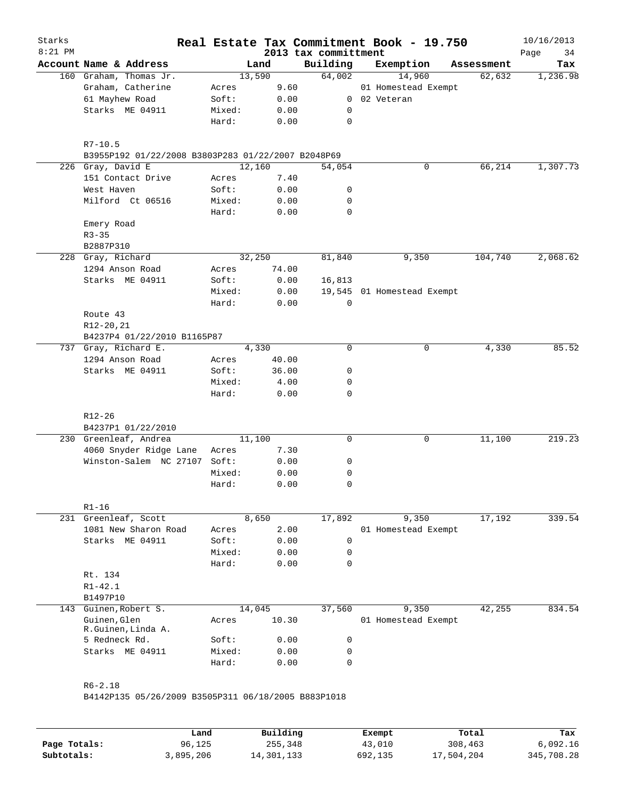| Starks<br>$8:21$ PM |                                                     |        |        | 2013 tax committment | Real Estate Tax Commitment Book - 19.750 |            | 10/16/2013<br>34<br>Page |
|---------------------|-----------------------------------------------------|--------|--------|----------------------|------------------------------------------|------------|--------------------------|
|                     | Account Name & Address                              |        | Land   | Building             | Exemption                                | Assessment | Tax                      |
|                     | 160 Graham, Thomas Jr.                              |        | 13,590 | 64,002               | 14,960                                   | 62,632     | 1,236.98                 |
|                     | Graham, Catherine                                   | Acres  | 9.60   |                      | 01 Homestead Exempt                      |            |                          |
|                     | 61 Mayhew Road                                      | Soft:  | 0.00   |                      | 0 02 Veteran                             |            |                          |
|                     | Starks ME 04911                                     | Mixed: | 0.00   | 0                    |                                          |            |                          |
|                     |                                                     | Hard:  | 0.00   | 0                    |                                          |            |                          |
|                     | $R7 - 10.5$                                         |        |        |                      |                                          |            |                          |
|                     | B3955P192 01/22/2008 B3803P283 01/22/2007 B2048P69  |        |        |                      |                                          |            |                          |
|                     | 226 Gray, David E                                   |        | 12,160 | 54,054               | 0                                        | 66,214     | 1,307.73                 |
|                     | 151 Contact Drive                                   | Acres  | 7.40   |                      |                                          |            |                          |
|                     | West Haven                                          | Soft:  | 0.00   | 0                    |                                          |            |                          |
|                     | Milford Ct 06516                                    | Mixed: | 0.00   | 0                    |                                          |            |                          |
|                     |                                                     | Hard:  | 0.00   | 0                    |                                          |            |                          |
|                     | Emery Road                                          |        |        |                      |                                          |            |                          |
|                     | $R3 - 35$                                           |        |        |                      |                                          |            |                          |
|                     | B2887P310                                           |        |        |                      |                                          |            |                          |
|                     | 228 Gray, Richard                                   |        | 32,250 | 81,840               | 9,350                                    | 104,740    | 2,068.62                 |
|                     | 1294 Anson Road                                     | Acres  | 74.00  |                      |                                          |            |                          |
|                     | Starks ME 04911                                     | Soft:  | 0.00   | 16,813               |                                          |            |                          |
|                     |                                                     | Mixed: | 0.00   |                      | 19,545 01 Homestead Exempt               |            |                          |
|                     |                                                     | Hard:  | 0.00   | 0                    |                                          |            |                          |
|                     | Route 43                                            |        |        |                      |                                          |            |                          |
|                     | R12-20,21                                           |        |        |                      |                                          |            |                          |
|                     | B4237P4 01/22/2010 B1165P87                         |        |        |                      |                                          |            |                          |
|                     | 737 Gray, Richard E.                                |        | 4,330  | $\mathbf 0$          | 0                                        | 4,330      | 85.52                    |
|                     | 1294 Anson Road                                     | Acres  | 40.00  |                      |                                          |            |                          |
|                     | Starks ME 04911                                     | Soft:  | 36.00  | 0                    |                                          |            |                          |
|                     |                                                     | Mixed: | 4.00   | 0                    |                                          |            |                          |
|                     |                                                     | Hard:  | 0.00   | 0                    |                                          |            |                          |
|                     | R12-26                                              |        |        |                      |                                          |            |                          |
|                     | B4237P1 01/22/2010<br>230 Greenleaf, Andrea         |        | 11,100 | 0                    | 0                                        | 11,100     | 219.23                   |
|                     | 4060 Snyder Ridge Lane                              | Acres  | 7.30   |                      |                                          |            |                          |
|                     | Winston-Salem NC 27107                              | Soft:  | 0.00   | 0                    |                                          |            |                          |
|                     |                                                     | Mixed: | 0.00   | 0                    |                                          |            |                          |
|                     |                                                     | Hard:  | 0.00   | 0                    |                                          |            |                          |
|                     |                                                     |        |        |                      |                                          |            |                          |
|                     | $R1 - 16$                                           |        |        |                      |                                          |            |                          |
|                     | 231 Greenleaf, Scott                                |        | 8,650  | 17,892               | 9,350                                    | 17,192     | 339.54                   |
|                     | 1081 New Sharon Road                                | Acres  | 2.00   |                      | 01 Homestead Exempt                      |            |                          |
|                     | Starks ME 04911                                     | Soft:  | 0.00   | $\mathbf 0$          |                                          |            |                          |
|                     |                                                     | Mixed: | 0.00   | 0                    |                                          |            |                          |
|                     |                                                     | Hard:  | 0.00   | 0                    |                                          |            |                          |
|                     | Rt. 134                                             |        |        |                      |                                          |            |                          |
|                     | $R1 - 42.1$                                         |        |        |                      |                                          |            |                          |
|                     | B1497P10                                            |        |        |                      |                                          |            |                          |
| 143                 | Guinen, Robert S.                                   |        | 14,045 | 37,560               | 9,350                                    | 42,255     | 834.54                   |
|                     | Guinen, Glen<br>R.Guinen, Linda A.                  | Acres  | 10.30  |                      | 01 Homestead Exempt                      |            |                          |
|                     | 5 Redneck Rd.                                       | Soft:  | 0.00   | 0                    |                                          |            |                          |
|                     | Starks ME 04911                                     | Mixed: | 0.00   | 0                    |                                          |            |                          |
|                     |                                                     | Hard:  | 0.00   | 0                    |                                          |            |                          |
|                     |                                                     |        |        |                      |                                          |            |                          |
|                     | $R6 - 2.18$                                         |        |        |                      |                                          |            |                          |
|                     | B4142P135 05/26/2009 B3505P311 06/18/2005 B883P1018 |        |        |                      |                                          |            |                          |
|                     |                                                     |        |        |                      |                                          |            |                          |

|              | Land      | Building   | Exempt  | Total      | Tax        |
|--------------|-----------|------------|---------|------------|------------|
| Page Totals: | 96,125    | 255,348    | 43,010  | 308,463    | 6.092.16   |
| Subtotals:   | 3,895,206 | 14,301,133 | 692,135 | 17,504,204 | 345,708.28 |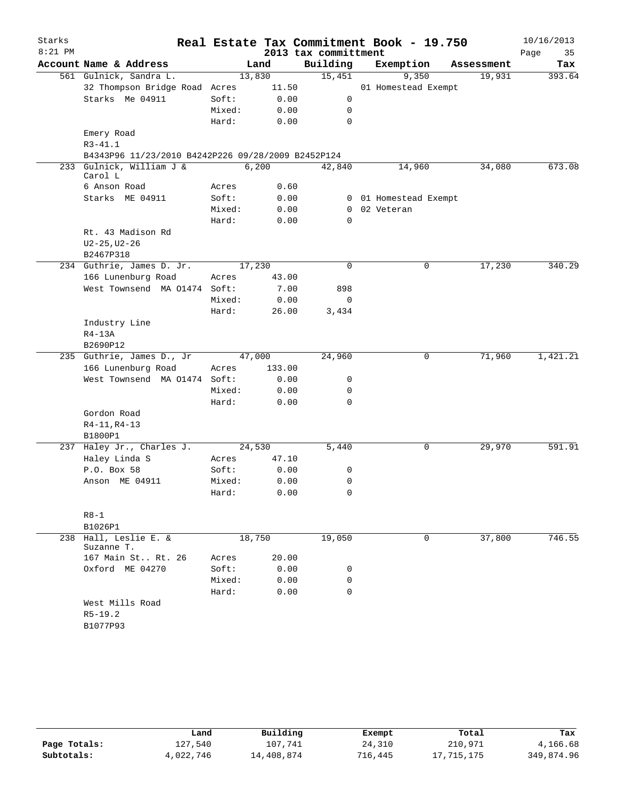| Starks    |                                                    |                |        |              |                      | Real Estate Tax Commitment Book - 19.750 |            | 10/16/2013 |
|-----------|----------------------------------------------------|----------------|--------|--------------|----------------------|------------------------------------------|------------|------------|
| $8:21$ PM |                                                    |                |        |              | 2013 tax committment |                                          |            | Page<br>35 |
|           | Account Name & Address                             |                | Land   |              | Building             | Exemption                                | Assessment | Tax        |
|           | 561 Gulnick, Sandra L.                             |                | 13,830 |              | 15,451               | 9,350                                    | 19,931     | 393.64     |
|           | 32 Thompson Bridge Road Acres                      |                | 11.50  |              |                      | 01 Homestead Exempt                      |            |            |
|           | Starks Me 04911                                    | Soft:          |        | 0.00         | 0                    |                                          |            |            |
|           |                                                    | Mixed:         |        | 0.00         | 0                    |                                          |            |            |
|           |                                                    | Hard:          |        | 0.00         | 0                    |                                          |            |            |
|           | Emery Road                                         |                |        |              |                      |                                          |            |            |
|           | $R3 - 41.1$                                        |                |        |              |                      |                                          |            |            |
|           | B4343P96 11/23/2010 B4242P226 09/28/2009 B2452P124 |                |        |              |                      |                                          |            |            |
|           | 233 Gulnick, William J &                           |                | 6,200  |              | 42,840               | 14,960                                   | 34,080     | 673.08     |
|           | Carol L                                            |                |        | 0.60         |                      |                                          |            |            |
|           | 6 Anson Road<br>Starks ME 04911                    | Acres<br>Soft: |        |              |                      |                                          |            |            |
|           |                                                    | Mixed:         |        | 0.00<br>0.00 | $\overline{0}$       | 0 01 Homestead Exempt<br>02 Veteran      |            |            |
|           |                                                    | Hard:          |        | 0.00         | 0                    |                                          |            |            |
|           | Rt. 43 Madison Rd                                  |                |        |              |                      |                                          |            |            |
|           | $U2 - 25, U2 - 26$                                 |                |        |              |                      |                                          |            |            |
|           | B2467P318                                          |                |        |              |                      |                                          |            |            |
|           | 234 Guthrie, James D. Jr.                          |                | 17,230 |              | 0                    | 0                                        | 17,230     | 340.29     |
|           | 166 Lunenburg Road                                 | Acres          | 43.00  |              |                      |                                          |            |            |
|           | West Townsend MA 01474 Soft:                       |                |        | 7.00         | 898                  |                                          |            |            |
|           |                                                    | Mixed:         |        | 0.00         | 0                    |                                          |            |            |
|           |                                                    | Hard:          | 26.00  |              | 3,434                |                                          |            |            |
|           | Industry Line                                      |                |        |              |                      |                                          |            |            |
|           | $R4-13A$                                           |                |        |              |                      |                                          |            |            |
|           | B2690P12                                           |                |        |              |                      |                                          |            |            |
|           | 235 Guthrie, James D., Jr                          |                | 47,000 |              | 24,960               | 0                                        | 71,960     | 1,421.21   |
|           | 166 Lunenburg Road                                 | Acres          | 133.00 |              |                      |                                          |            |            |
|           | West Townsend MA 01474 Soft:                       |                |        | 0.00         | 0                    |                                          |            |            |
|           |                                                    | Mixed:         |        | 0.00         | 0                    |                                          |            |            |
|           |                                                    | Hard:          |        | 0.00         | 0                    |                                          |            |            |
|           | Gordon Road                                        |                |        |              |                      |                                          |            |            |
|           | R4-11, R4-13                                       |                |        |              |                      |                                          |            |            |
|           | B1800P1                                            |                |        |              |                      |                                          |            |            |
|           | 237 Haley Jr., Charles J.                          |                | 24,530 |              | 5,440                | 0                                        | 29,970     | 591.91     |
|           | Haley Linda S                                      | Acres          | 47.10  |              |                      |                                          |            |            |
|           | P.O. Box 58                                        | Soft:          |        | 0.00         | 0                    |                                          |            |            |
|           | Anson ME 04911                                     | Mixed:         |        | 0.00         | 0                    |                                          |            |            |
|           |                                                    | Hard:          |        | 0.00         | 0                    |                                          |            |            |
|           |                                                    |                |        |              |                      |                                          |            |            |
|           | $R8-1$                                             |                |        |              |                      |                                          |            |            |
|           | B1026P1                                            |                |        |              |                      |                                          |            |            |
|           | 238 Hall, Leslie E. &<br>Suzanne T.                |                | 18,750 |              | 19,050               | 0                                        | 37,800     | 746.55     |
|           | 167 Main St Rt. 26                                 | Acres          | 20.00  |              |                      |                                          |            |            |
|           | Oxford ME 04270                                    | Soft:          |        | 0.00         | 0                    |                                          |            |            |
|           |                                                    | Mixed:         |        | 0.00         | 0                    |                                          |            |            |
|           |                                                    | Hard:          |        | 0.00         | 0                    |                                          |            |            |
|           | West Mills Road                                    |                |        |              |                      |                                          |            |            |
|           | $R5 - 19.2$                                        |                |        |              |                      |                                          |            |            |
|           | B1077P93                                           |                |        |              |                      |                                          |            |            |
|           |                                                    |                |        |              |                      |                                          |            |            |

|              | Land      | Building   | Exempt  | Total      | Tax        |
|--------------|-----------|------------|---------|------------|------------|
| Page Totals: | 127.540   | 107,741    | 24,310  | 210,971    | 4,166.68   |
| Subtotals:   | 4,022,746 | 14,408,874 | 716,445 | 17,715,175 | 349,874.96 |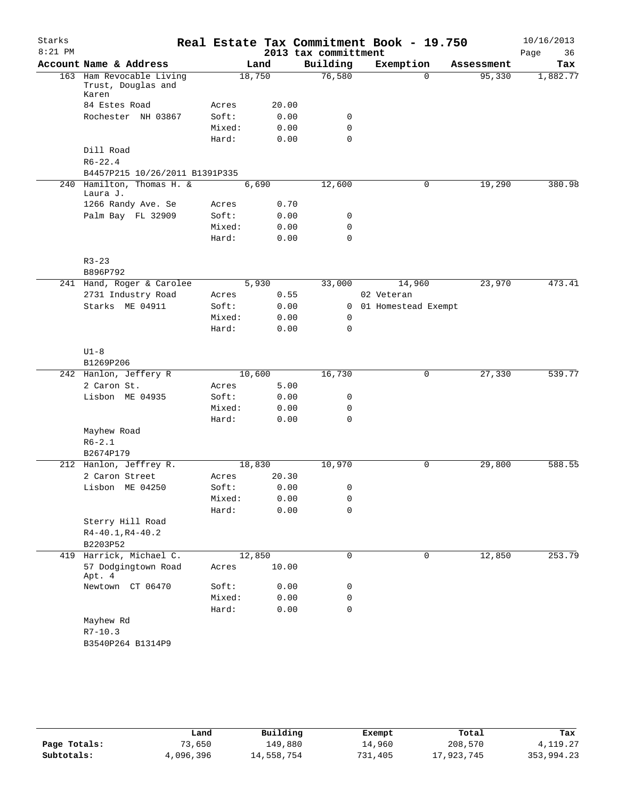| Starks<br>$8:21$ PM |                                                         |        |       | 2013 tax committment | Real Estate Tax Commitment Book - 19.750 |            | 10/16/2013<br>Page<br>36 |
|---------------------|---------------------------------------------------------|--------|-------|----------------------|------------------------------------------|------------|--------------------------|
|                     | Account Name & Address                                  |        | Land  | Building             | Exemption                                | Assessment | Tax                      |
|                     | 163 Ham Revocable Living<br>Trust, Douglas and<br>Karen | 18,750 |       | 76,580               | $\Omega$                                 | 95,330     | 1,882.77                 |
|                     | 84 Estes Road                                           | Acres  | 20.00 |                      |                                          |            |                          |
|                     | Rochester NH 03867                                      | Soft:  | 0.00  | 0                    |                                          |            |                          |
|                     |                                                         | Mixed: | 0.00  | 0                    |                                          |            |                          |
|                     |                                                         | Hard:  | 0.00  | $\mathbf 0$          |                                          |            |                          |
|                     | Dill Road                                               |        |       |                      |                                          |            |                          |
|                     | $R6 - 22.4$                                             |        |       |                      |                                          |            |                          |
|                     | B4457P215 10/26/2011 B1391P335                          |        |       |                      |                                          |            |                          |
| 240                 | Hamilton, Thomas H. &<br>Laura J.                       |        | 6,690 | 12,600               | $\mathbf 0$                              | 19,290     | 380.98                   |
|                     | 1266 Randy Ave. Se                                      | Acres  | 0.70  |                      |                                          |            |                          |
|                     | Palm Bay FL 32909                                       | Soft:  | 0.00  | 0                    |                                          |            |                          |
|                     |                                                         | Mixed: | 0.00  | 0                    |                                          |            |                          |
|                     |                                                         | Hard:  | 0.00  | $\mathbf 0$          |                                          |            |                          |
|                     | $R3 - 23$                                               |        |       |                      |                                          |            |                          |
|                     | B896P792                                                |        |       |                      |                                          |            |                          |
|                     | 241 Hand, Roger & Carolee                               |        | 5,930 | 33,000               | 14,960                                   | 23,970     | 473.41                   |
|                     | 2731 Industry Road                                      | Acres  | 0.55  |                      | 02 Veteran                               |            |                          |
|                     | Starks ME 04911                                         | Soft:  | 0.00  | 0                    | 01 Homestead Exempt                      |            |                          |
|                     |                                                         | Mixed: | 0.00  | 0                    |                                          |            |                          |
|                     |                                                         | Hard:  | 0.00  | 0                    |                                          |            |                          |
|                     | $U1-8$                                                  |        |       |                      |                                          |            |                          |
|                     | B1269P206                                               |        |       |                      |                                          |            |                          |
|                     | 242 Hanlon, Jeffery R                                   | 10,600 |       | 16,730               | 0                                        | 27,330     | 539.77                   |
|                     | 2 Caron St.                                             | Acres  | 5.00  |                      |                                          |            |                          |
|                     | Lisbon ME 04935                                         | Soft:  | 0.00  | 0                    |                                          |            |                          |
|                     |                                                         | Mixed: | 0.00  | 0                    |                                          |            |                          |
|                     |                                                         | Hard:  | 0.00  | $\Omega$             |                                          |            |                          |
|                     | Mayhew Road<br>$R6 - 2.1$                               |        |       |                      |                                          |            |                          |
|                     | B2674P179                                               |        |       |                      |                                          |            |                          |
|                     | 212 Hanlon, Jeffrey R.                                  | 18,830 |       | 10,970               | $\mathbf 0$                              | 29,800     | 588.55                   |
|                     | 2 Caron Street                                          | Acres  | 20.30 |                      |                                          |            |                          |
|                     | Lisbon ME 04250                                         | Soft:  | 0.00  | 0                    |                                          |            |                          |
|                     |                                                         | Mixed: | 0.00  | 0                    |                                          |            |                          |
|                     |                                                         | Hard:  | 0.00  | 0                    |                                          |            |                          |
|                     | Sterry Hill Road                                        |        |       |                      |                                          |            |                          |
|                     | $R4 - 40.1, R4 - 40.2$                                  |        |       |                      |                                          |            |                          |
|                     | B2203P52                                                |        |       |                      |                                          |            |                          |
|                     | 419 Harrick, Michael C.                                 | 12,850 |       | 0                    | $\mathbf 0$                              | 12,850     | 253.79                   |
|                     | 57 Dodgingtown Road<br>Apt. 4                           | Acres  | 10.00 |                      |                                          |            |                          |
|                     | Newtown CT 06470                                        | Soft:  | 0.00  | 0                    |                                          |            |                          |
|                     |                                                         | Mixed: | 0.00  | 0                    |                                          |            |                          |
|                     |                                                         | Hard:  | 0.00  | $\mathbf 0$          |                                          |            |                          |
|                     | Mayhew Rd                                               |        |       |                      |                                          |            |                          |
|                     | $R7 - 10.3$                                             |        |       |                      |                                          |            |                          |
|                     | B3540P264 B1314P9                                       |        |       |                      |                                          |            |                          |

|              | Land      | Building   | Exempt  | Total      | Tax        |
|--------------|-----------|------------|---------|------------|------------|
| Page Totals: | 73,650    | 149,880    | 14,960  | 208,570    | 4, 119, 27 |
| Subtotals:   | 4,096,396 | 14,558,754 | 731,405 | 17,923,745 | 353,994.23 |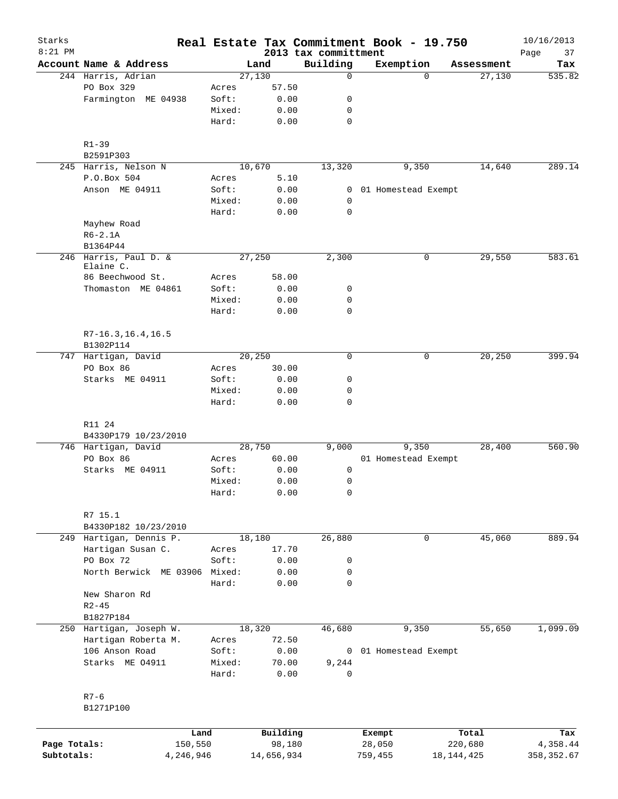| Starks<br>$8:21$ PM |                                    |                 |              | 2013 tax committment | Real Estate Tax Commitment Book - 19.750 |            | 10/16/2013<br>Page<br>37 |
|---------------------|------------------------------------|-----------------|--------------|----------------------|------------------------------------------|------------|--------------------------|
|                     | Account Name & Address             |                 | Land         | Building             | Exemption                                | Assessment | Tax                      |
|                     | 244 Harris, Adrian                 |                 | 27,130       | $\mathbf 0$          | $\Omega$                                 | 27,130     | 535.82                   |
|                     | PO Box 329                         | Acres           | 57.50        |                      |                                          |            |                          |
|                     | Farmington ME 04938                | Soft:           | 0.00         | 0                    |                                          |            |                          |
|                     |                                    | Mixed:          | 0.00         | 0                    |                                          |            |                          |
|                     |                                    | Hard:           | 0.00         | $\mathbf 0$          |                                          |            |                          |
|                     | $R1 - 39$                          |                 |              |                      |                                          |            |                          |
|                     | B2591P303                          |                 |              |                      |                                          |            |                          |
|                     | 245 Harris, Nelson N               |                 | 10,670       | 13,320               | 9,350                                    | 14,640     | 289.14                   |
|                     | P.O.Box 504                        | Acres           | 5.10         |                      |                                          |            |                          |
|                     | Anson ME 04911                     | Soft:           | 0.00         | 0                    | 01 Homestead Exempt                      |            |                          |
|                     |                                    | Mixed:          | 0.00         | 0                    |                                          |            |                          |
|                     |                                    | Hard:           | 0.00         | 0                    |                                          |            |                          |
|                     | Mayhew Road<br>$R6-2.1A$           |                 |              |                      |                                          |            |                          |
|                     | B1364P44                           |                 |              |                      |                                          |            |                          |
|                     | 246 Harris, Paul D. &<br>Elaine C. |                 | 27,250       | 2,300                | 0                                        | 29,550     | 583.61                   |
|                     | 86 Beechwood St.                   | Acres           | 58.00        |                      |                                          |            |                          |
|                     | Thomaston ME 04861                 | Soft:           | 0.00         | 0                    |                                          |            |                          |
|                     |                                    | Mixed:          | 0.00         | 0                    |                                          |            |                          |
|                     |                                    | Hard:           | 0.00         | $\mathbf 0$          |                                          |            |                          |
|                     | $R7-16.3, 16.4, 16.5$              |                 |              |                      |                                          |            |                          |
|                     | B1302P114                          |                 |              |                      |                                          |            |                          |
|                     | 747 Hartigan, David                |                 | 20,250       | $\mathbf 0$          | 0                                        | 20,250     | 399.94                   |
|                     | PO Box 86                          | Acres           | 30.00        |                      |                                          |            |                          |
|                     | Starks ME 04911                    | Soft:           | 0.00<br>0.00 | 0<br>0               |                                          |            |                          |
|                     |                                    | Mixed:<br>Hard: | 0.00         | 0                    |                                          |            |                          |
|                     |                                    |                 |              |                      |                                          |            |                          |
|                     | R11 24<br>B4330P179 10/23/2010     |                 |              |                      |                                          |            |                          |
|                     | 746 Hartigan, David                |                 | 28,750       | 9,000                | 9,350                                    | 28,400     | 560.90                   |
|                     | PO Box 86                          | Acres           | 60.00        |                      | 01 Homestead Exempt                      |            |                          |
|                     | Starks ME 04911                    | Soft:           | 0.00         | 0                    |                                          |            |                          |
|                     |                                    | Mixed:          | 0.00         | 0                    |                                          |            |                          |
|                     |                                    | Hard:           | 0.00         | 0                    |                                          |            |                          |
|                     | R7 15.1                            |                 |              |                      |                                          |            |                          |
|                     | B4330P182 10/23/2010               |                 |              |                      |                                          |            |                          |
|                     | 249 Hartigan, Dennis P.            |                 | 18,180       | 26,880               | 0                                        | 45,060     | 889.94                   |
|                     | Hartigan Susan C.                  | Acres           | 17.70        |                      |                                          |            |                          |
|                     | PO Box 72                          | Soft:           | 0.00         | 0                    |                                          |            |                          |
|                     | North Berwick ME 03906             | Mixed:          | 0.00         | 0                    |                                          |            |                          |
|                     |                                    | Hard:           | 0.00         | 0                    |                                          |            |                          |
|                     | New Sharon Rd                      |                 |              |                      |                                          |            |                          |
|                     | $R2 - 45$                          |                 |              |                      |                                          |            |                          |
|                     | B1827P184                          |                 |              |                      |                                          |            |                          |
|                     | 250 Hartigan, Joseph W.            |                 | 18,320       | 46,680               | 9,350                                    | 55,650     | 1,099.09                 |
|                     | Hartigan Roberta M.                | Acres           | 72.50        |                      |                                          |            |                          |
|                     | 106 Anson Road                     | Soft:           | 0.00         |                      | 0 01 Homestead Exempt                    |            |                          |
|                     | Starks ME 04911                    | Mixed:          | 70.00        | 9,244                |                                          |            |                          |
|                     |                                    | Hard:           | 0.00         | 0                    |                                          |            |                          |
|                     | $R7 - 6$                           |                 |              |                      |                                          |            |                          |
|                     | B1271P100                          |                 |              |                      |                                          |            |                          |
|                     | Land                               |                 | Building     |                      | Exempt                                   | Total      | Tax                      |
| Page Totals:        | 150,550                            |                 | 98,180       |                      | 28,050                                   | 220,680    | 4,358.44                 |

**Subtotals:** 4,246,946 14,656,934 759,455 18,144,425 358,352.67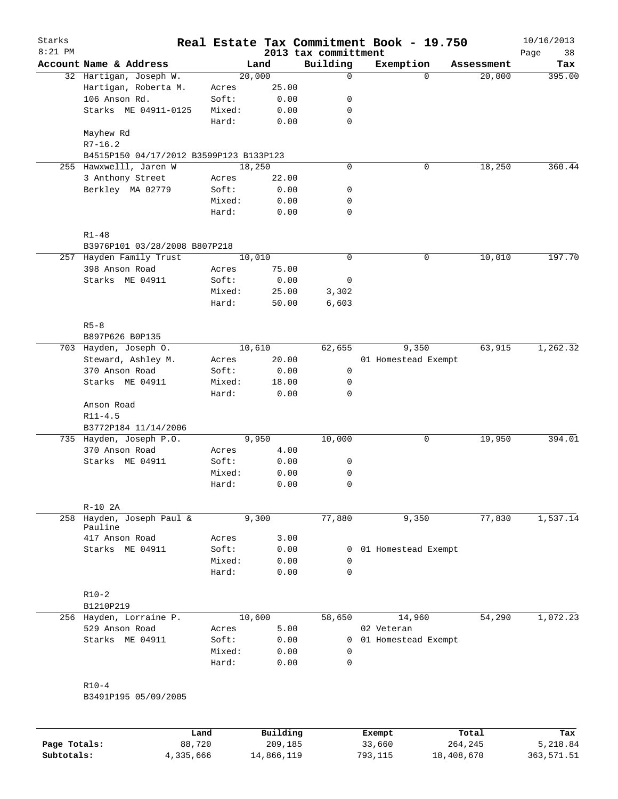| Starks<br>$8:21$ PM |                                         |        |          | 2013 tax committment | Real Estate Tax Commitment Book - 19.750 |            | 10/16/2013<br>Page<br>38 |
|---------------------|-----------------------------------------|--------|----------|----------------------|------------------------------------------|------------|--------------------------|
|                     | Account Name & Address                  |        | Land     | Building             | Exemption                                | Assessment | Tax                      |
|                     | 32 Hartigan, Joseph W.                  |        | 20,000   | $\mathbf 0$          | $\Omega$                                 | 20,000     | 395.00                   |
|                     | Hartigan, Roberta M.                    | Acres  | 25.00    |                      |                                          |            |                          |
|                     | 106 Anson Rd.                           | Soft:  | 0.00     | 0                    |                                          |            |                          |
|                     | Starks ME 04911-0125                    | Mixed: | 0.00     | 0                    |                                          |            |                          |
|                     |                                         | Hard:  | 0.00     | $\mathbf 0$          |                                          |            |                          |
|                     | Mayhew Rd                               |        |          |                      |                                          |            |                          |
|                     | $R7 - 16.2$                             |        |          |                      |                                          |            |                          |
|                     | B4515P150 04/17/2012 B3599P123 B133P123 |        |          |                      |                                          |            |                          |
|                     | 255 Hawxwelll, Jaren W                  |        | 18,250   | $\mathbf 0$          | 0                                        | 18,250     | 360.44                   |
|                     | 3 Anthony Street                        | Acres  | 22.00    |                      |                                          |            |                          |
|                     | Berkley MA 02779                        | Soft:  | 0.00     | 0                    |                                          |            |                          |
|                     |                                         | Mixed: | 0.00     | 0                    |                                          |            |                          |
|                     |                                         | Hard:  | 0.00     | $\mathbf 0$          |                                          |            |                          |
|                     | $R1 - 48$                               |        |          |                      |                                          |            |                          |
|                     | B3976P101 03/28/2008 B807P218           |        |          |                      |                                          |            |                          |
|                     | 257 Hayden Family Trust                 |        | 10,010   | $\mathbf 0$          | 0                                        | 10,010     | 197.70                   |
|                     | 398 Anson Road                          | Acres  | 75.00    |                      |                                          |            |                          |
|                     | Starks ME 04911                         | Soft:  | 0.00     | 0                    |                                          |            |                          |
|                     |                                         | Mixed: | 25.00    | 3,302                |                                          |            |                          |
|                     |                                         | Hard:  | 50.00    | 6,603                |                                          |            |                          |
|                     |                                         |        |          |                      |                                          |            |                          |
|                     | $R5 - 8$                                |        |          |                      |                                          |            |                          |
|                     | B897P626 B0P135                         |        |          |                      |                                          |            |                          |
|                     | 703 Hayden, Joseph O.                   |        | 10,610   | 62,655               | 9,350                                    | 63,915     | 1,262.32                 |
|                     | Steward, Ashley M.                      | Acres  | 20.00    |                      | 01 Homestead Exempt                      |            |                          |
|                     | 370 Anson Road                          | Soft:  | 0.00     | 0                    |                                          |            |                          |
|                     | Starks ME 04911                         | Mixed: | 18.00    | 0                    |                                          |            |                          |
|                     |                                         | Hard:  | 0.00     | $\mathbf 0$          |                                          |            |                          |
|                     | Anson Road                              |        |          |                      |                                          |            |                          |
|                     | $R11 - 4.5$                             |        |          |                      |                                          |            |                          |
|                     | B3772P184 11/14/2006                    |        |          |                      |                                          |            |                          |
|                     | 735 Hayden, Joseph P.O.                 |        | 9,950    | 10,000               | 0                                        | 19,950     | 394.01                   |
|                     | 370 Anson Road                          | Acres  | 4.00     |                      |                                          |            |                          |
|                     | Starks ME 04911                         | Soft:  | 0.00     | 0                    |                                          |            |                          |
|                     |                                         | Mixed: | 0.00     | 0                    |                                          |            |                          |
|                     |                                         | Hard:  | 0.00     | 0                    |                                          |            |                          |
|                     | $R-10$ 2A                               |        |          |                      |                                          |            |                          |
| 258                 | Hayden, Joseph Paul &                   |        | 9,300    | 77,880               | 9,350                                    | 77,830     | 1,537.14                 |
|                     | Pauline                                 |        |          |                      |                                          |            |                          |
|                     | 417 Anson Road                          | Acres  | 3.00     |                      |                                          |            |                          |
|                     | Starks ME 04911                         | Soft:  | 0.00     | 0                    | 01 Homestead Exempt                      |            |                          |
|                     |                                         | Mixed: | 0.00     | 0                    |                                          |            |                          |
|                     |                                         | Hard:  | 0.00     | 0                    |                                          |            |                          |
|                     | $R10-2$                                 |        |          |                      |                                          |            |                          |
|                     | B1210P219                               |        |          |                      |                                          |            |                          |
|                     | 256 Hayden, Lorraine P.                 |        | 10,600   | 58,650               | 14,960                                   | 54,290     | 1,072.23                 |
|                     | 529 Anson Road                          | Acres  | 5.00     |                      | 02 Veteran                               |            |                          |
|                     | Starks ME 04911                         | Soft:  | 0.00     | $\mathbf{0}$         | 01 Homestead Exempt                      |            |                          |
|                     |                                         | Mixed: | 0.00     | 0                    |                                          |            |                          |
|                     |                                         | Hard:  | 0.00     | 0                    |                                          |            |                          |
|                     |                                         |        |          |                      |                                          |            |                          |
|                     | $R10-4$                                 |        |          |                      |                                          |            |                          |
|                     | B3491P195 05/09/2005                    |        |          |                      |                                          |            |                          |
|                     |                                         |        |          |                      |                                          |            |                          |
|                     |                                         | Land   | Building |                      | Exempt                                   | Total      | Tax                      |

|              | Land      | Building   | Exempt  | Total      | Tax        |
|--------------|-----------|------------|---------|------------|------------|
| Page Totals: | 88,720    | 209,185    | 33,660  | 264,245    | 5,218.84   |
| Subtotals:   | 4,335,666 | 14,866,119 | 793,115 | 18,408,670 | 363,571.51 |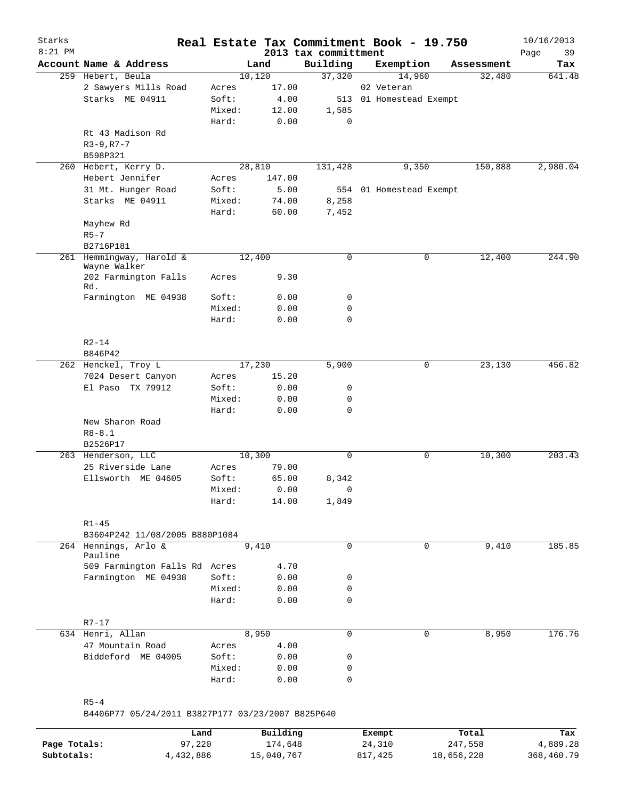| Starks       |                                                               |        |            | Real Estate Tax Commitment Book - 19.750 |                         |        |            | 10/16/2013        |
|--------------|---------------------------------------------------------------|--------|------------|------------------------------------------|-------------------------|--------|------------|-------------------|
| $8:21$ PM    | Account Name & Address                                        |        | Land       | 2013 tax committment<br>Building         | Exemption               |        | Assessment | Page<br>39<br>Tax |
|              | 259 Hebert, Beula                                             |        | 10,120     | 37,320                                   |                         | 14,960 | 32,480     | 641.48            |
|              | 2 Sawyers Mills Road                                          | Acres  | 17.00      |                                          | 02 Veteran              |        |            |                   |
|              | Starks ME 04911                                               | Soft:  | 4.00       |                                          | 513 01 Homestead Exempt |        |            |                   |
|              |                                                               | Mixed: | 12.00      | 1,585                                    |                         |        |            |                   |
|              |                                                               | Hard:  | 0.00       | 0                                        |                         |        |            |                   |
|              | Rt 43 Madison Rd                                              |        |            |                                          |                         |        |            |                   |
|              |                                                               |        |            |                                          |                         |        |            |                   |
|              | $R3 - 9, R7 - 7$                                              |        |            |                                          |                         |        |            |                   |
|              | B598P321                                                      |        | 28,810     |                                          |                         |        | 150,888    |                   |
|              | 260 Hebert, Kerry D.                                          |        |            | 131,428                                  |                         | 9,350  |            | 2,980.04          |
|              | Hebert Jennifer                                               | Acres  | 147.00     |                                          |                         |        |            |                   |
|              | 31 Mt. Hunger Road                                            | Soft:  | 5.00       |                                          | 554 01 Homestead Exempt |        |            |                   |
|              | Starks ME 04911                                               | Mixed: | 74.00      | 8,258                                    |                         |        |            |                   |
|              |                                                               | Hard:  | 60.00      | 7,452                                    |                         |        |            |                   |
|              | Mayhew Rd                                                     |        |            |                                          |                         |        |            |                   |
|              | $R5 - 7$                                                      |        |            |                                          |                         |        |            |                   |
|              | B2716P181                                                     |        |            |                                          |                         |        |            |                   |
|              | 261 Hemmingway, Harold &<br>Wayne Walker                      |        | 12,400     | $\mathbf 0$                              |                         | 0      | 12,400     | 244.90            |
|              | 202 Farmington Falls<br>Rd.                                   | Acres  | 9.30       |                                          |                         |        |            |                   |
|              | Farmington ME 04938                                           | Soft:  | 0.00       | 0                                        |                         |        |            |                   |
|              |                                                               | Mixed: | 0.00       | 0                                        |                         |        |            |                   |
|              |                                                               | Hard:  | 0.00       | $\mathbf 0$                              |                         |        |            |                   |
|              |                                                               |        |            |                                          |                         |        |            |                   |
|              | $R2 - 14$                                                     |        |            |                                          |                         |        |            |                   |
|              | B846P42                                                       |        |            |                                          |                         |        |            |                   |
|              | 262 Henckel, Troy L                                           |        | 17,230     | 5,900                                    |                         | 0      | 23,130     | 456.82            |
|              | 7024 Desert Canyon                                            | Acres  | 15.20      |                                          |                         |        |            |                   |
|              | El Paso TX 79912                                              | Soft:  | 0.00       | 0                                        |                         |        |            |                   |
|              |                                                               | Mixed: | 0.00       | 0                                        |                         |        |            |                   |
|              |                                                               | Hard:  | 0.00       | $\mathbf 0$                              |                         |        |            |                   |
|              | New Sharon Road                                               |        |            |                                          |                         |        |            |                   |
|              | $R8 - 8.1$                                                    |        |            |                                          |                         |        |            |                   |
|              | B2526P17                                                      |        |            |                                          |                         |        |            |                   |
|              | 263 Henderson, LLC                                            |        | 10,300     | $\mathbf 0$                              |                         | 0      | 10,300     | 203.43            |
|              | 25 Riverside Lane                                             | Acres  | 79.00      |                                          |                         |        |            |                   |
|              | Ellsworth ME 04605                                            | Soft:  | 65.00      | 8,342                                    |                         |        |            |                   |
|              |                                                               | Mixed: | 0.00       | $\Omega$                                 |                         |        |            |                   |
|              |                                                               |        |            |                                          |                         |        |            |                   |
|              |                                                               | Hard:  | 14.00      | 1,849                                    |                         |        |            |                   |
|              | $R1 - 45$                                                     |        |            |                                          |                         |        |            |                   |
|              | B3604P242 11/08/2005 B880P1084                                |        |            |                                          |                         |        |            |                   |
|              | 264 Hennings, Arlo &                                          |        | 9,410      | $\mathbf 0$                              |                         | 0      | 9,410      | 185.85            |
|              | Pauline                                                       |        |            |                                          |                         |        |            |                   |
|              | 509 Farmington Falls Rd Acres                                 |        | 4.70       |                                          |                         |        |            |                   |
|              | Farmington ME 04938                                           | Soft:  | 0.00       | 0                                        |                         |        |            |                   |
|              |                                                               | Mixed: | 0.00       | 0                                        |                         |        |            |                   |
|              |                                                               | Hard:  | 0.00       | 0                                        |                         |        |            |                   |
|              |                                                               |        |            |                                          |                         |        |            |                   |
|              | R7-17                                                         |        |            |                                          |                         |        |            |                   |
|              | 634 Henri, Allan                                              |        | 8,950      | $\mathbf 0$                              |                         | 0      | 8,950      | 176.76            |
|              | 47 Mountain Road                                              | Acres  | 4.00       |                                          |                         |        |            |                   |
|              | Biddeford ME 04005                                            | Soft:  | 0.00       | 0                                        |                         |        |            |                   |
|              |                                                               | Mixed: | 0.00       | 0                                        |                         |        |            |                   |
|              |                                                               | Hard:  | 0.00       | $\mathbf 0$                              |                         |        |            |                   |
|              |                                                               |        |            |                                          |                         |        |            |                   |
|              | $R5 - 4$<br>B4406P77 05/24/2011 B3827P177 03/23/2007 B825P640 |        |            |                                          |                         |        |            |                   |
|              | Land                                                          |        | Building   |                                          |                         |        | Total      | Tax               |
| Page Totals: | 97,220                                                        |        | 174,648    |                                          | Exempt<br>24,310        |        | 247,558    | 4,889.28          |
| Subtotals:   | 4,432,886                                                     |        | 15,040,767 |                                          | 817,425                 |        | 18,656,228 | 368,460.79        |
|              |                                                               |        |            |                                          |                         |        |            |                   |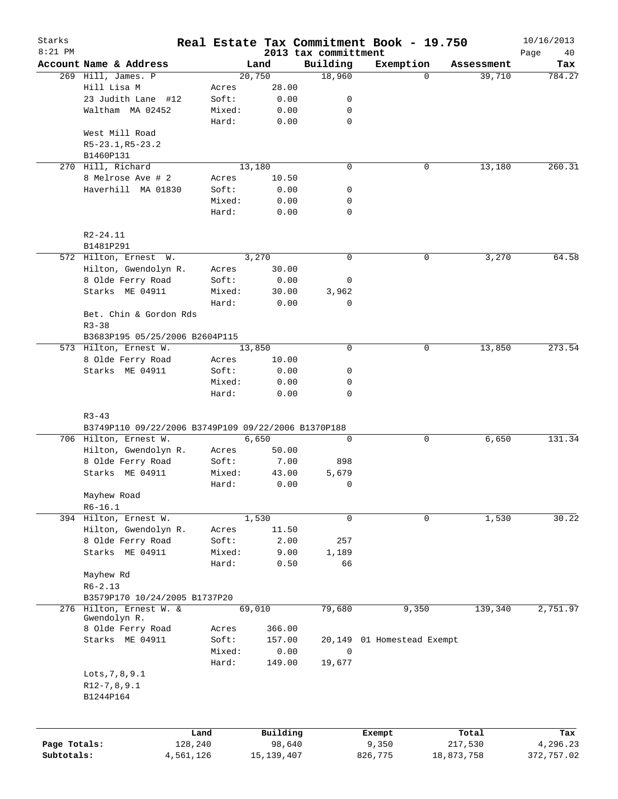| Starks<br>$8:21$ PM |                                                          |        |              |                                  | Real Estate Tax Commitment Book - 19.750 |            | 10/16/2013        |
|---------------------|----------------------------------------------------------|--------|--------------|----------------------------------|------------------------------------------|------------|-------------------|
|                     | Account Name & Address                                   |        | Land         | 2013 tax committment<br>Building | Exemption                                | Assessment | Page<br>40<br>Tax |
|                     | 269 Hill, James. P                                       |        | 20,750       | 18,960                           | $\Omega$                                 | 39,710     | 784.27            |
|                     | Hill Lisa M                                              | Acres  | 28.00        |                                  |                                          |            |                   |
|                     | 23 Judith Lane #12                                       | Soft:  | 0.00         | 0                                |                                          |            |                   |
|                     | Waltham MA 02452                                         | Mixed: | 0.00         | 0                                |                                          |            |                   |
|                     |                                                          | Hard:  | 0.00         | $\mathbf 0$                      |                                          |            |                   |
|                     | West Mill Road                                           |        |              |                                  |                                          |            |                   |
|                     | R5-23.1, R5-23.2                                         |        |              |                                  |                                          |            |                   |
|                     | B1460P131                                                |        |              |                                  |                                          |            |                   |
|                     | 270 Hill, Richard                                        |        | 13,180       | $\mathbf 0$                      | 0                                        | 13,180     | 260.31            |
|                     | 8 Melrose Ave # 2                                        | Acres  | 10.50        |                                  |                                          |            |                   |
|                     | Haverhill MA 01830                                       | Soft:  | 0.00         | 0                                |                                          |            |                   |
|                     |                                                          | Mixed: | 0.00         | 0                                |                                          |            |                   |
|                     |                                                          | Hard:  | 0.00         | $\mathbf 0$                      |                                          |            |                   |
|                     |                                                          |        |              |                                  |                                          |            |                   |
|                     | $R2 - 24.11$<br>B1481P291                                |        |              |                                  |                                          |            |                   |
|                     | 572 Hilton, Ernest W.                                    |        | 3,270        | $\mathbf 0$                      | 0                                        | 3,270      | 64.58             |
|                     | Hilton, Gwendolyn R.                                     | Acres  | 30.00        |                                  |                                          |            |                   |
|                     | 8 Olde Ferry Road                                        | Soft:  | 0.00         | 0                                |                                          |            |                   |
|                     | Starks ME 04911                                          | Mixed: | 30.00        | 3,962                            |                                          |            |                   |
|                     |                                                          | Hard:  | 0.00         | 0                                |                                          |            |                   |
|                     | Bet. Chin & Gordon Rds                                   |        |              |                                  |                                          |            |                   |
|                     | $R3 - 38$                                                |        |              |                                  |                                          |            |                   |
|                     | B3683P195 05/25/2006 B2604P115                           |        |              |                                  |                                          |            |                   |
|                     | 573 Hilton, Ernest W.                                    |        | 13,850       | $\mathbf 0$                      | 0                                        | 13,850     | 273.54            |
|                     | 8 Olde Ferry Road                                        | Acres  | 10.00        |                                  |                                          |            |                   |
|                     | Starks ME 04911                                          | Soft:  | 0.00         | 0                                |                                          |            |                   |
|                     |                                                          | Mixed: | 0.00         | 0                                |                                          |            |                   |
|                     |                                                          | Hard:  | 0.00         | $\mathbf 0$                      |                                          |            |                   |
|                     | $R3 - 43$                                                |        |              |                                  |                                          |            |                   |
|                     | B3749P110 09/22/2006 B3749P109 09/22/2006 B1370P188      |        |              |                                  |                                          |            |                   |
|                     | 706 Hilton, Ernest W.                                    |        | 6,650        | $\mathbf 0$                      | 0                                        | 6,650      | 131.34            |
|                     | Hilton, Gwendolyn R.                                     | Acres  | 50.00        |                                  |                                          |            |                   |
|                     | 8 Olde Ferry Road                                        | Soft:  | 7.00         | 898                              |                                          |            |                   |
|                     | Starks ME 04911                                          | Mixed: | 43.00        | 5,679                            |                                          |            |                   |
|                     |                                                          | Hard:  | 0.00         | $\mathbf 0$                      |                                          |            |                   |
|                     | Mayhew Road                                              |        |              |                                  |                                          |            |                   |
|                     | $R6 - 16.1$                                              |        |              |                                  |                                          |            |                   |
|                     | 394 Hilton, Ernest W.                                    |        | 1,530        | $\mathbf 0$                      | 0                                        | 1,530      | 30.22             |
|                     | Hilton, Gwendolyn R.                                     | Acres  | 11.50        |                                  |                                          |            |                   |
|                     | 8 Olde Ferry Road                                        | Soft:  | 2.00         | 257                              |                                          |            |                   |
|                     | Starks ME 04911                                          | Mixed: | 9.00         | 1,189                            |                                          |            |                   |
|                     |                                                          | Hard:  | 0.50         | 66                               |                                          |            |                   |
|                     | Mayhew Rd                                                |        |              |                                  |                                          |            |                   |
|                     | $R6 - 2.13$                                              |        |              |                                  |                                          |            |                   |
|                     | B3579P170 10/24/2005 B1737P20<br>276 Hilton, Ernest W. & |        | 69,010       | 79,680                           | 9,350                                    | 139,340    | 2,751.97          |
|                     | Gwendolyn R.                                             |        |              |                                  |                                          |            |                   |
|                     | 8 Olde Ferry Road                                        | Acres  | 366.00       |                                  |                                          |            |                   |
|                     | Starks ME 04911                                          | Soft:  | 157.00       | 20,149                           | 01 Homestead Exempt                      |            |                   |
|                     |                                                          | Mixed: | 0.00         | $\mathbf 0$                      |                                          |            |                   |
|                     |                                                          | Hard:  | 149.00       | 19,677                           |                                          |            |                   |
|                     | Lots, 7, 8, 9.1                                          |        |              |                                  |                                          |            |                   |
|                     | $R12-7, 8, 9.1$                                          |        |              |                                  |                                          |            |                   |
|                     | B1244P164                                                |        |              |                                  |                                          |            |                   |
|                     |                                                          |        |              |                                  |                                          |            |                   |
|                     |                                                          | Land   | Building     |                                  | Exempt                                   | Total      | Tax               |
| Page Totals:        | 128,240                                                  |        | 98,640       |                                  | 9,350                                    | 217,530    | 4,296.23          |
| Subtotals:          | 4,561,126                                                |        | 15, 139, 407 |                                  | 826,775                                  | 18,873,758 | 372,757.02        |
|                     |                                                          |        |              |                                  |                                          |            |                   |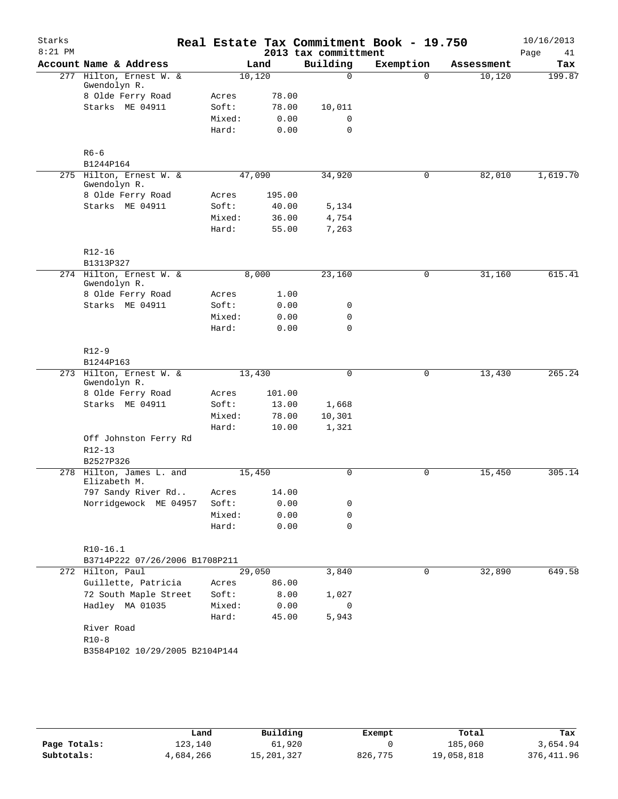| Starks<br>$8:21$ PM |                                         |        |        | 2013 tax committment | Real Estate Tax Commitment Book - 19.750 |            | 10/16/2013<br>Page<br>41 |
|---------------------|-----------------------------------------|--------|--------|----------------------|------------------------------------------|------------|--------------------------|
|                     | Account Name & Address                  |        | Land   | Building             | Exemption                                | Assessment | Tax                      |
|                     | 277 Hilton, Ernest W. &<br>Gwendolyn R. | 10,120 |        | $\Omega$             | $\Omega$                                 | 10,120     | 199.87                   |
|                     | 8 Olde Ferry Road                       | Acres  | 78.00  |                      |                                          |            |                          |
|                     | Starks ME 04911                         | Soft:  | 78.00  | 10,011               |                                          |            |                          |
|                     |                                         | Mixed: | 0.00   | $\mathbf 0$          |                                          |            |                          |
|                     |                                         | Hard:  | 0.00   | $\mathbf 0$          |                                          |            |                          |
|                     | $R6 - 6$                                |        |        |                      |                                          |            |                          |
|                     | B1244P164                               |        |        |                      |                                          |            |                          |
|                     | 275 Hilton, Ernest W. &<br>Gwendolyn R. | 47,090 |        | 34,920               | 0                                        | 82,010     | 1,619.70                 |
|                     | 8 Olde Ferry Road                       | Acres  | 195.00 |                      |                                          |            |                          |
|                     | Starks ME 04911                         | Soft:  | 40.00  | 5,134                |                                          |            |                          |
|                     |                                         | Mixed: | 36.00  | 4,754                |                                          |            |                          |
|                     |                                         | Hard:  | 55.00  | 7,263                |                                          |            |                          |
|                     | $R12 - 16$                              |        |        |                      |                                          |            |                          |
|                     | B1313P327                               |        |        |                      |                                          |            |                          |
|                     | 274 Hilton, Ernest W. &<br>Gwendolyn R. |        | 8,000  | 23,160               | 0                                        | 31,160     | 615.41                   |
|                     | 8 Olde Ferry Road                       | Acres  | 1.00   |                      |                                          |            |                          |
|                     | Starks ME 04911                         | Soft:  | 0.00   | 0                    |                                          |            |                          |
|                     |                                         | Mixed: | 0.00   | $\mathbf 0$          |                                          |            |                          |
|                     |                                         | Hard:  | 0.00   | $\mathbf 0$          |                                          |            |                          |
|                     | $R12-9$                                 |        |        |                      |                                          |            |                          |
|                     | B1244P163                               |        |        |                      |                                          |            |                          |
|                     | 273 Hilton, Ernest W. &<br>Gwendolyn R. | 13,430 |        | 0                    | 0                                        | 13,430     | 265.24                   |
|                     | 8 Olde Ferry Road                       | Acres  | 101.00 |                      |                                          |            |                          |
|                     | Starks ME 04911                         | Soft:  | 13.00  | 1,668                |                                          |            |                          |
|                     |                                         | Mixed: | 78.00  | 10,301               |                                          |            |                          |
|                     |                                         | Hard:  | 10.00  | 1,321                |                                          |            |                          |
|                     | Off Johnston Ferry Rd                   |        |        |                      |                                          |            |                          |
|                     | $R12 - 13$                              |        |        |                      |                                          |            |                          |
|                     | B2527P326<br>278 Hilton, James L. and   | 15,450 |        | 0                    | 0                                        | 15,450     | 305.14                   |
|                     | Elizabeth M.                            |        |        |                      |                                          |            |                          |
|                     | 797 Sandy River Rd                      | Acres  | 14.00  |                      |                                          |            |                          |
|                     | Norridgewock ME 04957                   | Soft:  | 0.00   | 0                    |                                          |            |                          |
|                     |                                         | Mixed: | 0.00   | 0                    |                                          |            |                          |
|                     |                                         | Hard:  | 0.00   | $\mathbf 0$          |                                          |            |                          |
|                     | $R10-16.1$                              |        |        |                      |                                          |            |                          |
|                     | B3714P222 07/26/2006 B1708P211          |        |        |                      |                                          |            |                          |
|                     | 272 Hilton, Paul                        | 29,050 |        | 3,840                | 0                                        | 32,890     | 649.58                   |
|                     | Guillette, Patricia                     | Acres  | 86.00  |                      |                                          |            |                          |
|                     | 72 South Maple Street                   | Soft:  | 8.00   | 1,027                |                                          |            |                          |
|                     | Hadley MA 01035                         | Mixed: | 0.00   | 0                    |                                          |            |                          |
|                     |                                         | Hard:  | 45.00  | 5,943                |                                          |            |                          |
|                     | River Road                              |        |        |                      |                                          |            |                          |
|                     | $R10-8$                                 |        |        |                      |                                          |            |                          |
|                     | B3584P102 10/29/2005 B2104P144          |        |        |                      |                                          |            |                          |
|                     |                                         |        |        |                      |                                          |            |                          |

|              | Land      | Building     | Exempt  | Total      | Tax         |
|--------------|-----------|--------------|---------|------------|-------------|
| Page Totals: | 123,140   | 61,920       |         | 185,060    | 3,654.94    |
| Subtotals:   | 4,684,266 | 15, 201, 327 | 826,775 | 19,058,818 | 376, 411.96 |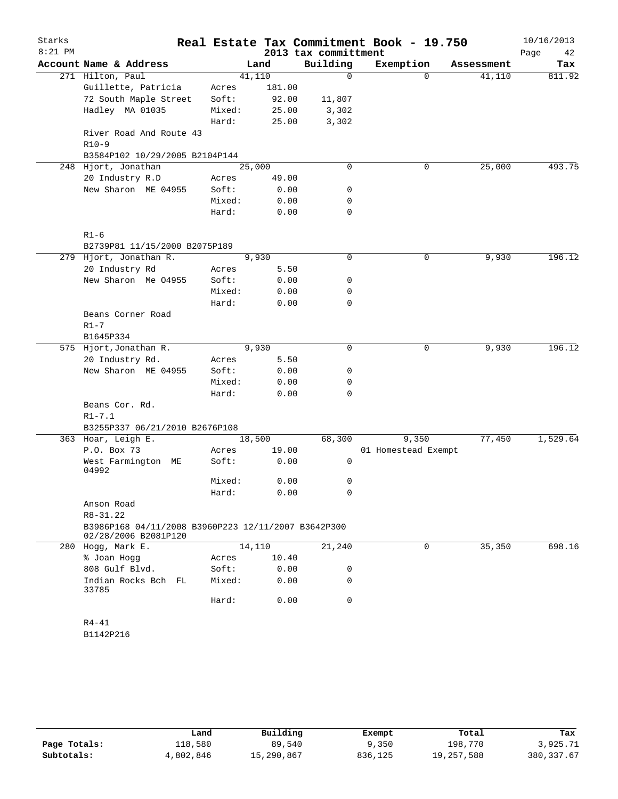| Starks<br>$8:21$ PM |                                                                             |        |        | 2013 tax committment | Real Estate Tax Commitment Book - 19.750 |            | 10/16/2013<br>Page<br>42 |
|---------------------|-----------------------------------------------------------------------------|--------|--------|----------------------|------------------------------------------|------------|--------------------------|
|                     | Account Name & Address                                                      |        | Land   | Building             | Exemption                                | Assessment | Tax                      |
|                     | 271 Hilton, Paul                                                            | 41,110 |        | 0                    | $\Omega$                                 | 41,110     | 811.92                   |
|                     | Guillette, Patricia                                                         | Acres  | 181.00 |                      |                                          |            |                          |
|                     | 72 South Maple Street                                                       | Soft:  | 92.00  | 11,807               |                                          |            |                          |
|                     | Hadley MA 01035                                                             | Mixed: | 25.00  | 3,302                |                                          |            |                          |
|                     |                                                                             | Hard:  | 25.00  | 3,302                |                                          |            |                          |
|                     | River Road And Route 43                                                     |        |        |                      |                                          |            |                          |
|                     | $R10-9$                                                                     |        |        |                      |                                          |            |                          |
|                     | B3584P102 10/29/2005 B2104P144                                              |        |        |                      |                                          |            |                          |
|                     | 248 Hjort, Jonathan                                                         | 25,000 |        | $\Omega$             | 0                                        | 25,000     | 493.75                   |
|                     | 20 Industry R.D                                                             | Acres  | 49.00  |                      |                                          |            |                          |
|                     | New Sharon ME 04955                                                         | Soft:  | 0.00   | 0                    |                                          |            |                          |
|                     |                                                                             | Mixed: | 0.00   | 0                    |                                          |            |                          |
|                     |                                                                             | Hard:  | 0.00   | 0                    |                                          |            |                          |
|                     | $R1 - 6$                                                                    |        |        |                      |                                          |            |                          |
|                     | B2739P81 11/15/2000 B2075P189                                               |        |        |                      |                                          |            |                          |
|                     | 279 Hjort, Jonathan R.                                                      |        | 9,930  | 0                    | 0                                        | 9,930      | 196.12                   |
|                     | 20 Industry Rd                                                              | Acres  | 5.50   |                      |                                          |            |                          |
|                     | New Sharon Me 04955                                                         | Soft:  | 0.00   | 0                    |                                          |            |                          |
|                     |                                                                             | Mixed: | 0.00   | 0                    |                                          |            |                          |
|                     |                                                                             | Hard:  | 0.00   | 0                    |                                          |            |                          |
|                     | Beans Corner Road                                                           |        |        |                      |                                          |            |                          |
|                     | $R1 - 7$                                                                    |        |        |                      |                                          |            |                          |
|                     | B1645P334                                                                   |        |        |                      |                                          |            |                          |
|                     | 575 Hjort, Jonathan R.                                                      |        | 9,930  | $\mathbf 0$          | 0                                        | 9,930      | 196.12                   |
|                     | 20 Industry Rd.                                                             | Acres  | 5.50   |                      |                                          |            |                          |
|                     | New Sharon ME 04955                                                         | Soft:  | 0.00   | 0                    |                                          |            |                          |
|                     |                                                                             | Mixed: | 0.00   | 0                    |                                          |            |                          |
|                     |                                                                             | Hard:  | 0.00   | $\Omega$             |                                          |            |                          |
|                     | Beans Cor. Rd.<br>$R1 - 7.1$                                                |        |        |                      |                                          |            |                          |
|                     | B3255P337 06/21/2010 B2676P108                                              |        |        |                      |                                          |            |                          |
|                     | 363 Hoar, Leigh E.                                                          | 18,500 |        | 68,300               | 9,350                                    | 77,450     | 1,529.64                 |
|                     | P.O. Box 73                                                                 | Acres  | 19.00  |                      | 01 Homestead Exempt                      |            |                          |
|                     | West Farmington ME                                                          | Soft:  | 0.00   | 0                    |                                          |            |                          |
|                     | 04992                                                                       | Mixed: | 0.00   | 0                    |                                          |            |                          |
|                     |                                                                             |        |        |                      |                                          |            |                          |
|                     |                                                                             | Hard:  | 0.00   | 0                    |                                          |            |                          |
|                     | Anson Road<br>R8-31.22                                                      |        |        |                      |                                          |            |                          |
|                     | B3986P168 04/11/2008 B3960P223 12/11/2007 B3642P300<br>02/28/2006 B2081P120 |        |        |                      |                                          |            |                          |
|                     | 280 Hogg, Mark E.                                                           |        | 14,110 | 21,240               | 0                                        | 35,350     | 698.16                   |
|                     | % Joan Hogg                                                                 | Acres  | 10.40  |                      |                                          |            |                          |
|                     | 808 Gulf Blvd.                                                              | Soft:  | 0.00   | 0                    |                                          |            |                          |
|                     | Indian Rocks Bch FL                                                         | Mixed: | 0.00   | 0                    |                                          |            |                          |
|                     | 33785                                                                       |        |        |                      |                                          |            |                          |
|                     |                                                                             | Hard:  | 0.00   | 0                    |                                          |            |                          |
|                     | R4-41                                                                       |        |        |                      |                                          |            |                          |
|                     | B1142P216                                                                   |        |        |                      |                                          |            |                          |
|                     |                                                                             |        |        |                      |                                          |            |                          |

|              | Land      | Building   | Exempt  | Total      | Tax         |
|--------------|-----------|------------|---------|------------|-------------|
| Page Totals: | 118,580   | 89,540     | 9,350   | 198,770    | 3,925.71    |
| Subtotals:   | 4,802,846 | 15,290,867 | 836,125 | 19,257,588 | 380, 337.67 |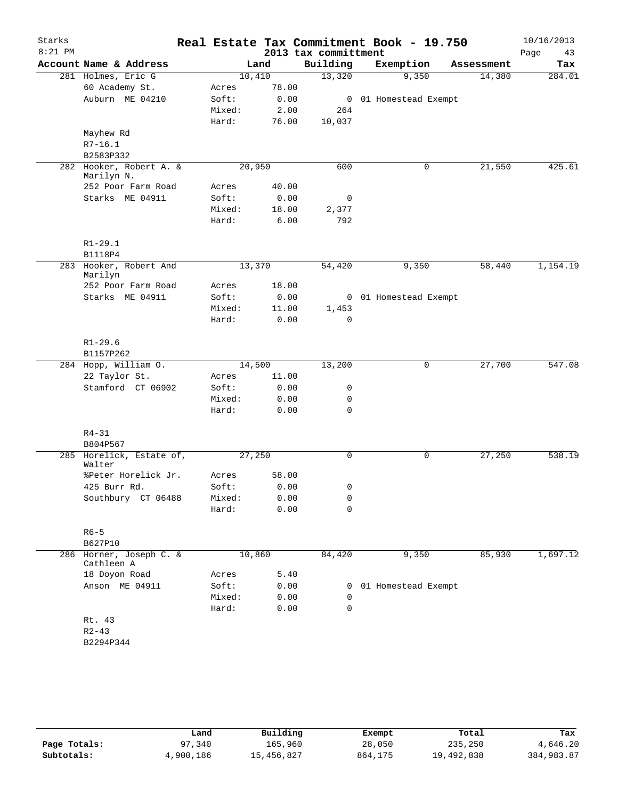| Starks    |                                       |        |       |                      | Real Estate Tax Commitment Book - 19.750 |            | 10/16/2013 |
|-----------|---------------------------------------|--------|-------|----------------------|------------------------------------------|------------|------------|
| $8:21$ PM |                                       |        |       | 2013 tax committment |                                          |            | Page<br>43 |
|           | Account Name & Address                |        | Land  | Building             | Exemption                                | Assessment | Tax        |
|           | 281 Holmes, Eric G                    | 10,410 |       | 13,320               | 9,350                                    | 14,380     | 284.01     |
|           | 60 Academy St.                        | Acres  | 78.00 |                      |                                          |            |            |
|           | Auburn ME 04210                       | Soft:  | 0.00  |                      | 0 01 Homestead Exempt                    |            |            |
|           |                                       | Mixed: | 2.00  | 264                  |                                          |            |            |
|           |                                       | Hard:  | 76.00 | 10,037               |                                          |            |            |
|           | Mayhew Rd                             |        |       |                      |                                          |            |            |
|           | $R7 - 16.1$                           |        |       |                      |                                          |            |            |
|           | B2583P332                             |        |       |                      |                                          |            |            |
|           | 282 Hooker, Robert A. &<br>Marilyn N. | 20,950 |       | 600                  | 0                                        | 21,550     | 425.61     |
|           | 252 Poor Farm Road                    | Acres  | 40.00 |                      |                                          |            |            |
|           | Starks ME 04911                       | Soft:  | 0.00  | 0                    |                                          |            |            |
|           |                                       | Mixed: | 18.00 | 2,377                |                                          |            |            |
|           |                                       | Hard:  | 6.00  | 792                  |                                          |            |            |
|           |                                       |        |       |                      |                                          |            |            |
|           | $R1 - 29.1$<br>B1118P4                |        |       |                      |                                          |            |            |
|           | 283 Hooker, Robert And                | 13,370 |       | 54,420               | 9,350                                    | 58,440     | 1,154.19   |
|           | Marilyn                               |        |       |                      |                                          |            |            |
|           | 252 Poor Farm Road                    | Acres  | 18.00 |                      |                                          |            |            |
|           | Starks ME 04911                       | Soft:  | 0.00  |                      | 0 01 Homestead Exempt                    |            |            |
|           |                                       | Mixed: | 11.00 | 1,453                |                                          |            |            |
|           |                                       | Hard:  | 0.00  | $\mathbf 0$          |                                          |            |            |
|           | $R1 - 29.6$                           |        |       |                      |                                          |            |            |
|           | B1157P262                             |        |       |                      |                                          |            |            |
|           | 284 Hopp, William O.                  | 14,500 |       | 13,200               | 0                                        | 27,700     | 547.08     |
|           | 22 Taylor St.                         | Acres  | 11.00 |                      |                                          |            |            |
|           | Stamford CT 06902                     | Soft:  | 0.00  | 0                    |                                          |            |            |
|           |                                       | Mixed: | 0.00  | 0                    |                                          |            |            |
|           |                                       | Hard:  | 0.00  | $\mathbf 0$          |                                          |            |            |
|           |                                       |        |       |                      |                                          |            |            |
|           | $R4 - 31$                             |        |       |                      |                                          |            |            |
|           | B804P567                              |        |       |                      |                                          |            |            |
|           | 285 Horelick, Estate of,<br>Walter    | 27,250 |       | 0                    | 0                                        | 27,250     | 538.19     |
|           | %Peter Horelick Jr.                   | Acres  | 58.00 |                      |                                          |            |            |
|           | 425 Burr Rd.                          | Soft:  | 0.00  | $\mathbf{0}$         |                                          |            |            |
|           | Southbury CT 06488                    | Mixed: | 0.00  | 0                    |                                          |            |            |
|           |                                       | Hard:  | 0.00  | 0                    |                                          |            |            |
|           | $R6 - 5$                              |        |       |                      |                                          |            |            |
|           | B627P10                               |        |       |                      |                                          |            |            |
|           | 286 Horner, Joseph C. &<br>Cathleen A | 10,860 |       | 84,420               | 9,350                                    | 85,930     | 1,697.12   |
|           | 18 Doyon Road                         | Acres  | 5.40  |                      |                                          |            |            |
|           | Anson ME 04911                        | Soft:  | 0.00  |                      | 0 01 Homestead Exempt                    |            |            |
|           |                                       | Mixed: | 0.00  | 0                    |                                          |            |            |
|           |                                       | Hard:  | 0.00  | $\mathbf 0$          |                                          |            |            |
|           | Rt. 43                                |        |       |                      |                                          |            |            |
|           | $R2 - 43$                             |        |       |                      |                                          |            |            |
|           | B2294P344                             |        |       |                      |                                          |            |            |
|           |                                       |        |       |                      |                                          |            |            |
|           |                                       |        |       |                      |                                          |            |            |

|              | Land      | Building   | Exempt  | Total      | Tax        |
|--------------|-----------|------------|---------|------------|------------|
| Page Totals: | 97,340    | 165,960    | 28,050  | 235,250    | 4,646.20   |
| Subtotals:   | 4,900,186 | 15,456,827 | 864,175 | 19,492,838 | 384,983.87 |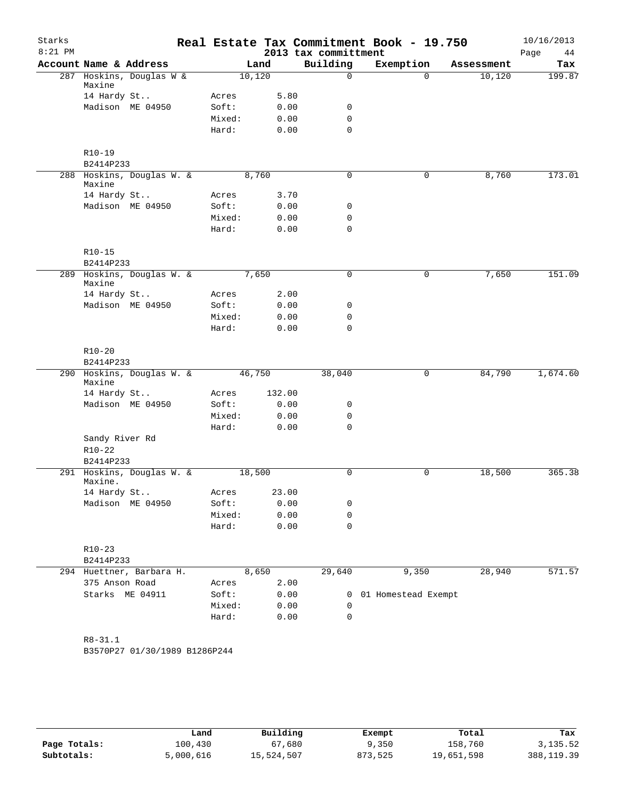| Starks    |                                                    |        |                 |                      | Real Estate Tax Commitment Book - 19.750 |                      | 10/16/2013    |
|-----------|----------------------------------------------------|--------|-----------------|----------------------|------------------------------------------|----------------------|---------------|
| $8:21$ PM |                                                    |        |                 | 2013 tax committment |                                          |                      | Page<br>44    |
|           | Account Name & Address<br>287 Hoskins, Douglas W & |        | Land<br>10, 120 | Building<br>$\Omega$ | Exemption<br>$\Omega$                    | Assessment<br>10,120 | Tax<br>199.87 |
|           | Maxine                                             |        |                 |                      |                                          |                      |               |
|           | 14 Hardy St                                        | Acres  | 5.80            |                      |                                          |                      |               |
|           | Madison ME 04950                                   | Soft:  | 0.00            | $\mathbf 0$          |                                          |                      |               |
|           |                                                    | Mixed: | 0.00            | $\mathbf 0$          |                                          |                      |               |
|           |                                                    | Hard:  | 0.00            | $\mathbf 0$          |                                          |                      |               |
|           | $R10-19$                                           |        |                 |                      |                                          |                      |               |
|           | B2414P233                                          |        |                 |                      |                                          |                      |               |
|           | 288 Hoskins, Douglas W. &<br>Maxine                |        | 8,760           | $\mathbf 0$          | $\mathbf 0$                              | 8,760                | 173.01        |
|           | 14 Hardy St                                        | Acres  | 3.70            |                      |                                          |                      |               |
|           | Madison ME 04950                                   | Soft:  | 0.00            | 0                    |                                          |                      |               |
|           |                                                    | Mixed: | 0.00            | $\mathbf 0$          |                                          |                      |               |
|           |                                                    | Hard:  | 0.00            | $\mathbf 0$          |                                          |                      |               |
|           | $R10-15$                                           |        |                 |                      |                                          |                      |               |
|           | B2414P233                                          |        |                 |                      |                                          |                      |               |
|           | 289 Hoskins, Douglas W. &<br>Maxine                |        | 7,650           | $\mathbf 0$          | 0                                        | 7,650                | 151.09        |
|           | 14 Hardy St                                        | Acres  | 2.00            |                      |                                          |                      |               |
|           | Madison ME 04950                                   | Soft:  | 0.00            | 0                    |                                          |                      |               |
|           |                                                    | Mixed: | 0.00            | $\mathbf 0$          |                                          |                      |               |
|           |                                                    | Hard:  | 0.00            | $\mathbf 0$          |                                          |                      |               |
|           | $R10 - 20$                                         |        |                 |                      |                                          |                      |               |
|           | B2414P233                                          |        |                 |                      |                                          |                      |               |
|           | 290 Hoskins, Douglas W. &<br>Maxine                |        | 46,750          | 38,040               | 0                                        | 84,790               | 1,674.60      |
|           | 14 Hardy St                                        | Acres  | 132.00          |                      |                                          |                      |               |
|           | Madison ME 04950                                   | Soft:  | 0.00            | 0                    |                                          |                      |               |
|           |                                                    | Mixed: | 0.00            | $\mathbf 0$          |                                          |                      |               |
|           |                                                    | Hard:  | 0.00            | $\Omega$             |                                          |                      |               |
|           | Sandy River Rd                                     |        |                 |                      |                                          |                      |               |
|           | $R10 - 22$                                         |        |                 |                      |                                          |                      |               |
|           | B2414P233                                          |        |                 |                      |                                          |                      |               |
|           | 291 Hoskins, Douglas W. &<br>Maxine.               |        | 18,500          | $\mathsf{O}$         | $\mathsf{O}$                             | 18,500               | 365.38        |
|           | 14 Hardy St                                        | Acres  | 23.00           |                      |                                          |                      |               |
|           | Madison ME 04950                                   | Soft:  | 0.00            | 0                    |                                          |                      |               |
|           |                                                    | Mixed: | 0.00            | $\mathbf 0$          |                                          |                      |               |
|           |                                                    | Hard:  | 0.00            | $\mathbf 0$          |                                          |                      |               |
|           | $R10 - 23$                                         |        |                 |                      |                                          |                      |               |
|           | B2414P233                                          |        |                 |                      |                                          |                      |               |
|           | 294 Huettner, Barbara H.                           |        | 8,650           | 29,640               | 9,350                                    | 28,940               | 571.57        |
|           | 375 Anson Road                                     | Acres  | 2.00            |                      |                                          |                      |               |
|           | Starks ME 04911                                    | Soft:  | 0.00            | 0                    | 01 Homestead Exempt                      |                      |               |
|           |                                                    | Mixed: | 0.00            | 0                    |                                          |                      |               |
|           |                                                    | Hard:  | 0.00            | $\mathbf 0$          |                                          |                      |               |
|           | $R8 - 31.1$                                        |        |                 |                      |                                          |                      |               |
|           | B3570P27 01/30/1989 B1286P244                      |        |                 |                      |                                          |                      |               |
|           |                                                    |        |                 |                      |                                          |                      |               |
|           |                                                    |        |                 |                      |                                          |                      |               |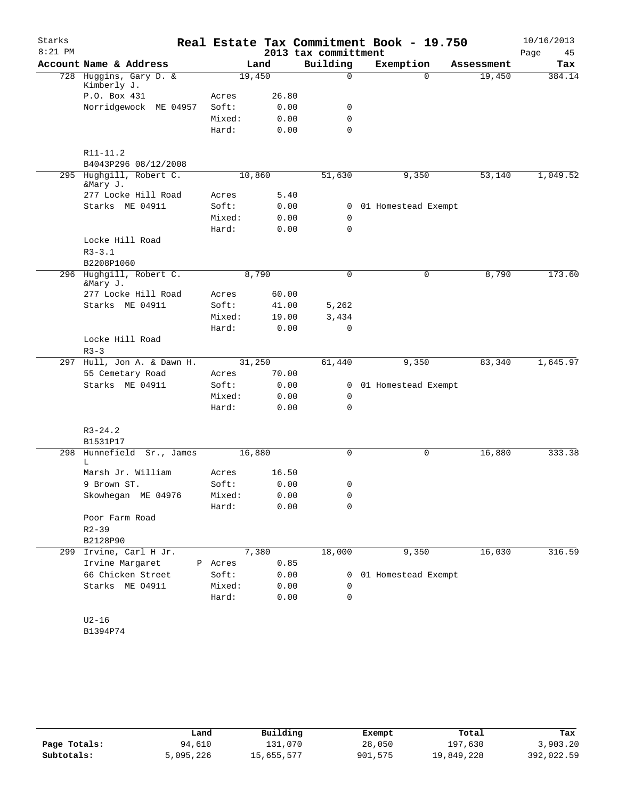| Starks    |                                       |         |        |                      | Real Estate Tax Commitment Book - 19.750 |            | 10/16/2013 |
|-----------|---------------------------------------|---------|--------|----------------------|------------------------------------------|------------|------------|
| $8:21$ PM |                                       |         |        | 2013 tax committment |                                          |            | Page<br>45 |
|           | Account Name & Address                |         | Land   | Building             | Exemption                                | Assessment | Tax        |
|           | 728 Huggins, Gary D. &<br>Kimberly J. |         | 19,450 | 0                    | $\Omega$                                 | 19,450     | 384.14     |
|           | P.O. Box 431                          | Acres   | 26.80  |                      |                                          |            |            |
|           | Norridgewock ME 04957                 | Soft:   | 0.00   | 0                    |                                          |            |            |
|           |                                       | Mixed:  | 0.00   | 0                    |                                          |            |            |
|           |                                       | Hard:   | 0.00   | $\Omega$             |                                          |            |            |
|           | R11-11.2                              |         |        |                      |                                          |            |            |
|           | B4043P296 08/12/2008                  |         |        |                      |                                          |            |            |
|           | 295 Hughgill, Robert C.<br>&Mary J.   |         | 10,860 | 51,630               | 9,350                                    | 53,140     | 1,049.52   |
|           | 277 Locke Hill Road                   | Acres   | 5.40   |                      |                                          |            |            |
|           | Starks ME 04911                       | Soft:   | 0.00   | 0                    | 01 Homestead Exempt                      |            |            |
|           |                                       | Mixed:  | 0.00   | 0                    |                                          |            |            |
|           |                                       | Hard:   | 0.00   | 0                    |                                          |            |            |
|           | Locke Hill Road                       |         |        |                      |                                          |            |            |
|           | $R3 - 3.1$                            |         |        |                      |                                          |            |            |
|           | B2208P1060                            |         |        |                      |                                          |            |            |
|           | 296 Hughgill, Robert C.<br>&Mary J.   |         | 8,790  | 0                    | 0                                        | 8,790      | 173.60     |
|           | 277 Locke Hill Road                   | Acres   | 60.00  |                      |                                          |            |            |
|           | Starks ME 04911                       | Soft:   | 41.00  | 5,262                |                                          |            |            |
|           |                                       | Mixed:  | 19.00  | 3,434                |                                          |            |            |
|           |                                       | Hard:   | 0.00   | $\mathbf 0$          |                                          |            |            |
|           | Locke Hill Road<br>$R3 - 3$           |         |        |                      |                                          |            |            |
|           | 297 Hull, Jon A. & Dawn H.            |         | 31,250 | 61,440               | 9,350                                    | 83,340     | 1,645.97   |
|           | 55 Cemetary Road                      | Acres   | 70.00  |                      |                                          |            |            |
|           | Starks ME 04911                       | Soft:   | 0.00   | 0                    | 01 Homestead Exempt                      |            |            |
|           |                                       | Mixed:  | 0.00   | 0                    |                                          |            |            |
|           |                                       | Hard:   | 0.00   | 0                    |                                          |            |            |
|           | $R3 - 24.2$                           |         |        |                      |                                          |            |            |
|           | B1531P17                              |         |        |                      |                                          |            |            |
| 298       | Hunnefield Sr., James<br>L            |         | 16,880 | 0                    | 0                                        | 16,880     | 333.38     |
|           | Marsh Jr. William                     | Acres   | 16.50  |                      |                                          |            |            |
|           | 9 Brown ST.                           | Soft:   | 0.00   | 0                    |                                          |            |            |
|           | Skowhegan ME 04976                    | Mixed:  | 0.00   | 0                    |                                          |            |            |
|           |                                       | Hard:   | 0.00   | 0                    |                                          |            |            |
|           | Poor Farm Road                        |         |        |                      |                                          |            |            |
|           | $R2 - 39$                             |         |        |                      |                                          |            |            |
|           | B2128P90                              |         |        |                      |                                          |            |            |
| 299       | Irvine, Carl H Jr.                    |         | 7,380  | 18,000               | 9,350                                    | 16,030     | 316.59     |
|           | Irvine Margaret                       | P Acres | 0.85   |                      |                                          |            |            |
|           | 66 Chicken Street                     | Soft:   | 0.00   | 0                    | 01 Homestead Exempt                      |            |            |
|           | Starks ME 04911                       | Mixed:  | 0.00   | 0                    |                                          |            |            |
|           |                                       | Hard:   | 0.00   | 0                    |                                          |            |            |
|           | $U2-16$<br>B1394P74                   |         |        |                      |                                          |            |            |

|              | Land      | Building   | Exempt  | Total      | Tax        |
|--------------|-----------|------------|---------|------------|------------|
| Page Totals: | 94,610    | 131,070    | 28,050  | 197,630    | 3,903.20   |
| Subtotals:   | 5,095,226 | 15,655,577 | 901,575 | 19,849,228 | 392,022.59 |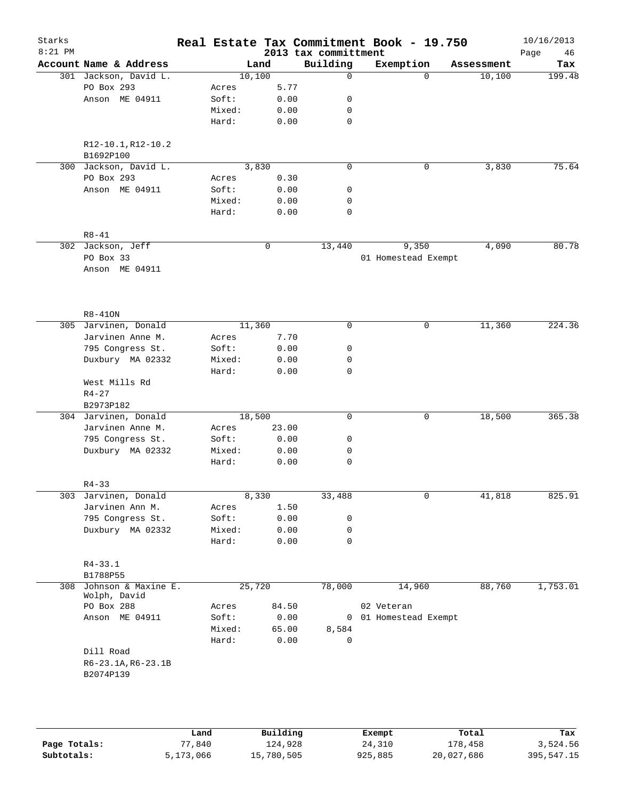| Starks    |                                                 |        |                |             | Real Estate Tax Commitment Book - 19.750 |                     |          |                      | 10/16/2013    |
|-----------|-------------------------------------------------|--------|----------------|-------------|------------------------------------------|---------------------|----------|----------------------|---------------|
| $8:21$ PM |                                                 |        |                |             | 2013 tax committment                     |                     |          |                      | 46<br>Page    |
|           | Account Name & Address<br>301 Jackson, David L. |        | Land<br>10,100 |             | Building<br>$\Omega$                     | Exemption           | $\Omega$ | Assessment<br>10,100 | Tax<br>199.48 |
|           | PO Box 293                                      | Acres  |                | 5.77        |                                          |                     |          |                      |               |
|           | Anson ME 04911                                  | Soft:  |                | 0.00        | 0                                        |                     |          |                      |               |
|           |                                                 | Mixed: |                | 0.00        | 0                                        |                     |          |                      |               |
|           |                                                 | Hard:  |                | 0.00        | $\mathbf 0$                              |                     |          |                      |               |
|           |                                                 |        |                |             |                                          |                     |          |                      |               |
|           | R12-10.1, R12-10.2                              |        |                |             |                                          |                     |          |                      |               |
|           | B1692P100                                       |        |                |             |                                          |                     |          |                      |               |
|           | 300 Jackson, David L.                           |        | 3,830          |             | $\mathbf 0$                              |                     | 0        | 3,830                | 75.64         |
|           | PO Box 293                                      | Acres  |                | 0.30        |                                          |                     |          |                      |               |
|           | Anson ME 04911                                  | Soft:  |                | 0.00        | 0                                        |                     |          |                      |               |
|           |                                                 | Mixed: |                | 0.00        | 0                                        |                     |          |                      |               |
|           |                                                 | Hard:  |                | 0.00        | 0                                        |                     |          |                      |               |
|           |                                                 |        |                |             |                                          |                     |          |                      |               |
|           | $R8 - 41$                                       |        |                |             |                                          |                     |          |                      |               |
|           | 302 Jackson, Jeff                               |        |                | $\mathbf 0$ | 13,440                                   |                     | 9,350    | 4,090                | 80.78         |
|           | PO Box 33                                       |        |                |             |                                          | 01 Homestead Exempt |          |                      |               |
|           | Anson ME 04911                                  |        |                |             |                                          |                     |          |                      |               |
|           |                                                 |        |                |             |                                          |                     |          |                      |               |
|           |                                                 |        |                |             |                                          |                     |          |                      |               |
|           | $R8 - 410N$                                     |        |                |             |                                          |                     |          |                      |               |
|           | 305 Jarvinen, Donald                            |        | 11,360         |             | 0                                        |                     | 0        | 11,360               | 224.36        |
|           | Jarvinen Anne M.                                | Acres  |                | 7.70        |                                          |                     |          |                      |               |
|           | 795 Congress St.                                | Soft:  |                | 0.00        | 0                                        |                     |          |                      |               |
|           | Duxbury MA 02332                                | Mixed: |                | 0.00        | 0                                        |                     |          |                      |               |
|           |                                                 | Hard:  |                | 0.00        | $\mathbf 0$                              |                     |          |                      |               |
|           | West Mills Rd                                   |        |                |             |                                          |                     |          |                      |               |
|           | $R4 - 27$                                       |        |                |             |                                          |                     |          |                      |               |
|           | B2973P182                                       |        |                |             |                                          |                     |          |                      |               |
|           | 304 Jarvinen, Donald                            |        | 18,500         |             | $\mathbf 0$                              |                     | 0        | 18,500               | 365.38        |
|           | Jarvinen Anne M.                                | Acres  |                | 23.00       |                                          |                     |          |                      |               |
|           | 795 Congress St.                                | Soft:  |                | 0.00        | 0                                        |                     |          |                      |               |
|           | Duxbury MA 02332                                | Mixed: |                | 0.00        | 0                                        |                     |          |                      |               |
|           |                                                 | Hard:  |                | 0.00        | 0                                        |                     |          |                      |               |
|           |                                                 |        |                |             |                                          |                     |          |                      |               |
|           | $R4 - 33$                                       |        |                |             |                                          |                     |          |                      |               |
|           | 303 Jarvinen, Donald                            |        | 8,330          |             | 33,488                                   |                     | 0        | 41,818               | 825.91        |
|           | Jarvinen Ann M.                                 | Acres  |                | 1.50        |                                          |                     |          |                      |               |
|           | 795 Congress St.                                | Soft:  |                | 0.00        | 0                                        |                     |          |                      |               |
|           | Duxbury MA 02332                                | Mixed: |                | 0.00        | 0                                        |                     |          |                      |               |
|           |                                                 | Hard:  |                | 0.00        | 0                                        |                     |          |                      |               |
|           | $R4 - 33.1$                                     |        |                |             |                                          |                     |          |                      |               |
|           | B1788P55                                        |        |                |             |                                          |                     |          |                      |               |
| 308       | Johnson & Maxine E.                             |        | 25,720         |             | 78,000                                   |                     | 14,960   | 88,760               | 1,753.01      |
|           | Wolph, David                                    |        |                |             |                                          |                     |          |                      |               |
|           | PO Box 288                                      | Acres  |                | 84.50       |                                          | 02 Veteran          |          |                      |               |
|           | Anson ME 04911                                  | Soft:  |                | 0.00        | $\overline{0}$                           | 01 Homestead Exempt |          |                      |               |
|           |                                                 | Mixed: |                | 65.00       | 8,584                                    |                     |          |                      |               |
|           |                                                 | Hard:  |                | 0.00        | $\mathsf{O}$                             |                     |          |                      |               |
|           | Dill Road                                       |        |                |             |                                          |                     |          |                      |               |
|           | R6-23.1A, R6-23.1B                              |        |                |             |                                          |                     |          |                      |               |
|           | B2074P139                                       |        |                |             |                                          |                     |          |                      |               |
|           |                                                 |        |                |             |                                          |                     |          |                      |               |
|           |                                                 |        |                |             |                                          |                     |          |                      |               |
|           |                                                 |        |                |             |                                          |                     |          |                      |               |
|           |                                                 |        |                |             |                                          |                     |          |                      |               |

|              | Land      | Building   | Exempt  | Total      | Tax        |
|--------------|-----------|------------|---------|------------|------------|
| Page Totals: | 77,840    | 124,928    | 24,310  | 178,458    | 3,524.56   |
| Subtotals:   | 5,173,066 | 15,780,505 | 925,885 | 20,027,686 | 395,547.15 |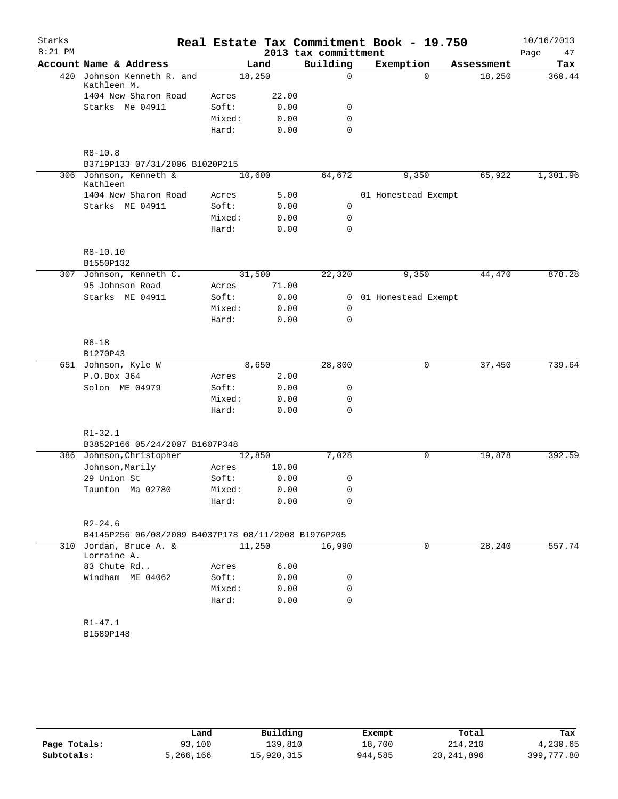| Starks    |                                                     |        |        |                      | Real Estate Tax Commitment Book - 19.750 |            | 10/16/2013 |
|-----------|-----------------------------------------------------|--------|--------|----------------------|------------------------------------------|------------|------------|
| $8:21$ PM |                                                     |        |        | 2013 tax committment |                                          |            | Page<br>47 |
|           | Account Name & Address                              |        | Land   | Building             | Exemption                                | Assessment | Tax        |
| 420       | Johnson Kenneth R. and                              |        | 18,250 | $\Omega$             | $\Omega$                                 | 18,250     | 360.44     |
|           | Kathleen M.<br>1404 New Sharon Road                 | Acres  | 22.00  |                      |                                          |            |            |
|           | Starks Me 04911                                     | Soft:  | 0.00   | 0                    |                                          |            |            |
|           |                                                     | Mixed: | 0.00   | $\mathbf 0$          |                                          |            |            |
|           |                                                     | Hard:  | 0.00   | $\mathbf 0$          |                                          |            |            |
|           |                                                     |        |        |                      |                                          |            |            |
|           | $R8 - 10.8$                                         |        |        |                      |                                          |            |            |
|           | B3719P133 07/31/2006 B1020P215                      |        |        |                      |                                          |            |            |
|           | 306 Johnson, Kenneth &<br>Kathleen                  |        | 10,600 | 64,672               | 9,350                                    | 65,922     | 1,301.96   |
|           | 1404 New Sharon Road                                | Acres  | 5.00   |                      | 01 Homestead Exempt                      |            |            |
|           | Starks ME 04911                                     | Soft:  | 0.00   | 0                    |                                          |            |            |
|           |                                                     | Mixed: | 0.00   | 0                    |                                          |            |            |
|           |                                                     | Hard:  | 0.00   | $\mathbf 0$          |                                          |            |            |
|           | R8-10.10                                            |        |        |                      |                                          |            |            |
|           | B1550P132                                           |        |        |                      |                                          |            |            |
|           | 307 Johnson, Kenneth C.                             |        | 31,500 | 22,320               | 9,350                                    | 44,470     | 878.28     |
|           | 95 Johnson Road                                     | Acres  | 71.00  |                      |                                          |            |            |
|           | Starks ME 04911                                     | Soft:  | 0.00   | 0                    | 01 Homestead Exempt                      |            |            |
|           |                                                     | Mixed: | 0.00   | 0                    |                                          |            |            |
|           |                                                     | Hard:  | 0.00   | 0                    |                                          |            |            |
|           | $R6 - 18$                                           |        |        |                      |                                          |            |            |
|           | B1270P43                                            |        |        |                      |                                          |            |            |
|           | 651 Johnson, Kyle W                                 |        | 8,650  | 28,800               | 0                                        | 37,450     | 739.64     |
|           | P.O.Box 364                                         | Acres  | 2.00   |                      |                                          |            |            |
|           | Solon ME 04979                                      | Soft:  | 0.00   | 0                    |                                          |            |            |
|           |                                                     | Mixed: | 0.00   | 0                    |                                          |            |            |
|           |                                                     | Hard:  | 0.00   | $\mathbf 0$          |                                          |            |            |
|           |                                                     |        |        |                      |                                          |            |            |
|           | $R1 - 32.1$<br>B3852P166 05/24/2007 B1607P348       |        |        |                      |                                          |            |            |
|           | 386 Johnson, Christopher                            |        | 12,850 | 7,028                | 0                                        | 19,878     | 392.59     |
|           | Johnson, Marily                                     | Acres  | 10.00  |                      |                                          |            |            |
|           | 29 Union St                                         | Soft:  | 0.00   | 0                    |                                          |            |            |
|           | Taunton Ma 02780                                    | Mixed: | 0.00   | 0                    |                                          |            |            |
|           |                                                     | Hard:  | 0.00   | 0                    |                                          |            |            |
|           |                                                     |        |        |                      |                                          |            |            |
|           | $R2 - 24.6$                                         |        |        |                      |                                          |            |            |
|           | B4145P256 06/08/2009 B4037P178 08/11/2008 B1976P205 |        |        |                      |                                          |            |            |
|           | 310 Jordan, Bruce A. &<br>Lorraine A.               |        | 11,250 | 16,990               | 0                                        | 28,240     | 557.74     |
|           | 83 Chute Rd                                         | Acres  | 6.00   |                      |                                          |            |            |
|           | Windham ME 04062                                    | Soft:  | 0.00   | 0                    |                                          |            |            |
|           |                                                     | Mixed: | 0.00   | 0                    |                                          |            |            |
|           |                                                     | Hard:  | 0.00   | $\mathbf 0$          |                                          |            |            |
|           | $R1 - 47.1$                                         |        |        |                      |                                          |            |            |
|           | B1589P148                                           |        |        |                      |                                          |            |            |
|           |                                                     |        |        |                      |                                          |            |            |
|           |                                                     |        |        |                      |                                          |            |            |
|           |                                                     |        |        |                      |                                          |            |            |

|              | Land      | Building   | Exempt  | Total      | Tax        |
|--------------|-----------|------------|---------|------------|------------|
| Page Totals: | 93,100    | 139,810    | 18,700  | 214,210    | 4,230.65   |
| Subtotals:   | 5,266,166 | 15,920,315 | 944,585 | 20,241,896 | 399,777.80 |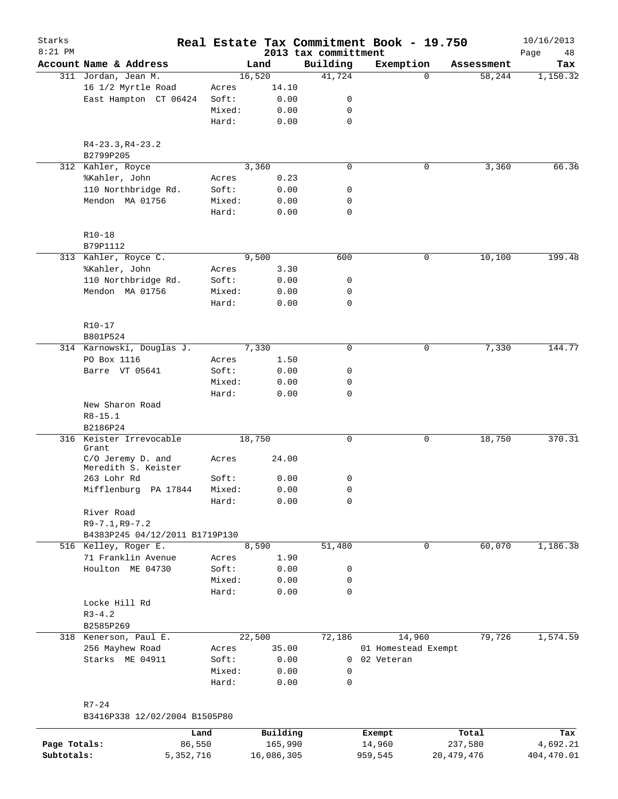| Starks       |                                            |                 |              |                                  | Real Estate Tax Commitment Book - 19.750 |            | 10/16/2013        |
|--------------|--------------------------------------------|-----------------|--------------|----------------------------------|------------------------------------------|------------|-------------------|
| $8:21$ PM    | Account Name & Address                     |                 | Land         | 2013 tax committment<br>Building | Exemption                                | Assessment | Page<br>48<br>Tax |
|              | 311 Jordan, Jean M.                        |                 | 16,520       | 41,724                           | 0                                        | 58,244     | 1,150.32          |
|              | 16 1/2 Myrtle Road                         | Acres           | 14.10        |                                  |                                          |            |                   |
|              | East Hampton CT 06424                      | Soft:           | 0.00         | 0                                |                                          |            |                   |
|              |                                            | Mixed:          | 0.00         | 0                                |                                          |            |                   |
|              |                                            | Hard:           | 0.00         | $\mathbf 0$                      |                                          |            |                   |
|              | $R4-23.3, R4-23.2$<br>B2799P205            |                 |              |                                  |                                          |            |                   |
|              | 312 Kahler, Royce                          |                 | 3,360        | $\mathbf 0$                      | 0                                        | 3,360      | 66.36             |
|              | %Kahler, John                              | Acres           | 0.23         |                                  |                                          |            |                   |
|              | 110 Northbridge Rd.                        | Soft:           | 0.00         | 0                                |                                          |            |                   |
|              | Mendon MA 01756                            | Mixed:          | 0.00         | 0                                |                                          |            |                   |
|              |                                            | Hard:           | 0.00         | $\mathbf 0$                      |                                          |            |                   |
|              | $R10 - 18$<br>B79P1112                     |                 |              |                                  |                                          |            |                   |
|              | 313 Kahler, Royce C.                       |                 | 9,500        | 600                              | 0                                        | 10,100     | 199.48            |
|              | %Kahler, John                              | Acres           | 3.30         |                                  |                                          |            |                   |
|              | 110 Northbridge Rd.                        | Soft:           | 0.00         | 0                                |                                          |            |                   |
|              | Mendon MA 01756                            | Mixed:          | 0.00         | 0                                |                                          |            |                   |
|              |                                            | Hard:           | 0.00         | $\mathbf 0$                      |                                          |            |                   |
|              |                                            |                 |              |                                  |                                          |            |                   |
|              | $R10 - 17$<br>B801P524                     |                 |              |                                  |                                          |            |                   |
|              | 314 Karnowski, Douglas J.                  |                 | 7,330        | 0                                | 0                                        | 7,330      | 144.77            |
|              | PO Box 1116                                | Acres           | 1.50         |                                  |                                          |            |                   |
|              | Barre VT 05641                             | Soft:           | 0.00         | 0                                |                                          |            |                   |
|              |                                            | Mixed:          | 0.00         | 0                                |                                          |            |                   |
|              | New Sharon Road                            | Hard:           | 0.00         | $\mathbf 0$                      |                                          |            |                   |
|              | $R8 - 15.1$<br>B2186P24                    |                 |              |                                  |                                          |            |                   |
|              | 316 Keister Irrevocable<br>Grant           |                 | 18,750       | 0                                | 0                                        | 18,750     | 370.31            |
|              | C/O Jeremy D. and<br>Meredith S. Keister   | Acres           | 24.00        |                                  |                                          |            |                   |
|              | 263 Lohr Rd                                | Soft:           | 0.00         | 0                                |                                          |            |                   |
|              | Mifflenburg PA 17844                       | Mixed:<br>Hard: | 0.00<br>0.00 | 0<br>0                           |                                          |            |                   |
|              | River Road                                 |                 |              |                                  |                                          |            |                   |
|              | $R9 - 7.1, R9 - 7.2$                       |                 |              |                                  |                                          |            |                   |
|              | B4383P245 04/12/2011 B1719P130             |                 |              |                                  |                                          |            |                   |
|              | 516 Kelley, Roger E.                       |                 | 8,590        | 51,480                           | $\mathsf{O}$                             | 60,070     | 1,186.38          |
|              | 71 Franklin Avenue                         | Acres           | 1.90         |                                  |                                          |            |                   |
|              | Houlton ME 04730                           | Soft:           | 0.00         | 0                                |                                          |            |                   |
|              |                                            | Mixed:          | 0.00         | 0                                |                                          |            |                   |
|              |                                            | Hard:           | 0.00         | 0                                |                                          |            |                   |
|              | Locke Hill Rd                              |                 |              |                                  |                                          |            |                   |
|              | $R3 - 4.2$<br>B2585P269                    |                 |              |                                  |                                          |            |                   |
|              | 318 Kenerson, Paul E.                      |                 | 22,500       | 72,186                           | 14,960                                   | 79,726     | 1,574.59          |
|              | 256 Mayhew Road                            | Acres           | 35.00        |                                  | 01 Homestead Exempt                      |            |                   |
|              | Starks ME 04911                            | Soft:           | 0.00         | $\overline{0}$                   | 02 Veteran                               |            |                   |
|              |                                            | Mixed:          | 0.00         | 0                                |                                          |            |                   |
|              |                                            | Hard:           | 0.00         | 0                                |                                          |            |                   |
|              |                                            |                 |              |                                  |                                          |            |                   |
|              | $R7 - 24$<br>B3416P338 12/02/2004 B1505P80 |                 |              |                                  |                                          |            |                   |
|              |                                            | Land            | Building     |                                  | Exempt                                   | Total      | Tax               |
| Page Totals: | 86,550                                     |                 | 165,990      |                                  | 14,960                                   | 237,580    | 4,692.21          |

**Subtotals:** 5,352,716 16,086,305 959,545 20,479,476 404,470.01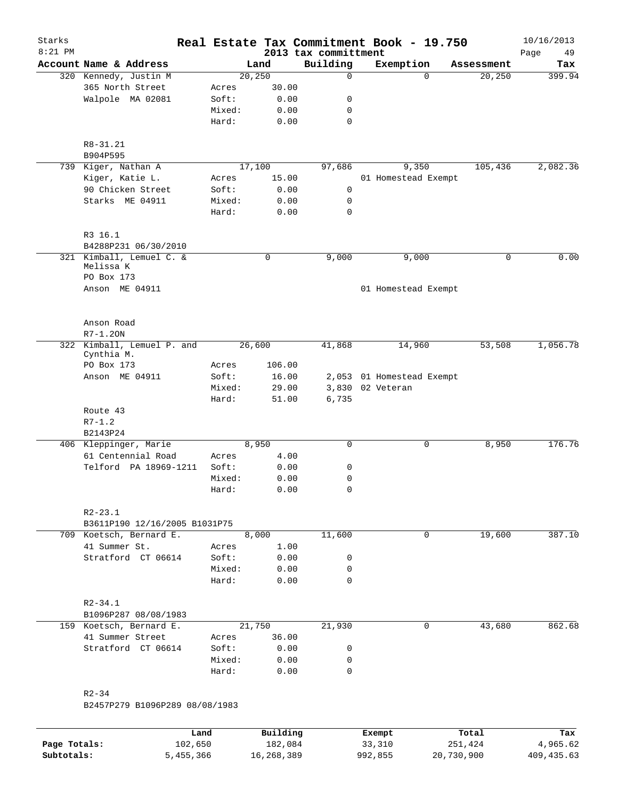| Account Name & Address<br>Building<br>Exemption<br>Land<br>Assessment<br>20, 250<br>20, 250<br>320 Kennedy, Justin M<br>0<br>$\Omega$<br>365 North Street<br>30.00<br>Acres<br>Walpole MA 02081<br>Soft:<br>0.00<br>0<br>Mixed:<br>0.00<br>0<br>Hard:<br>$\mathbf 0$<br>0.00<br>R8-31.21<br>B904P595<br>17,100<br>97,686<br>105,436<br>739 Kiger, Nathan A<br>9,350<br>Kiger, Katie L.<br>15.00<br>01 Homestead Exempt<br>Acres<br>90 Chicken Street<br>Soft:<br>0.00<br>0<br>Starks ME 04911<br>Mixed:<br>0.00<br>0<br>Hard:<br>0<br>0.00<br>R3 16.1<br>B4288P231 06/30/2010<br>321 Kimball, Lemuel C. &<br>$\mathbf 0$<br>9,000<br>9,000<br>0<br>Melissa K<br>PO Box 173<br>Anson ME 04911<br>01 Homestead Exempt<br>Anson Road<br>$R7 - 1.20N$<br>322 Kimball, Lemuel P. and<br>26,600<br>14,960<br>53,508<br>41,868<br>Cynthia M.<br>PO Box 173<br>106.00<br>Acres<br>Anson ME 04911<br>Soft:<br>16.00<br>2,053 01 Homestead Exempt<br>Mixed:<br>29.00<br>3,830 02 Veteran<br>Hard:<br>6,735<br>51.00<br>Route 43<br>$R7 - 1.2$<br>B2143P24<br>8,950<br>8,950<br>406 Kleppinger, Marie<br>0<br>0<br>61 Centennial Road<br>4.00<br>Acres<br>Telford PA 18969-1211<br>Soft:<br>0.00<br>0<br>Mixed:<br>0.00<br>0<br>Hard:<br>0.00<br>$\Omega$<br>$R2 - 23.1$<br>B3611P190 12/16/2005 B1031P75<br>19,600<br>11,600<br>709 Koetsch, Bernard E.<br>8,000<br>$\mathbf 0$<br>41 Summer St.<br>1.00<br>Acres<br>Stratford CT 06614<br>Soft:<br>0.00<br>0<br>Mixed:<br>0.00<br>0<br>$\mathbf 0$<br>Hard:<br>0.00<br>$R2 - 34.1$<br>B1096P287 08/08/1983<br>21,750 | Starks<br>$8:21$ PM |                         |  | 2013 tax committment | Real Estate Tax Commitment Book - 19.750 |        | 10/16/2013<br>Page<br>49 |
|-------------------------------------------------------------------------------------------------------------------------------------------------------------------------------------------------------------------------------------------------------------------------------------------------------------------------------------------------------------------------------------------------------------------------------------------------------------------------------------------------------------------------------------------------------------------------------------------------------------------------------------------------------------------------------------------------------------------------------------------------------------------------------------------------------------------------------------------------------------------------------------------------------------------------------------------------------------------------------------------------------------------------------------------------------------------------------------------------------------------------------------------------------------------------------------------------------------------------------------------------------------------------------------------------------------------------------------------------------------------------------------------------------------------------------------------------------------------------------------------------------------------------------------------------------------|---------------------|-------------------------|--|----------------------|------------------------------------------|--------|--------------------------|
|                                                                                                                                                                                                                                                                                                                                                                                                                                                                                                                                                                                                                                                                                                                                                                                                                                                                                                                                                                                                                                                                                                                                                                                                                                                                                                                                                                                                                                                                                                                                                             |                     |                         |  |                      |                                          |        | Tax                      |
|                                                                                                                                                                                                                                                                                                                                                                                                                                                                                                                                                                                                                                                                                                                                                                                                                                                                                                                                                                                                                                                                                                                                                                                                                                                                                                                                                                                                                                                                                                                                                             |                     |                         |  |                      |                                          |        | 399.94                   |
|                                                                                                                                                                                                                                                                                                                                                                                                                                                                                                                                                                                                                                                                                                                                                                                                                                                                                                                                                                                                                                                                                                                                                                                                                                                                                                                                                                                                                                                                                                                                                             |                     |                         |  |                      |                                          |        |                          |
|                                                                                                                                                                                                                                                                                                                                                                                                                                                                                                                                                                                                                                                                                                                                                                                                                                                                                                                                                                                                                                                                                                                                                                                                                                                                                                                                                                                                                                                                                                                                                             |                     |                         |  |                      |                                          |        |                          |
|                                                                                                                                                                                                                                                                                                                                                                                                                                                                                                                                                                                                                                                                                                                                                                                                                                                                                                                                                                                                                                                                                                                                                                                                                                                                                                                                                                                                                                                                                                                                                             |                     |                         |  |                      |                                          |        |                          |
|                                                                                                                                                                                                                                                                                                                                                                                                                                                                                                                                                                                                                                                                                                                                                                                                                                                                                                                                                                                                                                                                                                                                                                                                                                                                                                                                                                                                                                                                                                                                                             |                     |                         |  |                      |                                          |        |                          |
|                                                                                                                                                                                                                                                                                                                                                                                                                                                                                                                                                                                                                                                                                                                                                                                                                                                                                                                                                                                                                                                                                                                                                                                                                                                                                                                                                                                                                                                                                                                                                             |                     |                         |  |                      |                                          |        |                          |
|                                                                                                                                                                                                                                                                                                                                                                                                                                                                                                                                                                                                                                                                                                                                                                                                                                                                                                                                                                                                                                                                                                                                                                                                                                                                                                                                                                                                                                                                                                                                                             |                     |                         |  |                      |                                          |        | 2,082.36                 |
|                                                                                                                                                                                                                                                                                                                                                                                                                                                                                                                                                                                                                                                                                                                                                                                                                                                                                                                                                                                                                                                                                                                                                                                                                                                                                                                                                                                                                                                                                                                                                             |                     |                         |  |                      |                                          |        |                          |
|                                                                                                                                                                                                                                                                                                                                                                                                                                                                                                                                                                                                                                                                                                                                                                                                                                                                                                                                                                                                                                                                                                                                                                                                                                                                                                                                                                                                                                                                                                                                                             |                     |                         |  |                      |                                          |        |                          |
|                                                                                                                                                                                                                                                                                                                                                                                                                                                                                                                                                                                                                                                                                                                                                                                                                                                                                                                                                                                                                                                                                                                                                                                                                                                                                                                                                                                                                                                                                                                                                             |                     |                         |  |                      |                                          |        |                          |
|                                                                                                                                                                                                                                                                                                                                                                                                                                                                                                                                                                                                                                                                                                                                                                                                                                                                                                                                                                                                                                                                                                                                                                                                                                                                                                                                                                                                                                                                                                                                                             |                     |                         |  |                      |                                          |        |                          |
|                                                                                                                                                                                                                                                                                                                                                                                                                                                                                                                                                                                                                                                                                                                                                                                                                                                                                                                                                                                                                                                                                                                                                                                                                                                                                                                                                                                                                                                                                                                                                             |                     |                         |  |                      |                                          |        | 0.00                     |
|                                                                                                                                                                                                                                                                                                                                                                                                                                                                                                                                                                                                                                                                                                                                                                                                                                                                                                                                                                                                                                                                                                                                                                                                                                                                                                                                                                                                                                                                                                                                                             |                     |                         |  |                      |                                          |        |                          |
|                                                                                                                                                                                                                                                                                                                                                                                                                                                                                                                                                                                                                                                                                                                                                                                                                                                                                                                                                                                                                                                                                                                                                                                                                                                                                                                                                                                                                                                                                                                                                             |                     |                         |  |                      |                                          |        |                          |
|                                                                                                                                                                                                                                                                                                                                                                                                                                                                                                                                                                                                                                                                                                                                                                                                                                                                                                                                                                                                                                                                                                                                                                                                                                                                                                                                                                                                                                                                                                                                                             |                     |                         |  |                      |                                          |        |                          |
|                                                                                                                                                                                                                                                                                                                                                                                                                                                                                                                                                                                                                                                                                                                                                                                                                                                                                                                                                                                                                                                                                                                                                                                                                                                                                                                                                                                                                                                                                                                                                             |                     |                         |  |                      |                                          |        | 1,056.78                 |
|                                                                                                                                                                                                                                                                                                                                                                                                                                                                                                                                                                                                                                                                                                                                                                                                                                                                                                                                                                                                                                                                                                                                                                                                                                                                                                                                                                                                                                                                                                                                                             |                     |                         |  |                      |                                          |        |                          |
|                                                                                                                                                                                                                                                                                                                                                                                                                                                                                                                                                                                                                                                                                                                                                                                                                                                                                                                                                                                                                                                                                                                                                                                                                                                                                                                                                                                                                                                                                                                                                             |                     |                         |  |                      |                                          |        |                          |
|                                                                                                                                                                                                                                                                                                                                                                                                                                                                                                                                                                                                                                                                                                                                                                                                                                                                                                                                                                                                                                                                                                                                                                                                                                                                                                                                                                                                                                                                                                                                                             |                     |                         |  |                      |                                          |        |                          |
|                                                                                                                                                                                                                                                                                                                                                                                                                                                                                                                                                                                                                                                                                                                                                                                                                                                                                                                                                                                                                                                                                                                                                                                                                                                                                                                                                                                                                                                                                                                                                             |                     |                         |  |                      |                                          |        |                          |
|                                                                                                                                                                                                                                                                                                                                                                                                                                                                                                                                                                                                                                                                                                                                                                                                                                                                                                                                                                                                                                                                                                                                                                                                                                                                                                                                                                                                                                                                                                                                                             |                     |                         |  |                      |                                          |        |                          |
|                                                                                                                                                                                                                                                                                                                                                                                                                                                                                                                                                                                                                                                                                                                                                                                                                                                                                                                                                                                                                                                                                                                                                                                                                                                                                                                                                                                                                                                                                                                                                             |                     |                         |  |                      |                                          |        | 176.76                   |
|                                                                                                                                                                                                                                                                                                                                                                                                                                                                                                                                                                                                                                                                                                                                                                                                                                                                                                                                                                                                                                                                                                                                                                                                                                                                                                                                                                                                                                                                                                                                                             |                     |                         |  |                      |                                          |        |                          |
|                                                                                                                                                                                                                                                                                                                                                                                                                                                                                                                                                                                                                                                                                                                                                                                                                                                                                                                                                                                                                                                                                                                                                                                                                                                                                                                                                                                                                                                                                                                                                             |                     |                         |  |                      |                                          |        |                          |
|                                                                                                                                                                                                                                                                                                                                                                                                                                                                                                                                                                                                                                                                                                                                                                                                                                                                                                                                                                                                                                                                                                                                                                                                                                                                                                                                                                                                                                                                                                                                                             |                     |                         |  |                      |                                          |        |                          |
|                                                                                                                                                                                                                                                                                                                                                                                                                                                                                                                                                                                                                                                                                                                                                                                                                                                                                                                                                                                                                                                                                                                                                                                                                                                                                                                                                                                                                                                                                                                                                             |                     |                         |  |                      |                                          |        |                          |
|                                                                                                                                                                                                                                                                                                                                                                                                                                                                                                                                                                                                                                                                                                                                                                                                                                                                                                                                                                                                                                                                                                                                                                                                                                                                                                                                                                                                                                                                                                                                                             |                     |                         |  |                      |                                          |        |                          |
|                                                                                                                                                                                                                                                                                                                                                                                                                                                                                                                                                                                                                                                                                                                                                                                                                                                                                                                                                                                                                                                                                                                                                                                                                                                                                                                                                                                                                                                                                                                                                             |                     |                         |  |                      |                                          |        | 387.10                   |
|                                                                                                                                                                                                                                                                                                                                                                                                                                                                                                                                                                                                                                                                                                                                                                                                                                                                                                                                                                                                                                                                                                                                                                                                                                                                                                                                                                                                                                                                                                                                                             |                     |                         |  |                      |                                          |        |                          |
|                                                                                                                                                                                                                                                                                                                                                                                                                                                                                                                                                                                                                                                                                                                                                                                                                                                                                                                                                                                                                                                                                                                                                                                                                                                                                                                                                                                                                                                                                                                                                             |                     |                         |  |                      |                                          |        |                          |
|                                                                                                                                                                                                                                                                                                                                                                                                                                                                                                                                                                                                                                                                                                                                                                                                                                                                                                                                                                                                                                                                                                                                                                                                                                                                                                                                                                                                                                                                                                                                                             |                     |                         |  |                      |                                          |        |                          |
|                                                                                                                                                                                                                                                                                                                                                                                                                                                                                                                                                                                                                                                                                                                                                                                                                                                                                                                                                                                                                                                                                                                                                                                                                                                                                                                                                                                                                                                                                                                                                             |                     |                         |  |                      |                                          |        |                          |
|                                                                                                                                                                                                                                                                                                                                                                                                                                                                                                                                                                                                                                                                                                                                                                                                                                                                                                                                                                                                                                                                                                                                                                                                                                                                                                                                                                                                                                                                                                                                                             |                     |                         |  |                      |                                          |        |                          |
|                                                                                                                                                                                                                                                                                                                                                                                                                                                                                                                                                                                                                                                                                                                                                                                                                                                                                                                                                                                                                                                                                                                                                                                                                                                                                                                                                                                                                                                                                                                                                             |                     |                         |  |                      |                                          |        |                          |
|                                                                                                                                                                                                                                                                                                                                                                                                                                                                                                                                                                                                                                                                                                                                                                                                                                                                                                                                                                                                                                                                                                                                                                                                                                                                                                                                                                                                                                                                                                                                                             |                     | 159 Koetsch, Bernard E. |  | 21,930               | 0                                        | 43,680 | 862.68                   |
| 41 Summer Street<br>36.00<br>Acres<br>Stratford CT 06614<br>Soft:<br>0.00<br>0                                                                                                                                                                                                                                                                                                                                                                                                                                                                                                                                                                                                                                                                                                                                                                                                                                                                                                                                                                                                                                                                                                                                                                                                                                                                                                                                                                                                                                                                              |                     |                         |  |                      |                                          |        |                          |
| Mixed:<br>0.00<br>0                                                                                                                                                                                                                                                                                                                                                                                                                                                                                                                                                                                                                                                                                                                                                                                                                                                                                                                                                                                                                                                                                                                                                                                                                                                                                                                                                                                                                                                                                                                                         |                     |                         |  |                      |                                          |        |                          |
| $\Omega$<br>Hard:<br>0.00                                                                                                                                                                                                                                                                                                                                                                                                                                                                                                                                                                                                                                                                                                                                                                                                                                                                                                                                                                                                                                                                                                                                                                                                                                                                                                                                                                                                                                                                                                                                   |                     |                         |  |                      |                                          |        |                          |
| $R2 - 34$                                                                                                                                                                                                                                                                                                                                                                                                                                                                                                                                                                                                                                                                                                                                                                                                                                                                                                                                                                                                                                                                                                                                                                                                                                                                                                                                                                                                                                                                                                                                                   |                     |                         |  |                      |                                          |        |                          |
| B2457P279 B1096P289 08/08/1983                                                                                                                                                                                                                                                                                                                                                                                                                                                                                                                                                                                                                                                                                                                                                                                                                                                                                                                                                                                                                                                                                                                                                                                                                                                                                                                                                                                                                                                                                                                              |                     |                         |  |                      |                                          |        |                          |
|                                                                                                                                                                                                                                                                                                                                                                                                                                                                                                                                                                                                                                                                                                                                                                                                                                                                                                                                                                                                                                                                                                                                                                                                                                                                                                                                                                                                                                                                                                                                                             |                     |                         |  |                      |                                          |        |                          |

|              | Land      | Building   | Exempt  | Total      | Tax        |
|--------------|-----------|------------|---------|------------|------------|
| Page Totals: | 102,650   | 182,084    | 33,310  | 251,424    | 4,965.62   |
| Subtotals:   | 5,455,366 | 16,268,389 | 992,855 | 20,730,900 | 409,435.63 |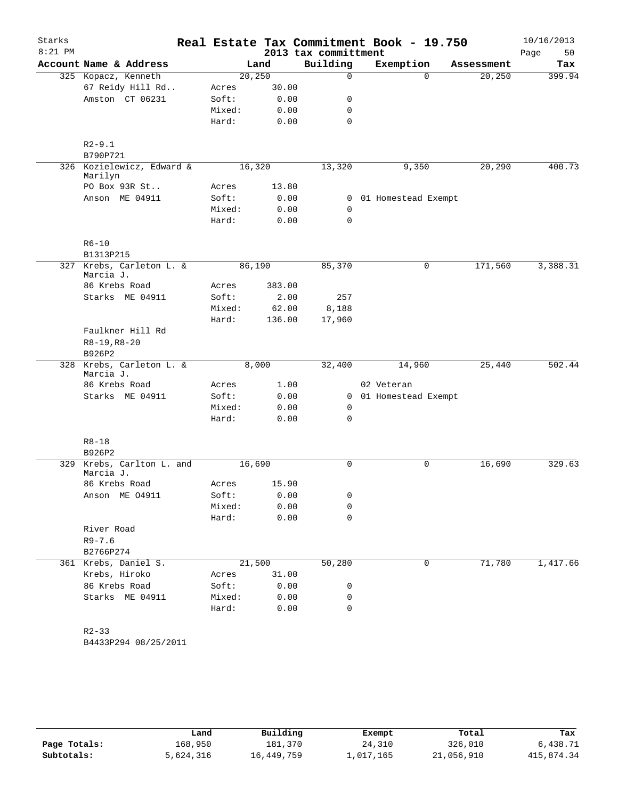| Starks<br>$8:21$ PM |                                        |        |         | Real Estate Tax Commitment Book - 19.750<br>2013 tax committment |                     |            | 10/16/2013<br>50 |
|---------------------|----------------------------------------|--------|---------|------------------------------------------------------------------|---------------------|------------|------------------|
|                     | Account Name & Address                 |        | Land    | Building                                                         | Exemption           | Assessment | Page<br>Tax      |
|                     | 325 Kopacz, Kenneth                    |        | 20, 250 | $\mathbf 0$                                                      | $\Omega$            | 20, 250    | 399.94           |
|                     | 67 Reidy Hill Rd                       | Acres  | 30.00   |                                                                  |                     |            |                  |
|                     | Amston CT 06231                        | Soft:  | 0.00    | 0                                                                |                     |            |                  |
|                     |                                        | Mixed: | 0.00    | $\mathbf 0$                                                      |                     |            |                  |
|                     |                                        | Hard:  | 0.00    | $\mathbf 0$                                                      |                     |            |                  |
|                     |                                        |        |         |                                                                  |                     |            |                  |
|                     | $R2 - 9.1$<br>B790P721                 |        |         |                                                                  |                     |            |                  |
|                     | 326 Kozielewicz, Edward &              |        | 16,320  | 13,320                                                           | 9,350               | 20,290     | 400.73           |
|                     | Marilyn<br>PO Box 93R St               | Acres  | 13.80   |                                                                  |                     |            |                  |
|                     | Anson ME 04911                         | Soft:  | 0.00    | $\mathbf{0}$                                                     | 01 Homestead Exempt |            |                  |
|                     |                                        | Mixed: | 0.00    | $\mathbf 0$                                                      |                     |            |                  |
|                     |                                        | Hard:  | 0.00    | $\mathbf 0$                                                      |                     |            |                  |
|                     |                                        |        |         |                                                                  |                     |            |                  |
|                     | $R6 - 10$                              |        |         |                                                                  |                     |            |                  |
|                     | B1313P215                              |        |         |                                                                  |                     |            |                  |
|                     | 327 Krebs, Carleton L. &<br>Marcia J.  |        | 86,190  | 85,370                                                           | 0                   | 171,560    | 3,388.31         |
|                     | 86 Krebs Road                          | Acres  | 383.00  |                                                                  |                     |            |                  |
|                     | Starks ME 04911                        | Soft:  | 2.00    | 257                                                              |                     |            |                  |
|                     |                                        | Mixed: | 62.00   | 8,188                                                            |                     |            |                  |
|                     |                                        | Hard:  | 136.00  | 17,960                                                           |                     |            |                  |
|                     | Faulkner Hill Rd                       |        |         |                                                                  |                     |            |                  |
|                     | $R8-19, R8-20$                         |        |         |                                                                  |                     |            |                  |
|                     | B926P2                                 |        |         |                                                                  |                     |            |                  |
|                     | 328 Krebs, Carleton L. &<br>Marcia J.  |        | 8,000   | 32,400                                                           | 14,960              | 25,440     | 502.44           |
|                     | 86 Krebs Road                          | Acres  | 1.00    |                                                                  | 02 Veteran          |            |                  |
|                     | Starks ME 04911                        | Soft:  | 0.00    | $\mathbf{0}$                                                     | 01 Homestead Exempt |            |                  |
|                     |                                        | Mixed: | 0.00    | 0                                                                |                     |            |                  |
|                     |                                        | Hard:  | 0.00    | $\mathbf 0$                                                      |                     |            |                  |
|                     | $R8 - 18$                              |        |         |                                                                  |                     |            |                  |
|                     | B926P2                                 |        |         |                                                                  |                     |            |                  |
|                     | 329 Krebs, Carlton L. and<br>Marcia J. |        | 16,690  | $\mathbf 0$                                                      | $\mathbf 0$         | 16,690     | 329.63           |
|                     | 86 Krebs Road                          | Acres  | 15.90   |                                                                  |                     |            |                  |
|                     | Anson ME 04911                         | Soft:  | 0.00    | 0                                                                |                     |            |                  |
|                     |                                        | Mixed: | 0.00    | 0                                                                |                     |            |                  |
|                     |                                        | Hard:  | 0.00    | 0                                                                |                     |            |                  |
|                     | River Road                             |        |         |                                                                  |                     |            |                  |
|                     | $R9 - 7.6$                             |        |         |                                                                  |                     |            |                  |
|                     | B2766P274                              |        |         |                                                                  |                     |            |                  |
|                     | 361 Krebs, Daniel S.                   |        | 21,500  | 50,280                                                           | 0                   | 71,780     | 1,417.66         |
|                     | Krebs, Hiroko                          | Acres  | 31.00   |                                                                  |                     |            |                  |
|                     | 86 Krebs Road                          | Soft:  | 0.00    | 0                                                                |                     |            |                  |
|                     | Starks ME 04911                        | Mixed: | 0.00    | 0                                                                |                     |            |                  |
|                     |                                        | Hard:  | 0.00    | 0                                                                |                     |            |                  |
|                     |                                        |        |         |                                                                  |                     |            |                  |
|                     | $R2 - 33$                              |        |         |                                                                  |                     |            |                  |
|                     | B4433P294 08/25/2011                   |        |         |                                                                  |                     |            |                  |

|              | Land      | Building   | Exempt    | Total      | Tax        |
|--------------|-----------|------------|-----------|------------|------------|
| Page Totals: | 168,950   | 181,370    | 24,310    | 326,010    | 6,438.71   |
| Subtotals:   | 5,624,316 | 16,449,759 | 1,017,165 | 21,056,910 | 415,874.34 |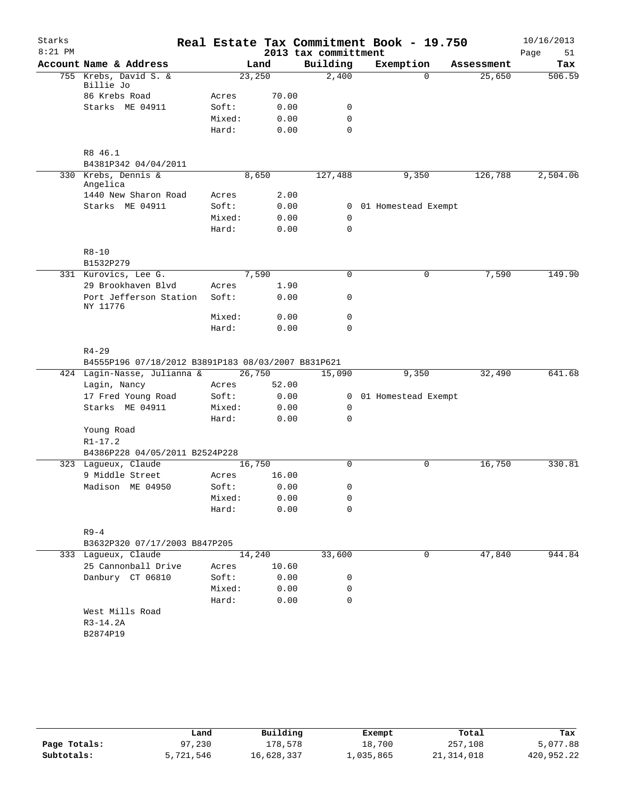| Starks    |                                                                 |        |        |                      | Real Estate Tax Commitment Book - 19.750 |            | 10/16/2013 |
|-----------|-----------------------------------------------------------------|--------|--------|----------------------|------------------------------------------|------------|------------|
| $8:21$ PM |                                                                 |        |        | 2013 tax committment |                                          |            | Page<br>51 |
|           | Account Name & Address                                          |        | Land   | Building             | Exemption                                | Assessment | Tax        |
|           | 755 Krebs, David S. &<br>Billie Jo                              |        | 23,250 | 2,400                | 0                                        | 25,650     | 506.59     |
|           | 86 Krebs Road                                                   | Acres  | 70.00  |                      |                                          |            |            |
|           | Starks ME 04911                                                 | Soft:  | 0.00   | 0                    |                                          |            |            |
|           |                                                                 | Mixed: | 0.00   | $\mathbf 0$          |                                          |            |            |
|           |                                                                 | Hard:  | 0.00   | $\Omega$             |                                          |            |            |
|           | R8 46.1                                                         |        |        |                      |                                          |            |            |
|           | B4381P342 04/04/2011                                            |        |        |                      |                                          |            |            |
|           | 330 Krebs, Dennis &<br>Angelica                                 |        | 8,650  | 127,488              | 9,350                                    | 126,788    | 2,504.06   |
|           | 1440 New Sharon Road                                            | Acres  | 2.00   |                      |                                          |            |            |
|           | Starks ME 04911                                                 | Soft:  | 0.00   | $\mathbf{0}$         | 01 Homestead Exempt                      |            |            |
|           |                                                                 | Mixed: | 0.00   | 0                    |                                          |            |            |
|           |                                                                 | Hard:  | 0.00   | $\mathbf 0$          |                                          |            |            |
|           | $R8 - 10$                                                       |        |        |                      |                                          |            |            |
|           | B1532P279                                                       |        |        |                      |                                          |            |            |
|           | 331 Kurovics, Lee G.                                            |        | 7,590  | $\mathbf 0$          | 0                                        | 7,590      | 149.90     |
|           | 29 Brookhaven Blvd                                              | Acres  | 1.90   |                      |                                          |            |            |
|           | Port Jefferson Station<br>NY 11776                              | Soft:  | 0.00   | 0                    |                                          |            |            |
|           |                                                                 | Mixed: | 0.00   | $\mathbf 0$          |                                          |            |            |
|           |                                                                 | Hard:  | 0.00   | $\mathbf 0$          |                                          |            |            |
|           | $R4 - 29$<br>B4555P196 07/18/2012 B3891P183 08/03/2007 B831P621 |        |        |                      |                                          |            |            |
|           | 424 Lagin-Nasse, Julianna &                                     |        | 26,750 | 15,090               | 9,350                                    | 32,490     | 641.68     |
|           | Lagin, Nancy                                                    | Acres  | 52.00  |                      |                                          |            |            |
|           | 17 Fred Young Road                                              | Soft:  | 0.00   | 0                    | 01 Homestead Exempt                      |            |            |
|           | Starks ME 04911                                                 | Mixed: | 0.00   | 0                    |                                          |            |            |
|           |                                                                 | Hard:  | 0.00   | $\mathbf 0$          |                                          |            |            |
|           | Young Road                                                      |        |        |                      |                                          |            |            |
|           | $R1 - 17.2$                                                     |        |        |                      |                                          |            |            |
|           | B4386P228 04/05/2011 B2524P228                                  |        |        |                      |                                          |            |            |
|           | 323 Lagueux, Claude                                             |        | 16,750 | $\Omega$             | 0                                        | 16,750     | 330.81     |
|           | 9 Middle Street                                                 | Acres  | 16.00  |                      |                                          |            |            |
|           | Madison ME 04950                                                | Soft:  | 0.00   | $\Omega$             |                                          |            |            |
|           |                                                                 | Mixed: | 0.00   | 0                    |                                          |            |            |
|           |                                                                 | Hard:  | 0.00   | 0                    |                                          |            |            |
|           |                                                                 |        |        |                      |                                          |            |            |
|           | $R9 - 4$<br>B3632P320 07/17/2003 B847P205                       |        |        |                      |                                          |            |            |
|           | 333 Lagueux, Claude                                             |        | 14,240 | 33,600               | 0                                        | 47,840     | 944.84     |
|           | 25 Cannonball Drive                                             | Acres  | 10.60  |                      |                                          |            |            |
|           | Danbury CT 06810                                                | Soft:  | 0.00   | 0                    |                                          |            |            |
|           |                                                                 | Mixed: | 0.00   | 0                    |                                          |            |            |
|           |                                                                 | Hard:  | 0.00   | 0                    |                                          |            |            |
|           | West Mills Road                                                 |        |        |                      |                                          |            |            |
|           | $R3-14.2A$                                                      |        |        |                      |                                          |            |            |
|           | B2874P19                                                        |        |        |                      |                                          |            |            |
|           |                                                                 |        |        |                      |                                          |            |            |
|           |                                                                 |        |        |                      |                                          |            |            |

|              | Land      | Building   | Exempt    | Total        | Tax        |
|--------------|-----------|------------|-----------|--------------|------------|
| Page Totals: | 97,230    | 178,578    | 18,700    | 257,108      | 5,077.88   |
| Subtotals:   | 5,721,546 | 16,628,337 | 1,035,865 | 21, 314, 018 | 420,952.22 |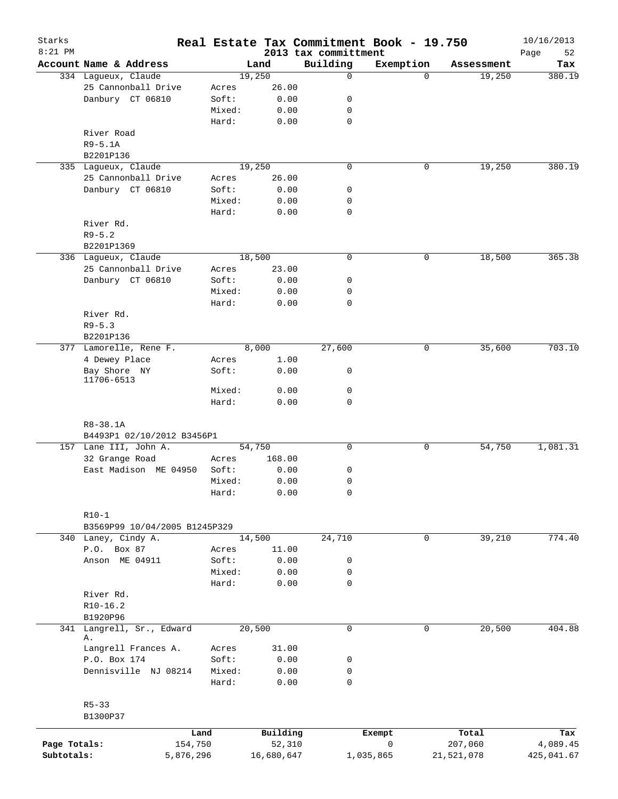| Starks<br>$8:21$ PM |                               |        |            | 2013 tax committment | Real Estate Tax Commitment Book - 19.750 |            | 10/16/2013<br>Page<br>52 |
|---------------------|-------------------------------|--------|------------|----------------------|------------------------------------------|------------|--------------------------|
|                     | Account Name & Address        |        | Land       | Building             | Exemption                                | Assessment | Tax                      |
|                     | 334 Lagueux, Claude           |        | 19,250     | $\mathbf 0$          | $\Omega$                                 | 19,250     | 380.19                   |
|                     | 25 Cannonball Drive           | Acres  | 26.00      |                      |                                          |            |                          |
|                     | Danbury CT 06810              | Soft:  | 0.00       | 0                    |                                          |            |                          |
|                     |                               | Mixed: | 0.00       | 0                    |                                          |            |                          |
|                     |                               | Hard:  | 0.00       | $\mathbf 0$          |                                          |            |                          |
|                     | River Road                    |        |            |                      |                                          |            |                          |
|                     | $R9 - 5.1A$                   |        |            |                      |                                          |            |                          |
|                     | B2201P136                     |        |            |                      |                                          |            |                          |
|                     | 335 Lagueux, Claude           |        | 19,250     | $\mathbf 0$          | 0                                        | 19,250     | 380.19                   |
|                     | 25 Cannonball Drive           | Acres  | 26.00      |                      |                                          |            |                          |
|                     | Danbury CT 06810              | Soft:  | 0.00       | 0                    |                                          |            |                          |
|                     |                               | Mixed: | 0.00       | 0                    |                                          |            |                          |
|                     |                               | Hard:  | 0.00       | $\mathbf 0$          |                                          |            |                          |
|                     | River Rd.                     |        |            |                      |                                          |            |                          |
|                     | $R9 - 5.2$                    |        |            |                      |                                          |            |                          |
|                     | B2201P1369                    |        |            |                      |                                          |            |                          |
|                     | 336 Lagueux, Claude           |        | 18,500     | $\mathbf 0$          | 0                                        |            | 365.38                   |
|                     |                               |        |            |                      |                                          | 18,500     |                          |
|                     | 25 Cannonball Drive           | Acres  | 23.00      |                      |                                          |            |                          |
|                     | Danbury CT 06810              | Soft:  | 0.00       | 0                    |                                          |            |                          |
|                     |                               | Mixed: | 0.00       | 0                    |                                          |            |                          |
|                     |                               | Hard:  | 0.00       | $\mathbf 0$          |                                          |            |                          |
|                     | River Rd.                     |        |            |                      |                                          |            |                          |
|                     | $R9 - 5.3$                    |        |            |                      |                                          |            |                          |
|                     | B2201P136                     |        |            |                      |                                          |            |                          |
|                     | 377 Lamorelle, Rene F.        |        | 8,000      | 27,600               | 0                                        | 35,600     | 703.10                   |
|                     | 4 Dewey Place                 | Acres  | 1.00       |                      |                                          |            |                          |
|                     | Bay Shore NY                  | Soft:  | 0.00       | 0                    |                                          |            |                          |
|                     | 11706-6513                    |        |            |                      |                                          |            |                          |
|                     |                               | Mixed: | 0.00       | 0                    |                                          |            |                          |
|                     |                               | Hard:  | 0.00       | 0                    |                                          |            |                          |
|                     |                               |        |            |                      |                                          |            |                          |
|                     | R8-38.1A                      |        |            |                      |                                          |            |                          |
|                     | B4493P1 02/10/2012 B3456P1    |        |            |                      |                                          |            |                          |
|                     | 157 Lane III, John A.         |        | 54,750     | 0                    | 0                                        | 54,750     | 1,081.31                 |
|                     | 32 Grange Road                | Acres  | 168.00     |                      |                                          |            |                          |
|                     | East Madison ME 04950         | Soft:  | 0.00       | 0                    |                                          |            |                          |
|                     |                               | Mixed: | 0.00       | 0                    |                                          |            |                          |
|                     |                               | Hard:  | 0.00       | 0                    |                                          |            |                          |
|                     |                               |        |            |                      |                                          |            |                          |
|                     | $R10-1$                       |        |            |                      |                                          |            |                          |
|                     | B3569P99 10/04/2005 B1245P329 |        |            |                      |                                          |            |                          |
|                     | 340 Laney, Cindy A.           |        | 14,500     | 24,710               | 0                                        | 39,210     | 774.40                   |
|                     | P.O. Box 87                   | Acres  | 11.00      |                      |                                          |            |                          |
|                     | Anson ME 04911                | Soft:  | 0.00       | 0                    |                                          |            |                          |
|                     |                               | Mixed: | 0.00       | 0                    |                                          |            |                          |
|                     |                               | Hard:  | 0.00       | 0                    |                                          |            |                          |
|                     | River Rd.                     |        |            |                      |                                          |            |                          |
|                     | $R10-16.2$                    |        |            |                      |                                          |            |                          |
|                     | B1920P96                      |        |            |                      |                                          |            |                          |
|                     | 341 Langrell, Sr., Edward     |        | 20,500     | 0                    | $\mathbf 0$                              | 20,500     | 404.88                   |
|                     | Α.                            |        |            |                      |                                          |            |                          |
|                     | Langrell Frances A.           | Acres  | 31.00      |                      |                                          |            |                          |
|                     | P.O. Box 174                  | Soft:  | 0.00       | 0                    |                                          |            |                          |
|                     | Dennisville NJ 08214          | Mixed: | 0.00       | 0                    |                                          |            |                          |
|                     |                               | Hard:  | 0.00       | $\mathbf 0$          |                                          |            |                          |
|                     |                               |        |            |                      |                                          |            |                          |
|                     | $R5 - 33$                     |        |            |                      |                                          |            |                          |
|                     | B1300P37                      |        |            |                      |                                          |            |                          |
|                     |                               |        |            |                      |                                          |            |                          |
|                     |                               | Land   | Building   |                      | Exempt                                   | Total      | Tax                      |
| Page Totals:        | 154,750                       |        | 52,310     |                      | 0                                        | 207,060    | 4,089.45                 |
| Subtotals:          | 5,876,296                     |        | 16,680,647 |                      | 1,035,865                                | 21,521,078 | 425,041.67               |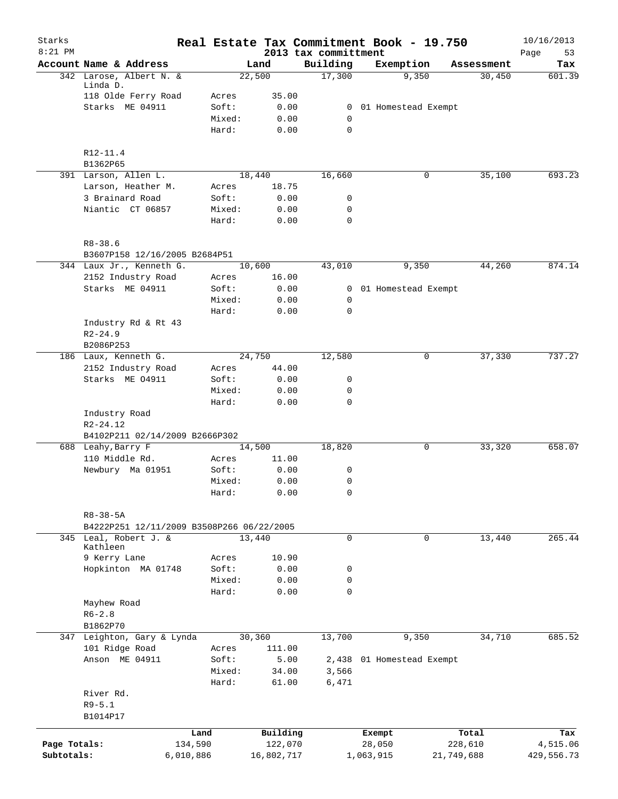| Starks<br>$8:21$ PM |                                              |           |                 |              | 2013 tax committment       | Real Estate Tax Commitment Book - 19.750 |   |            | 10/16/2013<br>Page<br>53 |
|---------------------|----------------------------------------------|-----------|-----------------|--------------|----------------------------|------------------------------------------|---|------------|--------------------------|
|                     | Account Name & Address                       |           |                 | Land         | Building                   | Exemption                                |   | Assessment | Tax                      |
|                     | 342 Larose, Albert N. &                      |           |                 | 22,500       | 17,300                     | 9,350                                    |   | 30,450     | 601.39                   |
|                     | Linda D.<br>118 Olde Ferry Road              |           | Acres           | 35.00        |                            |                                          |   |            |                          |
|                     | Starks ME 04911                              |           | Soft:           | 0.00         |                            | 0 01 Homestead Exempt                    |   |            |                          |
|                     |                                              |           | Mixed:          | 0.00         | $\mathbf 0$                |                                          |   |            |                          |
|                     |                                              |           | Hard:           | 0.00         | $\mathbf 0$                |                                          |   |            |                          |
|                     | R12-11.4                                     |           |                 |              |                            |                                          |   |            |                          |
|                     | B1362P65                                     |           |                 |              |                            |                                          |   |            |                          |
|                     | 391 Larson, Allen L.                         |           |                 | 18,440       | 16,660                     |                                          | 0 | 35,100     | 693.23                   |
|                     | Larson, Heather M.                           |           | Acres           | 18.75        |                            |                                          |   |            |                          |
|                     | 3 Brainard Road                              |           | Soft:           | 0.00         | 0                          |                                          |   |            |                          |
|                     | Niantic CT 06857                             |           | Mixed:<br>Hard: | 0.00<br>0.00 | $\mathbf 0$<br>$\mathbf 0$ |                                          |   |            |                          |
|                     |                                              |           |                 |              |                            |                                          |   |            |                          |
|                     | $R8 - 38.6$<br>B3607P158 12/16/2005 B2684P51 |           |                 |              |                            |                                          |   |            |                          |
|                     | 344 Laux Jr., Kenneth G.                     |           |                 | 10,600       | 43,010                     | 9,350                                    |   | 44,260     | 874.14                   |
|                     | 2152 Industry Road                           |           | Acres           | 16.00        |                            |                                          |   |            |                          |
|                     | Starks ME 04911                              |           | Soft:           | 0.00         |                            | 0 01 Homestead Exempt                    |   |            |                          |
|                     |                                              |           | Mixed:          | 0.00         | 0                          |                                          |   |            |                          |
|                     |                                              |           | Hard:           | 0.00         | $\mathbf 0$                |                                          |   |            |                          |
|                     | Industry Rd & Rt 43                          |           |                 |              |                            |                                          |   |            |                          |
|                     | $R2 - 24.9$                                  |           |                 |              |                            |                                          |   |            |                          |
|                     | B2086P253                                    |           |                 |              |                            |                                          |   |            |                          |
|                     | 186 Laux, Kenneth G.                         |           |                 | 24,750       | 12,580                     |                                          | 0 | 37,330     | 737.27                   |
|                     | 2152 Industry Road                           |           | Acres           | 44.00        |                            |                                          |   |            |                          |
|                     | Starks ME 04911                              |           | Soft:           | 0.00         | $\mathsf{O}$               |                                          |   |            |                          |
|                     |                                              |           | Mixed:          | 0.00         | 0                          |                                          |   |            |                          |
|                     |                                              |           | Hard:           | 0.00         | $\mathbf 0$                |                                          |   |            |                          |
|                     | Industry Road                                |           |                 |              |                            |                                          |   |            |                          |
|                     | R2-24.12                                     |           |                 |              |                            |                                          |   |            |                          |
|                     | B4102P211 02/14/2009 B2666P302               |           |                 |              |                            |                                          |   |            |                          |
|                     | 688 Leahy, Barry F                           |           |                 | 14,500       | 18,820                     |                                          | 0 | 33,320     | 658.07                   |
|                     | 110 Middle Rd.                               |           | Acres           | 11.00        |                            |                                          |   |            |                          |
|                     | Newbury Ma 01951                             |           | Soft:           | 0.00         | 0                          |                                          |   |            |                          |
|                     |                                              |           | Mixed:          | 0.00         | 0                          |                                          |   |            |                          |
|                     |                                              |           | Hard:           | 0.00         | 0                          |                                          |   |            |                          |
|                     | R8-38-5A                                     |           |                 |              |                            |                                          |   |            |                          |
|                     | B4222P251 12/11/2009 B3508P266 06/22/2005    |           |                 |              |                            |                                          |   |            |                          |
|                     | 345 Leal, Robert J. &<br>Kathleen            |           |                 | 13,440       | 0                          |                                          | 0 | 13,440     | 265.44                   |
|                     | 9 Kerry Lane                                 |           | Acres           | 10.90        |                            |                                          |   |            |                          |
|                     | Hopkinton MA 01748                           |           | Soft:           | 0.00         | 0                          |                                          |   |            |                          |
|                     |                                              |           | Mixed:          | 0.00         | 0                          |                                          |   |            |                          |
|                     |                                              |           | Hard:           | 0.00         | $\mathbf 0$                |                                          |   |            |                          |
|                     | Mayhew Road                                  |           |                 |              |                            |                                          |   |            |                          |
|                     | $R6 - 2.8$                                   |           |                 |              |                            |                                          |   |            |                          |
|                     | B1862P70                                     |           |                 |              |                            |                                          |   |            |                          |
|                     | 347 Leighton, Gary & Lynda                   |           |                 | 30,360       | 13,700                     | 9,350                                    |   | 34,710     | 685.52                   |
|                     | 101 Ridge Road                               |           | Acres           | 111.00       |                            |                                          |   |            |                          |
|                     | Anson ME 04911                               |           | Soft:           | 5.00         |                            | 2,438 01 Homestead Exempt                |   |            |                          |
|                     |                                              |           | Mixed:          | 34.00        | 3,566                      |                                          |   |            |                          |
|                     |                                              |           | Hard:           | 61.00        | 6,471                      |                                          |   |            |                          |
|                     | River Rd.                                    |           |                 |              |                            |                                          |   |            |                          |
|                     | $R9 - 5.1$                                   |           |                 |              |                            |                                          |   |            |                          |
|                     | B1014P17                                     |           |                 |              |                            |                                          |   |            |                          |
|                     |                                              | Land      |                 | Building     |                            | Exempt                                   |   | Total      | Tax                      |
| Page Totals:        |                                              | 134,590   |                 | 122,070      |                            | 28,050                                   |   | 228,610    | 4,515.06                 |
| Subtotals:          |                                              | 6,010,886 |                 | 16,802,717   |                            | 1,063,915                                |   | 21,749,688 | 429,556.73               |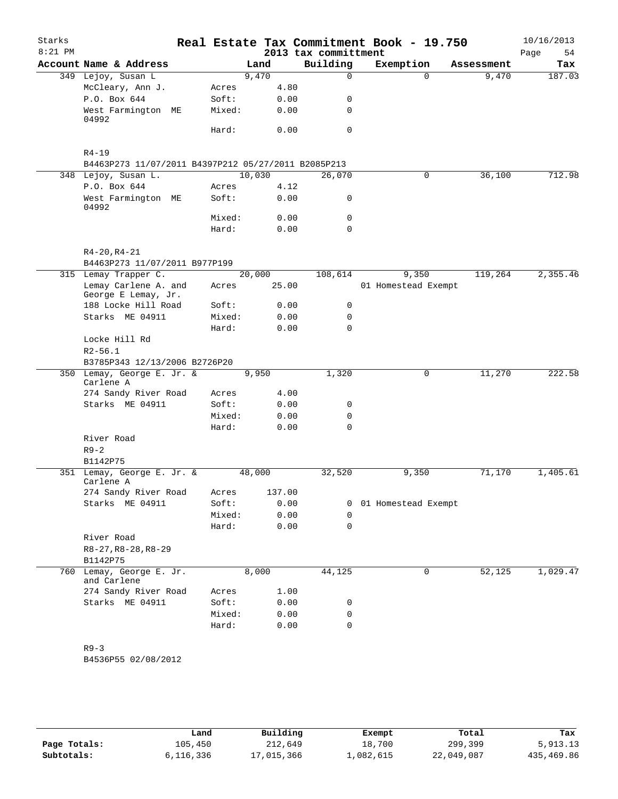| Starks<br>$8:21$ PM |                                                     |                |              | Real Estate Tax Commitment Book - 19.750<br>2013 tax committment |                     |              |            | 10/16/2013<br>54<br>Page |
|---------------------|-----------------------------------------------------|----------------|--------------|------------------------------------------------------------------|---------------------|--------------|------------|--------------------------|
|                     | Account Name & Address                              |                | Land         | Building                                                         | Exemption           |              | Assessment | Tax                      |
|                     | 349 Lejoy, Susan L                                  |                | 9,470        | 0                                                                |                     | $\Omega$     | 9,470      | 187.03                   |
|                     | McCleary, Ann J.                                    | Acres          | 4.80         |                                                                  |                     |              |            |                          |
|                     | P.O. Box 644                                        | Soft:          | 0.00         | 0                                                                |                     |              |            |                          |
|                     | West Farmington ME<br>04992                         | Mixed:         | 0.00         | 0                                                                |                     |              |            |                          |
|                     |                                                     | Hard:          | 0.00         | $\Omega$                                                         |                     |              |            |                          |
|                     | $R4 - 19$                                           |                |              |                                                                  |                     |              |            |                          |
|                     | B4463P273 11/07/2011 B4397P212 05/27/2011 B2085P213 |                |              |                                                                  |                     |              |            |                          |
|                     | 348 Lejoy, Susan L.                                 |                | 10,030       | 26,070                                                           |                     | 0            | 36,100     | 712.98                   |
|                     | P.O. Box 644<br>West Farmington ME                  | Acres<br>Soft: | 4.12<br>0.00 | 0                                                                |                     |              |            |                          |
|                     | 04992                                               |                |              |                                                                  |                     |              |            |                          |
|                     |                                                     | Mixed:         | 0.00         | 0                                                                |                     |              |            |                          |
|                     |                                                     | Hard:          | 0.00         | 0                                                                |                     |              |            |                          |
|                     | $R4 - 20, R4 - 21$                                  |                |              |                                                                  |                     |              |            |                          |
|                     | B4463P273 11/07/2011 B977P199                       |                |              |                                                                  |                     |              |            |                          |
|                     | 315 Lemay Trapper C.                                |                | 20,000       | 108,614                                                          | 9,350               |              | 119,264    | 2,355.46                 |
|                     | Lemay Carlene A. and<br>George E Lemay, Jr.         | Acres          | 25.00        |                                                                  | 01 Homestead Exempt |              |            |                          |
|                     | 188 Locke Hill Road                                 | Soft:          | 0.00         | 0                                                                |                     |              |            |                          |
|                     | Starks ME 04911                                     | Mixed:         | 0.00         | 0                                                                |                     |              |            |                          |
|                     |                                                     | Hard:          | 0.00         | $\Omega$                                                         |                     |              |            |                          |
|                     | Locke Hill Rd                                       |                |              |                                                                  |                     |              |            |                          |
|                     | $R2 - 56.1$                                         |                |              |                                                                  |                     |              |            |                          |
|                     | B3785P343 12/13/2006 B2726P20                       |                |              |                                                                  |                     |              |            |                          |
|                     | 350 Lemay, George E. Jr. &<br>Carlene A             |                | 9,950        | 1,320                                                            |                     | $\mathsf{O}$ | 11,270     | 222.58                   |
|                     | 274 Sandy River Road                                | Acres          | 4.00         |                                                                  |                     |              |            |                          |
|                     | Starks ME 04911                                     | Soft:          | 0.00         | 0                                                                |                     |              |            |                          |
|                     |                                                     | Mixed:         | 0.00         | 0                                                                |                     |              |            |                          |
|                     |                                                     | Hard:          | 0.00         | 0                                                                |                     |              |            |                          |
|                     | River Road                                          |                |              |                                                                  |                     |              |            |                          |
|                     | $R9 - 2$                                            |                |              |                                                                  |                     |              |            |                          |
|                     | B1142P75                                            |                |              |                                                                  |                     |              |            |                          |
|                     | 351 Lemay, George E. Jr. &<br>Carlene A             |                | 48,000       | 32,520                                                           | 9,350               |              | 71,170     | 1,405.61                 |
|                     | 274 Sandy River Road                                | Acres          | 137.00       |                                                                  |                     |              |            |                          |
|                     | Starks ME 04911                                     | Soft:          | 0.00         | 0                                                                | 01 Homestead Exempt |              |            |                          |
|                     |                                                     | Mixed:         | 0.00         | 0                                                                |                     |              |            |                          |
|                     |                                                     | Hard:          | 0.00         | 0                                                                |                     |              |            |                          |
|                     | River Road                                          |                |              |                                                                  |                     |              |            |                          |
|                     | $R8-27, R8-28, R8-29$                               |                |              |                                                                  |                     |              |            |                          |
|                     | B1142P75                                            |                |              |                                                                  |                     |              |            |                          |
|                     | 760 Lemay, George E. Jr.                            |                | 8,000        | 44,125                                                           |                     | 0            | 52,125     | 1,029.47                 |
|                     | and Carlene<br>274 Sandy River Road                 | Acres          | 1.00         |                                                                  |                     |              |            |                          |
|                     | Starks ME 04911                                     | Soft:          | 0.00         | 0                                                                |                     |              |            |                          |
|                     |                                                     | Mixed:         | 0.00         | 0                                                                |                     |              |            |                          |
|                     |                                                     | Hard:          | 0.00         | 0                                                                |                     |              |            |                          |
|                     |                                                     |                |              |                                                                  |                     |              |            |                          |
|                     | $R9 - 3$                                            |                |              |                                                                  |                     |              |            |                          |
|                     | B4536P55 02/08/2012                                 |                |              |                                                                  |                     |              |            |                          |
|                     |                                                     |                |              |                                                                  |                     |              |            |                          |

|              | Land      | Building   | Exempt    | Total      | Tax        |
|--------------|-----------|------------|-----------|------------|------------|
| Page Totals: | 105,450   | 212,649    | 18,700    | 299,399    | 5,913.13   |
| Subtotals:   | 6,116,336 | 17,015,366 | ⊥,082,615 | 22,049,087 | 435,469.86 |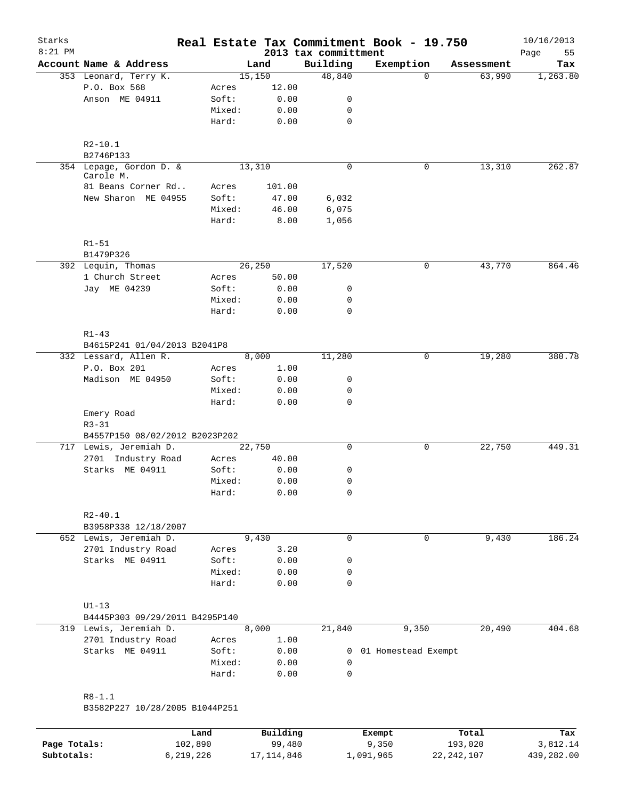| Starks       |                                      |         |        |               |                      | Real Estate Tax Commitment Book - 19.750 |            | 10/16/2013 |
|--------------|--------------------------------------|---------|--------|---------------|----------------------|------------------------------------------|------------|------------|
| $8:21$ PM    |                                      |         |        |               | 2013 tax committment |                                          |            | Page<br>55 |
|              | Account Name & Address               |         |        | Land          | Building             | Exemption                                | Assessment | Tax        |
|              | 353 Leonard, Terry K.                |         |        | 15,150        | 48,840               | $\Omega$                                 | 63,990     | 1,263.80   |
|              | P.O. Box 568<br>Anson ME 04911       |         | Acres  | 12.00<br>0.00 |                      |                                          |            |            |
|              |                                      |         | Soft:  |               | 0                    |                                          |            |            |
|              |                                      |         | Mixed: | 0.00          | 0                    |                                          |            |            |
|              |                                      |         | Hard:  | 0.00          | $\mathbf 0$          |                                          |            |            |
|              | $R2 - 10.1$                          |         |        |               |                      |                                          |            |            |
|              | B2746P133                            |         |        |               |                      |                                          |            |            |
|              | 354 Lepage, Gordon D. &<br>Carole M. |         |        | 13,310        | $\mathbf 0$          | $\mathbf 0$                              | 13,310     | 262.87     |
|              | 81 Beans Corner Rd                   |         | Acres  | 101.00        |                      |                                          |            |            |
|              | New Sharon ME 04955                  |         | Soft:  | 47.00         | 6,032                |                                          |            |            |
|              |                                      |         | Mixed: | 46.00         | 6,075                |                                          |            |            |
|              |                                      |         | Hard:  | 8.00          | 1,056                |                                          |            |            |
|              | $R1 - 51$                            |         |        |               |                      |                                          |            |            |
|              | B1479P326                            |         |        |               |                      |                                          |            |            |
|              | 392 Lequin, Thomas                   |         |        | 26,250        | 17,520               | 0                                        | 43,770     | 864.46     |
|              | 1 Church Street                      |         | Acres  | 50.00         |                      |                                          |            |            |
|              | Jay ME 04239                         |         | Soft:  | 0.00          | 0                    |                                          |            |            |
|              |                                      |         | Mixed: | 0.00          | $\mathbf 0$          |                                          |            |            |
|              |                                      |         | Hard:  | 0.00          | $\mathbf 0$          |                                          |            |            |
|              | $R1 - 43$                            |         |        |               |                      |                                          |            |            |
|              | B4615P241 01/04/2013 B2041P8         |         |        |               |                      |                                          |            |            |
|              | 332 Lessard, Allen R.                |         |        | 8,000         | 11,280               | $\mathbf 0$                              | 19,280     | 380.78     |
|              | P.O. Box 201                         |         | Acres  | 1.00          |                      |                                          |            |            |
|              | Madison ME 04950                     |         | Soft:  | 0.00          | 0                    |                                          |            |            |
|              |                                      |         | Mixed: | 0.00          | 0                    |                                          |            |            |
|              |                                      |         | Hard:  | 0.00          | $\mathbf 0$          |                                          |            |            |
|              | Emery Road                           |         |        |               |                      |                                          |            |            |
|              | $R3 - 31$                            |         |        |               |                      |                                          |            |            |
|              | B4557P150 08/02/2012 B2023P202       |         |        |               |                      |                                          |            |            |
|              | 717 Lewis, Jeremiah D.               |         |        | 22,750        | 0                    | 0                                        | 22,750     | 449.31     |
|              | 2701 Industry Road                   |         | Acres  | 40.00         |                      |                                          |            |            |
|              | Starks ME 04911                      |         | Soft:  | 0.00          | 0                    |                                          |            |            |
|              |                                      |         | Mixed: | 0.00          | $\mathbf 0$          |                                          |            |            |
|              |                                      |         | Hard:  | 0.00          | 0                    |                                          |            |            |
|              | $R2 - 40.1$                          |         |        |               |                      |                                          |            |            |
|              | B3958P338 12/18/2007                 |         |        |               |                      |                                          |            |            |
|              | 652 Lewis, Jeremiah D.               |         |        | 9,430         | $\mathbf 0$          | $\mathbf 0$                              | 9,430      | 186.24     |
|              | 2701 Industry Road                   |         | Acres  | 3.20          |                      |                                          |            |            |
|              | Starks ME 04911                      |         | Soft:  | 0.00          | 0                    |                                          |            |            |
|              |                                      |         | Mixed: | 0.00          | 0                    |                                          |            |            |
|              |                                      |         | Hard:  | 0.00          | $\mathbf 0$          |                                          |            |            |
|              | $U1-13$                              |         |        |               |                      |                                          |            |            |
|              | B4445P303 09/29/2011 B4295P140       |         |        |               |                      |                                          |            |            |
|              | 319 Lewis, Jeremiah D.               |         |        | 8,000         | 21,840               | 9,350                                    | 20,490     | 404.68     |
|              | 2701 Industry Road                   |         | Acres  | 1.00          |                      |                                          |            |            |
|              | Starks ME 04911                      |         | Soft:  | 0.00          |                      | 0 01 Homestead Exempt                    |            |            |
|              |                                      |         | Mixed: | 0.00          | 0                    |                                          |            |            |
|              |                                      |         | Hard:  | 0.00          | 0                    |                                          |            |            |
|              |                                      |         |        |               |                      |                                          |            |            |
|              | $R8 - 1.1$                           |         |        |               |                      |                                          |            |            |
|              | B3582P227 10/28/2005 B1044P251       |         |        |               |                      |                                          |            |            |
|              |                                      | Land    |        | Building      |                      | Exempt                                   | Total      | Tax        |
| Page Totals: |                                      | 102,890 |        | 99,480        |                      | 9,350                                    | 193,020    | 3,812.14   |

**Subtotals:** 6,219,226 17,114,846 1,091,965 22,242,107 439,282.00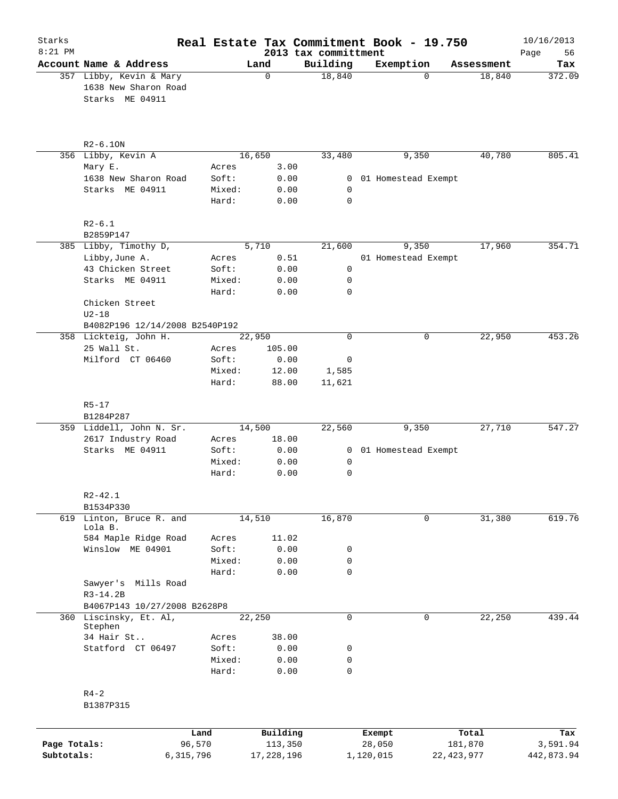| Starks<br>$8:21$ PM |                                                                    |           |                 |            |               | Real Estate Tax Commitment Book - 19.750<br>2013 tax committment |                       |              |              | 10/16/2013<br>56<br>Page |
|---------------------|--------------------------------------------------------------------|-----------|-----------------|------------|---------------|------------------------------------------------------------------|-----------------------|--------------|--------------|--------------------------|
|                     | Account Name & Address                                             |           |                 | Land       |               | Building                                                         | Exemption             |              | Assessment   | Tax                      |
|                     | 357 Libby, Kevin & Mary<br>1638 New Sharon Road<br>Starks ME 04911 |           |                 | $\Omega$   |               | 18,840                                                           |                       | $\Omega$     | 18,840       | 372.09                   |
|                     | $R2-6.10N$                                                         |           |                 |            |               |                                                                  |                       |              |              |                          |
|                     | 356 Libby, Kevin A                                                 |           |                 | 16,650     |               | 33,480                                                           |                       | 9,350        | 40,780       | 805.41                   |
|                     | Mary E.                                                            |           | Acres           |            | 3.00          |                                                                  |                       |              |              |                          |
|                     | 1638 New Sharon Road                                               |           | Soft:           |            | 0.00          |                                                                  | 0 01 Homestead Exempt |              |              |                          |
|                     | Starks ME 04911                                                    |           | Mixed:<br>Hard: |            | 0.00<br>0.00  | 0<br>0                                                           |                       |              |              |                          |
|                     | $R2-6.1$<br>B2859P147                                              |           |                 |            |               |                                                                  |                       |              |              |                          |
|                     | 385 Libby, Timothy D,                                              |           |                 | 5,710      |               | 21,600                                                           |                       | 9,350        | 17,960       | 354.71                   |
|                     | Libby, June A.                                                     |           | Acres           |            | 0.51          |                                                                  | 01 Homestead Exempt   |              |              |                          |
|                     | 43 Chicken Street                                                  |           | Soft:           |            | 0.00          | $\mathsf{O}$                                                     |                       |              |              |                          |
|                     | Starks ME 04911                                                    |           | Mixed:          |            | 0.00          | $\mathsf{O}$                                                     |                       |              |              |                          |
|                     |                                                                    |           | Hard:           |            | 0.00          | 0                                                                |                       |              |              |                          |
|                     | Chicken Street<br>$U2-18$                                          |           |                 |            |               |                                                                  |                       |              |              |                          |
|                     | B4082P196 12/14/2008 B2540P192                                     |           |                 |            |               |                                                                  |                       |              |              |                          |
|                     | 358 Lickteig, John H.                                              |           |                 | 22,950     |               | $\mathbf 0$                                                      |                       | 0            | 22,950       | 453.26                   |
|                     | 25 Wall St.                                                        |           | Acres           |            | 105.00        |                                                                  |                       |              |              |                          |
|                     | Milford CT 06460                                                   |           | Soft:           |            | 0.00          | 0                                                                |                       |              |              |                          |
|                     |                                                                    |           | Mixed:          |            | 12.00         | 1,585                                                            |                       |              |              |                          |
|                     |                                                                    |           | Hard:           |            | 88.00         | 11,621                                                           |                       |              |              |                          |
|                     | $R5 - 17$                                                          |           |                 |            |               |                                                                  |                       |              |              |                          |
|                     | B1284P287                                                          |           |                 |            |               |                                                                  |                       |              |              |                          |
|                     | 359 Liddell, John N. Sr.                                           |           |                 | 14,500     |               | 22,560                                                           |                       | 9,350        | 27,710       | 547.27                   |
|                     | 2617 Industry Road                                                 |           | Acres           |            | 18.00         |                                                                  |                       |              |              |                          |
|                     | Starks ME 04911                                                    |           | Soft:           |            | 0.00          |                                                                  | 0 01 Homestead Exempt |              |              |                          |
|                     |                                                                    |           | Mixed:<br>Hard: |            | 0.00<br>0.00  | 0<br>0                                                           |                       |              |              |                          |
|                     |                                                                    |           |                 |            |               |                                                                  |                       |              |              |                          |
|                     | $R2 - 42.1$                                                        |           |                 |            |               |                                                                  |                       |              |              |                          |
|                     | B1534P330                                                          |           |                 |            |               |                                                                  |                       |              |              |                          |
|                     | 619 Linton, Bruce R. and                                           |           |                 | 14,510     |               | 16,870                                                           |                       | $\mathbf 0$  | 31,380       | 619.76                   |
|                     | Lola B.                                                            |           |                 |            |               |                                                                  |                       |              |              |                          |
|                     | 584 Maple Ridge Road<br>Winslow ME 04901                           |           | Acres<br>Soft:  |            | 11.02<br>0.00 | 0                                                                |                       |              |              |                          |
|                     |                                                                    |           | Mixed:          |            | 0.00          | 0                                                                |                       |              |              |                          |
|                     |                                                                    |           | Hard:           |            | 0.00          | $\mathbf 0$                                                      |                       |              |              |                          |
|                     | Sawyer's Mills Road                                                |           |                 |            |               |                                                                  |                       |              |              |                          |
|                     | $R3-14.2B$                                                         |           |                 |            |               |                                                                  |                       |              |              |                          |
|                     | B4067P143 10/27/2008 B2628P8                                       |           |                 |            |               |                                                                  |                       |              |              |                          |
|                     | 360 Liscinsky, Et. Al,                                             |           |                 | 22,250     |               | $\mathbf 0$                                                      |                       | $\mathsf{O}$ | 22,250       | 439.44                   |
|                     | Stephen                                                            |           |                 |            |               |                                                                  |                       |              |              |                          |
|                     | 34 Hair St                                                         |           | Acres           |            | 38.00         |                                                                  |                       |              |              |                          |
|                     | Statford CT 06497                                                  |           | Soft:           |            | 0.00          | 0                                                                |                       |              |              |                          |
|                     |                                                                    |           | Mixed:          |            | 0.00          | 0                                                                |                       |              |              |                          |
|                     |                                                                    |           | Hard:           |            | 0.00          | 0                                                                |                       |              |              |                          |
|                     | $R4-2$<br>B1387P315                                                |           |                 |            |               |                                                                  |                       |              |              |                          |
|                     |                                                                    | Land      |                 |            | Building      |                                                                  | Exempt                |              | Total        | Tax                      |
| Page Totals:        |                                                                    | 96,570    |                 |            | 113,350       |                                                                  | 28,050                |              | 181,870      | 3,591.94                 |
| Subtotals:          |                                                                    | 6,315,796 |                 | 17,228,196 |               |                                                                  | 1,120,015             |              | 22, 423, 977 | 442,873.94               |
|                     |                                                                    |           |                 |            |               |                                                                  |                       |              |              |                          |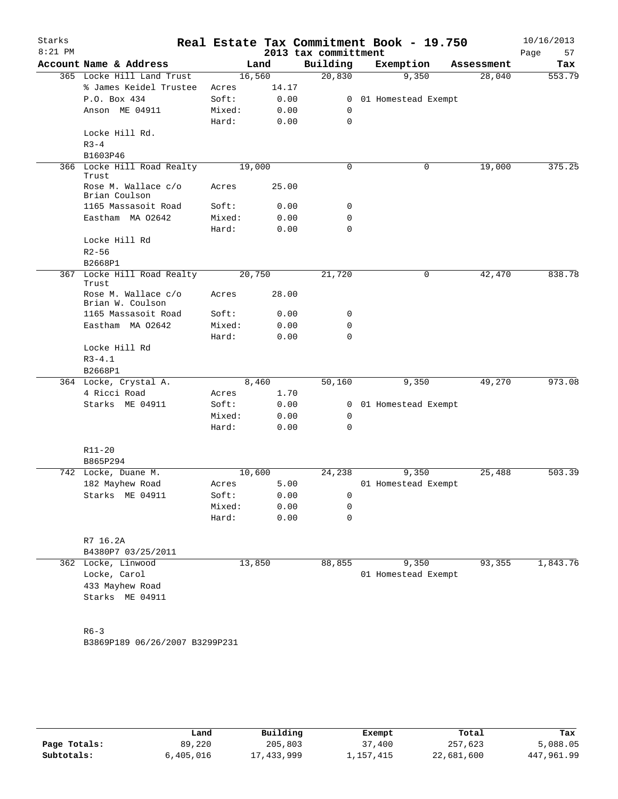| Starks<br>$8:21$ PM |                                      |                 |              | 2013 tax committment | Real Estate Tax Commitment Book - 19.750 |            | 10/16/2013<br>57<br>Page |
|---------------------|--------------------------------------|-----------------|--------------|----------------------|------------------------------------------|------------|--------------------------|
|                     | Account Name & Address               |                 | Land         | Building             | Exemption                                | Assessment | Tax                      |
|                     | 365 Locke Hill Land Trust            | 16,560          |              | 20,830               | 9,350                                    | 28,040     | 553.79                   |
|                     | % James Keidel Trustee               | Acres           | 14.17        |                      |                                          |            |                          |
|                     | P.O. Box 434                         | Soft:           | 0.00         | $\mathbf{0}$         | 01 Homestead Exempt                      |            |                          |
|                     | Anson ME 04911                       | Mixed:<br>Hard: | 0.00<br>0.00 | 0<br>$\mathbf 0$     |                                          |            |                          |
|                     | Locke Hill Rd.<br>$R3 - 4$           |                 |              |                      |                                          |            |                          |
|                     | B1603P46                             |                 |              |                      |                                          |            |                          |
|                     | 366 Locke Hill Road Realty<br>Trust  | 19,000          |              | 0                    | 0                                        | 19,000     | 375.25                   |
|                     | Rose M. Wallace c/o<br>Brian Coulson | Acres           | 25.00        |                      |                                          |            |                          |
|                     | 1165 Massasoit Road                  | Soft:           | 0.00         | 0                    |                                          |            |                          |
|                     | Eastham MA 02642                     | Mixed:<br>Hard: | 0.00<br>0.00 | 0<br>$\mathbf 0$     |                                          |            |                          |
|                     | Locke Hill Rd                        |                 |              |                      |                                          |            |                          |
|                     | $R2 - 56$<br>B2668P1                 |                 |              |                      |                                          |            |                          |
|                     | 367 Locke Hill Road Realty           | 20,750          |              | 21,720               | 0                                        | 42,470     | 838.78                   |
|                     | Trust<br>Rose M. Wallace c/o         | Acres           | 28.00        |                      |                                          |            |                          |
|                     | Brian W. Coulson                     |                 |              |                      |                                          |            |                          |
|                     | 1165 Massasoit Road                  | Soft:           | 0.00         | 0                    |                                          |            |                          |
|                     | Eastham MA 02642                     | Mixed:<br>Hard: | 0.00<br>0.00 | 0<br>0               |                                          |            |                          |
|                     | Locke Hill Rd                        |                 |              |                      |                                          |            |                          |
|                     | $R3 - 4.1$<br>B2668P1                |                 |              |                      |                                          |            |                          |
|                     | 364 Locke, Crystal A.                |                 | 8,460        | 50,160               | 9,350                                    | 49,270     | 973.08                   |
|                     | 4 Ricci Road                         | Acres           | 1.70         |                      |                                          |            |                          |
|                     | Starks ME 04911                      | Soft:           | 0.00         | $\mathbf{0}$         | 01 Homestead Exempt                      |            |                          |
|                     |                                      | Mixed:          | 0.00         | 0                    |                                          |            |                          |
|                     |                                      | Hard:           | 0.00         | 0                    |                                          |            |                          |
|                     | $R11 - 20$<br>B865P294               |                 |              |                      |                                          |            |                          |
|                     | 742 Locke, Duane M.                  | 10,600          |              | 24,238               | 9,350                                    | 25,488     | 503.39                   |
|                     | 182 Mayhew Road                      | Acres           | 5.00         |                      | 01 Homestead Exempt                      |            |                          |
|                     | Starks ME 04911                      | Soft:           | 0.00         | 0                    |                                          |            |                          |
|                     |                                      | Mixed:          | 0.00         | 0                    |                                          |            |                          |
|                     |                                      | Hard:           | 0.00         | $\mathbf 0$          |                                          |            |                          |
|                     | R7 16.2A<br>B4380P7 03/25/2011       |                 |              |                      |                                          |            |                          |
|                     | 362 Locke, Linwood                   | 13,850          |              | 88,855               | 9,350                                    | 93,355     | 1,843.76                 |
|                     | Locke, Carol                         |                 |              |                      | 01 Homestead Exempt                      |            |                          |
|                     | 433 Mayhew Road                      |                 |              |                      |                                          |            |                          |
|                     | Starks ME 04911                      |                 |              |                      |                                          |            |                          |
|                     | $R6 - 3$                             |                 |              |                      |                                          |            |                          |
|                     | B3869P189 06/26/2007 B3299P231       |                 |              |                      |                                          |            |                          |
|                     |                                      |                 |              |                      |                                          |            |                          |
|                     |                                      |                 |              |                      |                                          |            |                          |

|              | Land      | Building   | Exempt    | Total      | Tax        |
|--------------|-----------|------------|-----------|------------|------------|
| Page Totals: | 89,220    | 205,803    | 37,400    | 257,623    | 5,088.05   |
| Subtotals:   | 6,405,016 | 17,433,999 | ⊥,157,415 | 22,681,600 | 447,961.99 |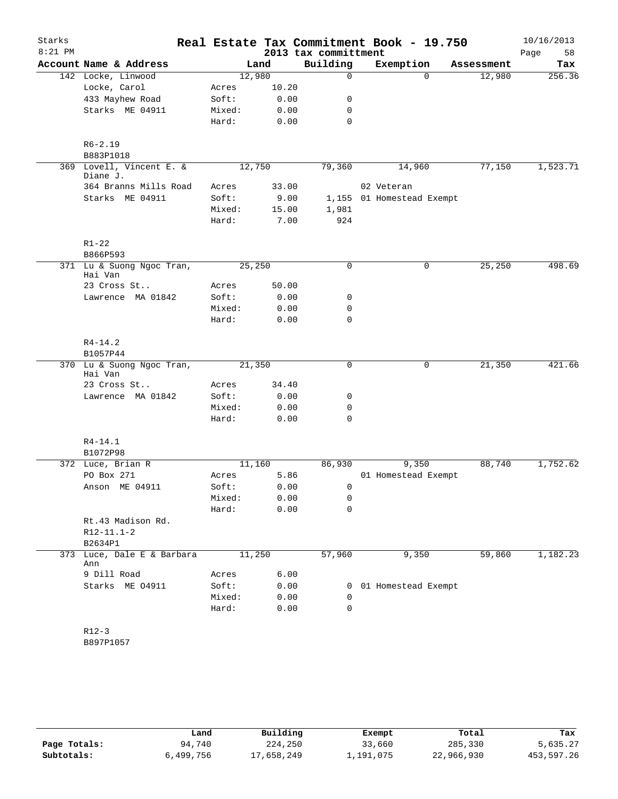| Starks<br>$8:21$ PM |                                      |        |       | 2013 tax committment | Real Estate Tax Commitment Book - 19.750 |            | 10/16/2013<br>58<br>Page |
|---------------------|--------------------------------------|--------|-------|----------------------|------------------------------------------|------------|--------------------------|
|                     | Account Name & Address               |        | Land  | Building             | Exemption                                | Assessment | Tax                      |
|                     | 142 Locke, Linwood                   | 12,980 |       | $\mathbf 0$          | $\Omega$                                 | 12,980     | 256.36                   |
|                     | Locke, Carol                         | Acres  | 10.20 |                      |                                          |            |                          |
|                     | 433 Mayhew Road                      | Soft:  | 0.00  | 0                    |                                          |            |                          |
|                     | Starks ME 04911                      | Mixed: | 0.00  | 0                    |                                          |            |                          |
|                     |                                      | Hard:  | 0.00  | $\mathbf 0$          |                                          |            |                          |
|                     | $R6 - 2.19$<br>B883P1018             |        |       |                      |                                          |            |                          |
|                     | 369 Lovell, Vincent E. &             | 12,750 |       | 79,360               | 14,960                                   | 77,150     | 1,523.71                 |
|                     | Diane J.<br>364 Branns Mills Road    | Acres  | 33.00 |                      | 02 Veteran                               |            |                          |
|                     | Starks ME 04911                      | Soft:  | 9.00  |                      | 1,155 01 Homestead Exempt                |            |                          |
|                     |                                      | Mixed: | 15.00 | 1,981                |                                          |            |                          |
|                     |                                      | Hard:  | 7.00  | 924                  |                                          |            |                          |
|                     | $R1 - 22$                            |        |       |                      |                                          |            |                          |
|                     | B866P593                             |        |       |                      |                                          |            |                          |
|                     | 371 Lu & Suong Ngoc Tran,<br>Hai Van | 25,250 |       | 0                    | 0                                        | 25,250     | 498.69                   |
|                     | 23 Cross St                          | Acres  | 50.00 |                      |                                          |            |                          |
|                     | Lawrence MA 01842                    | Soft:  | 0.00  | 0                    |                                          |            |                          |
|                     |                                      | Mixed: | 0.00  | $\mathbf 0$          |                                          |            |                          |
|                     |                                      | Hard:  | 0.00  | $\mathbf 0$          |                                          |            |                          |
|                     | $R4 - 14.2$                          |        |       |                      |                                          |            |                          |
|                     | B1057P44                             |        |       |                      |                                          |            |                          |
|                     | 370 Lu & Suong Ngoc Tran,<br>Hai Van | 21,350 |       | $\mathbf 0$          | 0                                        | 21,350     | 421.66                   |
|                     | 23 Cross St                          | Acres  | 34.40 |                      |                                          |            |                          |
|                     | Lawrence MA 01842                    | Soft:  | 0.00  | 0                    |                                          |            |                          |
|                     |                                      | Mixed: | 0.00  | 0                    |                                          |            |                          |
|                     |                                      | Hard:  | 0.00  | $\mathbf 0$          |                                          |            |                          |
|                     | $R4 - 14.1$                          |        |       |                      |                                          |            |                          |
|                     | B1072P98                             |        |       |                      |                                          |            |                          |
|                     | 372 Luce, Brian R                    | 11,160 |       | 86,930               | 9,350                                    | 88,740     | 1,752.62                 |
|                     | PO Box 271                           | Acres  | 5.86  |                      | 01 Homestead Exempt                      |            |                          |
|                     | Anson ME 04911                       | Soft:  | 0.00  | 0                    |                                          |            |                          |
|                     |                                      | Mixed: | 0.00  | 0                    |                                          |            |                          |
|                     |                                      | Hard:  | 0.00  | 0                    |                                          |            |                          |
|                     | Rt.43 Madison Rd.                    |        |       |                      |                                          |            |                          |
|                     | $R12 - 11.1 - 2$                     |        |       |                      |                                          |            |                          |
| 373                 | B2634P1<br>Luce, Dale E & Barbara    | 11,250 |       |                      |                                          |            | 1,182.23                 |
|                     | Ann                                  |        |       | 57,960               | 9,350                                    | 59,860     |                          |
|                     | 9 Dill Road                          | Acres  | 6.00  |                      |                                          |            |                          |
|                     | Starks ME 04911                      | Soft:  | 0.00  |                      | 0 01 Homestead Exempt                    |            |                          |
|                     |                                      | Mixed: | 0.00  | $\mathbf 0$          |                                          |            |                          |
|                     |                                      | Hard:  | 0.00  | 0                    |                                          |            |                          |
|                     | $R12-3$                              |        |       |                      |                                          |            |                          |
|                     | B897P1057                            |        |       |                      |                                          |            |                          |

|              | Land      | Building   | Exempt    | Total      | Tax        |
|--------------|-----------|------------|-----------|------------|------------|
| Page Totals: | 94,740    | 224,250    | 33,660    | 285,330    | 5,635.27   |
| Subtotals:   | 6,499,756 | 17,658,249 | ⊥,191,075 | 22,966,930 | 453,597.26 |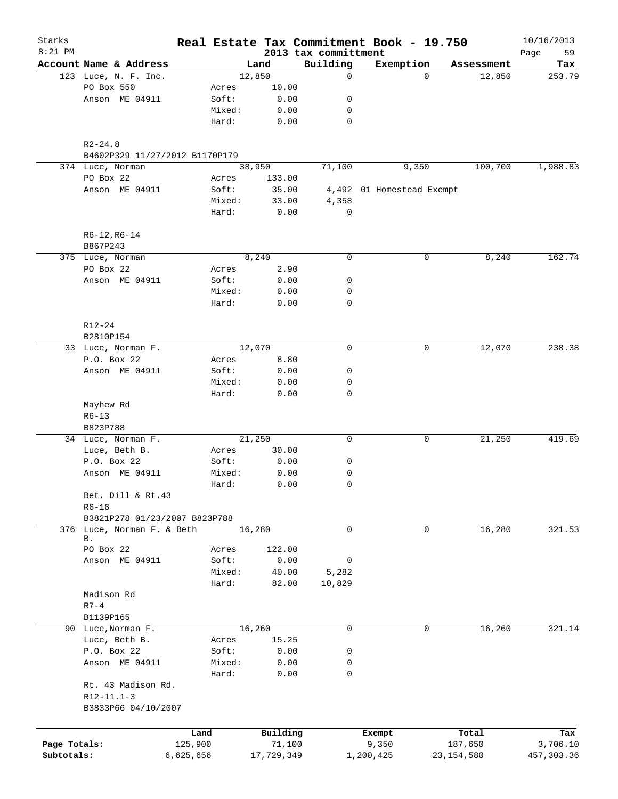| Starks       |                                     |                |                 |                                  | Real Estate Tax Commitment Book - 19.750 |              | 10/16/2013        |
|--------------|-------------------------------------|----------------|-----------------|----------------------------------|------------------------------------------|--------------|-------------------|
| $8:21$ PM    | Account Name & Address              |                | Land            | 2013 tax committment<br>Building | Exemption                                | Assessment   | 59<br>Page<br>Tax |
|              | 123 Luce, N. F. Inc.                |                | 12,850          | 0                                | $\Omega$                                 | 12,850       | 253.79            |
|              | PO Box 550                          | Acres          | 10.00           |                                  |                                          |              |                   |
|              | Anson ME 04911                      | Soft:          | 0.00            | 0                                |                                          |              |                   |
|              |                                     | Mixed:         | 0.00            | 0                                |                                          |              |                   |
|              |                                     | Hard:          | 0.00            | 0                                |                                          |              |                   |
|              | $R2 - 24.8$                         |                |                 |                                  |                                          |              |                   |
|              | B4602P329 11/27/2012 B1170P179      |                |                 |                                  |                                          |              |                   |
|              | 374 Luce, Norman<br>PO Box 22       |                | 38,950          | 71,100                           | 9,350                                    | 100,700      | 1,988.83          |
|              | Anson ME 04911                      | Acres<br>Soft: | 133.00<br>35.00 |                                  | 4,492 01 Homestead Exempt                |              |                   |
|              |                                     | Mixed:         | 33.00           | 4,358                            |                                          |              |                   |
|              |                                     | Hard:          | 0.00            | 0                                |                                          |              |                   |
|              | $R6-12, R6-14$                      |                |                 |                                  |                                          |              |                   |
|              | B867P243                            |                |                 |                                  |                                          |              |                   |
|              | 375 Luce, Norman                    |                | 8,240           | $\mathbf 0$                      | 0                                        | 8,240        | 162.74            |
|              | PO Box 22                           | Acres          | 2.90            |                                  |                                          |              |                   |
|              | Anson ME 04911                      | Soft:          | 0.00            | 0                                |                                          |              |                   |
|              |                                     | Mixed:         | 0.00            | 0                                |                                          |              |                   |
|              |                                     | Hard:          | 0.00            | 0                                |                                          |              |                   |
|              | R12-24                              |                |                 |                                  |                                          |              |                   |
|              | B2810P154                           |                |                 |                                  |                                          |              |                   |
|              | 33 Luce, Norman F.                  |                | 12,070          | $\mathbf 0$                      | 0                                        | 12,070       | 238.38            |
|              | P.O. Box 22                         | Acres          | 8.80            |                                  |                                          |              |                   |
|              | Anson ME 04911                      | Soft:          | 0.00            | 0                                |                                          |              |                   |
|              |                                     | Mixed:         | 0.00            | 0                                |                                          |              |                   |
|              |                                     | Hard:          | 0.00            | $\mathbf 0$                      |                                          |              |                   |
|              | Mayhew Rd                           |                |                 |                                  |                                          |              |                   |
|              | $R6 - 13$                           |                |                 |                                  |                                          |              |                   |
|              | B823P788                            |                |                 | 0                                |                                          |              | 419.69            |
|              | 34 Luce, Norman F.                  | Acres          | 21,250          |                                  | 0                                        | 21,250       |                   |
|              | Luce, Beth B.<br>P.O. Box 22        | Soft:          | 30.00<br>0.00   | 0                                |                                          |              |                   |
|              | Anson ME 04911                      | Mixed:         | 0.00            | 0                                |                                          |              |                   |
|              |                                     | Hard:          | 0.00            | 0                                |                                          |              |                   |
|              | Bet. Dill & Rt.43                   |                |                 |                                  |                                          |              |                   |
|              | $R6 - 16$                           |                |                 |                                  |                                          |              |                   |
|              | B3821P278 01/23/2007 B823P788       |                |                 |                                  |                                          |              |                   |
|              | 376 Luce, Norman F. & Beth          |                | 16,280          | 0                                | 0                                        | 16,280       | 321.53            |
|              | В.                                  |                |                 |                                  |                                          |              |                   |
|              | PO Box 22                           | Acres          | 122.00          |                                  |                                          |              |                   |
|              | Anson ME 04911                      | Soft:          | 0.00            | 0                                |                                          |              |                   |
|              |                                     | Mixed:         | 40.00           | 5,282                            |                                          |              |                   |
|              |                                     | Hard:          | 82.00           | 10,829                           |                                          |              |                   |
|              | Madison Rd                          |                |                 |                                  |                                          |              |                   |
|              | $R7-4$                              |                |                 |                                  |                                          |              |                   |
|              | B1139P165                           |                |                 |                                  |                                          |              |                   |
|              | 90 Luce, Norman F.                  |                | 16,260          | 0                                | 0                                        | 16,260       | 321.14            |
|              | Luce, Beth B.                       | Acres          | 15.25           |                                  |                                          |              |                   |
|              | P.O. Box 22                         | Soft:          | 0.00            | 0                                |                                          |              |                   |
|              | Anson ME 04911                      | Mixed:         | 0.00            | 0<br>0                           |                                          |              |                   |
|              | Rt. 43 Madison Rd.                  | Hard:          | 0.00            |                                  |                                          |              |                   |
|              | $R12-11.1-3$<br>B3833P66 04/10/2007 |                |                 |                                  |                                          |              |                   |
|              |                                     |                |                 |                                  |                                          |              |                   |
|              |                                     | Land           | Building        |                                  | Exempt                                   | Total        | Tax               |
| Page Totals: |                                     | 125,900        | 71,100          |                                  | 9,350                                    | 187,650      | 3,706.10          |
| Subtotals:   |                                     | 6,625,656      | 17,729,349      |                                  | 1,200,425                                | 23, 154, 580 | 457, 303.36       |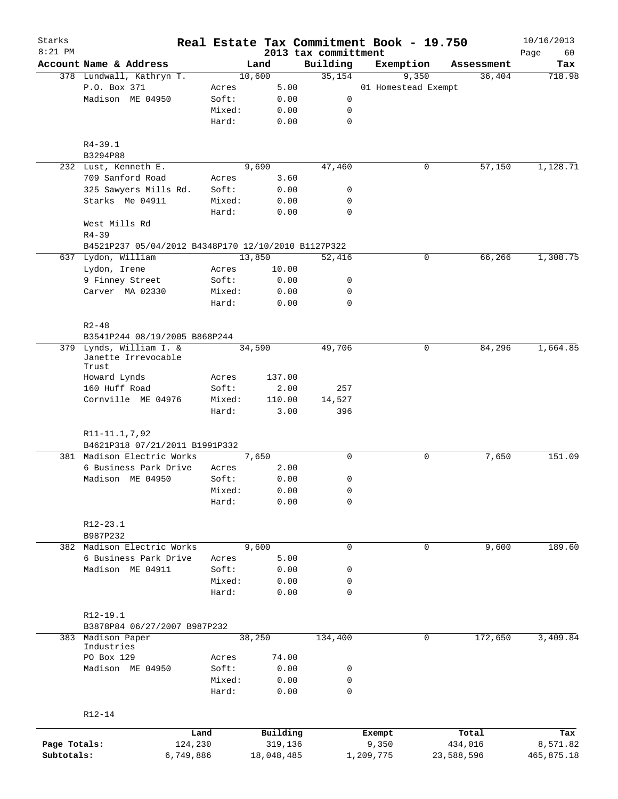| Starks       |                                                     |                 |                 |        |                     | Real Estate Tax Commitment Book - 19.750 |                     |       |                  |            | 10/16/2013        |
|--------------|-----------------------------------------------------|-----------------|-----------------|--------|---------------------|------------------------------------------|---------------------|-------|------------------|------------|-------------------|
| $8:21$ PM    | Account Name & Address                              |                 |                 | Land   |                     | 2013 tax committment<br>Building         | Exemption           |       |                  | Assessment | Page<br>60<br>Tax |
|              | 378 Lundwall, Kathryn T.                            |                 |                 | 10,600 |                     | 35,154                                   |                     | 9,350 |                  | 36,404     | 718.98            |
|              | P.O. Box 371                                        |                 | Acres           |        | 5.00                |                                          | 01 Homestead Exempt |       |                  |            |                   |
|              | Madison ME 04950                                    |                 | Soft:           |        | 0.00                | 0                                        |                     |       |                  |            |                   |
|              |                                                     |                 | Mixed:          |        | 0.00                | 0                                        |                     |       |                  |            |                   |
|              |                                                     |                 | Hard:           |        | 0.00                | $\mathbf 0$                              |                     |       |                  |            |                   |
|              |                                                     |                 |                 |        |                     |                                          |                     |       |                  |            |                   |
|              | $R4 - 39.1$                                         |                 |                 |        |                     |                                          |                     |       |                  |            |                   |
|              | B3294P88                                            |                 |                 |        |                     |                                          |                     |       |                  |            |                   |
|              | 232 Lust, Kenneth E.                                |                 |                 | 9,690  |                     | 47,460                                   |                     | 0     |                  | 57,150     | 1,128.71          |
|              | 709 Sanford Road                                    |                 | Acres           |        | 3.60                |                                          |                     |       |                  |            |                   |
|              | 325 Sawyers Mills Rd.                               |                 | Soft:           |        | 0.00                | 0                                        |                     |       |                  |            |                   |
|              | Starks Me 04911                                     |                 | Mixed:          |        | 0.00                | 0                                        |                     |       |                  |            |                   |
|              |                                                     |                 | Hard:           |        | 0.00                | $\mathbf 0$                              |                     |       |                  |            |                   |
|              | West Mills Rd                                       |                 |                 |        |                     |                                          |                     |       |                  |            |                   |
|              | $R4 - 39$                                           |                 |                 |        |                     |                                          |                     |       |                  |            |                   |
|              | B4521P237 05/04/2012 B4348P170 12/10/2010 B1127P322 |                 |                 |        |                     |                                          |                     |       |                  |            |                   |
|              | 637 Lydon, William                                  |                 |                 | 13,850 |                     | 52,416                                   |                     | 0     |                  | 66,266     | 1,308.75          |
|              | Lydon, Irene                                        |                 | Acres           |        | 10.00               |                                          |                     |       |                  |            |                   |
|              | 9 Finney Street                                     |                 | Soft:           |        | 0.00                | 0                                        |                     |       |                  |            |                   |
|              | Carver MA 02330                                     |                 | Mixed:          |        | 0.00                | $\mathbf 0$                              |                     |       |                  |            |                   |
|              |                                                     |                 | Hard:           |        | 0.00                | $\mathbf 0$                              |                     |       |                  |            |                   |
|              |                                                     |                 |                 |        |                     |                                          |                     |       |                  |            |                   |
|              | $R2 - 48$                                           |                 |                 |        |                     |                                          |                     |       |                  |            |                   |
|              | B3541P244 08/19/2005 B868P244                       |                 |                 |        |                     |                                          |                     |       |                  |            |                   |
| 379          | Lynds, William I. &<br>Janette Irrevocable          |                 |                 | 34,590 |                     | 49,706                                   |                     | 0     |                  | 84,296     | 1,664.85          |
|              | Trust                                               |                 |                 |        |                     |                                          |                     |       |                  |            |                   |
|              | Howard Lynds                                        |                 | Acres           |        | 137.00              |                                          |                     |       |                  |            |                   |
|              | 160 Huff Road                                       |                 | Soft:           |        | 2.00                | 257                                      |                     |       |                  |            |                   |
|              | Cornville ME 04976                                  |                 | Mixed:          |        | 110.00              | 14,527                                   |                     |       |                  |            |                   |
|              |                                                     |                 | Hard:           |        | 3.00                | 396                                      |                     |       |                  |            |                   |
|              |                                                     |                 |                 |        |                     |                                          |                     |       |                  |            |                   |
|              | R11-11.1,7,92                                       |                 |                 |        |                     |                                          |                     |       |                  |            |                   |
|              | B4621P318 07/21/2011 B1991P332                      |                 |                 |        |                     |                                          |                     |       |                  |            |                   |
|              | 381 Madison Electric Works                          |                 |                 | 7,650  |                     | $\mathbf 0$                              |                     | 0     |                  | 7,650      | 151.09            |
|              | 6 Business Park Drive                               |                 | Acres           |        | 2.00                |                                          |                     |       |                  |            |                   |
|              | Madison ME 04950                                    |                 | Soft:           |        | 0.00                | 0                                        |                     |       |                  |            |                   |
|              |                                                     |                 | Mixed:          |        | 0.00                | 0                                        |                     |       |                  |            |                   |
|              |                                                     |                 | Hard:           |        | 0.00                | 0                                        |                     |       |                  |            |                   |
|              |                                                     |                 |                 |        |                     |                                          |                     |       |                  |            |                   |
|              | R12-23.1                                            |                 |                 |        |                     |                                          |                     |       |                  |            |                   |
|              | B987P232                                            |                 |                 |        |                     |                                          |                     |       |                  |            |                   |
| 382          | Madison Electric Works                              |                 |                 | 9,600  |                     | 0                                        |                     | 0     |                  | 9,600      | 189.60            |
|              | 6 Business Park Drive                               |                 | Acres           |        | 5.00                |                                          |                     |       |                  |            |                   |
|              | Madison ME 04911                                    |                 | Soft:           |        | 0.00                | 0                                        |                     |       |                  |            |                   |
|              |                                                     |                 | Mixed:          |        | 0.00                | 0                                        |                     |       |                  |            |                   |
|              |                                                     |                 | Hard:           |        | 0.00                | $\mathbf 0$                              |                     |       |                  |            |                   |
|              |                                                     |                 |                 |        |                     |                                          |                     |       |                  |            |                   |
|              | R12-19.1                                            |                 |                 |        |                     |                                          |                     |       |                  |            |                   |
|              | B3878P84 06/27/2007 B987P232                        |                 |                 |        |                     |                                          |                     |       |                  |            |                   |
| 383          | Madison Paper                                       |                 |                 | 38,250 |                     | 134,400                                  |                     | 0     |                  | 172,650    | 3,409.84          |
|              | Industries                                          |                 |                 |        |                     |                                          |                     |       |                  |            |                   |
|              | PO Box 129                                          |                 | Acres           |        | 74.00               |                                          |                     |       |                  |            |                   |
|              | Madison ME 04950                                    |                 | Soft:           |        | 0.00                | 0                                        |                     |       |                  |            |                   |
|              |                                                     |                 | Mixed:<br>Hard: |        | 0.00<br>0.00        | 0<br>$\mathbf 0$                         |                     |       |                  |            |                   |
|              |                                                     |                 |                 |        |                     |                                          |                     |       |                  |            |                   |
|              | $R12 - 14$                                          |                 |                 |        |                     |                                          |                     |       |                  |            |                   |
|              |                                                     |                 |                 |        |                     |                                          |                     |       |                  |            |                   |
| Page Totals: |                                                     | Land<br>124,230 |                 |        | Building<br>319,136 |                                          | Exempt<br>9,350     |       | Total<br>434,016 |            | Tax<br>8,571.82   |
| Subtotals:   |                                                     | 6,749,886       |                 |        | 18,048,485          |                                          | 1,209,775           |       | 23,588,596       |            | 465,875.18        |
|              |                                                     |                 |                 |        |                     |                                          |                     |       |                  |            |                   |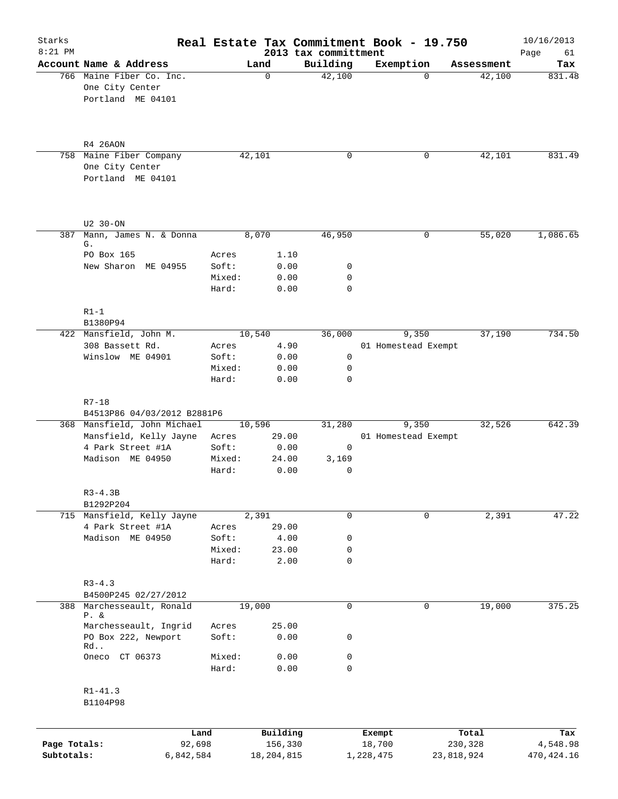| Starks<br>$8:21$ PM        |                                                                  |                 |                         | 2013 tax committment | Real Estate Tax Commitment Book - 19.750 |                       | 10/16/2013<br>Page<br>61 |
|----------------------------|------------------------------------------------------------------|-----------------|-------------------------|----------------------|------------------------------------------|-----------------------|--------------------------|
|                            | Account Name & Address                                           |                 | Land                    | Building             | Exemption                                | Assessment            | Tax                      |
|                            | 766 Maine Fiber Co. Inc.<br>One City Center<br>Portland ME 04101 |                 | $\Omega$                | 42,100               | 0                                        | 42,100                | 831.48                   |
|                            | R4 26AON                                                         |                 |                         |                      |                                          |                       |                          |
|                            | 758 Maine Fiber Company<br>One City Center<br>Portland ME 04101  |                 | 42,101                  | 0                    | 0                                        | 42,101                | 831.49                   |
|                            | U2 30-ON                                                         |                 |                         |                      |                                          |                       |                          |
| 387                        | Mann, James N. & Donna                                           |                 | 8,070                   | 46,950               | 0                                        | 55,020                | 1,086.65                 |
|                            | G.<br>PO Box 165                                                 |                 | 1.10                    |                      |                                          |                       |                          |
|                            | New Sharon ME 04955                                              | Acres<br>Soft:  | 0.00                    | 0                    |                                          |                       |                          |
|                            |                                                                  | Mixed:          | 0.00                    | 0                    |                                          |                       |                          |
|                            |                                                                  | Hard:           | 0.00                    | $\mathbf 0$          |                                          |                       |                          |
|                            | $R1-1$<br>B1380P94                                               |                 |                         |                      |                                          |                       |                          |
|                            | 422 Mansfield, John M.                                           |                 | 10,540                  | 36,000               | 9,350                                    | 37,190                | 734.50                   |
|                            | 308 Bassett Rd.                                                  | Acres           | 4.90                    |                      | 01 Homestead Exempt                      |                       |                          |
|                            | Winslow ME 04901                                                 | Soft:           | 0.00                    | $\mathsf{O}$         |                                          |                       |                          |
|                            |                                                                  | Mixed:          | 0.00                    | 0                    |                                          |                       |                          |
|                            |                                                                  | Hard:           | 0.00                    | 0                    |                                          |                       |                          |
|                            | $R7 - 18$<br>B4513P86 04/03/2012 B2881P6                         |                 |                         |                      |                                          |                       |                          |
|                            | 368 Mansfield, John Michael                                      |                 | 10,596                  | 31,280               | 9,350                                    | 32,526                | 642.39                   |
|                            | Mansfield, Kelly Jayne                                           | Acres           | 29.00                   |                      | 01 Homestead Exempt                      |                       |                          |
|                            | 4 Park Street #1A                                                | Soft:           | 0.00                    | 0                    |                                          |                       |                          |
|                            | Madison ME 04950                                                 | Mixed:<br>Hard: | 24.00<br>0.00           | 3,169<br>0           |                                          |                       |                          |
|                            | $R3 - 4.3B$<br>B1292P204                                         |                 |                         |                      |                                          |                       |                          |
|                            | 715 Mansfield, Kelly Jayne                                       |                 | 2,391                   | 0                    | 0                                        | 2,391                 | 47.22                    |
|                            | 4 Park Street #1A                                                | Acres           | 29.00                   |                      |                                          |                       |                          |
|                            | Madison ME 04950                                                 | Soft:           | 4.00                    | 0                    |                                          |                       |                          |
|                            |                                                                  | Mixed:          | 23.00                   | 0                    |                                          |                       |                          |
|                            |                                                                  | Hard:           | 2.00                    | 0                    |                                          |                       |                          |
|                            | $R3 - 4.3$<br>B4500P245 02/27/2012                               |                 |                         |                      |                                          |                       |                          |
|                            | 388 Marchesseault, Ronald<br>$P. \&$                             |                 | 19,000                  | $\mathbf 0$          | 0                                        | 19,000                | 375.25                   |
|                            | Marchesseault, Ingrid                                            | Acres           | 25.00                   |                      |                                          |                       |                          |
|                            | PO Box 222, Newport<br>Rd                                        | Soft:           | 0.00                    | 0                    |                                          |                       |                          |
|                            | Oneco CT 06373                                                   | Mixed:          | 0.00                    | 0                    |                                          |                       |                          |
|                            |                                                                  | Hard:           | 0.00                    | 0                    |                                          |                       |                          |
|                            | $R1 - 41.3$<br>B1104P98                                          |                 |                         |                      |                                          |                       |                          |
|                            |                                                                  | Land            | Building                |                      | Exempt                                   | Total                 | Tax                      |
| Page Totals:<br>Subtotals: | 92,698<br>6,842,584                                              |                 | 156,330<br>18, 204, 815 |                      | 18,700<br>1,228,475                      | 230,328<br>23,818,924 | 4,548.98<br>470, 424.16  |
|                            |                                                                  |                 |                         |                      |                                          |                       |                          |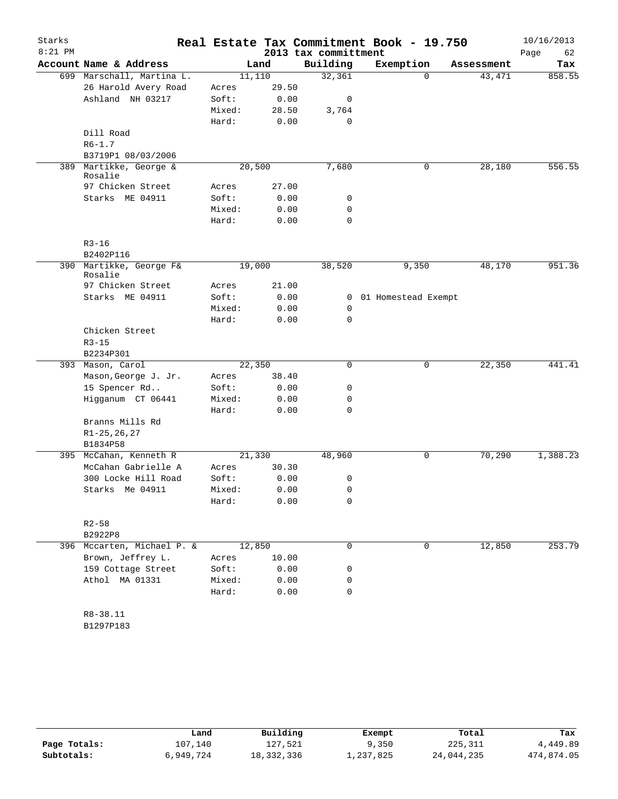| Starks<br>$8:21$ PM |                                       |                |               | 2013 tax committment | Real Estate Tax Commitment Book - 19.750 |            | 10/16/2013<br>Page<br>62 |
|---------------------|---------------------------------------|----------------|---------------|----------------------|------------------------------------------|------------|--------------------------|
|                     | Account Name & Address                |                | Land          | Building             | Exemption                                | Assessment | Tax                      |
|                     | 699 Marschall, Martina L.             | 11,110         |               | 32,361               | 0                                        | 43, 471    | 858.55                   |
|                     | 26 Harold Avery Road                  | Acres          | 29.50         |                      |                                          |            |                          |
|                     | Ashland NH 03217                      | Soft:          | 0.00          | 0                    |                                          |            |                          |
|                     |                                       | Mixed:         | 28.50         | 3,764                |                                          |            |                          |
|                     |                                       | Hard:          | 0.00          | 0                    |                                          |            |                          |
|                     | Dill Road                             |                |               |                      |                                          |            |                          |
|                     | $R6 - 1.7$                            |                |               |                      |                                          |            |                          |
|                     | B3719P1 08/03/2006                    |                |               |                      |                                          |            |                          |
| 389                 | Martikke, George &<br>Rosalie         | 20,500         |               | 7,680                | 0                                        | 28,180     | 556.55                   |
|                     | 97 Chicken Street                     | Acres          | 27.00         |                      |                                          |            |                          |
|                     | Starks ME 04911                       | Soft:          | 0.00          | 0                    |                                          |            |                          |
|                     |                                       | Mixed:         | 0.00          | 0                    |                                          |            |                          |
|                     |                                       | Hard:          | 0.00          | 0                    |                                          |            |                          |
|                     | $R3 - 16$                             |                |               |                      |                                          |            |                          |
|                     | B2402P116                             |                |               |                      |                                          |            |                          |
| 390                 | Martikke, George F&<br>Rosalie        | 19,000         |               | 38,520               | 9,350                                    | 48,170     | 951.36                   |
|                     | 97 Chicken Street                     | Acres          | 21.00         |                      |                                          |            |                          |
|                     | Starks ME 04911                       | Soft:          | 0.00          |                      | 0 01 Homestead Exempt                    |            |                          |
|                     |                                       | Mixed:         | 0.00          | 0                    |                                          |            |                          |
|                     |                                       | Hard:          | 0.00          | 0                    |                                          |            |                          |
|                     | Chicken Street                        |                |               |                      |                                          |            |                          |
|                     | $R3 - 15$                             |                |               |                      |                                          |            |                          |
|                     | B2234P301                             |                |               |                      |                                          |            |                          |
|                     | 393 Mason, Carol                      | 22,350         |               | 0                    | 0                                        | 22,350     | 441.41                   |
|                     | Mason, George J. Jr.<br>15 Spencer Rd | Acres<br>Soft: | 38.40<br>0.00 | 0                    |                                          |            |                          |
|                     | Higganum CT 06441                     | Mixed:         | 0.00          | 0                    |                                          |            |                          |
|                     |                                       | Hard:          | 0.00          | 0                    |                                          |            |                          |
|                     | Branns Mills Rd                       |                |               |                      |                                          |            |                          |
|                     | $R1 - 25, 26, 27$                     |                |               |                      |                                          |            |                          |
|                     | B1834P58                              |                |               |                      |                                          |            |                          |
|                     | 395 McCahan, Kenneth R                | 21,330         |               | 48,960               | 0                                        | 70,290     | 1,388.23                 |
|                     | McCahan Gabrielle A                   | Acres          | 30.30         |                      |                                          |            |                          |
|                     | 300 Locke Hill Road                   | Soft:          | 0.00          | 0                    |                                          |            |                          |
|                     | Starks Me 04911                       | Mixed:         | 0.00          | 0                    |                                          |            |                          |
|                     |                                       | Hard:          | 0.00          | 0                    |                                          |            |                          |
|                     | $R2 - 58$                             |                |               |                      |                                          |            |                          |
|                     | B2922P8                               |                |               |                      |                                          |            |                          |
|                     | 396 Mccarten, Michael P. &            | 12,850         |               | $\mathbf 0$          | $\mathbf 0$                              | 12,850     | 253.79                   |
|                     | Brown, Jeffrey L.                     | Acres          | 10.00         |                      |                                          |            |                          |
|                     | 159 Cottage Street                    | Soft:          | 0.00          | 0                    |                                          |            |                          |
|                     | Athol MA 01331                        | Mixed:         | 0.00          | 0                    |                                          |            |                          |
|                     |                                       | Hard:          | 0.00          | 0                    |                                          |            |                          |
|                     | R8-38.11                              |                |               |                      |                                          |            |                          |
|                     | B1297P183                             |                |               |                      |                                          |            |                          |

|              | Land      | Building     | Exempt    | Total      | Tax        |
|--------------|-----------|--------------|-----------|------------|------------|
| Page Totals: | 107.140   | 127.521      | 9,350     | 225, 311   | 4,449.89   |
| Subtotals:   | 6,949,724 | 18, 332, 336 | 1,237,825 | 24,044,235 | 474,874.05 |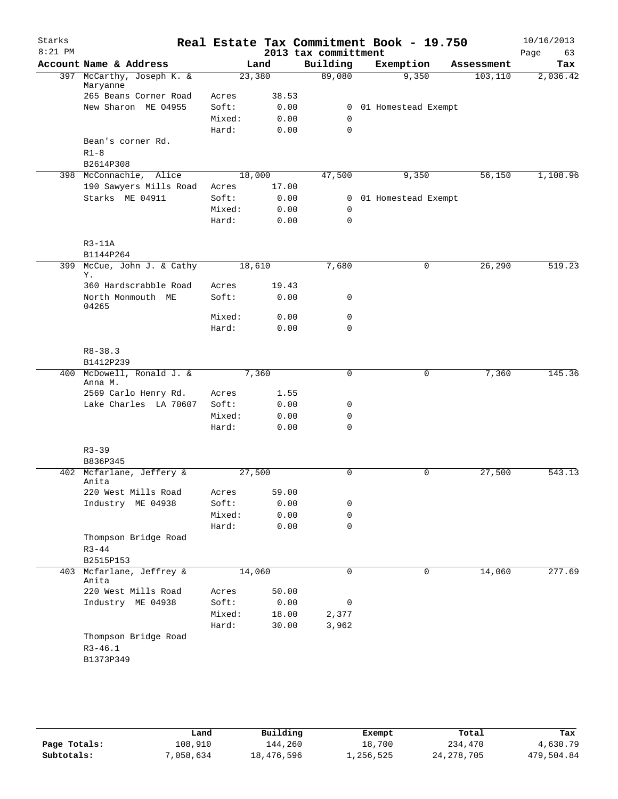| Starks<br>$8:21$ PM |                                   |                 |                |                                  | Real Estate Tax Commitment Book - 19.750 |            | 10/16/2013        |
|---------------------|-----------------------------------|-----------------|----------------|----------------------------------|------------------------------------------|------------|-------------------|
|                     | Account Name & Address            |                 | Land           | 2013 tax committment<br>Building | Exemption                                | Assessment | 63<br>Page<br>Tax |
|                     | 397 McCarthy, Joseph K. &         | 23,380          |                | 89,080                           | 9,350                                    | 103, 110   | 2,036.42          |
|                     | Maryanne                          |                 |                |                                  |                                          |            |                   |
|                     | 265 Beans Corner Road             | Acres           | 38.53          |                                  |                                          |            |                   |
|                     | New Sharon ME 04955               | Soft:           | 0.00           | $\overline{0}$                   | 01 Homestead Exempt                      |            |                   |
|                     |                                   | Mixed:          | 0.00           | $\mathbf 0$                      |                                          |            |                   |
|                     |                                   | Hard:           | 0.00           | 0                                |                                          |            |                   |
|                     | Bean's corner Rd.                 |                 |                |                                  |                                          |            |                   |
|                     | $R1-8$                            |                 |                |                                  |                                          |            |                   |
|                     | B2614P308                         |                 |                |                                  |                                          |            |                   |
|                     | 398 McConnachie, Alice            | 18,000          |                | 47,500                           | 9,350                                    | 56,150     | 1,108.96          |
|                     | 190 Sawyers Mills Road            | Acres           | 17.00          |                                  |                                          |            |                   |
|                     | Starks ME 04911                   | Soft:           | 0.00           | $\mathbf{0}$<br>$\mathbf 0$      | 01 Homestead Exempt                      |            |                   |
|                     |                                   | Mixed:<br>Hard: | 0.00<br>0.00   | 0                                |                                          |            |                   |
|                     |                                   |                 |                |                                  |                                          |            |                   |
|                     | $R3-11A$                          |                 |                |                                  |                                          |            |                   |
|                     | B1144P264                         |                 |                |                                  |                                          |            |                   |
| 399                 | McCue, John J. & Cathy            | 18,610          |                | 7,680                            | 0                                        | 26, 290    | 519.23            |
|                     | Υ.                                |                 |                |                                  |                                          |            |                   |
|                     | 360 Hardscrabble Road             | Acres           | 19.43          |                                  |                                          |            |                   |
|                     | North Monmouth ME                 | Soft:           | 0.00           | 0                                |                                          |            |                   |
|                     | 04265                             |                 |                |                                  |                                          |            |                   |
|                     |                                   | Mixed:          | 0.00           | 0                                |                                          |            |                   |
|                     |                                   | Hard:           | 0.00           | 0                                |                                          |            |                   |
|                     | $R8 - 38.3$                       |                 |                |                                  |                                          |            |                   |
|                     | B1412P239                         |                 |                |                                  |                                          |            |                   |
|                     | 400 McDowell, Ronald J. &         |                 | 7,360          | 0                                | 0                                        | 7,360      | 145.36            |
|                     | Anna M.                           |                 |                |                                  |                                          |            |                   |
|                     | 2569 Carlo Henry Rd.              | Acres           | 1.55           |                                  |                                          |            |                   |
|                     | Lake Charles LA 70607             | Soft:           | 0.00           | 0                                |                                          |            |                   |
|                     |                                   | Mixed:          | 0.00           | 0                                |                                          |            |                   |
|                     |                                   | Hard:           | 0.00           | 0                                |                                          |            |                   |
|                     |                                   |                 |                |                                  |                                          |            |                   |
|                     | $R3 - 39$                         |                 |                |                                  |                                          |            |                   |
|                     | B836P345                          |                 |                |                                  |                                          |            |                   |
|                     | 402 Mcfarlane, Jeffery &<br>Anita | 27,500          |                | 0                                | 0                                        | 27,500     | 543.13            |
|                     | 220 West Mills Road               | Acres           | 59.00          |                                  |                                          |            |                   |
|                     | Industry ME 04938                 | Soft:           | 0.00           | 0                                |                                          |            |                   |
|                     |                                   | Mixed:          | 0.00           | 0                                |                                          |            |                   |
|                     |                                   | Hard:           | 0.00           | 0                                |                                          |            |                   |
|                     | Thompson Bridge Road              |                 |                |                                  |                                          |            |                   |
|                     | $R3 - 44$                         |                 |                |                                  |                                          |            |                   |
|                     | B2515P153                         |                 |                |                                  |                                          |            |                   |
| 403                 | Mcfarlane, Jeffrey &              | 14,060          |                | 0                                | 0                                        | 14,060     | 277.69            |
|                     | Anita                             |                 |                |                                  |                                          |            |                   |
|                     | 220 West Mills Road               | Acres           | 50.00          |                                  |                                          |            |                   |
|                     | Industry ME 04938                 | Soft:           | 0.00           | 0                                |                                          |            |                   |
|                     |                                   | Mixed:          | 18.00<br>30.00 | 2,377                            |                                          |            |                   |
|                     | Thompson Bridge Road              | Hard:           |                | 3,962                            |                                          |            |                   |
|                     | $R3 - 46.1$                       |                 |                |                                  |                                          |            |                   |
|                     | B1373P349                         |                 |                |                                  |                                          |            |                   |
|                     |                                   |                 |                |                                  |                                          |            |                   |
|                     |                                   |                 |                |                                  |                                          |            |                   |

|              | Land      | Building   | Exempt    | Total        | Tax        |
|--------------|-----------|------------|-----------|--------------|------------|
| Page Totals: | 108,910   | 144,260    | 18,700    | 234,470      | 4,630.79   |
| Subtotals:   | 7,058,634 | 18,476,596 | 1,256,525 | 24, 278, 705 | 479,504.84 |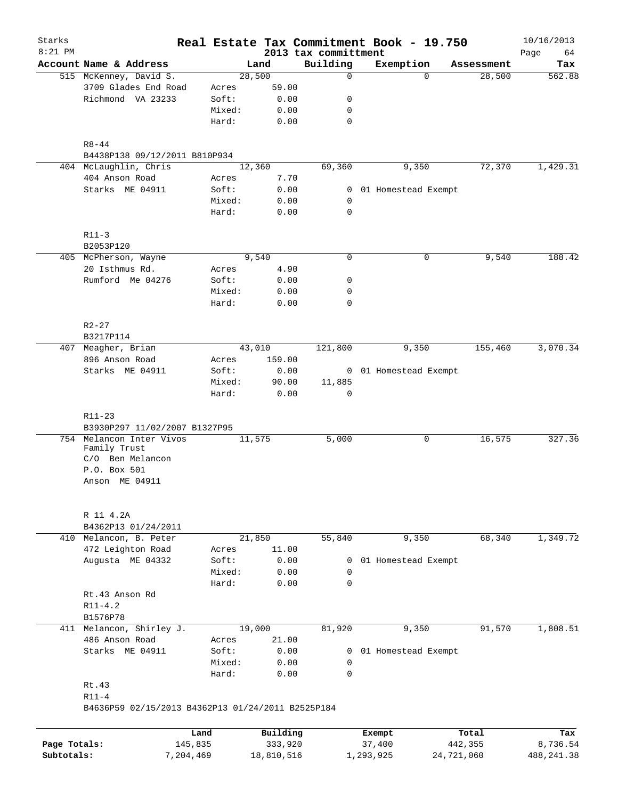| Starks       |                                                                                           |                 |        |                     |                                  | Real Estate Tax Commitment Book - 19.750 |                  | 10/16/2013        |
|--------------|-------------------------------------------------------------------------------------------|-----------------|--------|---------------------|----------------------------------|------------------------------------------|------------------|-------------------|
| $8:21$ PM    | Account Name & Address                                                                    |                 | Land   |                     | 2013 tax committment<br>Building | Exemption                                | Assessment       | Page<br>64<br>Tax |
|              | 515 McKenney, David S.                                                                    |                 | 28,500 |                     | $\mathbf 0$                      | $\Omega$                                 | 28,500           | 562.88            |
|              | 3709 Glades End Road                                                                      | Acres           |        | 59.00               |                                  |                                          |                  |                   |
|              | Richmond VA 23233                                                                         | Soft:           |        | 0.00                | 0                                |                                          |                  |                   |
|              |                                                                                           | Mixed:          |        | 0.00                | 0                                |                                          |                  |                   |
|              |                                                                                           | Hard:           |        | 0.00                | $\mathbf 0$                      |                                          |                  |                   |
|              |                                                                                           |                 |        |                     |                                  |                                          |                  |                   |
|              | $R8 - 44$                                                                                 |                 |        |                     |                                  |                                          |                  |                   |
|              | B4438P138 09/12/2011 B810P934                                                             |                 |        |                     |                                  |                                          |                  |                   |
|              | 404 McLaughlin, Chris                                                                     |                 | 12,360 |                     | 69,360                           | 9,350                                    | 72,370           | 1,429.31          |
|              | 404 Anson Road                                                                            | Acres           |        | 7.70                |                                  |                                          |                  |                   |
|              | Starks ME 04911                                                                           | Soft:           |        | 0.00                | 0                                | 01 Homestead Exempt                      |                  |                   |
|              |                                                                                           | Mixed:          |        | 0.00                | 0                                |                                          |                  |                   |
|              |                                                                                           | Hard:           |        | 0.00                | $\mathbf 0$                      |                                          |                  |                   |
|              | $R11-3$                                                                                   |                 |        |                     |                                  |                                          |                  |                   |
|              | B2053P120                                                                                 |                 |        |                     |                                  |                                          |                  |                   |
|              | 405 McPherson, Wayne                                                                      |                 | 9,540  |                     | $\mathbf 0$                      | $\mathbf 0$                              | 9,540            | 188.42            |
|              | 20 Isthmus Rd.                                                                            | Acres           |        | 4.90                |                                  |                                          |                  |                   |
|              | Rumford Me 04276                                                                          | Soft:           |        | 0.00                | 0                                |                                          |                  |                   |
|              |                                                                                           | Mixed:          |        | 0.00                | 0                                |                                          |                  |                   |
|              |                                                                                           | Hard:           |        | 0.00                | $\mathbf 0$                      |                                          |                  |                   |
|              | $R2 - 27$                                                                                 |                 |        |                     |                                  |                                          |                  |                   |
|              | B3217P114                                                                                 |                 |        |                     |                                  |                                          |                  |                   |
| 407          | Meagher, Brian                                                                            |                 | 43,010 |                     | 121,800                          | 9,350                                    | 155,460          | 3,070.34          |
|              | 896 Anson Road                                                                            | Acres           |        | 159.00              |                                  |                                          |                  |                   |
|              | Starks ME 04911                                                                           | Soft:           |        | 0.00                |                                  | 0 01 Homestead Exempt                    |                  |                   |
|              |                                                                                           | Mixed:          |        | 90.00               | 11,885                           |                                          |                  |                   |
| 754          | B3930P297 11/02/2007 B1327P95<br>Melancon Inter Vivos<br>Family Trust<br>C/O Ben Melancon |                 | 11,575 |                     | 5,000                            | 0                                        | 16,575           | 327.36            |
|              | P.O. Box 501<br>Anson ME 04911                                                            |                 |        |                     |                                  |                                          |                  |                   |
|              | R 11 4.2A                                                                                 |                 |        |                     |                                  |                                          |                  |                   |
|              | B4362P13 01/24/2011                                                                       |                 |        |                     |                                  |                                          |                  |                   |
|              | 410 Melancon, B. Peter                                                                    |                 | 21,850 |                     | 55,840                           | 9,350                                    | 68,340           | 1,349.72          |
|              | 472 Leighton Road                                                                         | Acres           |        | 11.00               |                                  |                                          |                  |                   |
|              | Augusta ME 04332                                                                          | Soft:           |        | 0.00                | 0                                | 01 Homestead Exempt                      |                  |                   |
|              |                                                                                           | Mixed:          |        | 0.00                | $\mathbf 0$                      |                                          |                  |                   |
|              |                                                                                           | Hard:           |        | 0.00                | 0                                |                                          |                  |                   |
|              | Rt.43 Anson Rd                                                                            |                 |        |                     |                                  |                                          |                  |                   |
|              | $R11 - 4.2$                                                                               |                 |        |                     |                                  |                                          |                  |                   |
|              | B1576P78                                                                                  |                 |        |                     |                                  |                                          |                  |                   |
|              | 411 Melancon, Shirley J.                                                                  |                 | 19,000 |                     | 81,920                           | 9,350                                    | 91,570           | 1,808.51          |
|              | 486 Anson Road                                                                            | Acres           |        | 21.00               |                                  |                                          |                  |                   |
|              | Starks ME 04911                                                                           | Soft:           |        | 0.00                | $\mathbf{0}$                     | 01 Homestead Exempt                      |                  |                   |
|              |                                                                                           | Mixed:          |        | 0.00                | 0                                |                                          |                  |                   |
|              |                                                                                           | Hard:           |        | 0.00                | 0                                |                                          |                  |                   |
|              | Rt.43                                                                                     |                 |        |                     |                                  |                                          |                  |                   |
|              | $R11-4$                                                                                   |                 |        |                     |                                  |                                          |                  |                   |
|              | B4636P59 02/15/2013 B4362P13 01/24/2011 B2525P184                                         |                 |        |                     |                                  |                                          |                  |                   |
|              |                                                                                           |                 |        |                     |                                  |                                          |                  |                   |
| Page Totals: |                                                                                           | Land<br>145,835 |        | Building<br>333,920 |                                  | Exempt<br>37,400                         | Total<br>442,355 | Tax<br>8,736.54   |
| Subtotals:   |                                                                                           | 7,204,469       |        | 18,810,516          |                                  | 1,293,925                                | 24,721,060       | 488, 241.38       |
|              |                                                                                           |                 |        |                     |                                  |                                          |                  |                   |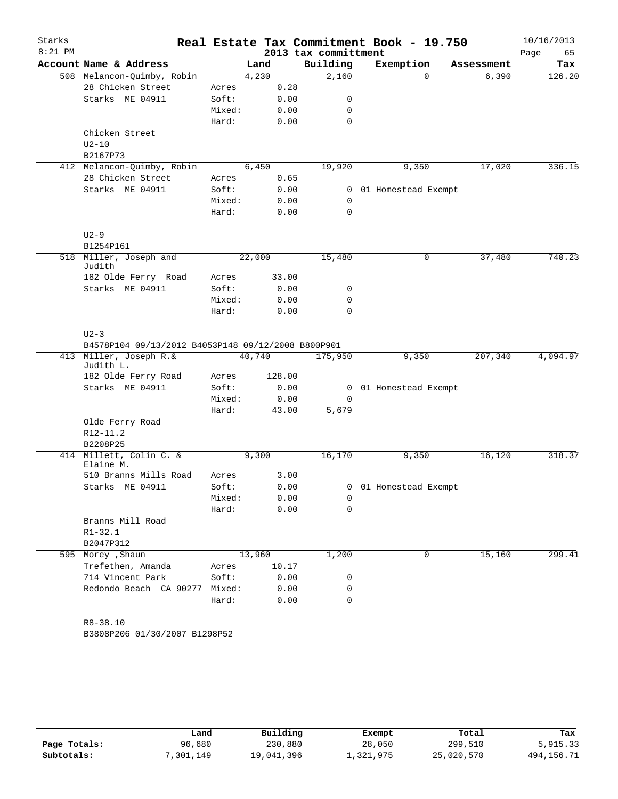| Starks    |                                                    |        |        |      |                      | Real Estate Tax Commitment Book - 19.750 |            | 10/16/2013 |
|-----------|----------------------------------------------------|--------|--------|------|----------------------|------------------------------------------|------------|------------|
| $8:21$ PM |                                                    |        |        |      | 2013 tax committment |                                          |            | 65<br>Page |
|           | Account Name & Address                             |        | Land   |      | Building             | Exemption                                | Assessment | Tax        |
|           | 508 Melancon-Quimby, Robin                         |        | 4,230  |      | 2,160                | $\Omega$                                 | 6,390      | 126.20     |
|           | 28 Chicken Street                                  | Acres  |        | 0.28 |                      |                                          |            |            |
|           | Starks ME 04911                                    | Soft:  |        | 0.00 | 0                    |                                          |            |            |
|           |                                                    | Mixed: |        | 0.00 | 0                    |                                          |            |            |
|           |                                                    | Hard:  |        | 0.00 | $\mathbf 0$          |                                          |            |            |
|           | Chicken Street                                     |        |        |      |                      |                                          |            |            |
|           | $U2-10$                                            |        |        |      |                      |                                          |            |            |
|           | B2167P73<br>412 Melancon-Quimby, Robin             |        | 6,450  |      | 19,920               | 9,350                                    | 17,020     | 336.15     |
|           | 28 Chicken Street                                  | Acres  |        | 0.65 |                      |                                          |            |            |
|           | Starks ME 04911                                    | Soft:  |        | 0.00 | $\mathbf{0}$         | 01 Homestead Exempt                      |            |            |
|           |                                                    | Mixed: |        | 0.00 | 0                    |                                          |            |            |
|           |                                                    | Hard:  |        | 0.00 | 0                    |                                          |            |            |
|           | $U2-9$                                             |        |        |      |                      |                                          |            |            |
|           | B1254P161                                          |        |        |      |                      |                                          |            |            |
|           | 518 Miller, Joseph and                             |        | 22,000 |      | 15,480               | 0                                        | 37,480     | 740.23     |
|           | Judith                                             |        |        |      |                      |                                          |            |            |
|           | 182 Olde Ferry Road                                | Acres  | 33.00  |      |                      |                                          |            |            |
|           | Starks ME 04911                                    | Soft:  |        | 0.00 | 0                    |                                          |            |            |
|           |                                                    | Mixed: |        | 0.00 | 0                    |                                          |            |            |
|           |                                                    | Hard:  |        | 0.00 | $\mathbf 0$          |                                          |            |            |
|           | $U2-3$                                             |        |        |      |                      |                                          |            |            |
|           | B4578P104 09/13/2012 B4053P148 09/12/2008 B800P901 |        |        |      |                      |                                          |            |            |
|           | 413 Miller, Joseph R.&                             |        | 40,740 |      | 175,950              | 9,350                                    | 207,340    | 4,094.97   |
|           | Judith L.                                          |        |        |      |                      |                                          |            |            |
|           | 182 Olde Ferry Road                                | Acres  | 128.00 |      |                      |                                          |            |            |
|           | Starks ME 04911                                    | Soft:  |        | 0.00 | 0                    | 01 Homestead Exempt                      |            |            |
|           |                                                    | Mixed: |        | 0.00 | $\mathbf 0$          |                                          |            |            |
|           |                                                    | Hard:  | 43.00  |      | 5,679                |                                          |            |            |
|           | Olde Ferry Road                                    |        |        |      |                      |                                          |            |            |
|           | $R12 - 11.2$                                       |        |        |      |                      |                                          |            |            |
|           | B2208P25                                           |        |        |      |                      |                                          |            |            |
|           | 414 Millett, Colin C. &<br>Elaine M.               |        | 9,300  |      | 16,170               | 9,350                                    | 16,120     | 318.37     |
|           | 510 Branns Mills Road                              | Acres  |        | 3.00 |                      |                                          |            |            |
|           | Starks ME 04911                                    | Soft:  |        | 0.00 |                      | 0 01 Homestead Exempt                    |            |            |
|           |                                                    | Mixed: |        | 0.00 | 0                    |                                          |            |            |
|           |                                                    | Hard:  |        | 0.00 | 0                    |                                          |            |            |
|           | Branns Mill Road                                   |        |        |      |                      |                                          |            |            |
|           | $R1 - 32.1$                                        |        |        |      |                      |                                          |            |            |
|           | B2047P312                                          |        |        |      |                      |                                          |            |            |
|           | 595 Morey , Shaun                                  |        | 13,960 |      | 1,200                | 0                                        | 15,160     | 299.41     |
|           | Trefethen, Amanda                                  | Acres  | 10.17  |      |                      |                                          |            |            |
|           | 714 Vincent Park                                   | Soft:  |        | 0.00 | 0                    |                                          |            |            |
|           | Redondo Beach CA 90277 Mixed:                      |        |        | 0.00 | 0                    |                                          |            |            |
|           |                                                    | Hard:  |        | 0.00 | $\mathbf 0$          |                                          |            |            |
|           |                                                    |        |        |      |                      |                                          |            |            |
|           | R8-38.10                                           |        |        |      |                      |                                          |            |            |
|           | B3808P206 01/30/2007 B1298P52                      |        |        |      |                      |                                          |            |            |

|              | Land     | Building   | Exempt    | Total      | Tax          |
|--------------|----------|------------|-----------|------------|--------------|
| Page Totals: | 96,680   | 230,880    | 28,050    | 299,510    | 5,915.33     |
| Subtotals:   | ,301,149 | 19,041,396 | 1,321,975 | 25,020,570 | 494, 156. 71 |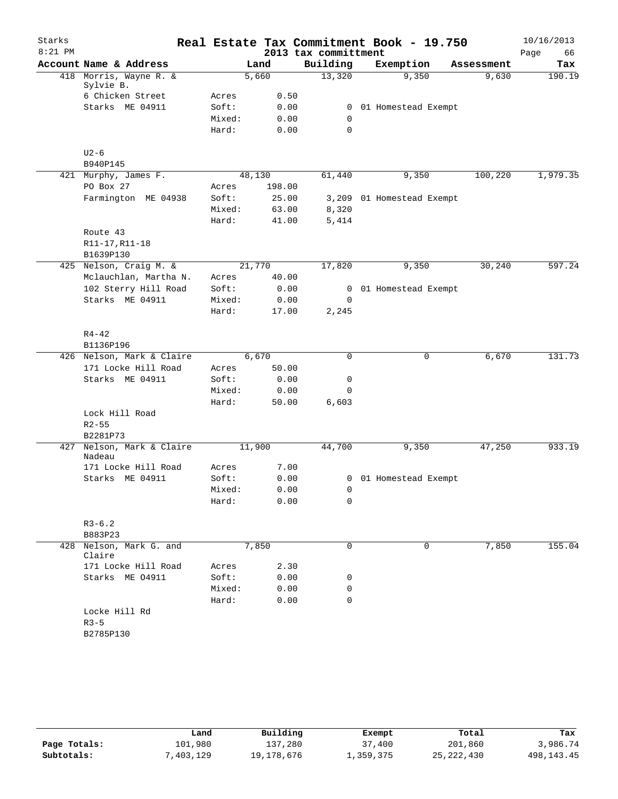| Starks    |                                     |        |        |                      | Real Estate Tax Commitment Book - 19.750 |            | 10/16/2013 |
|-----------|-------------------------------------|--------|--------|----------------------|------------------------------------------|------------|------------|
| $8:21$ PM |                                     |        |        | 2013 tax committment |                                          |            | 66<br>Page |
|           | Account Name & Address              |        | Land   | Building             | Exemption                                | Assessment | Tax        |
|           | 418 Morris, Wayne R. &<br>Sylvie B. |        | 5,660  | 13,320               | 9,350                                    | 9,630      | 190.19     |
|           | 6 Chicken Street                    | Acres  | 0.50   |                      |                                          |            |            |
|           | Starks ME 04911                     | Soft:  | 0.00   | $\mathbf{0}$         | 01 Homestead Exempt                      |            |            |
|           |                                     | Mixed: | 0.00   | $\mathbf 0$          |                                          |            |            |
|           |                                     | Hard:  | 0.00   | $\mathbf 0$          |                                          |            |            |
|           | $U2-6$                              |        |        |                      |                                          |            |            |
|           | B940P145                            |        |        |                      |                                          |            |            |
|           | 421 Murphy, James F.                |        | 48,130 | 61,440               | 9,350                                    | 100,220    | 1,979.35   |
|           | PO Box 27                           | Acres  | 198.00 |                      |                                          |            |            |
|           | Farmington ME 04938                 | Soft:  | 25.00  |                      | 3,209 01 Homestead Exempt                |            |            |
|           |                                     | Mixed: | 63.00  | 8,320                |                                          |            |            |
|           |                                     | Hard:  | 41.00  | 5,414                |                                          |            |            |
|           | Route 43                            |        |        |                      |                                          |            |            |
|           | R11-17, R11-18                      |        |        |                      |                                          |            |            |
|           | B1639P130                           |        |        |                      |                                          |            |            |
|           | 425 Nelson, Craig M. &              |        | 21,770 | 17,820               | 9,350                                    | 30,240     | 597.24     |
|           | Mclauchlan, Martha N.               | Acres  | 40.00  |                      |                                          |            |            |
|           | 102 Sterry Hill Road                | Soft:  | 0.00   | $\overline{0}$       | 01 Homestead Exempt                      |            |            |
|           | Starks ME 04911                     | Mixed: | 0.00   | 0                    |                                          |            |            |
|           |                                     | Hard:  | 17.00  | 2,245                |                                          |            |            |
|           | $R4 - 42$                           |        |        |                      |                                          |            |            |
|           | B1136P196                           |        |        |                      |                                          |            |            |
|           | 426 Nelson, Mark & Claire           |        | 6,670  | 0                    |                                          | 6,670<br>0 | 131.73     |
|           | 171 Locke Hill Road                 | Acres  | 50.00  |                      |                                          |            |            |
|           | Starks ME 04911                     | Soft:  | 0.00   | 0                    |                                          |            |            |
|           |                                     | Mixed: | 0.00   | $\mathbf 0$          |                                          |            |            |
|           |                                     | Hard:  | 50.00  | 6,603                |                                          |            |            |
|           | Lock Hill Road                      |        |        |                      |                                          |            |            |
|           | $R2 - 55$                           |        |        |                      |                                          |            |            |
|           | B2281P73                            |        |        |                      |                                          |            |            |
| 427       | Nelson, Mark & Claire<br>Nadeau     |        | 11,900 | 44,700               | 9,350                                    | 47,250     | 933.19     |
|           | 171 Locke Hill Road                 | Acres  | 7.00   |                      |                                          |            |            |
|           | Starks ME 04911                     | Soft:  | 0.00   |                      | 0 01 Homestead Exempt                    |            |            |
|           |                                     | Mixed: | 0.00   | 0                    |                                          |            |            |
|           |                                     | Hard:  | 0.00   | 0                    |                                          |            |            |
|           | $R3 - 6.2$                          |        |        |                      |                                          |            |            |
|           | B883P23                             |        |        |                      |                                          |            |            |
| 428       | Nelson, Mark G. and<br>Claire       |        | 7,850  | 0                    |                                          | 7,850<br>0 | 155.04     |
|           | 171 Locke Hill Road                 | Acres  | 2.30   |                      |                                          |            |            |
|           | Starks ME 04911                     | Soft:  | 0.00   | 0                    |                                          |            |            |
|           |                                     | Mixed: | 0.00   | 0                    |                                          |            |            |
|           |                                     | Hard:  | 0.00   | 0                    |                                          |            |            |
|           | Locke Hill Rd                       |        |        |                      |                                          |            |            |
|           | $R3 - 5$                            |        |        |                      |                                          |            |            |
|           | B2785P130                           |        |        |                      |                                          |            |            |
|           |                                     |        |        |                      |                                          |            |            |

|              | Land      | Building   | Exempt    | Total        | Tax          |
|--------------|-----------|------------|-----------|--------------|--------------|
| Page Totals: | 101,980   | 137,280    | 37,400    | 201,860      | 3,986.74     |
| Subtotals:   | 7,403,129 | 19,178,676 | 1,359,375 | 25, 222, 430 | 498, 143. 45 |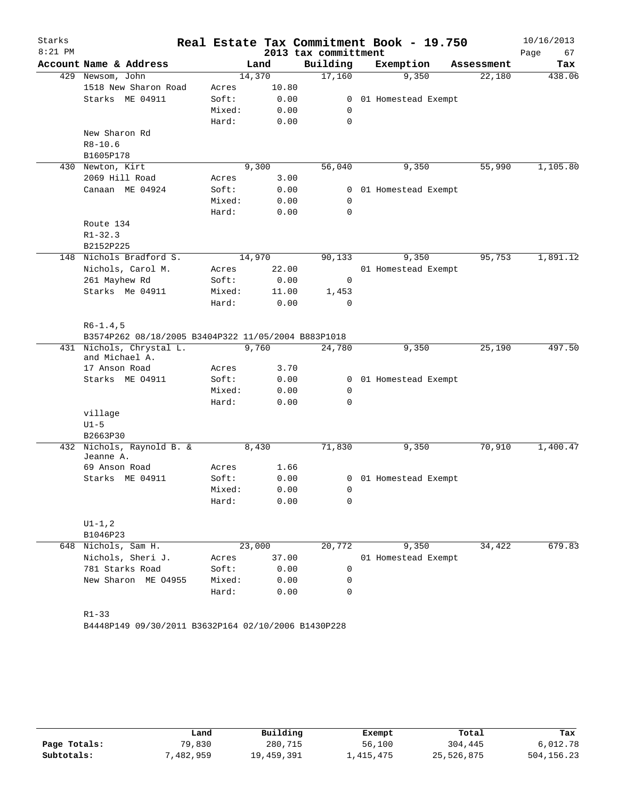| Starks    |                                                                  |        |        |                      |                | Real Estate Tax Commitment Book - 19.750 |            | 10/16/2013 |
|-----------|------------------------------------------------------------------|--------|--------|----------------------|----------------|------------------------------------------|------------|------------|
| $8:21$ PM |                                                                  |        |        | 2013 tax committment |                |                                          |            | 67<br>Page |
|           | Account Name & Address                                           |        | Land   | Building             |                | Exemption                                | Assessment | Tax        |
|           | 429 Newsom, John                                                 |        | 14,370 | 17,160               |                | 9,350                                    | 22,180     | 438.06     |
|           | 1518 New Sharon Road                                             | Acres  | 10.80  |                      |                |                                          |            |            |
|           | Starks ME 04911                                                  | Soft:  | 0.00   |                      | $\mathbf{0}$   | 01 Homestead Exempt                      |            |            |
|           |                                                                  | Mixed: | 0.00   | 0                    |                |                                          |            |            |
|           |                                                                  | Hard:  | 0.00   | 0                    |                |                                          |            |            |
|           | New Sharon Rd                                                    |        |        |                      |                |                                          |            |            |
|           | $R8 - 10.6$                                                      |        |        |                      |                |                                          |            |            |
|           | B1605P178                                                        |        |        |                      |                |                                          |            |            |
|           | 430 Newton, Kirt                                                 |        | 9,300  | 56,040               |                | 9,350                                    | 55,990     | 1,105.80   |
|           | 2069 Hill Road                                                   | Acres  | 3.00   |                      |                |                                          |            |            |
|           | Canaan ME 04924                                                  | Soft:  | 0.00   |                      | 0              | 01 Homestead Exempt                      |            |            |
|           |                                                                  | Mixed: | 0.00   | 0                    |                |                                          |            |            |
|           |                                                                  | Hard:  | 0.00   | 0                    |                |                                          |            |            |
|           | Route 134                                                        |        |        |                      |                |                                          |            |            |
|           | $R1 - 32.3$                                                      |        |        |                      |                |                                          |            |            |
|           | B2152P225                                                        |        |        |                      |                |                                          |            |            |
| 148       | Nichols Bradford S.                                              |        | 14,970 | 90,133               |                | 9,350                                    | 95,753     | 1,891.12   |
|           | Nichols, Carol M.                                                | Acres  | 22.00  |                      |                | 01 Homestead Exempt                      |            |            |
|           | 261 Mayhew Rd                                                    | Soft:  | 0.00   | $\mathbf 0$          |                |                                          |            |            |
|           | Starks Me 04911                                                  | Mixed: | 11.00  | 1,453                |                |                                          |            |            |
|           |                                                                  | Hard:  | 0.00   | $\mathbf 0$          |                |                                          |            |            |
|           | $R6 - 1.4, 5$                                                    |        |        |                      |                |                                          |            |            |
|           | B3574P262 08/18/2005 B3404P322 11/05/2004 B883P1018              |        |        |                      |                |                                          |            |            |
| 431       | Nichols, Chrystal L.<br>and Michael A.                           |        | 9,760  | 24,780               |                | 9,350                                    | 25,190     | 497.50     |
|           | 17 Anson Road                                                    | Acres  | 3.70   |                      |                |                                          |            |            |
|           | Starks ME 04911                                                  | Soft:  | 0.00   |                      | $\overline{0}$ | 01 Homestead Exempt                      |            |            |
|           |                                                                  | Mixed: | 0.00   | $\mathbf 0$          |                |                                          |            |            |
|           |                                                                  | Hard:  | 0.00   | $\Omega$             |                |                                          |            |            |
|           | village                                                          |        |        |                      |                |                                          |            |            |
|           | $U1-5$                                                           |        |        |                      |                |                                          |            |            |
|           | B2663P30                                                         |        |        |                      |                |                                          |            |            |
| 432       | Nichols, Raynold B. &                                            |        | 8,430  | 71,830               |                | 9,350                                    | 70,910     | 1,400.47   |
|           | Jeanne A.                                                        |        |        |                      |                |                                          |            |            |
|           | 69 Anson Road                                                    | Acres  | 1.66   |                      |                |                                          |            |            |
|           | Starks ME 04911                                                  | Soft:  | 0.00   |                      |                | 0 01 Homestead Exempt                    |            |            |
|           |                                                                  | Mixed: | 0.00   | 0                    |                |                                          |            |            |
|           |                                                                  | Hard:  | 0.00   | 0                    |                |                                          |            |            |
|           | $UI - 1, 2$                                                      |        |        |                      |                |                                          |            |            |
|           | B1046P23                                                         |        |        |                      |                |                                          |            |            |
| 648       | Nichols, Sam H.                                                  |        | 23,000 | 20,772               |                | 9,350                                    | 34,422     | 679.83     |
|           | Nichols, Sheri J.                                                | Acres  | 37.00  |                      |                | 01 Homestead Exempt                      |            |            |
|           | 781 Starks Road                                                  | Soft:  | 0.00   | 0                    |                |                                          |            |            |
|           | New Sharon ME 04955                                              | Mixed: | 0.00   | 0                    |                |                                          |            |            |
|           |                                                                  | Hard:  | 0.00   | 0                    |                |                                          |            |            |
|           | $R1 - 33$<br>B4448P149 09/30/2011 B3632P164 02/10/2006 B1430P228 |        |        |                      |                |                                          |            |            |

|              | Land       | Building   | Exempt    | Total      | Tax          |
|--------------|------------|------------|-----------|------------|--------------|
| Page Totals: | 79,830     | 280,715    | 56,100    | 304,445    | 6,012.78     |
| Subtotals:   | , 482, 959 | 19,459,391 | 1,415,475 | 25,526,875 | 504, 156. 23 |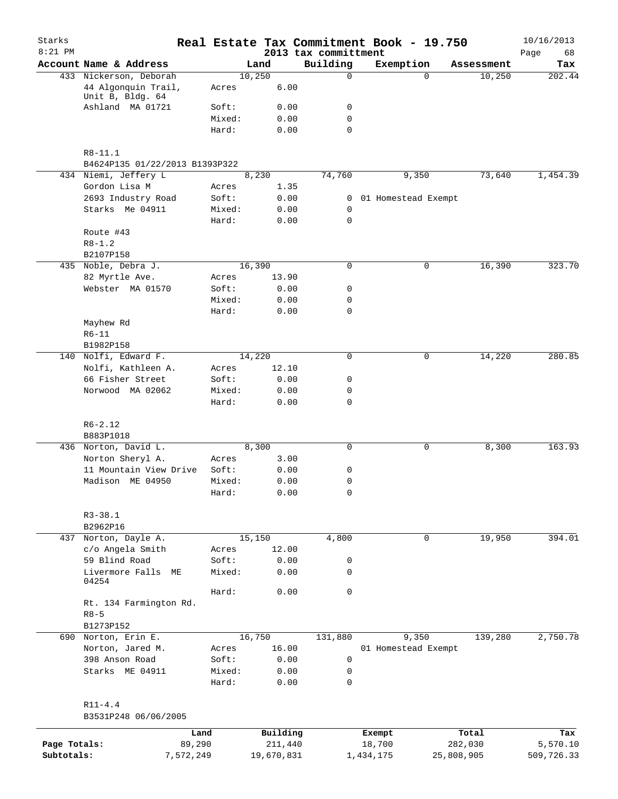| Starks<br>$8:21$ PM        |                                          |                     |                 |        |                     | Real Estate Tax Commitment Book - 19.750<br>2013 tax committment |                     |            |            | 10/16/2013<br>Page<br>68 |
|----------------------------|------------------------------------------|---------------------|-----------------|--------|---------------------|------------------------------------------------------------------|---------------------|------------|------------|--------------------------|
|                            | Account Name & Address                   |                     |                 | Land   |                     | Building                                                         | Exemption           |            | Assessment | Tax                      |
|                            | 433 Nickerson, Deborah                   |                     |                 | 10,250 |                     | $\mathbf 0$                                                      |                     | $\Omega$   | 10,250     | 202.44                   |
|                            | 44 Algonquin Trail,<br>Unit B, Bldg. 64  |                     | Acres           |        | 6.00                |                                                                  |                     |            |            |                          |
|                            | Ashland MA 01721                         |                     | Soft:           |        | 0.00                | 0                                                                |                     |            |            |                          |
|                            |                                          |                     | Mixed:          |        | 0.00                | $\mathbf 0$                                                      |                     |            |            |                          |
|                            |                                          |                     | Hard:           |        | 0.00                | $\mathbf 0$                                                      |                     |            |            |                          |
|                            | $R8 - 11.1$                              |                     |                 |        |                     |                                                                  |                     |            |            |                          |
|                            | B4624P135 01/22/2013 B1393P322           |                     |                 |        |                     |                                                                  |                     |            |            |                          |
|                            | 434 Niemi, Jeffery L                     |                     |                 | 8,230  |                     | 74,760                                                           | 9,350               |            | 73,640     | 1,454.39                 |
|                            | Gordon Lisa M                            |                     | Acres           |        | 1.35                |                                                                  |                     |            |            |                          |
|                            | 2693 Industry Road                       |                     | Soft:           |        | 0.00                | 0                                                                | 01 Homestead Exempt |            |            |                          |
|                            | Starks Me 04911                          |                     | Mixed:<br>Hard: |        | 0.00<br>0.00        | 0<br>$\mathbf 0$                                                 |                     |            |            |                          |
|                            | Route #43                                |                     |                 |        |                     |                                                                  |                     |            |            |                          |
|                            | $R8 - 1.2$                               |                     |                 |        |                     |                                                                  |                     |            |            |                          |
|                            | B2107P158                                |                     |                 |        |                     |                                                                  |                     |            |            |                          |
|                            | 435 Noble, Debra J.                      |                     |                 | 16,390 |                     | 0                                                                |                     | 0          | 16,390     | 323.70                   |
|                            | 82 Myrtle Ave.                           |                     | Acres           |        | 13.90               |                                                                  |                     |            |            |                          |
|                            | Webster MA 01570                         |                     | Soft:           |        | 0.00                | 0                                                                |                     |            |            |                          |
|                            |                                          |                     | Mixed:          |        | 0.00                | 0                                                                |                     |            |            |                          |
|                            |                                          |                     | Hard:           |        | 0.00                | $\mathbf 0$                                                      |                     |            |            |                          |
|                            | Mayhew Rd                                |                     |                 |        |                     |                                                                  |                     |            |            |                          |
|                            | $R6 - 11$                                |                     |                 |        |                     |                                                                  |                     |            |            |                          |
|                            | B1982P158                                |                     |                 |        |                     |                                                                  |                     |            |            |                          |
|                            | 140 Nolfi, Edward F.                     |                     |                 | 14,220 |                     | $\mathbf 0$                                                      | 0                   |            | 14,220     | 280.85                   |
|                            | Nolfi, Kathleen A.                       |                     | Acres           |        | 12.10               |                                                                  |                     |            |            |                          |
|                            | 66 Fisher Street                         |                     | Soft:           |        | 0.00                | 0                                                                |                     |            |            |                          |
|                            | Norwood MA 02062                         |                     | Mixed:<br>Hard: |        | 0.00<br>0.00        | 0<br>$\mathbf 0$                                                 |                     |            |            |                          |
|                            | $R6 - 2.12$                              |                     |                 |        |                     |                                                                  |                     |            |            |                          |
|                            | B883P1018                                |                     |                 |        |                     |                                                                  |                     |            |            |                          |
|                            | 436 Norton, David L.                     |                     |                 | 8,300  |                     | $\mathbf 0$                                                      |                     | 0          | 8,300      | 163.93                   |
|                            | Norton Sheryl A.                         |                     | Acres           |        | 3.00                |                                                                  |                     |            |            |                          |
|                            | 11 Mountain View Drive                   |                     | Soft:           |        | 0.00                | 0                                                                |                     |            |            |                          |
|                            | Madison ME 04950                         |                     | Mixed:          |        | 0.00                | 0                                                                |                     |            |            |                          |
|                            |                                          |                     | Hard:           |        | 0.00                | 0                                                                |                     |            |            |                          |
|                            | $R3 - 38.1$                              |                     |                 |        |                     |                                                                  |                     |            |            |                          |
|                            | B2962P16                                 |                     |                 |        |                     |                                                                  |                     |            |            | 394.01                   |
|                            | 437 Norton, Dayle A.<br>c/o Angela Smith |                     |                 | 15,150 | 12.00               | 4,800                                                            | 0                   |            | 19,950     |                          |
|                            | 59 Blind Road                            |                     | Acres<br>Soft:  |        | 0.00                | 0                                                                |                     |            |            |                          |
|                            | Livermore Falls<br>МE                    |                     | Mixed:          |        | 0.00                | $\mathsf{O}$                                                     |                     |            |            |                          |
|                            | 04254                                    |                     |                 |        |                     |                                                                  |                     |            |            |                          |
|                            |                                          |                     | Hard:           |        | 0.00                | $\mathsf{O}$                                                     |                     |            |            |                          |
|                            | Rt. 134 Farmington Rd.<br>$R8 - 5$       |                     |                 |        |                     |                                                                  |                     |            |            |                          |
|                            | B1273P152                                |                     |                 |        |                     |                                                                  |                     |            |            |                          |
|                            | 690 Norton, Erin E.                      |                     |                 | 16,750 |                     | 131,880                                                          | 9,350               |            | 139,280    | 2,750.78                 |
|                            | Norton, Jared M.                         |                     | Acres           |        | 16.00               |                                                                  | 01 Homestead Exempt |            |            |                          |
|                            | 398 Anson Road                           |                     | Soft:           |        | 0.00                | $\mathsf 0$                                                      |                     |            |            |                          |
|                            | Starks ME 04911                          |                     | Mixed:<br>Hard: |        | 0.00<br>0.00        | 0<br>$\mathbf 0$                                                 |                     |            |            |                          |
|                            |                                          |                     |                 |        |                     |                                                                  |                     |            |            |                          |
|                            | $R11 - 4.4$<br>B3531P248 06/06/2005      |                     |                 |        |                     |                                                                  |                     |            |            |                          |
|                            |                                          |                     |                 |        |                     |                                                                  |                     |            |            |                          |
|                            |                                          | Land                |                 |        | Building<br>211,440 |                                                                  | Exempt              |            | Total      | Tax                      |
| Page Totals:<br>Subtotals: |                                          | 89,290<br>7,572,249 |                 |        | 19,670,831          |                                                                  | 18,700<br>1,434,175 | 25,808,905 | 282,030    | 5,570.10<br>509,726.33   |
|                            |                                          |                     |                 |        |                     |                                                                  |                     |            |            |                          |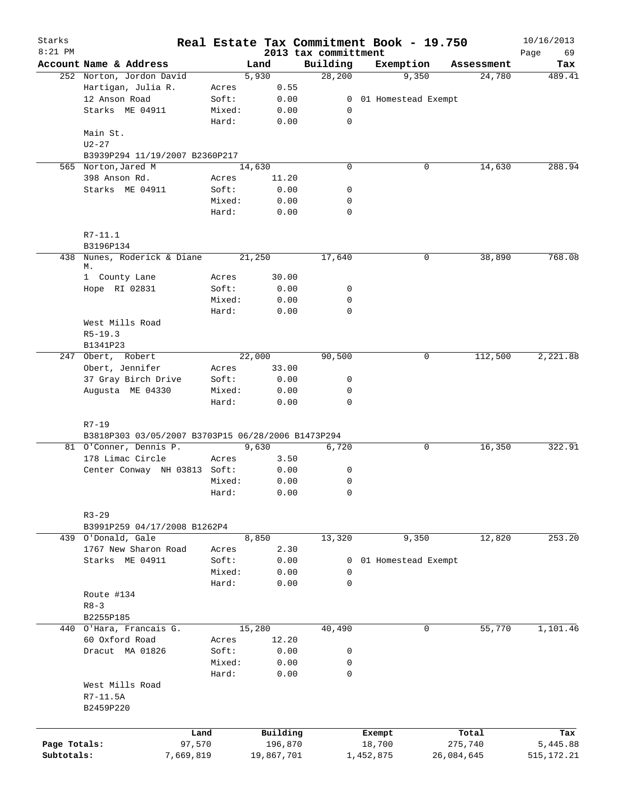| Starks<br>$8:21$ PM |                                                    |           |            | 2013 tax committment       | Real Estate Tax Commitment Book - 19.750 |            | 10/16/2013<br>69<br>Page |
|---------------------|----------------------------------------------------|-----------|------------|----------------------------|------------------------------------------|------------|--------------------------|
|                     | Account Name & Address                             |           | Land       | Building                   | Exemption                                | Assessment | Tax                      |
|                     | 252 Norton, Jordon David                           |           | 5,930      | 28,200                     | 9,350                                    | 24,780     | 489.41                   |
|                     | Hartigan, Julia R.                                 | Acres     | 0.55       |                            |                                          |            |                          |
|                     | 12 Anson Road                                      | Soft:     | 0.00       |                            | 0 01 Homestead Exempt                    |            |                          |
|                     | Starks ME 04911                                    | Mixed:    | 0.00       | 0                          |                                          |            |                          |
|                     |                                                    | Hard:     | 0.00       | $\mathbf 0$                |                                          |            |                          |
|                     | Main St.                                           |           |            |                            |                                          |            |                          |
|                     | $U2-27$                                            |           |            |                            |                                          |            |                          |
|                     | B3939P294 11/19/2007 B2360P217                     |           |            |                            |                                          |            |                          |
|                     | 565 Norton, Jared M                                |           | 14,630     | $\mathbf 0$                | 0                                        | 14,630     | 288.94                   |
|                     | 398 Anson Rd.                                      | Acres     | 11.20      |                            |                                          |            |                          |
|                     | Starks ME 04911                                    | Soft:     | 0.00       | 0                          |                                          |            |                          |
|                     |                                                    | Mixed:    | 0.00       | 0                          |                                          |            |                          |
|                     |                                                    | Hard:     | 0.00       | $\mathbf 0$                |                                          |            |                          |
|                     |                                                    |           |            |                            |                                          |            |                          |
|                     | $R7 - 11.1$                                        |           |            |                            |                                          |            |                          |
|                     | B3196P134                                          |           |            |                            |                                          |            | 768.08                   |
|                     | 438 Nunes, Roderick & Diane<br>М.                  |           | 21,250     | 17,640                     | 0                                        | 38,890     |                          |
|                     | 1 County Lane                                      | Acres     | 30.00      |                            |                                          |            |                          |
|                     | Hope RI 02831                                      | Soft:     | 0.00       | 0                          |                                          |            |                          |
|                     |                                                    | Mixed:    | 0.00       | $\mathbf 0$                |                                          |            |                          |
|                     |                                                    | Hard:     | 0.00       | $\mathbf 0$                |                                          |            |                          |
|                     | West Mills Road                                    |           |            |                            |                                          |            |                          |
|                     | $R5 - 19.3$                                        |           |            |                            |                                          |            |                          |
|                     | B1341P23                                           |           |            |                            |                                          |            |                          |
|                     | 247 Obert, Robert                                  |           | 22,000     | 90,500                     | 0                                        | 112,500    | 2,221.88                 |
|                     | Obert, Jennifer                                    | Acres     | 33.00      |                            |                                          |            |                          |
|                     | 37 Gray Birch Drive                                | Soft:     | 0.00       | 0                          |                                          |            |                          |
|                     | Augusta ME 04330                                   | Mixed:    | 0.00       | 0                          |                                          |            |                          |
|                     |                                                    | Hard:     | 0.00       | 0                          |                                          |            |                          |
|                     |                                                    |           |            |                            |                                          |            |                          |
|                     | $R7 - 19$                                          |           |            |                            |                                          |            |                          |
|                     | B3818P303 03/05/2007 B3703P15 06/28/2006 B1473P294 |           |            |                            |                                          |            |                          |
|                     | 81 O'Conner, Dennis P.                             |           | 9,630      | 6,720                      | 0                                        | 16,350     | 322.91                   |
|                     | 178 Limac Circle                                   | Acres     | 3.50       |                            |                                          |            |                          |
|                     | Center Conway NH 03813 Soft:                       |           | 0.00       | 0                          |                                          |            |                          |
|                     |                                                    | Mixed:    | 0.00       | $\mathbf 0$                |                                          |            |                          |
|                     |                                                    | Hard:     | 0.00       | 0                          |                                          |            |                          |
|                     |                                                    |           |            |                            |                                          |            |                          |
|                     | $R3 - 29$                                          |           |            |                            |                                          |            |                          |
|                     | B3991P259 04/17/2008 B1262P4                       |           |            |                            |                                          |            |                          |
|                     | 439 O'Donald, Gale                                 |           | 8,850      | 13,320                     | 9,350                                    | 12,820     | 253.20                   |
|                     | 1767 New Sharon Road                               | Acres     | 2.30       |                            |                                          |            |                          |
|                     | Starks ME 04911                                    | Soft:     | 0.00       | 0                          | 01 Homestead Exempt                      |            |                          |
|                     |                                                    | Mixed:    | 0.00       | $\mathbf 0$<br>$\mathbf 0$ |                                          |            |                          |
|                     |                                                    | Hard:     | 0.00       |                            |                                          |            |                          |
|                     | Route #134                                         |           |            |                            |                                          |            |                          |
|                     | $R8 - 3$<br>B2255P185                              |           |            |                            |                                          |            |                          |
|                     | 440 O'Hara, Francais G.                            |           | 15,280     | 40,490                     | 0                                        | 55,770     | 1,101.46                 |
|                     | 60 Oxford Road                                     | Acres     | 12.20      |                            |                                          |            |                          |
|                     | Dracut MA 01826                                    | Soft:     | 0.00       | 0                          |                                          |            |                          |
|                     |                                                    | Mixed:    | 0.00       | 0                          |                                          |            |                          |
|                     |                                                    | Hard:     | 0.00       | $\mathbf 0$                |                                          |            |                          |
|                     | West Mills Road                                    |           |            |                            |                                          |            |                          |
|                     | R7-11.5A                                           |           |            |                            |                                          |            |                          |
|                     | B2459P220                                          |           |            |                            |                                          |            |                          |
|                     |                                                    |           |            |                            |                                          |            |                          |
|                     |                                                    | Land      | Building   |                            | Exempt                                   | Total      | Tax                      |
| Page Totals:        |                                                    | 97,570    | 196,870    |                            | 18,700                                   | 275,740    | 5,445.88                 |
| Subtotals:          |                                                    | 7,669,819 | 19,867,701 |                            | 1,452,875                                | 26,084,645 | 515,172.21               |
|                     |                                                    |           |            |                            |                                          |            |                          |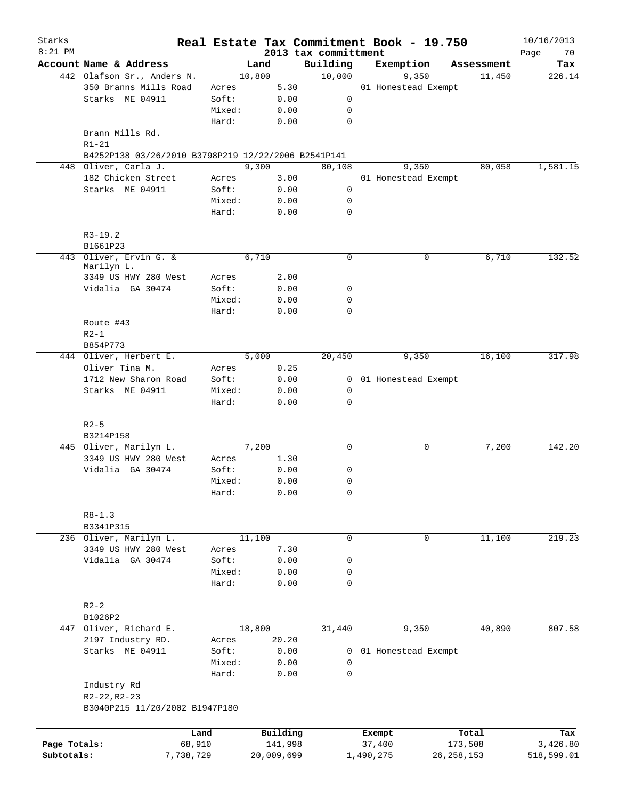| Starks<br>$8:21$ PM |                                                     |                 |              |                                  | Real Estate Tax Commitment Book - 19.750 |              | 10/16/2013        |
|---------------------|-----------------------------------------------------|-----------------|--------------|----------------------------------|------------------------------------------|--------------|-------------------|
|                     | Account Name & Address                              |                 | Land         | 2013 tax committment<br>Building | Exemption                                | Assessment   | 70<br>Page<br>Tax |
|                     | 442 Olafson Sr., Anders N.                          |                 | 10,800       | 10,000                           | 9,350                                    | 11,450       | 226.14            |
|                     | 350 Branns Mills Road                               | Acres           | 5.30         |                                  | 01 Homestead Exempt                      |              |                   |
|                     | Starks ME 04911                                     | Soft:           | 0.00         | $\mathbf 0$                      |                                          |              |                   |
|                     |                                                     | Mixed:          | 0.00         | 0                                |                                          |              |                   |
|                     |                                                     | Hard:           | 0.00         | $\mathbf 0$                      |                                          |              |                   |
|                     | Brann Mills Rd.<br>$R1 - 21$                        |                 |              |                                  |                                          |              |                   |
|                     | B4252P138 03/26/2010 B3798P219 12/22/2006 B2541P141 |                 |              |                                  |                                          |              |                   |
|                     | 448 Oliver, Carla J.                                |                 | 9,300        | 80,108                           | 9,350                                    | 80,058       | 1,581.15          |
|                     | 182 Chicken Street                                  | Acres           | 3.00         |                                  | 01 Homestead Exempt                      |              |                   |
|                     | Starks ME 04911                                     | Soft:           | 0.00         | $\mathbf 0$                      |                                          |              |                   |
|                     |                                                     | Mixed:          | 0.00         | 0                                |                                          |              |                   |
|                     |                                                     | Hard:           | 0.00         | $\mathbf 0$                      |                                          |              |                   |
|                     | $R3-19.2$                                           |                 |              |                                  |                                          |              |                   |
|                     | B1661P23                                            |                 |              |                                  |                                          |              |                   |
|                     | 443 Oliver, Ervin G. &                              |                 | 6,710        | $\mathbf 0$                      | 0                                        | 6,710        | 132.52            |
|                     | Marilyn L.                                          |                 |              |                                  |                                          |              |                   |
|                     | 3349 US HWY 280 West                                | Acres           | 2.00         |                                  |                                          |              |                   |
|                     | Vidalia GA 30474                                    | Soft:           | 0.00         | 0                                |                                          |              |                   |
|                     |                                                     | Mixed:          | 0.00         | 0                                |                                          |              |                   |
|                     |                                                     | Hard:           | 0.00         | $\mathbf 0$                      |                                          |              |                   |
|                     | Route #43                                           |                 |              |                                  |                                          |              |                   |
|                     | $R2-1$                                              |                 |              |                                  |                                          |              |                   |
|                     | B854P773                                            |                 |              |                                  |                                          |              |                   |
|                     | 444 Oliver, Herbert E.                              |                 | 5,000        | 20,450                           | 9,350                                    | 16,100       | 317.98            |
|                     | Oliver Tina M.                                      | Acres           | 0.25         |                                  |                                          |              |                   |
|                     | 1712 New Sharon Road                                | Soft:           | 0.00         |                                  | 0 01 Homestead Exempt                    |              |                   |
|                     | Starks ME 04911                                     | Mixed:          | 0.00         | $\mathbf 0$                      |                                          |              |                   |
|                     |                                                     | Hard:           | 0.00         | $\mathbf 0$                      |                                          |              |                   |
|                     | $R2-5$                                              |                 |              |                                  |                                          |              |                   |
|                     | B3214P158                                           |                 |              |                                  |                                          |              |                   |
|                     | 445 Oliver, Marilyn L.                              |                 | 7,200        | 0                                | 0                                        | 7,200        | 142.20            |
|                     |                                                     |                 |              |                                  |                                          |              |                   |
|                     | 3349 US HWY 280 West                                | Acres           | 1.30         |                                  |                                          |              |                   |
|                     | Vidalia GA 30474                                    | Soft:           | 0.00         | 0                                |                                          |              |                   |
|                     |                                                     | Mixed:<br>Hard: | 0.00<br>0.00 | 0<br>0                           |                                          |              |                   |
|                     |                                                     |                 |              |                                  |                                          |              |                   |
|                     | $R8 - 1.3$<br>B3341P315                             |                 |              |                                  |                                          |              |                   |
|                     | 236 Oliver, Marilyn L.                              |                 | 11,100       | 0                                | 0                                        | 11,100       | 219.23            |
|                     | 3349 US HWY 280 West                                |                 | 7.30         |                                  |                                          |              |                   |
|                     | Vidalia GA 30474                                    | Acres<br>Soft:  |              |                                  |                                          |              |                   |
|                     |                                                     |                 | 0.00         | 0                                |                                          |              |                   |
|                     |                                                     | Mixed:<br>Hard: | 0.00<br>0.00 | 0<br>$\mathbf 0$                 |                                          |              |                   |
|                     |                                                     |                 |              |                                  |                                          |              |                   |
|                     | $R2-2$                                              |                 |              |                                  |                                          |              |                   |
|                     | B1026P2                                             |                 |              |                                  |                                          |              |                   |
|                     | 447 Oliver, Richard E.                              |                 | 18,800       | 31,440                           | 9,350                                    | 40,890       | 807.58            |
|                     | 2197 Industry RD.                                   | Acres           | 20.20        |                                  |                                          |              |                   |
|                     | Starks ME 04911                                     | Soft:           | 0.00         | 0                                | 01 Homestead Exempt                      |              |                   |
|                     |                                                     | Mixed:          | 0.00         | 0                                |                                          |              |                   |
|                     |                                                     | Hard:           | 0.00         | 0                                |                                          |              |                   |
|                     | Industry Rd<br>$R2 - 22, R2 - 23$                   |                 |              |                                  |                                          |              |                   |
|                     | B3040P215 11/20/2002 B1947P180                      |                 |              |                                  |                                          |              |                   |
|                     |                                                     | Land            | Building     |                                  | Exempt                                   | Total        | Tax               |
| Page Totals:        |                                                     | 68,910          | 141,998      |                                  | 37,400                                   | 173,508      | 3,426.80          |
| Subtotals:          |                                                     | 7,738,729       | 20,009,699   |                                  | 1,490,275                                | 26, 258, 153 | 518,599.01        |
|                     |                                                     |                 |              |                                  |                                          |              |                   |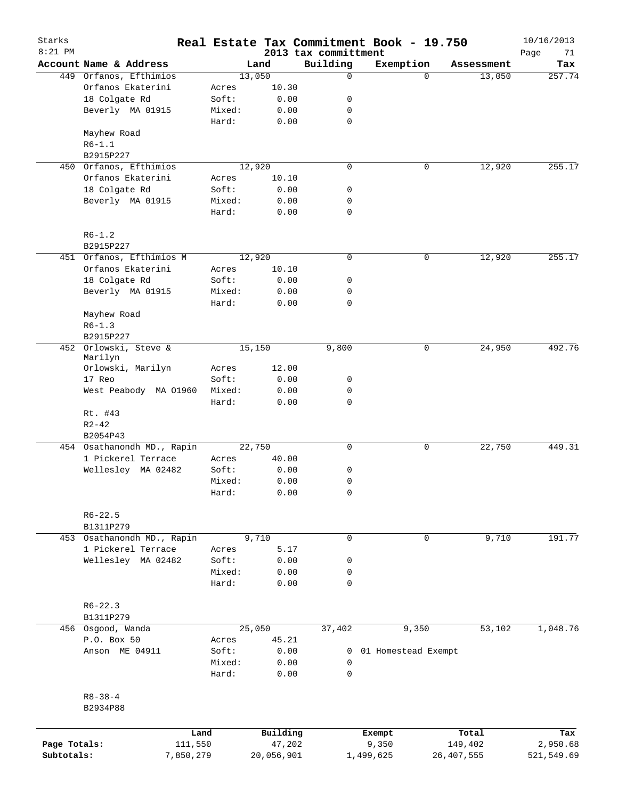| Starks<br>$8:21$ PM |                            |           |        |                      |                                  | Real Estate Tax Commitment Book - 19.750 |                         | 10/16/2013        |
|---------------------|----------------------------|-----------|--------|----------------------|----------------------------------|------------------------------------------|-------------------------|-------------------|
|                     | Account Name & Address     |           |        | Land                 | 2013 tax committment<br>Building | Exemption                                | Assessment              | Page<br>71<br>Tax |
|                     | 449 Orfanos, Efthimios     |           | 13,050 |                      | 0                                | $\Omega$                                 | 13,050                  | 257.74            |
|                     | Orfanos Ekaterini          |           | Acres  | 10.30                |                                  |                                          |                         |                   |
|                     | 18 Colgate Rd              |           | Soft:  | 0.00                 | 0                                |                                          |                         |                   |
|                     | Beverly MA 01915           |           | Mixed: | 0.00                 | 0                                |                                          |                         |                   |
|                     |                            |           | Hard:  | 0.00                 | $\mathbf 0$                      |                                          |                         |                   |
|                     | Mayhew Road                |           |        |                      |                                  |                                          |                         |                   |
|                     | $R6 - 1.1$                 |           |        |                      |                                  |                                          |                         |                   |
|                     | B2915P227                  |           |        |                      |                                  |                                          |                         |                   |
|                     | 450 Orfanos, Efthimios     |           |        | 12,920               | $\mathbf 0$                      | 0                                        | 12,920                  | 255.17            |
|                     | Orfanos Ekaterini          |           | Acres  | 10.10                |                                  |                                          |                         |                   |
|                     | 18 Colgate Rd              |           | Soft:  | 0.00                 | 0                                |                                          |                         |                   |
|                     | Beverly MA 01915           |           | Mixed: | 0.00                 | 0                                |                                          |                         |                   |
|                     |                            |           | Hard:  | 0.00                 | $\mathbf 0$                      |                                          |                         |                   |
|                     | $R6 - 1.2$                 |           |        |                      |                                  |                                          |                         |                   |
|                     | B2915P227                  |           |        |                      |                                  |                                          |                         |                   |
|                     | 451 Orfanos, Efthimios M   |           |        | 12,920               | 0                                | 0                                        | 12,920                  | 255.17            |
|                     | Orfanos Ekaterini          |           | Acres  | 10.10                |                                  |                                          |                         |                   |
|                     | 18 Colgate Rd              |           | Soft:  | 0.00                 | 0                                |                                          |                         |                   |
|                     | Beverly MA 01915           |           | Mixed: | 0.00                 | 0                                |                                          |                         |                   |
|                     |                            |           | Hard:  | 0.00                 | $\mathbf 0$                      |                                          |                         |                   |
|                     | Mayhew Road                |           |        |                      |                                  |                                          |                         |                   |
|                     | $R6 - 1.3$                 |           |        |                      |                                  |                                          |                         |                   |
|                     | B2915P227                  |           |        |                      |                                  |                                          |                         |                   |
|                     | 452 Orlowski, Steve &      |           |        | 15,150               | 9,800                            | 0                                        | 24,950                  | 492.76            |
|                     | Marilyn                    |           |        |                      |                                  |                                          |                         |                   |
|                     | Orlowski, Marilyn          |           | Acres  | 12.00                |                                  |                                          |                         |                   |
|                     | 17 Reo                     |           | Soft:  | 0.00                 | 0                                |                                          |                         |                   |
|                     | West Peabody MA 01960      |           | Mixed: | 0.00                 | 0                                |                                          |                         |                   |
|                     |                            |           | Hard:  | 0.00                 | $\mathbf 0$                      |                                          |                         |                   |
|                     | Rt. #43                    |           |        |                      |                                  |                                          |                         |                   |
|                     | $R2 - 42$                  |           |        |                      |                                  |                                          |                         |                   |
|                     | B2054P43                   |           |        |                      |                                  |                                          |                         |                   |
|                     | 454 Osathanondh MD., Rapin |           |        | 22,750               | 0                                | 0                                        | 22,750                  | 449.31            |
|                     | 1 Pickerel Terrace         |           | Acres  | 40.00                |                                  |                                          |                         |                   |
|                     | Wellesley MA 02482         |           | Soft:  | 0.00                 | 0                                |                                          |                         |                   |
|                     |                            |           | Mixed: | 0.00                 | 0                                |                                          |                         |                   |
|                     |                            |           | Hard:  | 0.00                 | 0                                |                                          |                         |                   |
|                     | $R6 - 22.5$                |           |        |                      |                                  |                                          |                         |                   |
|                     | B1311P279                  |           |        |                      |                                  |                                          |                         |                   |
|                     | 453 Osathanondh MD., Rapin |           |        | 9,710                | $\mathbf 0$                      | $\mathbf 0$                              | 9,710                   | 191.77            |
|                     | 1 Pickerel Terrace         |           | Acres  | 5.17                 |                                  |                                          |                         |                   |
|                     | Wellesley MA 02482         |           | Soft:  | 0.00                 | 0                                |                                          |                         |                   |
|                     |                            |           | Mixed: | 0.00                 | 0                                |                                          |                         |                   |
|                     |                            |           | Hard:  | 0.00                 | $\mathbf 0$                      |                                          |                         |                   |
|                     | $R6 - 22.3$                |           |        |                      |                                  |                                          |                         |                   |
|                     | B1311P279                  |           |        |                      |                                  |                                          |                         |                   |
|                     | 456 Osgood, Wanda          |           |        | 25,050               | 37,402                           | 9,350                                    | 53,102                  | 1,048.76          |
|                     | P.O. Box 50                |           | Acres  | 45.21                |                                  |                                          |                         |                   |
|                     | Anson ME 04911             |           | Soft:  | 0.00                 |                                  | 0 01 Homestead Exempt                    |                         |                   |
|                     |                            |           | Mixed: | 0.00                 | 0                                |                                          |                         |                   |
|                     |                            |           | Hard:  | 0.00                 | 0                                |                                          |                         |                   |
|                     | $R8 - 38 - 4$              |           |        |                      |                                  |                                          |                         |                   |
|                     | B2934P88                   |           |        |                      |                                  |                                          |                         |                   |
|                     |                            |           |        |                      |                                  |                                          |                         |                   |
| Page Totals:        |                            | Land      |        | Building             |                                  | Exempt                                   | Total                   | Tax               |
| Subtotals:          |                            | 111,550   |        | 47,202<br>20,056,901 |                                  | 9,350                                    | 149,402<br>26, 407, 555 | 2,950.68          |
|                     |                            | 7,850,279 |        |                      |                                  | 1,499,625                                |                         | 521,549.69        |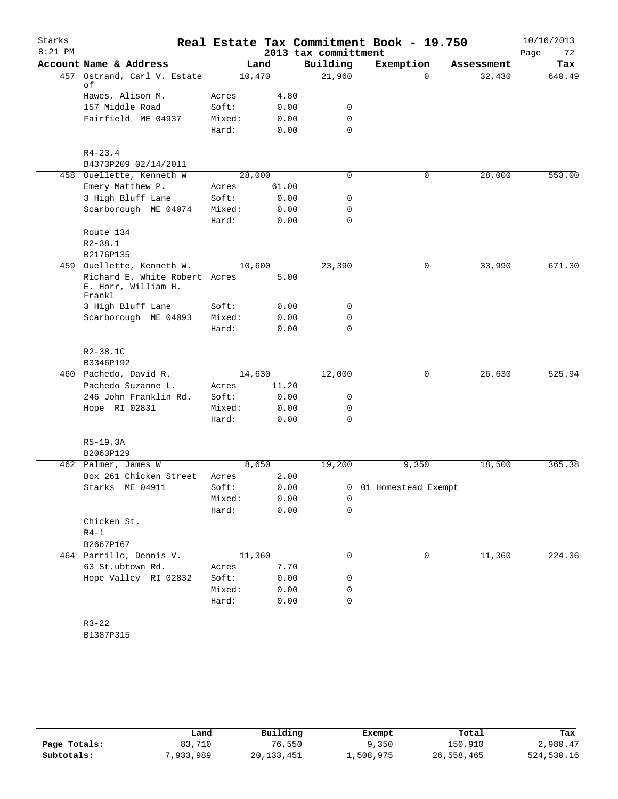| Starks<br>$8:21$ PM |                               |        |       | 2013 tax committment | Real Estate Tax Commitment Book - 19.750 |            | 10/16/2013<br>Page<br>72 |
|---------------------|-------------------------------|--------|-------|----------------------|------------------------------------------|------------|--------------------------|
|                     | Account Name & Address        |        | Land  | Building             | Exemption                                | Assessment | Tax                      |
| 457                 | Ostrand, Carl V. Estate       | 10,470 |       | 21,960               | $\Omega$                                 | 32,430     | 640.49                   |
|                     | οf                            |        |       |                      |                                          |            |                          |
|                     | Hawes, Alison M.              | Acres  | 4.80  |                      |                                          |            |                          |
|                     | 157 Middle Road               | Soft:  | 0.00  | 0                    |                                          |            |                          |
|                     | Fairfield ME 04937            | Mixed: | 0.00  | 0                    |                                          |            |                          |
|                     |                               | Hard:  | 0.00  | $\Omega$             |                                          |            |                          |
|                     | $R4 - 23.4$                   |        |       |                      |                                          |            |                          |
|                     | B4373P209 02/14/2011          |        |       |                      |                                          |            |                          |
|                     | 458 Ouellette, Kenneth W      | 28,000 |       | 0                    | 0                                        | 28,000     | 553.00                   |
|                     | Emery Matthew P.              | Acres  | 61.00 |                      |                                          |            |                          |
|                     | 3 High Bluff Lane             | Soft:  | 0.00  | 0                    |                                          |            |                          |
|                     | Scarborough ME 04074          | Mixed: | 0.00  | 0                    |                                          |            |                          |
|                     |                               | Hard:  | 0.00  | 0                    |                                          |            |                          |
|                     | Route 134                     |        |       |                      |                                          |            |                          |
|                     | $R2 - 38.1$                   |        |       |                      |                                          |            |                          |
|                     | B2176P135                     |        |       |                      |                                          |            |                          |
|                     | 459 Ouellette, Kenneth W.     | 10,600 |       | 23,390               | 0                                        | 33,990     | 671.30                   |
|                     | Richard E. White Robert Acres |        | 5.00  |                      |                                          |            |                          |
|                     | E. Horr, William H.<br>Frankl |        |       |                      |                                          |            |                          |
|                     | 3 High Bluff Lane             | Soft:  | 0.00  | 0                    |                                          |            |                          |
|                     | Scarborough ME 04093          | Mixed: | 0.00  | 0                    |                                          |            |                          |
|                     |                               | Hard:  | 0.00  | 0                    |                                          |            |                          |
|                     | $R2 - 38.1C$<br>B3346P192     |        |       |                      |                                          |            |                          |
|                     | 460 Pachedo, David R.         | 14,630 |       | 12,000               | 0                                        | 26,630     | 525.94                   |
|                     | Pachedo Suzanne L.            | Acres  | 11.20 |                      |                                          |            |                          |
|                     | 246 John Franklin Rd.         | Soft:  | 0.00  | 0                    |                                          |            |                          |
|                     | Hope RI 02831                 | Mixed: | 0.00  | 0                    |                                          |            |                          |
|                     |                               | Hard:  | 0.00  | 0                    |                                          |            |                          |
|                     | R5-19.3A                      |        |       |                      |                                          |            |                          |
|                     | B2063P129                     |        |       |                      |                                          |            |                          |
|                     | 462 Palmer, James W           |        | 8,650 | 19,200               | 9,350                                    | 18,500     | 365.38                   |
|                     | Box 261 Chicken Street        | Acres  | 2.00  |                      |                                          |            |                          |
|                     | Starks ME 04911               | Soft:  | 0.00  |                      | 0 01 Homestead Exempt                    |            |                          |
|                     |                               | Mixed: | 0.00  | 0                    |                                          |            |                          |
|                     |                               | Hard:  | 0.00  | 0                    |                                          |            |                          |
|                     | Chicken St.                   |        |       |                      |                                          |            |                          |
|                     | $R4-1$                        |        |       |                      |                                          |            |                          |
|                     | B2667P167                     |        |       |                      |                                          |            |                          |
|                     | 464 Parrillo, Dennis V.       | 11,360 |       | 0                    | $\mathbf 0$                              | 11,360     | 224.36                   |
|                     | 63 St.ubtown Rd.              | Acres  | 7.70  |                      |                                          |            |                          |
|                     | Hope Valley RI 02832          | Soft:  | 0.00  | 0                    |                                          |            |                          |
|                     |                               | Mixed: | 0.00  | 0                    |                                          |            |                          |
|                     |                               | Hard:  | 0.00  | 0                    |                                          |            |                          |
|                     |                               |        |       |                      |                                          |            |                          |
|                     | $R3 - 22$                     |        |       |                      |                                          |            |                          |
|                     | B1387P315                     |        |       |                      |                                          |            |                          |

|              | Land      | Building   | Exempt    | Total      | Tax        |
|--------------|-----------|------------|-----------|------------|------------|
| Page Totals: | 83,710    | 76,550     | 9,350     | 150,910    | 2,980.47   |
| Subtotals:   | 7,933,989 | 20,133,451 | ⊥,508,975 | 26,558,465 | 524,530.16 |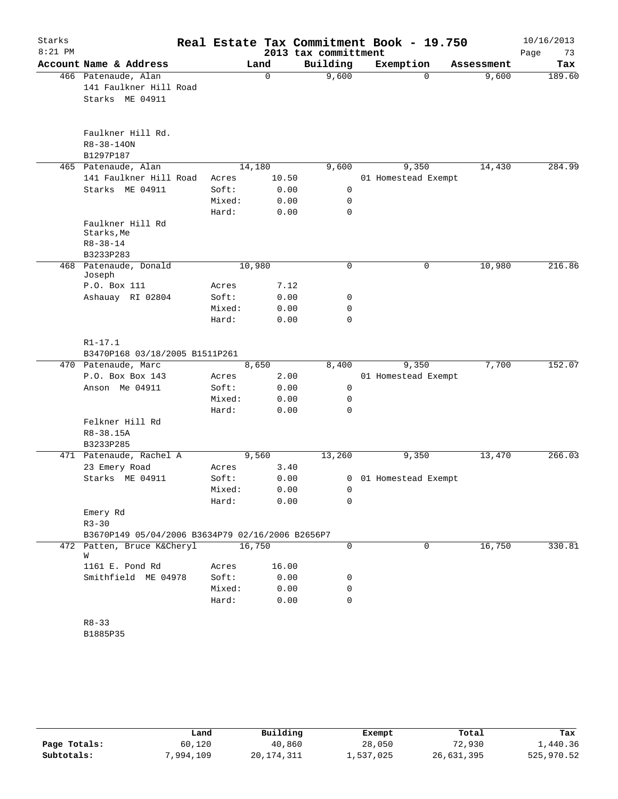| Starks    |                                                  |        |          |                      | Real Estate Tax Commitment Book - 19.750 |            | 10/16/2013 |
|-----------|--------------------------------------------------|--------|----------|----------------------|------------------------------------------|------------|------------|
| $8:21$ PM |                                                  |        |          | 2013 tax committment |                                          |            | Page<br>73 |
|           | Account Name & Address                           |        | Land     | Building             | Exemption                                | Assessment | Tax        |
|           | 466 Patenaude, Alan                              |        | $\Omega$ | 9,600                | $\Omega$                                 | 9,600      | 189.60     |
|           | 141 Faulkner Hill Road                           |        |          |                      |                                          |            |            |
|           | Starks ME 04911                                  |        |          |                      |                                          |            |            |
|           |                                                  |        |          |                      |                                          |            |            |
|           |                                                  |        |          |                      |                                          |            |            |
|           | Faulkner Hill Rd.                                |        |          |                      |                                          |            |            |
|           | $R8 - 38 - 140N$                                 |        |          |                      |                                          |            |            |
|           | B1297P187                                        |        |          |                      |                                          |            |            |
|           | 465 Patenaude, Alan                              | 14,180 |          | 9,600                | 9,350                                    | 14,430     | 284.99     |
|           | 141 Faulkner Hill Road                           | Acres  | 10.50    |                      | 01 Homestead Exempt                      |            |            |
|           | Starks ME 04911                                  | Soft:  | 0.00     | 0                    |                                          |            |            |
|           |                                                  | Mixed: | 0.00     | 0                    |                                          |            |            |
|           |                                                  | Hard:  | 0.00     | 0                    |                                          |            |            |
|           | Faulkner Hill Rd<br>Starks, Me                   |        |          |                      |                                          |            |            |
|           | $R8 - 38 - 14$                                   |        |          |                      |                                          |            |            |
|           | B3233P283                                        |        |          |                      |                                          |            |            |
| 468       | Patenaude, Donald                                | 10,980 |          | 0                    | 0                                        | 10,980     | 216.86     |
|           | Joseph                                           |        |          |                      |                                          |            |            |
|           | P.O. Box 111                                     | Acres  | 7.12     |                      |                                          |            |            |
|           | Ashauay RI 02804                                 | Soft:  | 0.00     | 0                    |                                          |            |            |
|           |                                                  | Mixed: | 0.00     | 0                    |                                          |            |            |
|           |                                                  | Hard:  | 0.00     | 0                    |                                          |            |            |
|           |                                                  |        |          |                      |                                          |            |            |
|           | $R1 - 17.1$<br>B3470P168 03/18/2005 B1511P261    |        |          |                      |                                          |            |            |
|           | 470 Patenaude, Marc                              |        | 8,650    | 8,400                | 9,350                                    | 7,700      | 152.07     |
|           | P.O. Box Box 143                                 | Acres  | 2.00     |                      | 01 Homestead Exempt                      |            |            |
|           | Anson Me 04911                                   | Soft:  | 0.00     | 0                    |                                          |            |            |
|           |                                                  | Mixed: | 0.00     | 0                    |                                          |            |            |
|           |                                                  | Hard:  | 0.00     | 0                    |                                          |            |            |
|           | Felkner Hill Rd                                  |        |          |                      |                                          |            |            |
|           | R8-38.15A                                        |        |          |                      |                                          |            |            |
|           | B3233P285                                        |        |          |                      |                                          |            |            |
|           | 471 Patenaude, Rachel A                          |        | 9,560    | 13,260               | 9,350                                    | 13,470     | 266.03     |
|           | 23 Emery Road                                    | Acres  | 3.40     |                      |                                          |            |            |
|           | Starks ME 04911                                  | Soft:  | 0.00     | 0                    | 01 Homestead Exempt                      |            |            |
|           |                                                  | Mixed: | 0.00     | 0                    |                                          |            |            |
|           |                                                  | Hard:  | 0.00     | 0                    |                                          |            |            |
|           | Emery Rd                                         |        |          |                      |                                          |            |            |
|           | $R3 - 30$                                        |        |          |                      |                                          |            |            |
|           | B3670P149 05/04/2006 B3634P79 02/16/2006 B2656P7 |        |          |                      |                                          |            |            |
|           | 472 Patten, Bruce K&Cheryl                       | 16,750 |          | 0                    | 0                                        | 16,750     | 330.81     |
|           | W                                                |        |          |                      |                                          |            |            |
|           | 1161 E. Pond Rd                                  | Acres  | 16.00    |                      |                                          |            |            |
|           | Smithfield ME 04978                              | Soft:  | 0.00     | 0                    |                                          |            |            |
|           |                                                  | Mixed: | 0.00     | 0                    |                                          |            |            |
|           |                                                  | Hard:  | 0.00     | 0                    |                                          |            |            |
|           |                                                  |        |          |                      |                                          |            |            |
|           | $R8 - 33$                                        |        |          |                      |                                          |            |            |
|           | B1885P35                                         |        |          |                      |                                          |            |            |
|           |                                                  |        |          |                      |                                          |            |            |

|              | Land      | Building   | Exempt    | Total      | Tax        |
|--------------|-----------|------------|-----------|------------|------------|
| Page Totals: | 60,120    | 40,860     | 28,050    | 72,930     | 1,440.36   |
| Subtotals:   | 7,994,109 | 20,174,311 | 1,537,025 | 26,631,395 | 525,970.52 |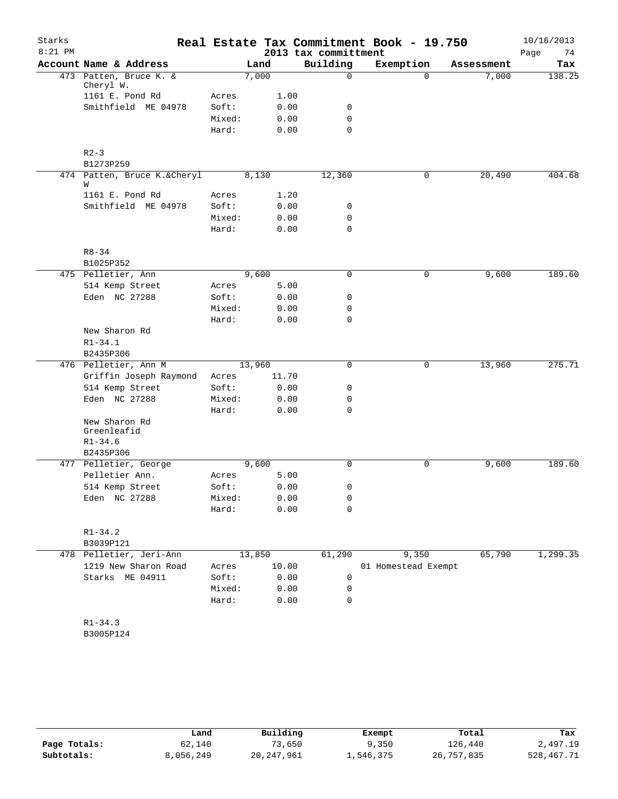| Starks    |                                                          |        |        |                      | Real Estate Tax Commitment Book - 19.750 |            | 10/16/2013 |
|-----------|----------------------------------------------------------|--------|--------|----------------------|------------------------------------------|------------|------------|
| $8:21$ PM |                                                          |        |        | 2013 tax committment |                                          |            | Page<br>74 |
|           | Account Name & Address                                   |        | Land   | Building             | Exemption                                | Assessment | Tax        |
|           | 473 Patten, Bruce K. &<br>Cheryl W.                      |        | 7,000  | $\mathsf{O}$         | $\Omega$                                 | 7,000      | 138.25     |
|           | 1161 E. Pond Rd                                          | Acres  | 1.00   |                      |                                          |            |            |
|           | Smithfield ME 04978                                      | Soft:  | 0.00   | 0                    |                                          |            |            |
|           |                                                          | Mixed: | 0.00   | $\mathbf 0$          |                                          |            |            |
|           |                                                          | Hard:  | 0.00   | $\Omega$             |                                          |            |            |
|           | $R2 - 3$<br>B1273P259                                    |        |        |                      |                                          |            |            |
|           | 474 Patten, Bruce K.&Cheryl                              |        | 8,130  | 12,360               | 0                                        | 20,490     | 404.68     |
|           | W                                                        |        |        |                      |                                          |            |            |
|           | 1161 E. Pond Rd                                          | Acres  | 1.20   |                      |                                          |            |            |
|           | Smithfield ME 04978                                      | Soft:  | 0.00   | 0                    |                                          |            |            |
|           |                                                          | Mixed: | 0.00   | 0                    |                                          |            |            |
|           |                                                          | Hard:  | 0.00   | $\mathbf 0$          |                                          |            |            |
|           | $R8 - 34$                                                |        |        |                      |                                          |            |            |
|           | B1025P352                                                |        |        |                      |                                          |            |            |
|           | 475 Pelletier, Ann                                       |        | 9,600  | $\mathbf 0$          | 0                                        | 9,600      | 189.60     |
|           | 514 Kemp Street                                          | Acres  | 5.00   |                      |                                          |            |            |
|           | Eden NC 27288                                            | Soft:  | 0.00   | 0                    |                                          |            |            |
|           |                                                          | Mixed: | 0.00   | 0                    |                                          |            |            |
|           |                                                          | Hard:  | 0.00   | $\mathbf 0$          |                                          |            |            |
|           | New Sharon Rd                                            |        |        |                      |                                          |            |            |
|           | $R1 - 34.1$                                              |        |        |                      |                                          |            |            |
|           | B2435P306                                                |        |        |                      |                                          |            |            |
|           | 476 Pelletier, Ann M                                     |        | 13,960 | 0                    | 0                                        | 13,960     | 275.71     |
|           | Griffin Joseph Raymond                                   | Acres  | 11.70  |                      |                                          |            |            |
|           | 514 Kemp Street                                          | Soft:  | 0.00   | 0                    |                                          |            |            |
|           | Eden NC 27288                                            | Mixed: | 0.00   | 0                    |                                          |            |            |
|           |                                                          | Hard:  | 0.00   | $\mathbf 0$          |                                          |            |            |
|           | New Sharon Rd<br>Greenleafid<br>$R1 - 34.6$<br>B2435P306 |        |        |                      |                                          |            |            |
|           | 477 Pelletier, George                                    |        | 9,600  | $\mathbf 0$          | 0                                        | 9,600      | 189.60     |
|           | Pelletier Ann.                                           | Acres  | 5.00   |                      |                                          |            |            |
|           | 514 Kemp Street                                          | Soft:  |        | 0.00<br>0            |                                          |            |            |
|           | Eden NC 27288                                            | Mixed: | 0.00   | 0                    |                                          |            |            |
|           |                                                          | Hard:  | 0.00   | 0                    |                                          |            |            |
|           | $R1 - 34.2$<br>B3039P121                                 |        |        |                      |                                          |            |            |
|           | 478 Pelletier, Jeri-Ann                                  |        | 13,850 | 61,290               | 9,350                                    | 65,790     | 1, 299.35  |
|           | 1219 New Sharon Road                                     | Acres  | 10.00  |                      | 01 Homestead Exempt                      |            |            |
|           | Starks ME 04911                                          | Soft:  | 0.00   | 0                    |                                          |            |            |
|           |                                                          | Mixed: | 0.00   | 0                    |                                          |            |            |
|           |                                                          | Hard:  | 0.00   | 0                    |                                          |            |            |
|           | $R1 - 34.3$<br>B3005P124                                 |        |        |                      |                                          |            |            |
|           |                                                          |        |        |                      |                                          |            |            |

|              | Land      | Building   | Exempt    | Total      | Tax        |
|--------------|-----------|------------|-----------|------------|------------|
| Page Totals: | 62,140    | 73,650     | 9,350     | 126,440    | 2,497.19   |
| Subtotals:   | 8,056,249 | 20,247,961 | 1,546,375 | 26,757,835 | 528,467.71 |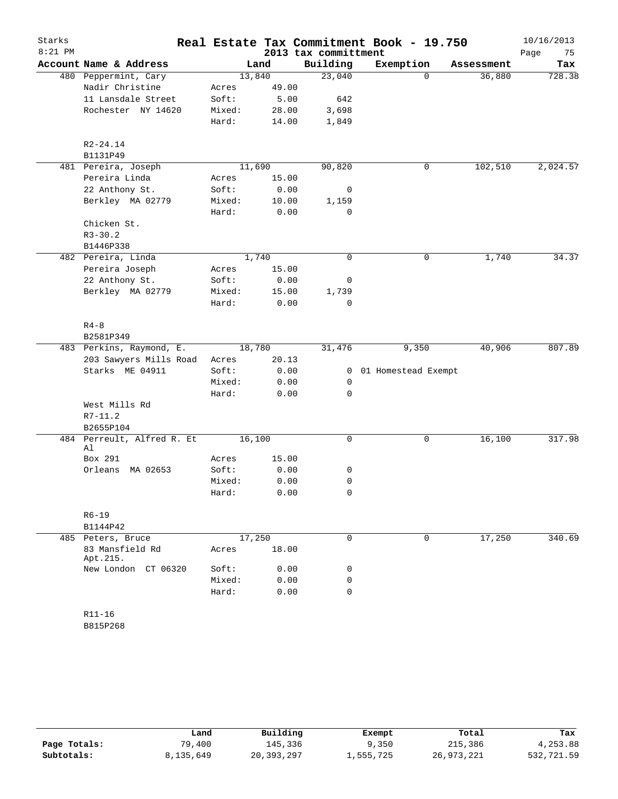| Starks    |                                  |        |        |                      | Real Estate Tax Commitment Book - 19.750 |            | 10/16/2013 |
|-----------|----------------------------------|--------|--------|----------------------|------------------------------------------|------------|------------|
| $8:21$ PM |                                  |        |        | 2013 tax committment |                                          |            | Page<br>75 |
|           | Account Name & Address           |        | Land   | Building             | Exemption                                | Assessment | Tax        |
|           | 480 Peppermint, Cary             |        | 13,840 | 23,040               | $\Omega$                                 | 36,880     | 728.38     |
|           | Nadir Christine                  | Acres  | 49.00  |                      |                                          |            |            |
|           | 11 Lansdale Street               | Soft:  | 5.00   | 642                  |                                          |            |            |
|           | Rochester NY 14620               | Mixed: | 28.00  | 3,698                |                                          |            |            |
|           |                                  | Hard:  | 14.00  | 1,849                |                                          |            |            |
|           | $R2 - 24.14$                     |        |        |                      |                                          |            |            |
|           | B1131P49                         |        |        |                      |                                          |            |            |
|           | 481 Pereira, Joseph              |        | 11,690 | 90,820               | 0                                        | 102,510    | 2,024.57   |
|           | Pereira Linda                    | Acres  | 15.00  |                      |                                          |            |            |
|           | 22 Anthony St.                   | Soft:  | 0.00   | 0                    |                                          |            |            |
|           | Berkley MA 02779                 | Mixed: | 10.00  | 1,159                |                                          |            |            |
|           |                                  | Hard:  | 0.00   | $\Omega$             |                                          |            |            |
|           | Chicken St.                      |        |        |                      |                                          |            |            |
|           | $R3 - 30.2$                      |        |        |                      |                                          |            |            |
|           | B1446P338                        |        |        |                      |                                          |            |            |
|           | 482 Pereira, Linda               |        | 1,740  | 0                    | 0                                        | 1,740      | 34.37      |
|           | Pereira Joseph                   | Acres  | 15.00  |                      |                                          |            |            |
|           | 22 Anthony St.                   | Soft:  | 0.00   | 0                    |                                          |            |            |
|           | Berkley MA 02779                 | Mixed: | 15.00  | 1,739                |                                          |            |            |
|           |                                  | Hard:  | 0.00   | 0                    |                                          |            |            |
|           | $R4 - 8$                         |        |        |                      |                                          |            |            |
|           | B2581P349                        |        |        |                      |                                          |            |            |
|           | 483 Perkins, Raymond, E.         |        | 18,780 | 31,476               | 9,350                                    | 40,906     | 807.89     |
|           | 203 Sawyers Mills Road           | Acres  | 20.13  |                      |                                          |            |            |
|           | Starks ME 04911                  | Soft:  | 0.00   | 0                    | 01 Homestead Exempt                      |            |            |
|           |                                  | Mixed: | 0.00   | 0                    |                                          |            |            |
|           |                                  | Hard:  | 0.00   | 0                    |                                          |            |            |
|           | West Mills Rd                    |        |        |                      |                                          |            |            |
|           | $R7 - 11.2$                      |        |        |                      |                                          |            |            |
|           | B2655P104                        |        |        |                      |                                          |            |            |
|           | 484 Perreult, Alfred R. Et<br>Al |        | 16,100 | 0                    | 0                                        | 16,100     | 317.98     |
|           | Box 291                          | Acres  | 15.00  |                      |                                          |            |            |
|           | Orleans<br>MA 02653              | Soft:  | 0.00   | 0                    |                                          |            |            |
|           |                                  | Mixed: | 0.00   | 0                    |                                          |            |            |
|           |                                  | Hard:  | 0.00   | 0                    |                                          |            |            |
|           | $R6 - 19$                        |        |        |                      |                                          |            |            |
|           | B1144P42                         |        |        |                      |                                          |            |            |
|           | 485 Peters, Bruce                |        | 17,250 | 0                    | $\mathbf 0$                              | 17,250     | 340.69     |
|           | 83 Mansfield Rd<br>Apt.215.      | Acres  | 18.00  |                      |                                          |            |            |
|           | New London CT 06320              | Soft:  | 0.00   | 0                    |                                          |            |            |
|           |                                  | Mixed: | 0.00   | 0                    |                                          |            |            |
|           |                                  | Hard:  | 0.00   | 0                    |                                          |            |            |
|           | $R11 - 16$                       |        |        |                      |                                          |            |            |

B815P268

|              | Land      | Building   | Exempt    | Total      | Tax        |
|--------------|-----------|------------|-----------|------------|------------|
| Page Totals: | 79,400    | 145,336    | 9,350     | 215,386    | 4,253.88   |
| Subtotals:   | 8,135,649 | 20,393,297 | 1,555,725 | 26,973,221 | 532,721.59 |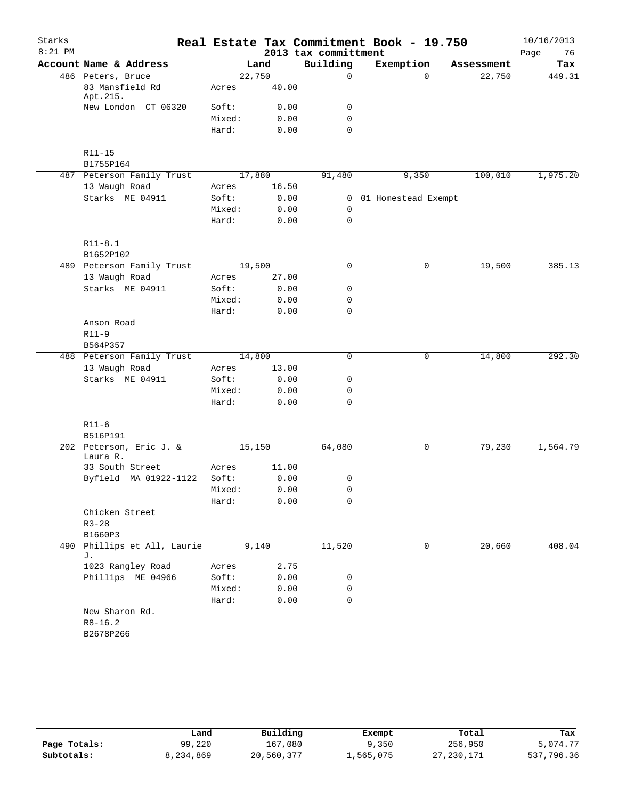| Starks    |                                            |        |       |                      | Real Estate Tax Commitment Book - 19.750 |            | 10/16/2013 |
|-----------|--------------------------------------------|--------|-------|----------------------|------------------------------------------|------------|------------|
| $8:21$ PM |                                            |        |       | 2013 tax committment |                                          |            | Page<br>76 |
|           | Account Name & Address                     |        | Land  | Building             | Exemption                                | Assessment | Tax        |
|           | 486 Peters, Bruce                          | 22,750 |       | $\mathsf{O}$         | $\Omega$                                 | 22,750     | 449.31     |
|           | 83 Mansfield Rd<br>Apt.215.                | Acres  | 40.00 |                      |                                          |            |            |
|           | New London CT 06320                        | Soft:  | 0.00  | 0                    |                                          |            |            |
|           |                                            | Mixed: | 0.00  | $\mathbf 0$          |                                          |            |            |
|           |                                            | Hard:  | 0.00  | $\mathbf 0$          |                                          |            |            |
|           | $R11 - 15$                                 |        |       |                      |                                          |            |            |
|           | B1755P164                                  |        |       |                      |                                          |            |            |
|           | 487 Peterson Family Trust                  | 17,880 |       | 91,480               | 9,350                                    | 100,010    | 1,975.20   |
|           | 13 Waugh Road                              | Acres  | 16.50 |                      |                                          |            |            |
|           | Starks ME 04911                            | Soft:  | 0.00  |                      | 0 01 Homestead Exempt                    |            |            |
|           |                                            | Mixed: | 0.00  | 0                    |                                          |            |            |
|           |                                            | Hard:  | 0.00  | $\mathbf 0$          |                                          |            |            |
|           | $R11 - 8.1$<br>B1652P102                   |        |       |                      |                                          |            |            |
|           | 489 Peterson Family Trust                  | 19,500 |       | $\mathbf 0$          | 0                                        | 19,500     | 385.13     |
|           | 13 Waugh Road                              | Acres  | 27.00 |                      |                                          |            |            |
|           | Starks ME 04911                            | Soft:  | 0.00  | 0                    |                                          |            |            |
|           |                                            | Mixed: | 0.00  | 0                    |                                          |            |            |
|           |                                            | Hard:  | 0.00  | $\mathbf 0$          |                                          |            |            |
|           | Anson Road                                 |        |       |                      |                                          |            |            |
|           | $R11-9$                                    |        |       |                      |                                          |            |            |
|           | B564P357                                   |        |       |                      |                                          |            |            |
|           | 488 Peterson Family Trust                  | 14,800 |       | 0                    | 0                                        | 14,800     | 292.30     |
|           | 13 Waugh Road                              | Acres  | 13.00 |                      |                                          |            |            |
|           | Starks ME 04911                            | Soft:  | 0.00  | 0                    |                                          |            |            |
|           |                                            | Mixed: | 0.00  | 0                    |                                          |            |            |
|           |                                            | Hard:  | 0.00  | 0                    |                                          |            |            |
|           | $R11-6$                                    |        |       |                      |                                          |            |            |
|           | B516P191                                   |        |       |                      |                                          |            |            |
|           | 202 Peterson, Eric J. &<br>Laura R.        | 15,150 |       | 64,080               | 0                                        | 79,230     | 1,564.79   |
|           | 33 South Street                            | Acres  | 11.00 |                      |                                          |            |            |
|           | Byfield MA 01922-1122                      | Soft:  | 0.00  | 0                    |                                          |            |            |
|           |                                            | Mixed: | 0.00  | 0                    |                                          |            |            |
|           |                                            | Hard:  | 0.00  | 0                    |                                          |            |            |
|           | Chicken Street                             |        |       |                      |                                          |            |            |
|           | $R3 - 28$                                  |        |       |                      |                                          |            |            |
|           | B1660P3                                    |        |       |                      |                                          |            |            |
| 490       | Phillips et All, Laurie<br>J.              |        | 9,140 | 11,520               | 0                                        | 20,660     | 408.04     |
|           | 1023 Rangley Road                          | Acres  | 2.75  |                      |                                          |            |            |
|           | Phillips ME 04966                          | Soft:  | 0.00  | 0                    |                                          |            |            |
|           |                                            | Mixed: | 0.00  | 0                    |                                          |            |            |
|           |                                            | Hard:  | 0.00  | $\mathbf 0$          |                                          |            |            |
|           | New Sharon Rd.<br>$R8 - 16.2$<br>B2678P266 |        |       |                      |                                          |            |            |
|           |                                            |        |       |                      |                                          |            |            |

|              | Land      | Building   | Exempt    | Total        | Tax        |
|--------------|-----------|------------|-----------|--------------|------------|
| Page Totals: | 99,220    | 167,080    | 9,350     | 256,950      | 5,074.77   |
| Subtotals:   | 8,234,869 | 20,560,377 | 1,565,075 | 27, 230, 171 | 537,796.36 |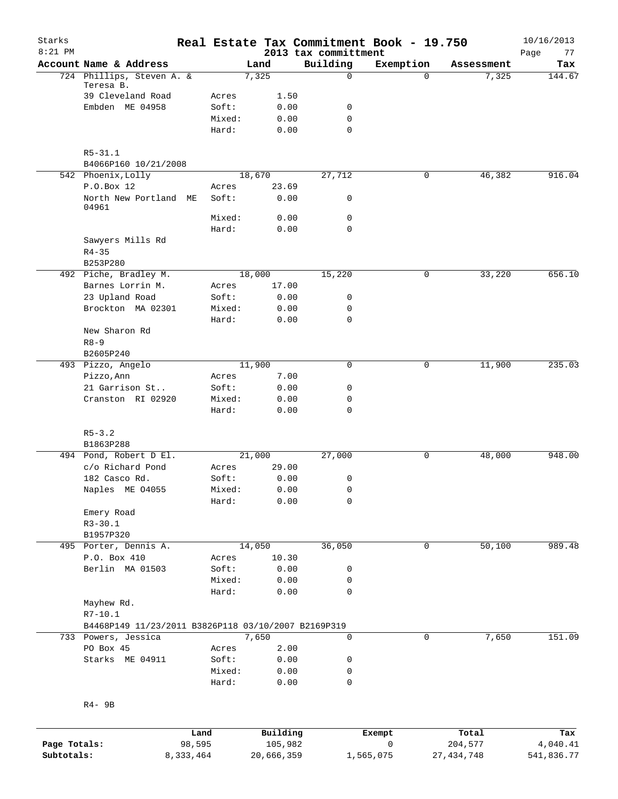| Starks<br>$8:21$ PM |                                                     |        |                 |               | 2013 tax committment | Real Estate Tax Commitment Book - 19.750 |            | 10/16/2013<br>77<br>Page |
|---------------------|-----------------------------------------------------|--------|-----------------|---------------|----------------------|------------------------------------------|------------|--------------------------|
|                     | Account Name & Address                              |        |                 | Land          | Building             | Exemption                                | Assessment | Tax                      |
|                     | 724 Phillips, Steven A. &                           |        |                 | 7,325         | $\mathbf 0$          | $\Omega$                                 | 7,325      | 144.67                   |
|                     | Teresa B.                                           |        |                 |               |                      |                                          |            |                          |
|                     | 39 Cleveland Road                                   |        | Acres           | 1.50          |                      |                                          |            |                          |
|                     | Embden ME 04958                                     |        | Soft:           | 0.00          | 0<br>$\mathbf 0$     |                                          |            |                          |
|                     |                                                     |        | Mixed:<br>Hard: | 0.00<br>0.00  | $\mathbf 0$          |                                          |            |                          |
|                     |                                                     |        |                 |               |                      |                                          |            |                          |
|                     | $R5 - 31.1$                                         |        |                 |               |                      |                                          |            |                          |
|                     | B4066P160 10/21/2008                                |        |                 |               |                      |                                          |            |                          |
|                     | 542 Phoenix, Lolly                                  |        |                 | 18,670        | 27,712               | 0                                        | 46,382     | 916.04                   |
|                     | P.O.Box 12                                          |        | Acres           | 23.69         |                      |                                          |            |                          |
|                     | North New Portland ME<br>04961                      |        | Soft:           | 0.00          | 0                    |                                          |            |                          |
|                     |                                                     |        | Mixed:          | 0.00          | 0                    |                                          |            |                          |
|                     |                                                     |        | Hard:           | 0.00          | 0                    |                                          |            |                          |
|                     | Sawyers Mills Rd                                    |        |                 |               |                      |                                          |            |                          |
|                     | $R4 - 35$                                           |        |                 |               |                      |                                          |            |                          |
|                     | B253P280                                            |        |                 |               |                      |                                          |            |                          |
|                     | 492 Piche, Bradley M.                               |        |                 | 18,000        | 15,220               | 0                                        | 33,220     | 656.10                   |
|                     | Barnes Lorrin M.                                    |        | Acres           | 17.00         |                      |                                          |            |                          |
|                     | 23 Upland Road                                      |        | Soft:           | 0.00          | 0                    |                                          |            |                          |
|                     | Brockton MA 02301                                   |        | Mixed:          | 0.00          | 0                    |                                          |            |                          |
|                     |                                                     |        | Hard:           | 0.00          | $\mathbf 0$          |                                          |            |                          |
|                     | New Sharon Rd<br>$R8 - 9$                           |        |                 |               |                      |                                          |            |                          |
|                     | B2605P240                                           |        |                 |               |                      |                                          |            |                          |
|                     | 493 Pizzo, Angelo                                   |        |                 | 11,900        | 0                    | 0                                        | 11,900     | 235.03                   |
|                     | Pizzo, Ann                                          |        | Acres           | 7.00          |                      |                                          |            |                          |
|                     | 21 Garrison St                                      |        | Soft:           | 0.00          | 0                    |                                          |            |                          |
|                     | Cranston RI 02920                                   |        | Mixed:          | 0.00          | 0                    |                                          |            |                          |
|                     |                                                     |        | Hard:           | 0.00          | $\mathbf 0$          |                                          |            |                          |
|                     | $R5 - 3.2$                                          |        |                 |               |                      |                                          |            |                          |
|                     | B1863P288                                           |        |                 |               |                      |                                          |            |                          |
|                     | 494 Pond, Robert D El.                              |        |                 | 21,000        | 27,000               | 0                                        | 48,000     | 948.00                   |
|                     | c/o Richard Pond                                    |        | Acres           | 29.00         |                      |                                          |            |                          |
|                     | 182 Casco Rd.                                       |        | Soft:           | 0.00          | 0                    |                                          |            |                          |
|                     | Naples ME 04055                                     |        | Mixed:          | 0.00          | 0                    |                                          |            |                          |
|                     |                                                     |        | Hard:           | 0.00          | 0                    |                                          |            |                          |
|                     | Emery Road                                          |        |                 |               |                      |                                          |            |                          |
|                     | $R3 - 30.1$                                         |        |                 |               |                      |                                          |            |                          |
|                     | B1957P320                                           |        |                 |               |                      |                                          |            |                          |
|                     | 495 Porter, Dennis A.                               |        |                 | 14,050        | 36,050               | 0                                        | 50,100     | 989.48                   |
|                     | P.O. Box 410<br>Berlin MA 01503                     |        | Acres<br>Soft:  | 10.30<br>0.00 | 0                    |                                          |            |                          |
|                     |                                                     |        | Mixed:          | 0.00          | 0                    |                                          |            |                          |
|                     |                                                     |        | Hard:           | 0.00          | 0                    |                                          |            |                          |
|                     | Mayhew Rd.                                          |        |                 |               |                      |                                          |            |                          |
|                     | $R7 - 10.1$                                         |        |                 |               |                      |                                          |            |                          |
|                     | B4468P149 11/23/2011 B3826P118 03/10/2007 B2169P319 |        |                 |               |                      |                                          |            |                          |
|                     | 733 Powers, Jessica                                 |        |                 | 7,650         | 0                    | 0                                        | 7,650      | 151.09                   |
|                     | PO Box 45                                           |        | Acres           | 2.00          |                      |                                          |            |                          |
|                     | Starks ME 04911                                     |        | Soft:           | 0.00          | 0                    |                                          |            |                          |
|                     |                                                     |        | Mixed:          | 0.00          | 0                    |                                          |            |                          |
|                     |                                                     |        | Hard:           | 0.00          | 0                    |                                          |            |                          |
|                     | R4- 9B                                              |        |                 |               |                      |                                          |            |                          |
|                     |                                                     |        |                 |               |                      |                                          |            |                          |
|                     |                                                     | Land   |                 | Building      |                      | Exempt                                   | Total      | Tax                      |
| Page Totals:        |                                                     | 98,595 |                 | 105,982       |                      | 0                                        | 204,577    | 4,040.41                 |

**Subtotals:** 8,333,464 20,666,359 1,565,075 27,434,748 541,836.77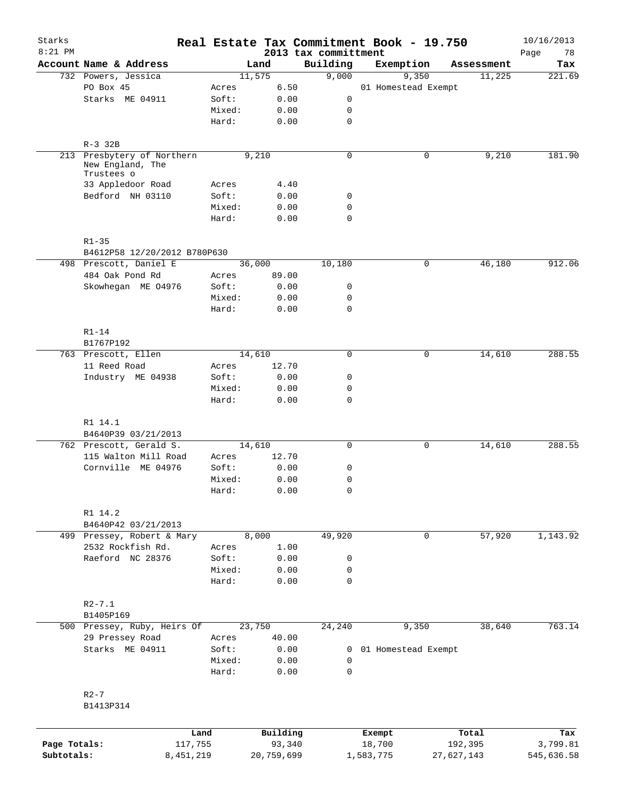| Starks       |                                                |                 |                                 |                                  | Real Estate Tax Commitment Book - 19.750 |            | 10/16/2013        |
|--------------|------------------------------------------------|-----------------|---------------------------------|----------------------------------|------------------------------------------|------------|-------------------|
| $8:21$ PM    | Account Name & Address                         |                 | Land                            | 2013 tax committment<br>Building | Exemption                                | Assessment | Page<br>78<br>Tax |
|              | 732 Powers, Jessica                            |                 | 11,575                          | 9,000                            | 9,350                                    | 11,225     | 221.69            |
|              | PO Box 45                                      | Acres           | 6.50                            |                                  | 01 Homestead Exempt                      |            |                   |
|              | Starks ME 04911                                | Soft:           | 0.00                            | 0                                |                                          |            |                   |
|              |                                                | Mixed:          | 0.00                            | 0                                |                                          |            |                   |
|              |                                                | Hard:           | 0.00                            | $\mathbf 0$                      |                                          |            |                   |
|              | $R-3$ 32B                                      |                 |                                 |                                  |                                          |            |                   |
|              | 213 Presbytery of Northern<br>New England, The |                 | 9,210                           | 0                                | 0                                        | 9,210      | 181.90            |
|              | Trustees o                                     |                 |                                 |                                  |                                          |            |                   |
|              | 33 Appledoor Road                              | Acres           | 4.40                            |                                  |                                          |            |                   |
|              | Bedford NH 03110                               | Soft:           | 0.00                            | 0                                |                                          |            |                   |
|              |                                                | Mixed:<br>Hard: | 0.00<br>0.00                    | 0<br>$\mathbf 0$                 |                                          |            |                   |
|              |                                                |                 |                                 |                                  |                                          |            |                   |
|              | $R1 - 35$<br>B4612P58 12/20/2012 B780P630      |                 |                                 |                                  |                                          |            |                   |
|              | 498 Prescott, Daniel E                         |                 | 36,000                          | 10,180                           | 0                                        | 46,180     | 912.06            |
|              | 484 Oak Pond Rd                                | Acres           | 89.00                           |                                  |                                          |            |                   |
|              | Skowhegan ME 04976                             | Soft:           | 0.00                            | 0                                |                                          |            |                   |
|              |                                                | Mixed:          | 0.00                            | 0                                |                                          |            |                   |
|              |                                                | Hard:           | 0.00                            | 0                                |                                          |            |                   |
|              | $R1-14$                                        |                 |                                 |                                  |                                          |            |                   |
|              | B1767P192                                      |                 |                                 |                                  |                                          |            |                   |
|              | 763 Prescott, Ellen                            |                 | 14,610                          | 0                                | $\mathbf 0$                              | 14,610     | 288.55            |
|              | 11 Reed Road                                   | Acres           | 12.70                           |                                  |                                          |            |                   |
|              | Industry ME 04938                              | Soft:           | 0.00                            | 0                                |                                          |            |                   |
|              |                                                | Mixed:<br>Hard: | 0.00<br>0.00                    | 0<br>0                           |                                          |            |                   |
|              |                                                |                 |                                 |                                  |                                          |            |                   |
|              | R1 14.1<br>B4640P39 03/21/2013                 |                 |                                 |                                  |                                          |            |                   |
|              | 762 Prescott, Gerald S.                        |                 | 14,610                          | 0                                | 0                                        | 14,610     | 288.55            |
|              | 115 Walton Mill Road                           | Acres           | 12.70                           |                                  |                                          |            |                   |
|              | Cornville ME 04976                             | Soft:           | 0.00                            | 0                                |                                          |            |                   |
|              |                                                | Mixed:          | 0.00                            | 0                                |                                          |            |                   |
|              |                                                | Hard:           | ${\bf 0}$ . ${\bf 0}$ ${\bf 0}$ | 0                                |                                          |            |                   |
|              | R1 14.2                                        |                 |                                 |                                  |                                          |            |                   |
|              | B4640P42 03/21/2013                            |                 |                                 |                                  |                                          |            |                   |
|              | 499 Pressey, Robert & Mary                     |                 | 8,000                           | 49,920                           | $\mathbf 0$                              | 57,920     | 1,143.92          |
|              | 2532 Rockfish Rd.                              | Acres           | 1.00                            |                                  |                                          |            |                   |
|              | Raeford NC 28376                               | Soft:           | 0.00                            | 0                                |                                          |            |                   |
|              |                                                | Mixed:          | 0.00                            | 0                                |                                          |            |                   |
|              |                                                | Hard:           | 0.00                            | $\mathbf 0$                      |                                          |            |                   |
|              | $R2 - 7.1$                                     |                 |                                 |                                  |                                          |            |                   |
|              | B1405P169                                      |                 |                                 |                                  |                                          |            |                   |
|              | 500 Pressey, Ruby, Heirs Of                    |                 | 23,750                          | 24,240                           | 9,350                                    | 38,640     | 763.14            |
|              | 29 Pressey Road                                | Acres           | 40.00                           |                                  |                                          |            |                   |
|              | Starks ME 04911                                | Soft:           | 0.00                            | 0                                | 01 Homestead Exempt                      |            |                   |
|              |                                                | Mixed:<br>Hard: | 0.00<br>0.00                    | 0<br>$\mathbf 0$                 |                                          |            |                   |
|              |                                                |                 |                                 |                                  |                                          |            |                   |
|              | $R2 - 7$                                       |                 |                                 |                                  |                                          |            |                   |
|              | B1413P314                                      |                 |                                 |                                  |                                          |            |                   |
|              |                                                | Land            | Building                        |                                  | Exempt                                   | Total      | Tax               |
| Page Totals: |                                                | 117,755         | 93,340                          |                                  | 18,700                                   | 192,395    | 3,799.81          |
| Subtotals:   | 8,451,219                                      |                 | 20,759,699                      |                                  | 1,583,775                                | 27,627,143 | 545,636.58        |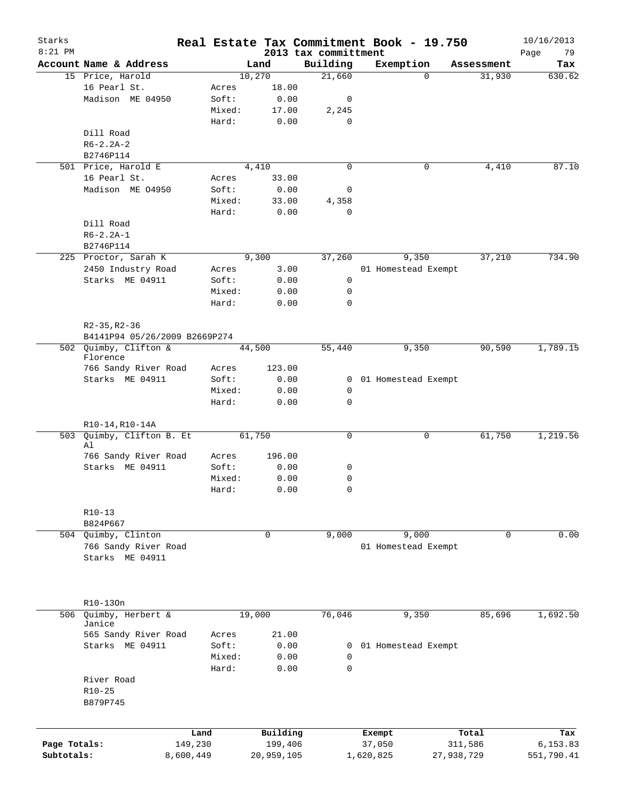| Starks<br>$8:21$ PM |                               |           |        |             |                                  | Real Estate Tax Commitment Book - 19.750 |            | 10/16/2013        |
|---------------------|-------------------------------|-----------|--------|-------------|----------------------------------|------------------------------------------|------------|-------------------|
|                     | Account Name & Address        |           |        | Land        | 2013 tax committment<br>Building | Exemption                                | Assessment | Page<br>79<br>Tax |
|                     | 15 Price, Harold              |           |        | 10,270      | 21,660                           | $\Omega$                                 | 31,930     | 630.62            |
|                     | 16 Pearl St.                  |           | Acres  | 18.00       |                                  |                                          |            |                   |
|                     | Madison ME 04950              |           | Soft:  | 0.00        | 0                                |                                          |            |                   |
|                     |                               |           | Mixed: | 17.00       | 2,245                            |                                          |            |                   |
|                     |                               |           | Hard:  | 0.00        | $\mathbf 0$                      |                                          |            |                   |
|                     | Dill Road                     |           |        |             |                                  |                                          |            |                   |
|                     | $R6 - 2.2A - 2$               |           |        |             |                                  |                                          |            |                   |
|                     | B2746P114                     |           |        |             |                                  |                                          |            |                   |
|                     | 501 Price, Harold E           |           |        | 4,410       | $\mathbf 0$                      | 0                                        | 4,410      | 87.10             |
|                     | 16 Pearl St.                  |           | Acres  | 33.00       |                                  |                                          |            |                   |
|                     | Madison ME 04950              |           |        |             | 0                                |                                          |            |                   |
|                     |                               |           | Soft:  | 0.00        |                                  |                                          |            |                   |
|                     |                               |           | Mixed: | 33.00       | 4,358                            |                                          |            |                   |
|                     |                               |           | Hard:  | 0.00        | $\mathbf 0$                      |                                          |            |                   |
|                     | Dill Road                     |           |        |             |                                  |                                          |            |                   |
|                     | $R6 - 2.2A - 1$               |           |        |             |                                  |                                          |            |                   |
|                     | B2746P114                     |           |        |             |                                  |                                          |            |                   |
|                     | 225 Proctor, Sarah K          |           |        | 9,300       | 37,260                           | 9,350                                    | 37,210     | 734.90            |
|                     | 2450 Industry Road            |           | Acres  | 3.00        |                                  | 01 Homestead Exempt                      |            |                   |
|                     | Starks ME 04911               |           | Soft:  | 0.00        | 0                                |                                          |            |                   |
|                     |                               |           | Mixed: | 0.00        | 0                                |                                          |            |                   |
|                     |                               |           | Hard:  | 0.00        | $\mathbf 0$                      |                                          |            |                   |
|                     |                               |           |        |             |                                  |                                          |            |                   |
|                     | $R2-35, R2-36$                |           |        |             |                                  |                                          |            |                   |
|                     | B4141P94 05/26/2009 B2669P274 |           |        |             |                                  |                                          |            |                   |
|                     | 502 Quimby, Clifton &         |           |        | 44,500      | 55,440                           | 9,350                                    | 90,590     | 1,789.15          |
|                     | Florence                      |           |        |             |                                  |                                          |            |                   |
|                     | 766 Sandy River Road          |           | Acres  | 123.00      |                                  |                                          |            |                   |
|                     | Starks ME 04911               |           | Soft:  | 0.00        |                                  | 0 01 Homestead Exempt                    |            |                   |
|                     |                               |           | Mixed: | 0.00        | 0                                |                                          |            |                   |
|                     |                               |           | Hard:  | 0.00        | $\mathbf 0$                      |                                          |            |                   |
|                     |                               |           |        |             |                                  |                                          |            |                   |
|                     | R10-14, R10-14A               |           |        |             |                                  |                                          |            |                   |
| 503                 | Quimby, Clifton B. Et<br>Al   |           |        | 61,750      | 0                                | 0                                        | 61,750     | 1,219.56          |
|                     | 766 Sandy River Road          |           | Acres  | 196.00      |                                  |                                          |            |                   |
|                     | Starks ME 04911               |           | Soft:  | 0.00        | 0                                |                                          |            |                   |
|                     |                               |           | Mixed: | 0.00        | 0                                |                                          |            |                   |
|                     |                               |           | Hard:  | 0.00        | $\cap$                           |                                          |            |                   |
|                     |                               |           |        |             |                                  |                                          |            |                   |
|                     | $R10-13$                      |           |        |             |                                  |                                          |            |                   |
|                     | B824P667                      |           |        |             |                                  |                                          |            |                   |
|                     | 504 Quimby, Clinton           |           |        | $\mathbf 0$ | 9,000                            | 9,000                                    | $\Omega$   | 0.00              |
|                     | 766 Sandy River Road          |           |        |             |                                  | 01 Homestead Exempt                      |            |                   |
|                     | Starks ME 04911               |           |        |             |                                  |                                          |            |                   |
|                     |                               |           |        |             |                                  |                                          |            |                   |
|                     |                               |           |        |             |                                  |                                          |            |                   |
|                     |                               |           |        |             |                                  |                                          |            |                   |
|                     | R10-130n                      |           |        |             |                                  |                                          |            |                   |
| 506                 | Quimby, Herbert &             |           |        | 19,000      | 76,046                           | 9,350                                    | 85,696     | 1,692.50          |
|                     | Janice                        |           |        |             |                                  |                                          |            |                   |
|                     | 565 Sandy River Road          |           | Acres  | 21.00       |                                  |                                          |            |                   |
|                     | Starks ME 04911               |           | Soft:  | 0.00        | 0                                | 01 Homestead Exempt                      |            |                   |
|                     |                               |           | Mixed: | 0.00        | 0                                |                                          |            |                   |
|                     |                               |           | Hard:  | 0.00        | $\mathbf 0$                      |                                          |            |                   |
|                     | River Road                    |           |        |             |                                  |                                          |            |                   |
|                     | R10-25                        |           |        |             |                                  |                                          |            |                   |
|                     | B879P745                      |           |        |             |                                  |                                          |            |                   |
|                     |                               |           |        |             |                                  |                                          |            |                   |
|                     |                               |           |        |             |                                  |                                          |            |                   |
|                     |                               | Land      |        | Building    |                                  | Exempt                                   | Total      | Tax               |
| Page Totals:        |                               | 149,230   |        | 199,406     |                                  | 37,050                                   | 311,586    | 6,153.83          |
| Subtotals:          |                               | 8,600,449 |        | 20,959,105  |                                  | 1,620,825                                | 27,938,729 | 551,790.41        |
|                     |                               |           |        |             |                                  |                                          |            |                   |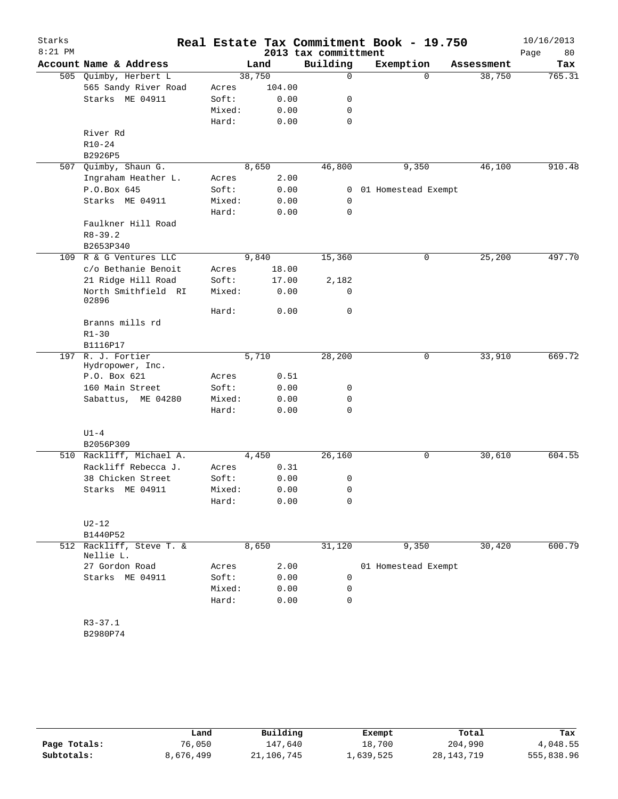| Starks    |                                       |                 |              |                      | Real Estate Tax Commitment Book - 19.750 |            | 10/16/2013 |
|-----------|---------------------------------------|-----------------|--------------|----------------------|------------------------------------------|------------|------------|
| $8:21$ PM |                                       |                 |              | 2013 tax committment |                                          |            | Page<br>80 |
|           | Account Name & Address                |                 | Land         | Building             | Exemption                                | Assessment | Tax        |
|           | 505 Quimby, Herbert L                 |                 | 38,750       | $\mathbf 0$          | $\Omega$                                 | 38,750     | 765.31     |
|           | 565 Sandy River Road                  | Acres           | 104.00       |                      |                                          |            |            |
|           | Starks ME 04911                       | Soft:           | 0.00         | 0                    |                                          |            |            |
|           |                                       | Mixed:          | 0.00         | 0                    |                                          |            |            |
|           |                                       | Hard:           | 0.00         | 0                    |                                          |            |            |
|           | River Rd                              |                 |              |                      |                                          |            |            |
|           | $R10 - 24$                            |                 |              |                      |                                          |            |            |
| 507       | B2926P5<br>Quimby, Shaun G.           |                 | 8,650        | 46,800               | 9,350                                    | 46,100     | 910.48     |
|           | Ingraham Heather L.                   | Acres           | 2.00         |                      |                                          |            |            |
|           | P.O.Box 645                           | Soft:           | 0.00         | 0                    | 01 Homestead Exempt                      |            |            |
|           | Starks ME 04911                       | Mixed:          | 0.00         | 0                    |                                          |            |            |
|           |                                       | Hard:           | 0.00         | 0                    |                                          |            |            |
|           | Faulkner Hill Road                    |                 |              |                      |                                          |            |            |
|           | $R8 - 39.2$                           |                 |              |                      |                                          |            |            |
|           | B2653P340                             |                 |              |                      |                                          |            |            |
|           | 109 R & G Ventures LLC                |                 | 9,840        | 15,360               | 0                                        | 25,200     | 497.70     |
|           | c/o Bethanie Benoit                   | Acres           | 18.00        |                      |                                          |            |            |
|           | 21 Ridge Hill Road                    | Soft:           | 17.00        | 2,182                |                                          |            |            |
|           | North Smithfield RI<br>02896          | Mixed:          | 0.00         | 0                    |                                          |            |            |
|           |                                       | Hard:           | 0.00         | 0                    |                                          |            |            |
|           | Branns mills rd                       |                 |              |                      |                                          |            |            |
|           | $R1 - 30$                             |                 |              |                      |                                          |            |            |
|           | B1116P17                              |                 |              |                      |                                          |            |            |
|           | 197 R. J. Fortier<br>Hydropower, Inc. |                 | 5,710        | 28,200               | 0                                        | 33,910     | 669.72     |
|           | P.O. Box 621                          | Acres           | 0.51         |                      |                                          |            |            |
|           | 160 Main Street                       | Soft:           | 0.00         | 0                    |                                          |            |            |
|           | Sabattus, ME 04280                    | Mixed:          | 0.00         | 0                    |                                          |            |            |
|           |                                       | Hard:           | 0.00         | 0                    |                                          |            |            |
|           | $U1 - 4$                              |                 |              |                      |                                          |            |            |
|           | B2056P309                             |                 |              |                      |                                          |            |            |
|           | 510 Rackliff, Michael A.              |                 | 4,450        | 26,160               | 0                                        | 30,610     | 604.55     |
|           | Rackliff Rebecca J.                   | Acres           | 0.31         |                      |                                          |            |            |
|           | 38 Chicken Street                     | Soft:<br>Mixed: | 0.00         | 0                    |                                          |            |            |
|           | Starks ME 04911                       |                 | 0.00<br>0.00 | 0<br>0               |                                          |            |            |
|           |                                       | Hard:           |              |                      |                                          |            |            |
|           | $U2-12$                               |                 |              |                      |                                          |            |            |
|           | B1440P52                              |                 |              |                      |                                          |            |            |
|           | 512 Rackliff, Steve T. &<br>Nellie L. |                 | 8,650        | 31,120               | 9,350                                    | 30,420     | 600.79     |
|           | 27 Gordon Road                        | Acres           | 2.00         |                      | 01 Homestead Exempt                      |            |            |
|           | Starks ME 04911                       | Soft:           | 0.00         | 0                    |                                          |            |            |
|           |                                       | Mixed:          | 0.00         | 0                    |                                          |            |            |
|           |                                       | Hard:           | 0.00         | 0                    |                                          |            |            |
|           |                                       |                 |              |                      |                                          |            |            |
|           | $R3 - 37.1$                           |                 |              |                      |                                          |            |            |
|           | B2980P74                              |                 |              |                      |                                          |            |            |
|           |                                       |                 |              |                      |                                          |            |            |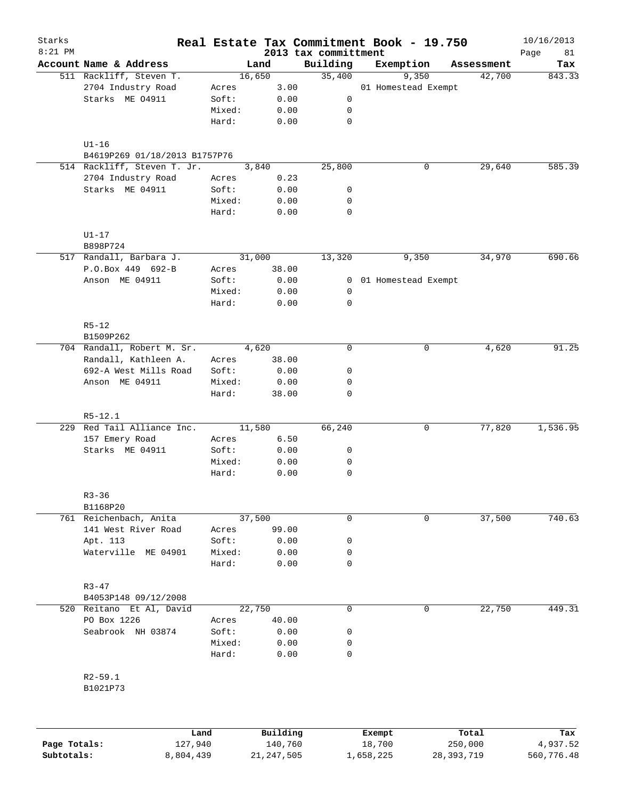| Starks       |                                         |         |        |          |                                  | Real Estate Tax Commitment Book - 19.750 |   |            | 10/16/2013        |
|--------------|-----------------------------------------|---------|--------|----------|----------------------------------|------------------------------------------|---|------------|-------------------|
| $8:21$ PM    | Account Name & Address                  |         |        | Land     | 2013 tax committment<br>Building | Exemption                                |   | Assessment | Page<br>81<br>Tax |
|              | 511 Rackliff, Steven T.                 |         | 16,650 |          | 35,400                           | 9,350                                    |   | 42,700     | 843.33            |
|              | 2704 Industry Road                      | Acres   |        | 3.00     |                                  | 01 Homestead Exempt                      |   |            |                   |
|              | Starks ME 04911                         | Soft:   |        | 0.00     | 0                                |                                          |   |            |                   |
|              |                                         | Mixed:  |        | 0.00     | 0                                |                                          |   |            |                   |
|              |                                         | Hard:   |        | 0.00     | 0                                |                                          |   |            |                   |
|              | $U1-16$                                 |         |        |          |                                  |                                          |   |            |                   |
|              | B4619P269 01/18/2013 B1757P76           |         |        |          |                                  |                                          |   |            |                   |
|              | 514 Rackliff, Steven T. Jr.             |         |        | 3,840    | 25,800                           |                                          | 0 | 29,640     | 585.39            |
|              | 2704 Industry Road                      | Acres   |        | 0.23     |                                  |                                          |   |            |                   |
|              | Starks ME 04911                         | Soft:   |        | 0.00     | 0                                |                                          |   |            |                   |
|              |                                         | Mixed:  |        | 0.00     | 0                                |                                          |   |            |                   |
|              |                                         | Hard:   |        | 0.00     | 0                                |                                          |   |            |                   |
|              | $U1-17$                                 |         |        |          |                                  |                                          |   |            |                   |
|              | B898P724                                |         |        |          |                                  |                                          |   |            |                   |
|              | 517 Randall, Barbara J.                 |         | 31,000 |          | 13,320                           | 9,350                                    |   | 34,970     | 690.66            |
|              | P.O.Box 449 692-B                       | Acres   |        | 38.00    |                                  |                                          |   |            |                   |
|              | Anson ME 04911                          | Soft:   |        | 0.00     |                                  | 0 01 Homestead Exempt                    |   |            |                   |
|              |                                         | Mixed:  |        | 0.00     | 0                                |                                          |   |            |                   |
|              |                                         | Hard:   |        | 0.00     | 0                                |                                          |   |            |                   |
|              | $R5 - 12$                               |         |        |          |                                  |                                          |   |            |                   |
|              | B1509P262<br>704 Randall, Robert M. Sr. |         |        | 4,620    | $\mathbf 0$                      |                                          | 0 | 4,620      | 91.25             |
|              | Randall, Kathleen A.                    | Acres   |        | 38.00    |                                  |                                          |   |            |                   |
|              | 692-A West Mills Road                   | Soft:   |        | 0.00     | 0                                |                                          |   |            |                   |
|              | Anson ME 04911                          | Mixed:  |        | 0.00     | 0                                |                                          |   |            |                   |
|              |                                         | Hard:   |        | 38.00    | 0                                |                                          |   |            |                   |
|              | $R5 - 12.1$                             |         |        |          |                                  |                                          |   |            |                   |
|              | 229 Red Tail Alliance Inc.              |         | 11,580 |          | 66,240                           |                                          | 0 | 77,820     | 1,536.95          |
|              | 157 Emery Road                          | Acres   |        | 6.50     |                                  |                                          |   |            |                   |
|              | Starks ME 04911                         | Soft:   |        | 0.00     | 0                                |                                          |   |            |                   |
|              |                                         | Mixed:  |        | 0.00     | 0                                |                                          |   |            |                   |
|              |                                         | Hard:   |        | 0.00     | 0                                |                                          |   |            |                   |
|              | $R3 - 36$                               |         |        |          |                                  |                                          |   |            |                   |
|              | B1168P20                                |         |        |          |                                  |                                          |   |            |                   |
|              | 761 Reichenbach, Anita                  |         | 37,500 |          | 0                                |                                          | 0 | 37,500     | 740.63            |
|              | 141 West River Road                     | Acres   |        | 99.00    |                                  |                                          |   |            |                   |
|              | Apt. 113                                | Soft:   |        | 0.00     | 0                                |                                          |   |            |                   |
|              | Waterville ME 04901                     | Mixed:  |        | 0.00     | 0                                |                                          |   |            |                   |
|              |                                         | Hard:   |        | 0.00     | 0                                |                                          |   |            |                   |
|              | $R3 - 47$                               |         |        |          |                                  |                                          |   |            |                   |
|              | B4053P148 09/12/2008                    |         |        |          |                                  |                                          |   |            |                   |
|              | 520 Reitano Et Al, David                |         | 22,750 |          | $\mathbf 0$                      |                                          | 0 | 22,750     | 449.31            |
|              | PO Box 1226                             | Acres   |        | 40.00    |                                  |                                          |   |            |                   |
|              | Seabrook NH 03874                       | Soft:   |        | 0.00     | 0                                |                                          |   |            |                   |
|              |                                         | Mixed:  |        | 0.00     | 0                                |                                          |   |            |                   |
|              |                                         | Hard:   |        | 0.00     | $\mathbf 0$                      |                                          |   |            |                   |
|              | $R2 - 59.1$                             |         |        |          |                                  |                                          |   |            |                   |
|              | B1021P73                                |         |        |          |                                  |                                          |   |            |                   |
|              |                                         |         |        |          |                                  |                                          |   |            |                   |
|              |                                         | Land    |        | Building |                                  | Exempt                                   |   | Total      | Tax               |
| Page Totals: |                                         | 127,940 |        | 140,760  |                                  | 18,700                                   |   | 250,000    | 4,937.52          |

**Subtotals:** 8,804,439 21,247,505 1,658,225 28,393,719 560,776.48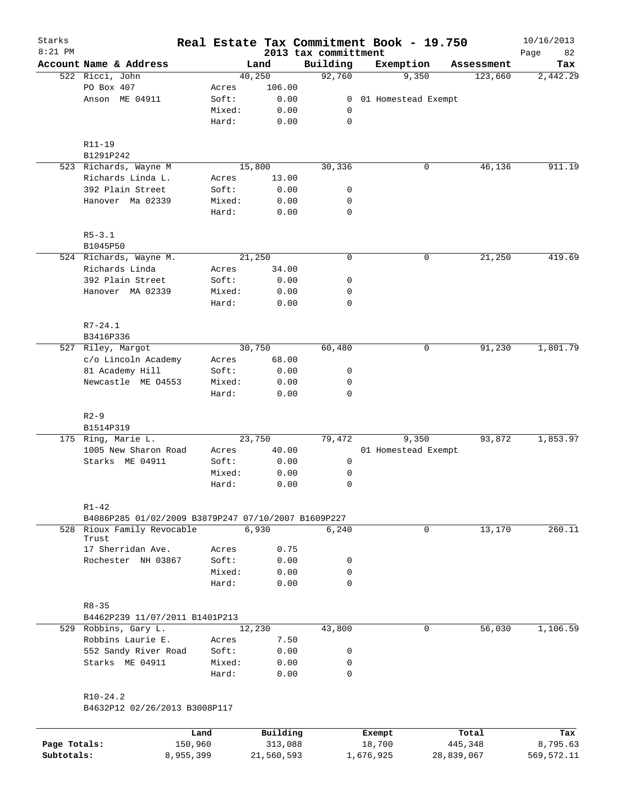| Starks<br>$8:21$ PM |                                                     |      |                |        |              | 2013 tax committment |                | Real Estate Tax Commitment Book - 19.750 |   |            | 10/16/2013<br>82<br>Page |
|---------------------|-----------------------------------------------------|------|----------------|--------|--------------|----------------------|----------------|------------------------------------------|---|------------|--------------------------|
|                     | Account Name & Address                              |      |                | Land   |              | Building             |                | Exemption                                |   | Assessment | Tax                      |
|                     | 522 Ricci, John                                     |      |                | 40,250 |              | 92,760               |                | 9,350                                    |   | 123,660    | 2,442.29                 |
|                     | PO Box 407                                          |      | Acres          |        | 106.00       |                      |                |                                          |   |            |                          |
|                     | Anson ME 04911                                      |      | Soft:          |        | 0.00         |                      | $\overline{0}$ | 01 Homestead Exempt                      |   |            |                          |
|                     |                                                     |      | Mixed:         |        | 0.00         |                      | 0              |                                          |   |            |                          |
|                     |                                                     |      | Hard:          |        | 0.00         |                      | $\mathbf 0$    |                                          |   |            |                          |
|                     | R11-19                                              |      |                |        |              |                      |                |                                          |   |            |                          |
|                     | B1291P242                                           |      |                |        |              |                      |                |                                          |   |            |                          |
|                     | 523 Richards, Wayne M                               |      |                | 15,800 |              | 30,336               |                |                                          | 0 | 46,136     | 911.19                   |
|                     | Richards Linda L.                                   |      | Acres          |        | 13.00        |                      |                |                                          |   |            |                          |
|                     | 392 Plain Street                                    |      | Soft:          |        | 0.00         |                      | 0              |                                          |   |            |                          |
|                     | Hanover Ma 02339                                    |      | Mixed:         |        | 0.00         |                      | 0              |                                          |   |            |                          |
|                     |                                                     |      | Hard:          |        | 0.00         |                      | $\mathbf 0$    |                                          |   |            |                          |
|                     | $R5 - 3.1$                                          |      |                |        |              |                      |                |                                          |   |            |                          |
|                     | B1045P50                                            |      |                |        |              |                      |                |                                          |   |            |                          |
|                     | 524 Richards, Wayne M.                              |      |                | 21,250 |              |                      | $\mathbf 0$    |                                          | 0 | 21,250     | 419.69                   |
|                     | Richards Linda                                      |      | Acres          |        | 34.00        |                      |                |                                          |   |            |                          |
|                     | 392 Plain Street                                    |      | Soft:          |        | 0.00         |                      | 0              |                                          |   |            |                          |
|                     | Hanover MA 02339                                    |      | Mixed:         |        | 0.00         |                      | 0              |                                          |   |            |                          |
|                     |                                                     |      | Hard:          |        | 0.00         |                      | $\mathbf 0$    |                                          |   |            |                          |
|                     | $R7 - 24.1$                                         |      |                |        |              |                      |                |                                          |   |            |                          |
|                     | B3416P336                                           |      |                |        |              |                      |                |                                          |   |            |                          |
|                     | 527 Riley, Margot                                   |      |                | 30,750 |              | 60,480               |                |                                          | 0 | 91,230     | 1,801.79                 |
|                     | c/o Lincoln Academy                                 |      | Acres          |        | 68.00        |                      |                |                                          |   |            |                          |
|                     | 81 Academy Hill                                     |      | Soft:          |        | 0.00         |                      | 0              |                                          |   |            |                          |
|                     | Newcastle ME 04553                                  |      | Mixed:         |        | 0.00         |                      | 0              |                                          |   |            |                          |
|                     |                                                     |      | Hard:          |        | 0.00         |                      | 0              |                                          |   |            |                          |
|                     | $R2 - 9$                                            |      |                |        |              |                      |                |                                          |   |            |                          |
|                     | B1514P319                                           |      |                |        |              |                      |                |                                          |   |            |                          |
|                     | 175 Ring, Marie L.                                  |      |                | 23,750 |              | 79,472               |                | 9,350                                    |   | 93,872     | 1,853.97                 |
|                     | 1005 New Sharon Road                                |      | Acres          |        | 40.00        |                      |                | 01 Homestead Exempt                      |   |            |                          |
|                     | Starks ME 04911                                     |      | Soft:          |        | 0.00         |                      | 0              |                                          |   |            |                          |
|                     |                                                     |      | Mixed:         |        | 0.00         |                      | 0              |                                          |   |            |                          |
|                     |                                                     |      | Hard:          |        | 0.00         |                      | 0              |                                          |   |            |                          |
|                     | $R1 - 42$                                           |      |                |        |              |                      |                |                                          |   |            |                          |
|                     | B4086P285 01/02/2009 B3879P247 07/10/2007 B1609P227 |      |                |        |              |                      |                |                                          |   |            |                          |
| 528                 | Rioux Family Revocable                              |      |                | 6,930  |              |                      | 6,240          |                                          | 0 | 13,170     | 260.11                   |
|                     | Trust                                               |      |                |        |              |                      |                |                                          |   |            |                          |
|                     | 17 Sherridan Ave.<br>Rochester NH 03867             |      | Acres<br>Soft: |        | 0.75<br>0.00 |                      | 0              |                                          |   |            |                          |
|                     |                                                     |      | Mixed:         |        | 0.00         |                      | 0              |                                          |   |            |                          |
|                     |                                                     |      | Hard:          |        | 0.00         |                      | $\Omega$       |                                          |   |            |                          |
|                     |                                                     |      |                |        |              |                      |                |                                          |   |            |                          |
|                     | $R8 - 35$<br>B4462P239 11/07/2011 B1401P213         |      |                |        |              |                      |                |                                          |   |            |                          |
|                     | 529 Robbins, Gary L.                                |      |                | 12,230 |              | 43,800               |                |                                          | 0 | 56,030     | 1,106.59                 |
|                     | Robbins Laurie E.                                   |      | Acres          |        | 7.50         |                      |                |                                          |   |            |                          |
|                     | 552 Sandy River Road                                |      | Soft:          |        | 0.00         |                      | 0              |                                          |   |            |                          |
|                     | Starks ME 04911                                     |      | Mixed:         |        | 0.00         |                      | 0              |                                          |   |            |                          |
|                     |                                                     |      | Hard:          |        | 0.00         |                      | 0              |                                          |   |            |                          |
|                     | $R10-24.2$                                          |      |                |        |              |                      |                |                                          |   |            |                          |
|                     | B4632P12 02/26/2013 B3008P117                       |      |                |        |              |                      |                |                                          |   |            |                          |
|                     |                                                     |      |                |        |              |                      |                |                                          |   |            |                          |
|                     |                                                     | Land |                |        | Building     |                      |                | Exempt                                   |   | Total      | Tax                      |

|              | Land      | Building   | Exempt    | Total      | Tax        |
|--------------|-----------|------------|-----------|------------|------------|
| Page Totals: | 150,960   | 313,088    | 18,700    | 445,348    | 8,795.63   |
| Subtotals:   | 8,955,399 | 21,560,593 | 1,676,925 | 28,839,067 | 569,572.11 |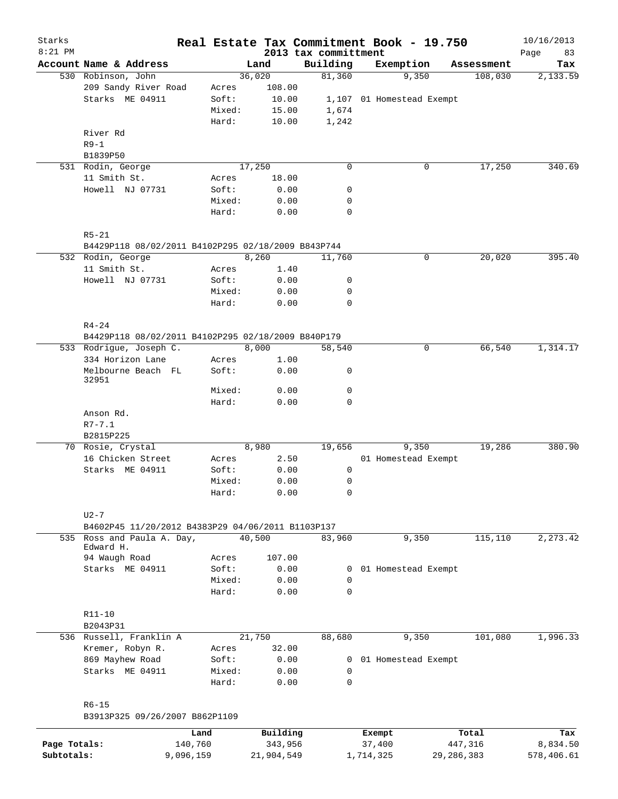| Starks       |                                                    |                 |        |                     |  |                                  | Real Estate Tax Commitment Book - 19.750 |              |                  | 10/16/2013        |
|--------------|----------------------------------------------------|-----------------|--------|---------------------|--|----------------------------------|------------------------------------------|--------------|------------------|-------------------|
| $8:21$ PM    | Account Name & Address                             |                 |        | Land                |  | 2013 tax committment<br>Building | Exemption                                |              | Assessment       | Page<br>83<br>Tax |
|              | 530 Robinson, John                                 |                 |        | 36,020              |  | 81,360                           |                                          | 9,350        | 108,030          | 2,133.59          |
|              | 209 Sandy River Road                               | Acres           |        | 108.00              |  |                                  |                                          |              |                  |                   |
|              | Starks ME 04911                                    | Soft:           |        | 10.00               |  |                                  | 1,107 01 Homestead Exempt                |              |                  |                   |
|              |                                                    |                 | Mixed: | 15.00               |  | 1,674                            |                                          |              |                  |                   |
|              |                                                    | Hard:           |        | 10.00               |  | 1,242                            |                                          |              |                  |                   |
|              | River Rd                                           |                 |        |                     |  |                                  |                                          |              |                  |                   |
|              | $R9-1$                                             |                 |        |                     |  |                                  |                                          |              |                  |                   |
|              | B1839P50                                           |                 |        |                     |  |                                  |                                          |              |                  |                   |
|              | 531 Rodin, George                                  |                 |        | 17,250              |  | $\mathbf 0$                      |                                          | 0            | 17,250           | 340.69            |
|              | 11 Smith St.                                       | Acres           |        | 18.00               |  |                                  |                                          |              |                  |                   |
|              | Howell NJ 07731                                    | Soft:           |        | 0.00                |  | 0                                |                                          |              |                  |                   |
|              |                                                    |                 | Mixed: | 0.00                |  | 0                                |                                          |              |                  |                   |
|              |                                                    | Hard:           |        | 0.00                |  | $\mathbf 0$                      |                                          |              |                  |                   |
|              | $R5 - 21$                                          |                 |        |                     |  |                                  |                                          |              |                  |                   |
|              | B4429P118 08/02/2011 B4102P295 02/18/2009 B843P744 |                 |        |                     |  |                                  |                                          |              |                  |                   |
|              | 532 Rodin, George                                  |                 |        | 8,260               |  | 11,760                           |                                          | 0            | 20,020           | 395.40            |
|              | 11 Smith St.                                       | Acres           |        | 1.40                |  |                                  |                                          |              |                  |                   |
|              | Howell NJ 07731                                    | Soft:           |        | 0.00                |  | 0                                |                                          |              |                  |                   |
|              |                                                    |                 | Mixed: | 0.00                |  | 0                                |                                          |              |                  |                   |
|              |                                                    | Hard:           |        | 0.00                |  | $\mathbf 0$                      |                                          |              |                  |                   |
|              | $R4 - 24$                                          |                 |        |                     |  |                                  |                                          |              |                  |                   |
|              | B4429P118 08/02/2011 B4102P295 02/18/2009 B840P179 |                 |        |                     |  |                                  |                                          |              |                  |                   |
|              | 533 Rodrigue, Joseph C.                            |                 |        | 8,000               |  | 58,540                           |                                          | 0            | 66,540           | 1,314.17          |
|              | 334 Horizon Lane<br>Melbourne Beach FL             | Acres<br>Soft:  |        | 1.00<br>0.00        |  | 0                                |                                          |              |                  |                   |
|              | 32951                                              |                 | Mixed: | 0.00                |  | $\mathbf 0$                      |                                          |              |                  |                   |
|              |                                                    | Hard:           |        | 0.00                |  | 0                                |                                          |              |                  |                   |
|              | Anson Rd.                                          |                 |        |                     |  |                                  |                                          |              |                  |                   |
|              | $R7 - 7.1$                                         |                 |        |                     |  |                                  |                                          |              |                  |                   |
|              | B2815P225                                          |                 |        |                     |  |                                  |                                          |              |                  |                   |
|              | 70 Rosie, Crystal                                  |                 |        | 8,980               |  | 19,656                           |                                          | 9,350        | 19,286           | 380.90            |
|              | 16 Chicken Street                                  | Acres           |        | 2.50                |  |                                  | 01 Homestead Exempt                      |              |                  |                   |
|              | Starks ME 04911                                    | Soft:           |        | 0.00                |  | 0                                |                                          |              |                  |                   |
|              |                                                    |                 | Mixed: | 0.00                |  | 0                                |                                          |              |                  |                   |
|              |                                                    | Hard:           |        | 0.00                |  | 0                                |                                          |              |                  |                   |
|              | $U2 - 7$                                           |                 |        |                     |  |                                  |                                          |              |                  |                   |
|              | B4602P45 11/20/2012 B4383P29 04/06/2011 B1103P137  |                 |        |                     |  |                                  |                                          |              |                  |                   |
|              | 535 Ross and Paula A. Day,<br>Edward H.            |                 |        | 40,500              |  | 83,960                           |                                          | 9,350        | 115,110          | 2,273.42          |
|              | 94 Waugh Road                                      | Acres           |        | 107.00              |  |                                  |                                          |              |                  |                   |
|              | Starks ME 04911                                    | Soft:           |        | 0.00                |  | 0                                | 01 Homestead Exempt                      |              |                  |                   |
|              |                                                    |                 | Mixed: | 0.00                |  | $\Omega$                         |                                          |              |                  |                   |
|              |                                                    | Hard:           |        | 0.00                |  | $\Omega$                         |                                          |              |                  |                   |
|              | $R11 - 10$<br>B2043P31                             |                 |        |                     |  |                                  |                                          |              |                  |                   |
|              | 536 Russell, Franklin A                            |                 |        | 21,750              |  | 88,680                           |                                          | 9,350        | 101,080          | 1,996.33          |
|              | Kremer, Robyn R.                                   | Acres           |        | 32.00               |  |                                  |                                          |              |                  |                   |
|              | 869 Mayhew Road                                    | Soft:           |        | 0.00                |  | 0                                | 01 Homestead Exempt                      |              |                  |                   |
|              | Starks ME 04911                                    |                 | Mixed: | 0.00                |  | 0                                |                                          |              |                  |                   |
|              |                                                    | Hard:           |        | 0.00                |  | $\mathbf 0$                      |                                          |              |                  |                   |
|              | $R6 - 15$                                          |                 |        |                     |  |                                  |                                          |              |                  |                   |
|              | B3913P325 09/26/2007 B862P1109                     |                 |        |                     |  |                                  |                                          |              |                  |                   |
| Page Totals: |                                                    | Land<br>140,760 |        | Building<br>343,956 |  |                                  | Exempt<br>37,400                         |              | Total<br>447,316 | Tax<br>8,834.50   |
| Subtotals:   |                                                    | 9,096,159       |        | 21,904,549          |  |                                  | 1,714,325                                | 29, 286, 383 |                  | 578,406.61        |
|              |                                                    |                 |        |                     |  |                                  |                                          |              |                  |                   |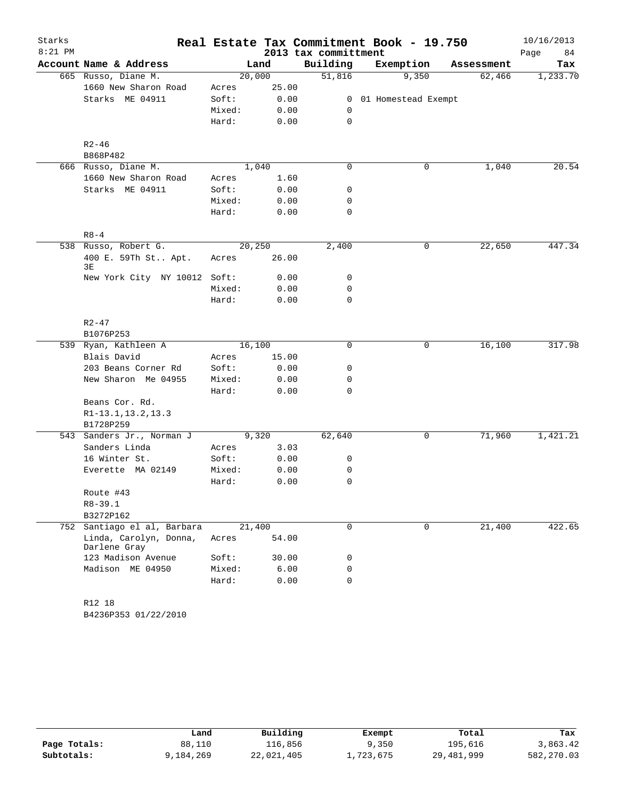| Starks    |                                        |        |        |                      | Real Estate Tax Commitment Book - 19.750 |            | 10/16/2013 |
|-----------|----------------------------------------|--------|--------|----------------------|------------------------------------------|------------|------------|
| $8:21$ PM |                                        |        |        | 2013 tax committment |                                          |            | Page<br>84 |
|           | Account Name & Address                 |        | Land   | Building             | Exemption                                | Assessment | Tax        |
|           | 665 Russo, Diane M.                    |        | 20,000 | 51,816               | 9,350                                    | 62,466     | 1,233.70   |
|           | 1660 New Sharon Road                   | Acres  | 25.00  |                      |                                          |            |            |
|           | Starks ME 04911                        | Soft:  | 0.00   |                      | 0 01 Homestead Exempt                    |            |            |
|           |                                        | Mixed: | 0.00   | 0                    |                                          |            |            |
|           |                                        | Hard:  | 0.00   | $\mathbf 0$          |                                          |            |            |
|           | $R2 - 46$                              |        |        |                      |                                          |            |            |
|           | B868P482                               |        |        |                      |                                          |            |            |
|           | 666 Russo, Diane M.                    |        | 1,040  | 0                    | 0                                        | 1,040      | 20.54      |
|           | 1660 New Sharon Road                   | Acres  | 1.60   |                      |                                          |            |            |
|           | Starks ME 04911                        | Soft:  | 0.00   | 0                    |                                          |            |            |
|           |                                        | Mixed: | 0.00   | 0                    |                                          |            |            |
|           |                                        | Hard:  | 0.00   | 0                    |                                          |            |            |
|           | $R8 - 4$                               |        |        |                      |                                          |            |            |
|           | 538 Russo, Robert G.                   |        | 20,250 | 2,400                | 0                                        | 22,650     | 447.34     |
|           | 400 E. 59Th St Apt.<br>3Е              | Acres  | 26.00  |                      |                                          |            |            |
|           | New York City NY 10012                 | Soft:  | 0.00   | 0                    |                                          |            |            |
|           |                                        | Mixed: | 0.00   | 0                    |                                          |            |            |
|           |                                        | Hard:  | 0.00   | $\mathbf 0$          |                                          |            |            |
|           | $R2 - 47$                              |        |        |                      |                                          |            |            |
|           | B1076P253                              |        |        |                      |                                          |            |            |
|           | 539 Ryan, Kathleen A                   |        | 16,100 | 0                    | 0                                        | 16,100     | 317.98     |
|           | Blais David                            | Acres  | 15.00  |                      |                                          |            |            |
|           | 203 Beans Corner Rd                    | Soft:  | 0.00   | 0                    |                                          |            |            |
|           | New Sharon Me 04955                    | Mixed: | 0.00   | 0                    |                                          |            |            |
|           |                                        | Hard:  | 0.00   | 0                    |                                          |            |            |
|           | Beans Cor. Rd.                         |        |        |                      |                                          |            |            |
|           | R1-13.1, 13.2, 13.3                    |        |        |                      |                                          |            |            |
|           | B1728P259                              |        |        |                      |                                          |            |            |
|           | 543 Sanders Jr., Norman J              |        | 9,320  | 62,640               | 0                                        | 71,960     | 1,421.21   |
|           | Sanders Linda                          | Acres  | 3.03   |                      |                                          |            |            |
|           | 16 Winter St.                          | Soft:  | 0.00   | 0                    |                                          |            |            |
|           | Everette MA 02149                      | Mixed: | 0.00   | 0                    |                                          |            |            |
|           |                                        | Hard:  | 0.00   | 0                    |                                          |            |            |
|           | Route #43                              |        |        |                      |                                          |            |            |
|           | $R8 - 39.1$                            |        |        |                      |                                          |            |            |
|           | B3272P162                              |        |        |                      |                                          |            |            |
|           | 752 Santiago el al, Barbara            |        | 21,400 | 0                    | 0                                        | 21,400     | 422.65     |
|           | Linda, Carolyn, Donna,<br>Darlene Gray | Acres  | 54.00  |                      |                                          |            |            |
|           | 123 Madison Avenue                     | Soft:  | 30.00  | 0                    |                                          |            |            |
|           | Madison ME 04950                       | Mixed: | 6.00   | 0                    |                                          |            |            |
|           |                                        | Hard:  | 0.00   | $\mathbf 0$          |                                          |            |            |
|           | R12 18                                 |        |        |                      |                                          |            |            |
|           | B4236P353 01/22/2010                   |        |        |                      |                                          |            |            |

|              | Land      | Building   | Exempt    | Total      | Tax        |
|--------------|-----------|------------|-----------|------------|------------|
| Page Totals: | 88,110    | 116,856    | 9,350     | 195,616    | 3,863.42   |
| Subtotals:   | 9,184,269 | 22,021,405 | ⊥,723,675 | 29,481,999 | 582,270.03 |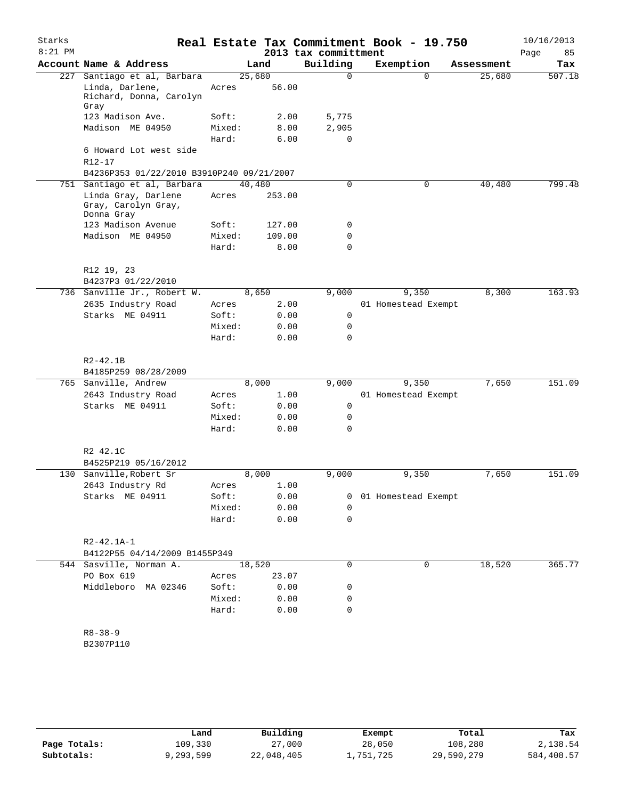| Starks<br>$8:21$ PM |                                                          |                |              | 2013 tax committment | Real Estate Tax Commitment Book - 19.750 |            | 10/16/2013<br>Page<br>85 |
|---------------------|----------------------------------------------------------|----------------|--------------|----------------------|------------------------------------------|------------|--------------------------|
|                     | Account Name & Address                                   |                | Land         | Building             | Exemption                                | Assessment | Tax                      |
| 227                 | Santiago et al, Barbara                                  |                | 25,680       | $\Omega$             | $\Omega$                                 | 25,680     | 507.18                   |
|                     | Linda, Darlene,<br>Richard, Donna, Carolyn<br>Gray       | Acres          | 56.00        |                      |                                          |            |                          |
|                     | 123 Madison Ave.                                         | Soft:          | 2.00         | 5,775                |                                          |            |                          |
|                     | Madison ME 04950                                         | Mixed:         | 8.00         | 2,905                |                                          |            |                          |
|                     |                                                          | Hard:          | 6.00         | $\mathbf 0$          |                                          |            |                          |
|                     | 6 Howard Lot west side<br>$R12 - 17$                     |                |              |                      |                                          |            |                          |
|                     | B4236P353 01/22/2010 B3910P240 09/21/2007                |                |              |                      |                                          |            |                          |
|                     | 751 Santiago et al, Barbara                              |                | 40,480       | 0                    | $\mathbf 0$                              | 40,480     | 799.48                   |
|                     | Linda Gray, Darlene<br>Gray, Carolyn Gray,<br>Donna Gray | Acres          | 253.00       |                      |                                          |            |                          |
|                     | 123 Madison Avenue                                       | Soft:          | 127.00       | 0                    |                                          |            |                          |
|                     | Madison ME 04950                                         | Mixed:         | 109.00       | 0                    |                                          |            |                          |
|                     |                                                          | Hard:          | 8.00         | $\Omega$             |                                          |            |                          |
|                     |                                                          |                |              |                      |                                          |            |                          |
|                     | R12 19, 23                                               |                |              |                      |                                          |            |                          |
|                     | B4237P3 01/22/2010                                       |                |              |                      |                                          | 8,300      | 163.93                   |
|                     | 736 Sanville Jr., Robert W.                              |                | 8,650        | 9,000                | 9,350<br>01 Homestead Exempt             |            |                          |
|                     | 2635 Industry Road<br>Starks ME 04911                    | Acres<br>Soft: | 2.00<br>0.00 | 0                    |                                          |            |                          |
|                     |                                                          | Mixed:         | 0.00         | 0                    |                                          |            |                          |
|                     |                                                          | Hard:          | 0.00         | $\Omega$             |                                          |            |                          |
|                     |                                                          |                |              |                      |                                          |            |                          |
|                     | $R2 - 42.1B$<br>B4185P259 08/28/2009                     |                |              |                      |                                          |            |                          |
|                     | 765 Sanville, Andrew                                     |                | 8,000        | 9,000                | 9,350                                    | 7,650      | 151.09                   |
|                     | 2643 Industry Road                                       | Acres          | 1.00         |                      | 01 Homestead Exempt                      |            |                          |
|                     | Starks ME 04911                                          | Soft:          | 0.00         | 0                    |                                          |            |                          |
|                     |                                                          | Mixed:         | 0.00         | 0                    |                                          |            |                          |
|                     |                                                          | Hard:          | 0.00         | $\Omega$             |                                          |            |                          |
|                     | R2 42.1C<br>B4525P219 05/16/2012                         |                |              |                      |                                          |            |                          |
|                     | 130 Sanville, Robert Sr                                  |                | 8,000        | 9,000                | 9,350                                    | 7,650      | 151.09                   |
|                     | 2643 Industry Rd                                         | Acres          | 1.00         |                      |                                          |            |                          |
|                     | Starks ME 04911                                          | Soft:          | 0.00         | 0                    | 01 Homestead Exempt                      |            |                          |
|                     |                                                          | Mixed:         | 0.00         | 0                    |                                          |            |                          |
|                     |                                                          | Hard:          | 0.00         | 0                    |                                          |            |                          |
|                     |                                                          |                |              |                      |                                          |            |                          |
|                     | $R2 - 42.1A - 1$                                         |                |              |                      |                                          |            |                          |
|                     | B4122P55 04/14/2009 B1455P349                            |                |              |                      |                                          |            |                          |
|                     | 544 Sasville, Norman A.                                  |                | 18,520       | 0                    | 0                                        | 18,520     | 365.77                   |
|                     | PO Box 619                                               | Acres          | 23.07        |                      |                                          |            |                          |
|                     | Middleboro MA 02346                                      | Soft:          | 0.00         | 0                    |                                          |            |                          |
|                     |                                                          | Mixed:         | 0.00         | 0                    |                                          |            |                          |
|                     |                                                          | Hard:          | 0.00         | 0                    |                                          |            |                          |
|                     | $R8 - 38 - 9$<br>B2307P110                               |                |              |                      |                                          |            |                          |
|                     |                                                          |                |              |                      |                                          |            |                          |
|                     |                                                          |                |              |                      |                                          |            |                          |

|              | Land      | Building   | Exempt    | Total      | Tax        |
|--------------|-----------|------------|-----------|------------|------------|
| Page Totals: | 109,330   | 27,000     | 28,050    | 108,280    | 2,138.54   |
| Subtotals:   | 9,293,599 | 22,048,405 | 1,751,725 | 29,590,279 | 584,408.57 |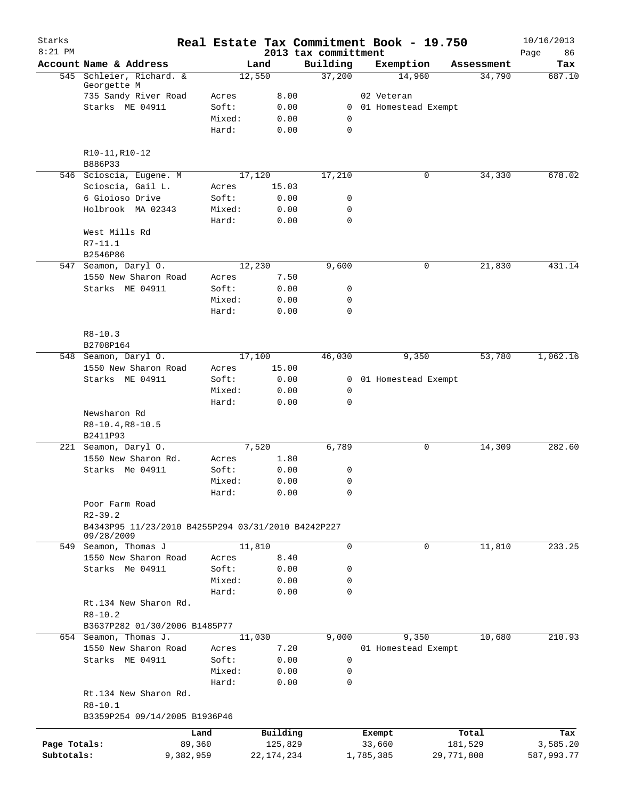| Starks<br>$8:21$ PM |                                                                  |           |                 |        |              | 2013 tax committment       | Real Estate Tax Commitment Book - 19.750 |            | 10/16/2013<br>86<br>Page |
|---------------------|------------------------------------------------------------------|-----------|-----------------|--------|--------------|----------------------------|------------------------------------------|------------|--------------------------|
|                     | Account Name & Address                                           |           |                 | Land   |              | Building                   | Exemption                                | Assessment | Tax                      |
|                     | 545 Schleier, Richard. &                                         |           |                 | 12,550 |              | 37,200                     | 14,960                                   | 34,790     | 687.10                   |
|                     | Georgette M                                                      |           |                 |        |              |                            |                                          |            |                          |
|                     | 735 Sandy River Road<br>Starks ME 04911                          |           | Acres<br>Soft:  |        | 8.00         |                            | 02 Veteran                               |            |                          |
|                     |                                                                  |           | Mixed:          |        | 0.00<br>0.00 | 0                          | 0 01 Homestead Exempt                    |            |                          |
|                     |                                                                  |           | Hard:           |        | 0.00         | $\mathbf 0$                |                                          |            |                          |
|                     | R10-11, R10-12                                                   |           |                 |        |              |                            |                                          |            |                          |
|                     | B886P33                                                          |           |                 |        |              |                            |                                          |            |                          |
|                     | 546 Scioscia, Eugene. M                                          |           |                 | 17,120 |              | 17,210                     | 0                                        | 34,330     | 678.02                   |
|                     | Scioscia, Gail L.                                                |           | Acres           |        | 15.03        |                            |                                          |            |                          |
|                     | 6 Gioioso Drive                                                  |           | Soft:           |        | 0.00         | 0                          |                                          |            |                          |
|                     | Holbrook MA 02343                                                |           | Mixed:<br>Hard: |        | 0.00<br>0.00 | $\mathbf 0$<br>$\mathbf 0$ |                                          |            |                          |
|                     | West Mills Rd                                                    |           |                 |        |              |                            |                                          |            |                          |
|                     | $R7 - 11.1$                                                      |           |                 |        |              |                            |                                          |            |                          |
|                     | B2546P86                                                         |           |                 |        |              |                            |                                          |            |                          |
|                     | 547 Seamon, Daryl O.                                             |           |                 | 12,230 |              | 9,600                      | 0                                        | 21,830     | 431.14                   |
|                     | 1550 New Sharon Road                                             |           | Acres           |        | 7.50         |                            |                                          |            |                          |
|                     | Starks ME 04911                                                  |           | Soft:           |        | 0.00         | 0                          |                                          |            |                          |
|                     |                                                                  |           | Mixed:          |        | 0.00         | 0                          |                                          |            |                          |
|                     |                                                                  |           | Hard:           |        | 0.00         | 0                          |                                          |            |                          |
|                     | $R8 - 10.3$                                                      |           |                 |        |              |                            |                                          |            |                          |
|                     | B2708P164                                                        |           |                 |        |              |                            |                                          |            |                          |
|                     | 548 Seamon, Daryl O.                                             |           |                 | 17,100 | 15.00        | 46,030                     | 9,350                                    | 53,780     | 1,062.16                 |
|                     | 1550 New Sharon Road                                             |           | Acres           |        |              |                            |                                          |            |                          |
|                     | Starks ME 04911                                                  |           | Soft:<br>Mixed: |        | 0.00<br>0.00 | $\mathbf{0}$<br>0          | 01 Homestead Exempt                      |            |                          |
|                     |                                                                  |           | Hard:           |        | 0.00         | 0                          |                                          |            |                          |
|                     | Newsharon Rd                                                     |           |                 |        |              |                            |                                          |            |                          |
|                     | $R8-10.4, R8-10.5$                                               |           |                 |        |              |                            |                                          |            |                          |
|                     | B2411P93                                                         |           |                 |        |              |                            |                                          |            |                          |
|                     | 221 Seamon, Daryl O.                                             |           |                 | 7,520  |              | 6,789                      | 0                                        | 14,309     | 282.60                   |
|                     | 1550 New Sharon Rd.                                              |           | Acres           |        | 1.80         |                            |                                          |            |                          |
|                     | Starks Me 04911                                                  |           | Soft:           |        | 0.00         | 0                          |                                          |            |                          |
|                     |                                                                  |           | Mixed:          |        | 0.00         | 0                          |                                          |            |                          |
|                     |                                                                  |           | Hard:           |        | 0.00         | 0                          |                                          |            |                          |
|                     | Poor Farm Road                                                   |           |                 |        |              |                            |                                          |            |                          |
|                     | $R2 - 39.2$                                                      |           |                 |        |              |                            |                                          |            |                          |
|                     | B4343P95 11/23/2010 B4255P294 03/31/2010 B4242P227<br>09/28/2009 |           |                 |        |              |                            |                                          |            |                          |
|                     | 549 Seamon, Thomas J                                             |           |                 | 11,810 |              | 0                          | 0                                        | 11,810     | 233.25                   |
|                     | 1550 New Sharon Road                                             |           | Acres           |        | 8.40         |                            |                                          |            |                          |
|                     | Starks Me 04911                                                  |           | Soft:           |        | 0.00         | 0                          |                                          |            |                          |
|                     |                                                                  |           | Mixed:          |        | 0.00         | 0                          |                                          |            |                          |
|                     |                                                                  |           | Hard:           |        | 0.00         | 0                          |                                          |            |                          |
|                     | Rt.134 New Sharon Rd.<br>$R8 - 10.2$                             |           |                 |        |              |                            |                                          |            |                          |
|                     | B3637P282 01/30/2006 B1485P77                                    |           |                 |        |              |                            |                                          |            |                          |
|                     | 654 Seamon, Thomas J.                                            |           |                 | 11,030 |              | 9,000                      | 9,350                                    | 10,680     | 210.93                   |
|                     | 1550 New Sharon Road                                             |           | Acres           |        | 7.20         |                            | 01 Homestead Exempt                      |            |                          |
|                     | Starks ME 04911                                                  |           | Soft:           |        | 0.00         | 0                          |                                          |            |                          |
|                     |                                                                  |           | Mixed:          |        | 0.00         | 0                          |                                          |            |                          |
|                     |                                                                  |           | Hard:           |        | 0.00         | 0                          |                                          |            |                          |
|                     | Rt.134 New Sharon Rd.<br>$R8 - 10.1$                             |           |                 |        |              |                            |                                          |            |                          |
|                     | B3359P254 09/14/2005 B1936P46                                    |           |                 |        |              |                            |                                          |            |                          |
|                     |                                                                  | Land      |                 |        | Building     |                            | Exempt                                   | Total      | Tax                      |
| Page Totals:        |                                                                  | 89,360    |                 |        | 125,829      |                            | 33,660                                   | 181,529    | 3,585.20                 |
| Subtotals:          |                                                                  | 9,382,959 |                 |        | 22, 174, 234 |                            | 1,785,385                                | 29,771,808 | 587,993.77               |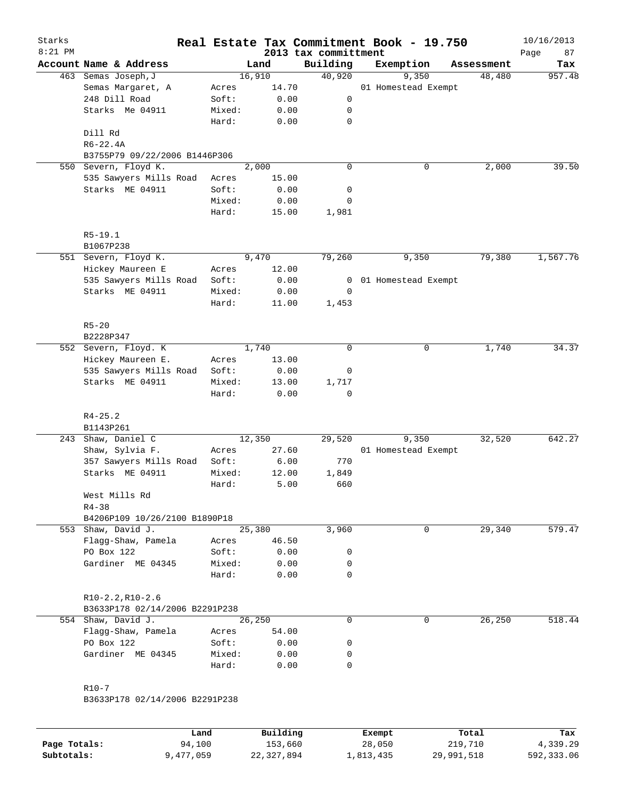| Starks<br>$8:21$ PM |                                |        |                   |       |                                  | Real Estate Tax Commitment Book - 19.750 |   |            | 10/16/2013        |
|---------------------|--------------------------------|--------|-------------------|-------|----------------------------------|------------------------------------------|---|------------|-------------------|
|                     | Account Name & Address         |        | Land              |       | 2013 tax committment<br>Building | Exemption                                |   | Assessment | Page<br>87<br>Tax |
|                     | 463 Semas Joseph, J            |        | 16,910            |       | 40,920                           | 9,350                                    |   | 48,480     | 957.48            |
|                     | Semas Margaret, A              | Acres  |                   | 14.70 |                                  | 01 Homestead Exempt                      |   |            |                   |
|                     | 248 Dill Road                  | Soft:  |                   | 0.00  | 0                                |                                          |   |            |                   |
|                     | Starks Me 04911                | Mixed: |                   | 0.00  | 0                                |                                          |   |            |                   |
|                     |                                | Hard:  |                   | 0.00  | 0                                |                                          |   |            |                   |
|                     | Dill Rd                        |        |                   |       |                                  |                                          |   |            |                   |
|                     | $R6 - 22.4A$                   |        |                   |       |                                  |                                          |   |            |                   |
|                     | B3755P79 09/22/2006 B1446P306  |        |                   |       |                                  |                                          |   |            |                   |
| 550                 | Severn, Floyd K.               |        | $\frac{1}{2,000}$ |       | 0                                |                                          | 0 | 2,000      | 39.50             |
|                     | 535 Sawyers Mills Road         | Acres  |                   | 15.00 |                                  |                                          |   |            |                   |
|                     | Starks ME 04911                | Soft:  |                   | 0.00  | 0                                |                                          |   |            |                   |
|                     |                                | Mixed: |                   | 0.00  | 0                                |                                          |   |            |                   |
|                     |                                | Hard:  |                   | 15.00 | 1,981                            |                                          |   |            |                   |
|                     | $R5 - 19.1$                    |        |                   |       |                                  |                                          |   |            |                   |
|                     | B1067P238                      |        |                   |       |                                  |                                          |   |            |                   |
|                     | 551 Severn, Floyd K.           |        | 9,470             |       | 79,260                           | 9,350                                    |   | 79,380     | 1,567.76          |
|                     | Hickey Maureen E               | Acres  |                   | 12.00 |                                  |                                          |   |            |                   |
|                     | 535 Sawyers Mills Road         | Soft:  |                   | 0.00  | 0                                | 01 Homestead Exempt                      |   |            |                   |
|                     | Starks ME 04911                | Mixed: |                   | 0.00  | 0                                |                                          |   |            |                   |
|                     |                                | Hard:  |                   | 11.00 | 1,453                            |                                          |   |            |                   |
|                     | $R5 - 20$                      |        |                   |       |                                  |                                          |   |            |                   |
|                     | B2228P347                      |        |                   |       |                                  |                                          |   |            |                   |
|                     | 552 Severn, Floyd. K           |        | 1,740             |       | $\mathbf 0$                      |                                          | 0 | 1,740      | 34.37             |
|                     | Hickey Maureen E.              | Acres  |                   | 13.00 |                                  |                                          |   |            |                   |
|                     | 535 Sawyers Mills Road         | Soft:  |                   | 0.00  | 0                                |                                          |   |            |                   |
|                     | Starks ME 04911                | Mixed: |                   | 13.00 | 1,717                            |                                          |   |            |                   |
|                     |                                | Hard:  |                   | 0.00  | $\mathbf 0$                      |                                          |   |            |                   |
|                     | $R4 - 25.2$                    |        |                   |       |                                  |                                          |   |            |                   |
|                     | B1143P261                      |        |                   |       |                                  |                                          |   |            |                   |
|                     | 243 Shaw, Daniel C             |        | 12,350            |       | 29,520                           | 9,350                                    |   | 32,520     | 642.27            |
|                     | Shaw, Sylvia F.                | Acres  |                   | 27.60 |                                  | 01 Homestead Exempt                      |   |            |                   |
|                     | 357 Sawyers Mills Road         | Soft:  |                   | 6.00  | 770                              |                                          |   |            |                   |
|                     | Starks ME 04911                | Mixed: |                   | 12.00 | 1,849                            |                                          |   |            |                   |
|                     |                                | Hard:  |                   | 5.00  | 660                              |                                          |   |            |                   |
|                     | West Mills Rd                  |        |                   |       |                                  |                                          |   |            |                   |
|                     | $R4 - 38$                      |        |                   |       |                                  |                                          |   |            |                   |
|                     | B4206P109 10/26/2100 B1890P18  |        |                   |       |                                  |                                          |   |            |                   |
|                     | 553 Shaw, David J.             |        | 25,380            |       | 3,960                            |                                          | 0 | 29,340     | 579.47            |
|                     | Flagg-Shaw, Pamela             | Acres  |                   | 46.50 |                                  |                                          |   |            |                   |
|                     | PO Box 122                     | Soft:  |                   | 0.00  | 0                                |                                          |   |            |                   |
|                     | Gardiner ME 04345              | Mixed: |                   | 0.00  | 0                                |                                          |   |            |                   |
|                     |                                | Hard:  |                   | 0.00  | $\Omega$                         |                                          |   |            |                   |
|                     | $R10-2.2, R10-2.6$             |        |                   |       |                                  |                                          |   |            |                   |
|                     | B3633P178 02/14/2006 B2291P238 |        |                   |       |                                  |                                          |   |            |                   |
|                     | 554 Shaw, David J.             |        | 26,250            |       | 0                                |                                          | 0 | 26,250     | 518.44            |
|                     | Flagg-Shaw, Pamela             | Acres  |                   | 54.00 |                                  |                                          |   |            |                   |
|                     | PO Box 122                     | Soft:  |                   | 0.00  | 0                                |                                          |   |            |                   |
|                     | Gardiner ME 04345              | Mixed: |                   | 0.00  | 0                                |                                          |   |            |                   |
|                     |                                | Hard:  |                   | 0.00  | 0                                |                                          |   |            |                   |
|                     | $R10-7$                        |        |                   |       |                                  |                                          |   |            |                   |
|                     | B3633P178 02/14/2006 B2291P238 |        |                   |       |                                  |                                          |   |            |                   |
|                     |                                |        |                   |       |                                  |                                          |   |            |                   |
|                     |                                |        |                   |       |                                  |                                          |   |            |                   |

|              | Land      | Building   | Exempt    | Total      | Tax        |
|--------------|-----------|------------|-----------|------------|------------|
| Page Totals: | 94,100    | 153,660    | 28,050    | 219,710    | 4,339.29   |
| Subtotals:   | 9,477,059 | 22,327,894 | L,813,435 | 29,991,518 | 592,333.06 |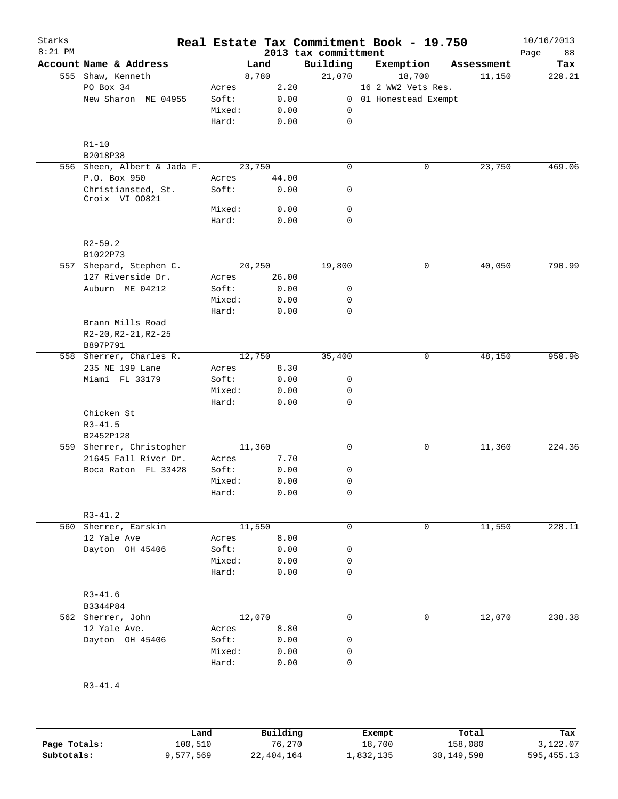| Starks<br>$8:21$ PM |                                      |        |        | Real Estate Tax Commitment Book - 19.750<br>2013 tax committment |                       |            | 10/16/2013<br>Page<br>88 |
|---------------------|--------------------------------------|--------|--------|------------------------------------------------------------------|-----------------------|------------|--------------------------|
|                     | Account Name & Address               |        | Land   | Building                                                         | Exemption             | Assessment | Tax                      |
|                     | 555 Shaw, Kenneth                    |        | 8,780  | 21,070                                                           | 18,700                | 11,150     | 220.21                   |
|                     | PO Box 34                            | Acres  | 2.20   |                                                                  | 16 2 WW2 Vets Res.    |            |                          |
|                     | New Sharon ME 04955                  | Soft:  | 0.00   |                                                                  | 0 01 Homestead Exempt |            |                          |
|                     |                                      | Mixed: | 0.00   | 0                                                                |                       |            |                          |
|                     |                                      | Hard:  | 0.00   | $\mathsf{O}$                                                     |                       |            |                          |
|                     | $R1 - 10$                            |        |        |                                                                  |                       |            |                          |
|                     | B2018P38                             |        |        |                                                                  |                       |            |                          |
|                     | 556 Sheen, Albert & Jada F.          |        | 23,750 | $\mathbf 0$                                                      | 0                     | 23,750     | 469.06                   |
|                     | P.O. Box 950                         | Acres  | 44.00  |                                                                  |                       |            |                          |
|                     | Christiansted, St.<br>Croix VI 00821 | Soft:  | 0.00   | 0                                                                |                       |            |                          |
|                     |                                      | Mixed: | 0.00   | $\mathbf 0$                                                      |                       |            |                          |
|                     |                                      | Hard:  | 0.00   | $\mathbf 0$                                                      |                       |            |                          |
|                     | $R2 - 59.2$                          |        |        |                                                                  |                       |            |                          |
|                     | B1022P73                             |        |        |                                                                  |                       |            |                          |
|                     | 557 Shepard, Stephen C.              |        | 20,250 | 19,800                                                           | 0                     | 40,050     | 790.99                   |
|                     | 127 Riverside Dr.                    | Acres  | 26.00  |                                                                  |                       |            |                          |
|                     | Auburn ME 04212                      | Soft:  | 0.00   | 0                                                                |                       |            |                          |
|                     |                                      | Mixed: | 0.00   | 0                                                                |                       |            |                          |
|                     |                                      | Hard:  | 0.00   | $\mathbf 0$                                                      |                       |            |                          |
|                     | Brann Mills Road                     |        |        |                                                                  |                       |            |                          |
|                     | R2-20, R2-21, R2-25                  |        |        |                                                                  |                       |            |                          |
|                     | B897P791                             |        |        |                                                                  |                       |            |                          |
|                     | 558 Sherrer, Charles R.              |        | 12,750 | 35,400                                                           | 0                     | 48,150     | 950.96                   |
|                     | 235 NE 199 Lane                      | Acres  | 8.30   |                                                                  |                       |            |                          |
|                     | Miami FL 33179                       | Soft:  | 0.00   | 0                                                                |                       |            |                          |
|                     |                                      | Mixed: | 0.00   | 0                                                                |                       |            |                          |
|                     |                                      | Hard:  | 0.00   | $\mathbf 0$                                                      |                       |            |                          |
|                     | Chicken St                           |        |        |                                                                  |                       |            |                          |
|                     | $R3 - 41.5$                          |        |        |                                                                  |                       |            |                          |
|                     | B2452P128                            |        |        |                                                                  |                       |            |                          |
|                     | 559 Sherrer, Christopher             |        | 11,360 | $\mathsf{O}$                                                     | 0                     | 11,360     | 224.36                   |
|                     | 21645 Fall River Dr.                 | Acres  | 7.70   |                                                                  |                       |            |                          |
|                     | Boca Raton FL 33428                  | Soft:  | 0.00   | 0                                                                |                       |            |                          |
|                     |                                      | Mixed: | 0.00   | $\mathbf 0$                                                      |                       |            |                          |
|                     |                                      | Hard:  | 0.00   | 0                                                                |                       |            |                          |
|                     |                                      |        |        |                                                                  |                       |            |                          |
|                     | $R3 - 41.2$                          |        |        |                                                                  |                       |            |                          |
|                     | 560 Sherrer, Earskin                 |        | 11,550 | 0                                                                | 0                     | 11,550     | 228.11                   |
|                     | 12 Yale Ave                          | Acres  | 8.00   |                                                                  |                       |            |                          |
|                     | Dayton OH 45406                      | Soft:  | 0.00   | $\mathsf 0$                                                      |                       |            |                          |
|                     |                                      | Mixed: | 0.00   | $\mathsf{O}$                                                     |                       |            |                          |
|                     |                                      | Hard:  | 0.00   | $\mathbf 0$                                                      |                       |            |                          |
|                     | $R3 - 41.6$                          |        |        |                                                                  |                       |            |                          |
|                     | B3344P84                             |        |        |                                                                  |                       |            |                          |
|                     | 562 Sherrer, John                    |        | 12,070 | $\mathbf 0$                                                      | 0                     | 12,070     | 238.38                   |
|                     | 12 Yale Ave.                         | Acres  | 8.80   |                                                                  |                       |            |                          |
|                     | Dayton OH 45406                      | Soft:  | 0.00   | 0                                                                |                       |            |                          |
|                     |                                      | Mixed: | 0.00   | $\mathsf{O}$                                                     |                       |            |                          |
|                     |                                      | Hard:  | 0.00   | $\mathbf 0$                                                      |                       |            |                          |
|                     | $R3 - 41.4$                          |        |        |                                                                  |                       |            |                          |
|                     |                                      |        |        |                                                                  |                       |            |                          |

|              | Land      | Building   | Exempt    | Total      | Tax          |
|--------------|-----------|------------|-----------|------------|--------------|
| Page Totals: | 100,510   | 76,270     | 18,700    | 158,080    | 3,122.07     |
| Subtotals:   | 9,577,569 | 22,404,164 | 1,832,135 | 30,149,598 | 595, 455. 13 |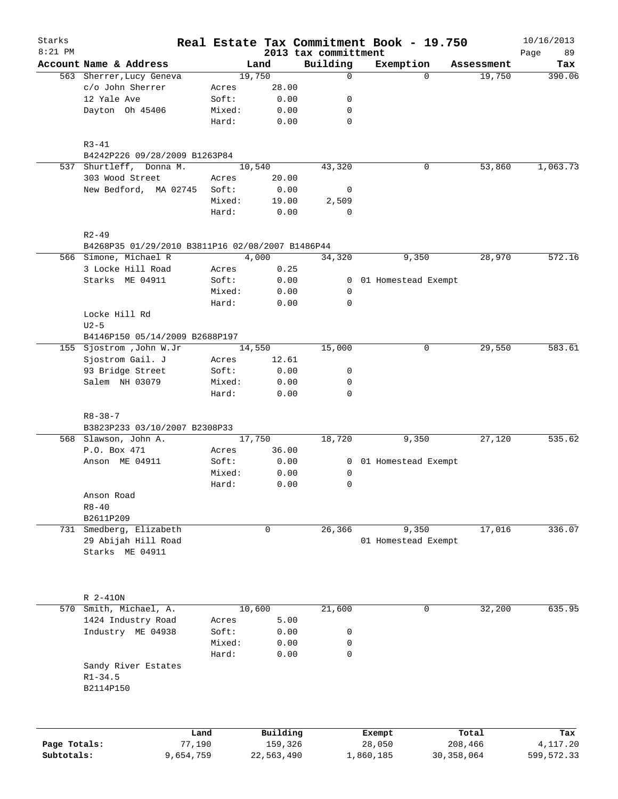| Starks<br>$8:21$ PM |                                                               |                 |               |                                  | Real Estate Tax Commitment Book - 19.750 |              | 10/16/2013        |
|---------------------|---------------------------------------------------------------|-----------------|---------------|----------------------------------|------------------------------------------|--------------|-------------------|
|                     | Account Name & Address                                        |                 | Land          | 2013 tax committment<br>Building | Exemption                                | Assessment   | 89<br>Page<br>Tax |
|                     | 563 Sherrer, Lucy Geneva                                      |                 | 19,750        | $\mathbf 0$                      | $\Omega$                                 | 19,750       | 390.06            |
|                     | c/o John Sherrer                                              | Acres           | 28.00         |                                  |                                          |              |                   |
|                     | 12 Yale Ave                                                   | Soft:           | 0.00          | 0                                |                                          |              |                   |
|                     | Dayton Oh 45406                                               | Mixed:          | 0.00          | 0                                |                                          |              |                   |
|                     |                                                               | Hard:           | 0.00          | $\mathbf 0$                      |                                          |              |                   |
|                     | $R3 - 41$                                                     |                 |               |                                  |                                          |              |                   |
|                     | B4242P226 09/28/2009 B1263P84                                 |                 |               |                                  |                                          |              |                   |
|                     | 537 Shurtleff, Donna M.                                       |                 | 10,540        | 43,320                           | 0                                        | 53,860       | 1,063.73          |
|                     | 303 Wood Street                                               | Acres           | 20.00         |                                  |                                          |              |                   |
|                     | New Bedford, MA 02745                                         | Soft:           | 0.00          | 0                                |                                          |              |                   |
|                     |                                                               | Mixed:<br>Hard: | 19.00<br>0.00 | 2,509<br>$\mathbf 0$             |                                          |              |                   |
|                     |                                                               |                 |               |                                  |                                          |              |                   |
|                     | $R2 - 49$<br>B4268P35 01/29/2010 B3811P16 02/08/2007 B1486P44 |                 |               |                                  |                                          |              |                   |
|                     | 566 Simone, Michael R                                         |                 | 4,000         | 34,320                           | 9,350                                    | 28,970       | 572.16            |
|                     | 3 Locke Hill Road                                             | Acres           | 0.25          |                                  |                                          |              |                   |
|                     | Starks ME 04911                                               | Soft:           | 0.00          |                                  | 0 01 Homestead Exempt                    |              |                   |
|                     |                                                               | Mixed:          | 0.00          | 0                                |                                          |              |                   |
|                     |                                                               | Hard:           | 0.00          | $\mathbf 0$                      |                                          |              |                   |
|                     | Locke Hill Rd                                                 |                 |               |                                  |                                          |              |                   |
|                     | $U2-5$<br>B4146P150 05/14/2009 B2688P197                      |                 |               |                                  |                                          |              |                   |
|                     | 155 Sjostrom , John W.Jr                                      |                 | 14,550        | 15,000                           | 0                                        | 29,550       | 583.61            |
|                     | Sjostrom Gail. J                                              | Acres           | 12.61         |                                  |                                          |              |                   |
|                     | 93 Bridge Street                                              | Soft:           | 0.00          | 0                                |                                          |              |                   |
|                     | Salem NH 03079                                                | Mixed:          | 0.00          | 0                                |                                          |              |                   |
|                     |                                                               | Hard:           | 0.00          | $\mathbf 0$                      |                                          |              |                   |
|                     | $R8 - 38 - 7$                                                 |                 |               |                                  |                                          |              |                   |
|                     | B3823P233 03/10/2007 B2308P33                                 |                 |               |                                  |                                          |              |                   |
|                     | 568 Slawson, John A.                                          |                 | 17,750        | 18,720                           | 9,350                                    | 27,120       | 535.62            |
|                     | P.O. Box 471                                                  | Acres           | 36.00         |                                  |                                          |              |                   |
|                     | Anson ME 04911                                                | Soft:           | 0.00          |                                  | 0 01 Homestead Exempt                    |              |                   |
|                     |                                                               | Mixed:          | 0.00          | 0                                |                                          |              |                   |
|                     |                                                               | Hard:           | 0.00          | 0                                |                                          |              |                   |
|                     | Anson Road                                                    |                 |               |                                  |                                          |              |                   |
|                     | $R8 - 40$<br>B2611P209                                        |                 |               |                                  |                                          |              |                   |
| 731                 | Smedberg, Elizabeth                                           |                 | 0             | 26,366                           | 9,350                                    | 17,016       | 336.07            |
|                     | 29 Abijah Hill Road                                           |                 |               |                                  | 01 Homestead Exempt                      |              |                   |
|                     | Starks ME 04911                                               |                 |               |                                  |                                          |              |                   |
|                     |                                                               |                 |               |                                  |                                          |              |                   |
|                     | R 2-410N                                                      |                 |               |                                  |                                          |              |                   |
|                     | 570 Smith, Michael, A.                                        |                 | 10,600        | 21,600                           | 0                                        | 32,200       | 635.95            |
|                     | 1424 Industry Road                                            | Acres           | 5.00          |                                  |                                          |              |                   |
|                     | Industry ME 04938                                             | Soft:           | 0.00          | 0                                |                                          |              |                   |
|                     |                                                               | Mixed:          | 0.00          | 0                                |                                          |              |                   |
|                     |                                                               | Hard:           | 0.00          | $\mathbf 0$                      |                                          |              |                   |
|                     | Sandy River Estates<br>$R1 - 34.5$<br>B2114P150               |                 |               |                                  |                                          |              |                   |
|                     |                                                               |                 |               |                                  |                                          |              |                   |
|                     |                                                               | Land            | Building      |                                  | Exempt                                   | Total        | Tax               |
| Page Totals:        |                                                               | 77,190          | 159,326       |                                  | 28,050                                   | 208,466      | 4,117.20          |
| Subtotals:          | 9,654,759                                                     |                 | 22,563,490    |                                  | 1,860,185                                | 30, 358, 064 | 599,572.33        |
|                     |                                                               |                 |               |                                  |                                          |              |                   |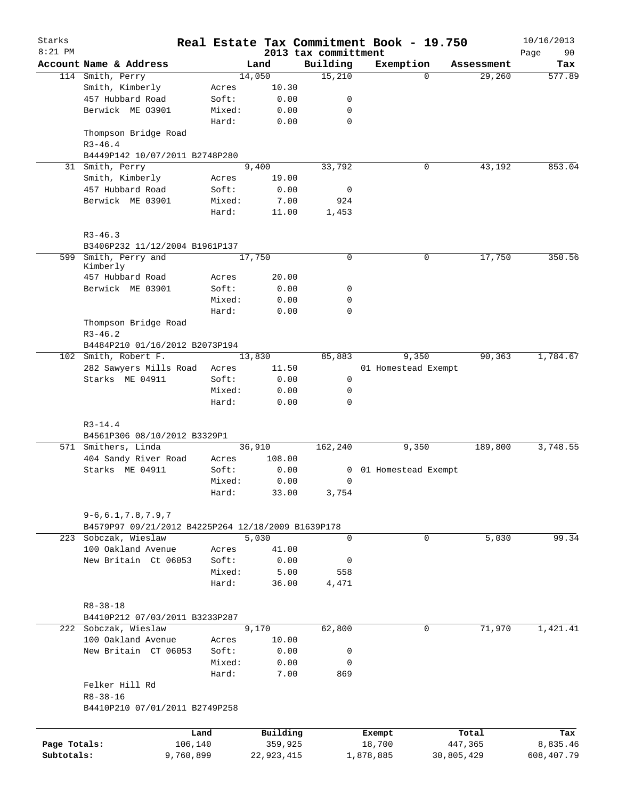| Starks<br>$8:21$ PM |                                                    |           |                 |              |      | Real Estate Tax Commitment Book - 19.750<br>2013 tax committment |           |                     |          |            | 10/16/2013        |
|---------------------|----------------------------------------------------|-----------|-----------------|--------------|------|------------------------------------------------------------------|-----------|---------------------|----------|------------|-------------------|
|                     | Account Name & Address                             |           |                 | Land         |      | Building                                                         |           | Exemption           |          | Assessment | Page<br>90<br>Tax |
|                     | 114 Smith, Perry                                   |           |                 | 14,050       |      | 15,210                                                           |           |                     | $\Omega$ | 29,260     | 577.89            |
|                     | Smith, Kimberly                                    |           | Acres           | 10.30        |      |                                                                  |           |                     |          |            |                   |
|                     | 457 Hubbard Road                                   |           | Soft:           | 0.00         |      | 0                                                                |           |                     |          |            |                   |
|                     | Berwick ME 03901                                   |           | Mixed:          | 0.00         |      | 0                                                                |           |                     |          |            |                   |
|                     |                                                    |           | Hard:           |              | 0.00 | $\mathbf 0$                                                      |           |                     |          |            |                   |
|                     | Thompson Bridge Road<br>$R3 - 46.4$                |           |                 |              |      |                                                                  |           |                     |          |            |                   |
|                     | B4449P142 10/07/2011 B2748P280                     |           |                 |              |      |                                                                  |           |                     |          |            |                   |
| 31                  | Smith, Perry                                       |           |                 | 9,400        |      | 33,792                                                           |           |                     | 0        | 43,192     | 853.04            |
|                     | Smith, Kimberly                                    |           | Acres           | 19.00        |      |                                                                  |           |                     |          |            |                   |
|                     | 457 Hubbard Road                                   |           | Soft:           | 0.00         |      | 0                                                                |           |                     |          |            |                   |
|                     | Berwick ME 03901                                   |           | Mixed:          | 7.00         |      | 924                                                              |           |                     |          |            |                   |
|                     |                                                    |           | Hard:           | 11.00        |      | 1,453                                                            |           |                     |          |            |                   |
|                     | $R3 - 46.3$                                        |           |                 |              |      |                                                                  |           |                     |          |            |                   |
|                     | B3406P232 11/12/2004 B1961P137<br>Smith, Perry and |           |                 | 17,750       |      | $\mathbf 0$                                                      |           |                     | 0        | 17,750     | 350.56            |
| 599                 | Kimberly                                           |           |                 |              |      |                                                                  |           |                     |          |            |                   |
|                     | 457 Hubbard Road                                   |           | Acres           | 20.00        |      |                                                                  |           |                     |          |            |                   |
|                     | Berwick ME 03901                                   |           | Soft:           | 0.00         |      | 0                                                                |           |                     |          |            |                   |
|                     |                                                    |           | Mixed:          | 0.00         |      | 0                                                                |           |                     |          |            |                   |
|                     |                                                    |           | Hard:           |              | 0.00 | 0                                                                |           |                     |          |            |                   |
|                     | Thompson Bridge Road                               |           |                 |              |      |                                                                  |           |                     |          |            |                   |
|                     | $R3 - 46.2$                                        |           |                 |              |      |                                                                  |           |                     |          |            |                   |
|                     | B4484P210 01/16/2012 B2073P194                     |           |                 |              |      |                                                                  |           |                     |          | 90,363     |                   |
|                     | 102 Smith, Robert F.                               |           |                 | 13,830       |      | 85,883                                                           |           | 9,350               |          |            | 1,784.67          |
|                     | 282 Sawyers Mills Road<br>Starks ME 04911          |           | Acres           | 11.50        |      |                                                                  |           | 01 Homestead Exempt |          |            |                   |
|                     |                                                    |           | Soft:           |              | 0.00 | 0                                                                |           |                     |          |            |                   |
|                     |                                                    |           | Mixed:<br>Hard: | 0.00         | 0.00 | 0<br>0                                                           |           |                     |          |            |                   |
|                     | $R3 - 14.4$                                        |           |                 |              |      |                                                                  |           |                     |          |            |                   |
|                     | B4561P306 08/10/2012 B3329P1                       |           |                 |              |      |                                                                  |           |                     |          |            |                   |
|                     | 571 Smithers, Linda                                |           |                 | 36,910       |      | 162,240                                                          |           | 9,350               |          | 189,800    | 3,748.55          |
|                     | 404 Sandy River Road                               |           | Acres           | 108.00       |      |                                                                  |           |                     |          |            |                   |
|                     | Starks ME 04911                                    |           | Soft:           |              | 0.00 | 0                                                                |           | 01 Homestead Exempt |          |            |                   |
|                     |                                                    |           | Mixed:          |              | 0.00 | 0                                                                |           |                     |          |            |                   |
|                     |                                                    |           | Hard:           | 33.00        |      | 3,754                                                            |           |                     |          |            |                   |
|                     | $9 - 6, 6.1, 7.8, 7.9, 7$                          |           |                 |              |      |                                                                  |           |                     |          |            |                   |
|                     | B4579P97 09/21/2012 B4225P264 12/18/2009 B1639P178 |           |                 |              |      |                                                                  |           |                     |          |            |                   |
|                     | 223 Sobczak, Wieslaw                               |           |                 | 5,030        |      | $\mathbf 0$                                                      |           |                     | 0        | 5,030      | 99.34             |
|                     | 100 Oakland Avenue                                 |           | Acres           | 41.00        |      |                                                                  |           |                     |          |            |                   |
|                     | New Britain Ct 06053                               |           | Soft:           | 0.00         |      | 0                                                                |           |                     |          |            |                   |
|                     |                                                    |           | Mixed:          |              | 5.00 | 558                                                              |           |                     |          |            |                   |
|                     |                                                    |           | Hard:           | 36.00        |      | 4,471                                                            |           |                     |          |            |                   |
|                     | $R8 - 38 - 18$                                     |           |                 |              |      |                                                                  |           |                     |          |            |                   |
|                     | B4410P212 07/03/2011 B3233P287                     |           |                 |              |      |                                                                  |           |                     |          |            |                   |
|                     | 222 Sobczak, Wieslaw                               |           |                 | 9,170        |      | 62,800                                                           |           |                     | 0        | 71,970     | 1,421.41          |
|                     | 100 Oakland Avenue                                 |           | Acres           | 10.00        |      |                                                                  |           |                     |          |            |                   |
|                     | New Britain CT 06053                               |           | Soft:           | 0.00         |      | 0                                                                |           |                     |          |            |                   |
|                     |                                                    |           | Mixed:          | 0.00         |      | 0                                                                |           |                     |          |            |                   |
|                     |                                                    |           | Hard:           | 7.00         |      | 869                                                              |           |                     |          |            |                   |
|                     | Felker Hill Rd                                     |           |                 |              |      |                                                                  |           |                     |          |            |                   |
|                     | $R8 - 38 - 16$                                     |           |                 |              |      |                                                                  |           |                     |          |            |                   |
|                     | B4410P210 07/01/2011 B2749P258                     |           |                 |              |      |                                                                  |           |                     |          |            |                   |
|                     |                                                    | Land      |                 | Building     |      |                                                                  |           | Exempt              |          | Total      | Tax               |
| Page Totals:        |                                                    | 106,140   |                 | 359,925      |      |                                                                  |           | 18,700              |          | 447,365    | 8,835.46          |
| Subtotals:          |                                                    | 9,760,899 |                 | 22, 923, 415 |      |                                                                  | 1,878,885 |                     |          | 30,805,429 | 608,407.79        |
|                     |                                                    |           |                 |              |      |                                                                  |           |                     |          |            |                   |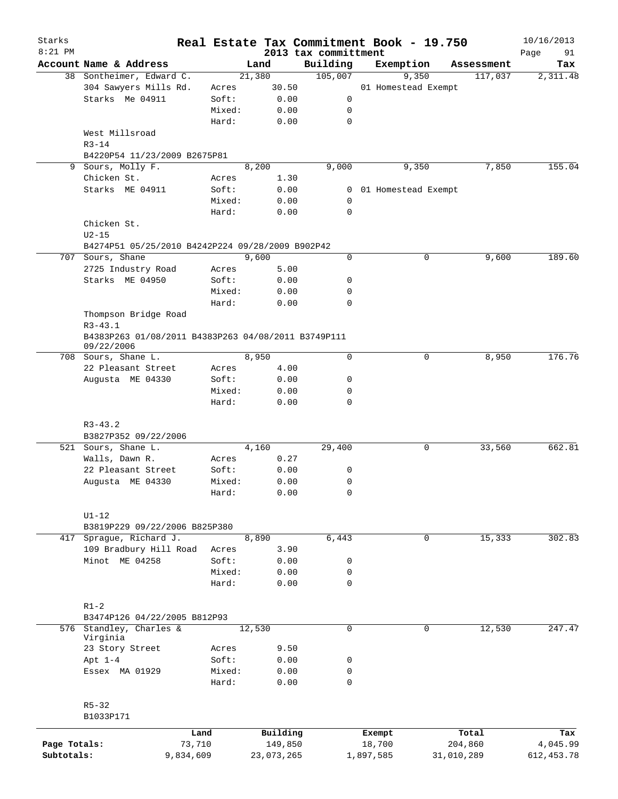| Starks       |                                                                   |           |        |            |                                  | Real Estate Tax Commitment Book - 19.750 |             |            | 10/16/2013        |
|--------------|-------------------------------------------------------------------|-----------|--------|------------|----------------------------------|------------------------------------------|-------------|------------|-------------------|
| $8:21$ PM    | Account Name & Address                                            |           | Land   |            | 2013 tax committment<br>Building | Exemption                                |             | Assessment | Page<br>91<br>Tax |
|              | 38 Sontheimer, Edward C.                                          |           | 21,380 |            | 105,007                          | 9,350                                    |             | 117,037    | 2,311.48          |
|              | 304 Sawyers Mills Rd.                                             | Acres     |        | 30.50      |                                  | 01 Homestead Exempt                      |             |            |                   |
|              | Starks Me 04911                                                   | Soft:     |        | 0.00       | 0                                |                                          |             |            |                   |
|              |                                                                   | Mixed:    |        | 0.00       | 0                                |                                          |             |            |                   |
|              |                                                                   | Hard:     |        | 0.00       | $\mathbf 0$                      |                                          |             |            |                   |
|              | West Millsroad                                                    |           |        |            |                                  |                                          |             |            |                   |
|              | $R3 - 14$                                                         |           |        |            |                                  |                                          |             |            |                   |
|              | B4220P54 11/23/2009 B2675P81                                      |           | 8,200  |            |                                  | 9,350                                    |             |            | 155.04            |
|              | 9 Sours, Molly F.<br>Chicken St.                                  |           |        |            | 9,000                            |                                          |             | 7,850      |                   |
|              |                                                                   | Acres     |        | 1.30       |                                  |                                          |             |            |                   |
|              | Starks ME 04911                                                   | Soft:     |        | 0.00       | 0                                | 01 Homestead Exempt                      |             |            |                   |
|              |                                                                   | Mixed:    |        | 0.00       | 0                                |                                          |             |            |                   |
|              |                                                                   | Hard:     |        | 0.00       | $\mathbf 0$                      |                                          |             |            |                   |
|              | Chicken St.                                                       |           |        |            |                                  |                                          |             |            |                   |
|              | $U2-15$                                                           |           |        |            |                                  |                                          |             |            |                   |
|              | B4274P51 05/25/2010 B4242P224 09/28/2009 B902P42                  |           | 9,600  |            | 0                                |                                          |             |            | 189.60            |
|              | 707 Sours, Shane                                                  |           |        |            |                                  |                                          | 0           | 9,600      |                   |
|              | 2725 Industry Road                                                | Acres     |        | 5.00       |                                  |                                          |             |            |                   |
|              | Starks ME 04950                                                   | Soft:     |        | 0.00       | 0                                |                                          |             |            |                   |
|              |                                                                   | Mixed:    |        | 0.00       | 0                                |                                          |             |            |                   |
|              |                                                                   | Hard:     |        | 0.00       | $\mathbf 0$                      |                                          |             |            |                   |
|              | Thompson Bridge Road<br>$R3 - 43.1$                               |           |        |            |                                  |                                          |             |            |                   |
|              | B4383P263 01/08/2011 B4383P263 04/08/2011 B3749P111<br>09/22/2006 |           |        |            |                                  |                                          |             |            |                   |
|              | 708 Sours, Shane L.                                               |           | 8,950  |            | 0                                |                                          | 0           | 8,950      | 176.76            |
|              | 22 Pleasant Street                                                | Acres     |        | 4.00       |                                  |                                          |             |            |                   |
|              | Augusta ME 04330                                                  | Soft:     |        | 0.00       | 0                                |                                          |             |            |                   |
|              |                                                                   | Mixed:    |        | 0.00       | 0                                |                                          |             |            |                   |
|              |                                                                   | Hard:     |        | 0.00       | $\mathbf 0$                      |                                          |             |            |                   |
|              | $R3 - 43.2$                                                       |           |        |            |                                  |                                          |             |            |                   |
|              | B3827P352 09/22/2006                                              |           |        |            |                                  |                                          |             |            |                   |
|              | 521 Sours, Shane L.                                               |           | 4,160  |            | 29,400                           |                                          | 0           | 33,560     | 662.81            |
|              | Walls, Dawn R.                                                    | Acres     |        | 0.27       |                                  |                                          |             |            |                   |
|              | 22 Pleasant Street                                                | Soft:     |        | 0.00       | 0                                |                                          |             |            |                   |
|              | Augusta ME 04330                                                  | Mixed:    |        | 0.00       | 0                                |                                          |             |            |                   |
|              |                                                                   | Hard:     |        | 0.00       | 0                                |                                          |             |            |                   |
|              | $UI-12$                                                           |           |        |            |                                  |                                          |             |            |                   |
|              | B3819P229 09/22/2006 B825P380                                     |           |        |            |                                  |                                          |             |            |                   |
| 417          | Spraque, Richard J.                                               |           | 8,890  |            | 6,443                            |                                          | $\mathbf 0$ | 15,333     | 302.83            |
|              | 109 Bradbury Hill Road                                            | Acres     |        | 3.90       |                                  |                                          |             |            |                   |
|              | Minot ME 04258                                                    | Soft:     |        | 0.00       | 0                                |                                          |             |            |                   |
|              |                                                                   | Mixed:    |        | 0.00       | 0                                |                                          |             |            |                   |
|              |                                                                   | Hard:     |        | 0.00       | $\mathbf 0$                      |                                          |             |            |                   |
|              | $R1-2$                                                            |           |        |            |                                  |                                          |             |            |                   |
|              | B3474P126 04/22/2005 B812P93                                      |           |        |            |                                  |                                          |             |            |                   |
|              | 576 Standley, Charles &<br>Virginia                               |           | 12,530 |            | $\mathbf 0$                      |                                          | 0           | 12,530     | 247.47            |
|              | 23 Story Street                                                   | Acres     |        | 9.50       |                                  |                                          |             |            |                   |
|              | Apt $1-4$                                                         | Soft:     |        | 0.00       | 0                                |                                          |             |            |                   |
|              | Essex MA 01929                                                    | Mixed:    |        | 0.00       | $\mathsf{O}$                     |                                          |             |            |                   |
|              |                                                                   | Hard:     |        | 0.00       | $\mathbf 0$                      |                                          |             |            |                   |
|              | $R5 - 32$                                                         |           |        |            |                                  |                                          |             |            |                   |
|              | B1033P171                                                         |           |        |            |                                  |                                          |             |            |                   |
|              |                                                                   |           |        |            |                                  |                                          |             |            |                   |
|              |                                                                   | Land      |        | Building   |                                  | Exempt                                   |             | Total      | Tax               |
| Page Totals: |                                                                   | 73,710    |        | 149,850    |                                  | 18,700                                   |             | 204,860    | 4,045.99          |
| Subtotals:   |                                                                   | 9,834,609 |        | 23,073,265 |                                  | 1,897,585                                | 31,010,289  |            | 612, 453.78       |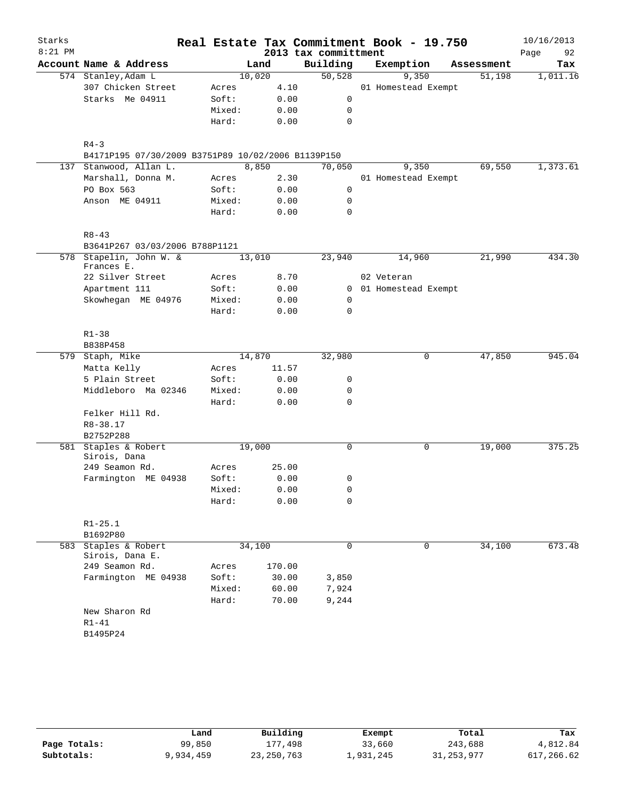| Starks    |                                                                |        |        |        |                      | Real Estate Tax Commitment Book - 19.750 |            | 10/16/2013 |
|-----------|----------------------------------------------------------------|--------|--------|--------|----------------------|------------------------------------------|------------|------------|
| $8:21$ PM |                                                                |        |        |        | 2013 tax committment |                                          |            | 92<br>Page |
|           | Account Name & Address                                         |        | Land   |        | Building             | Exemption                                | Assessment | Tax        |
|           | 574 Stanley, Adam L                                            |        | 10,020 |        | 50,528               | 9,350                                    | 51,198     | 1,011.16   |
|           | 307 Chicken Street                                             | Acres  |        | 4.10   |                      | 01 Homestead Exempt                      |            |            |
|           | Starks Me 04911                                                | Soft:  |        | 0.00   | 0                    |                                          |            |            |
|           |                                                                | Mixed: |        | 0.00   | 0                    |                                          |            |            |
|           |                                                                | Hard:  |        | 0.00   | 0                    |                                          |            |            |
|           |                                                                |        |        |        |                      |                                          |            |            |
|           | $R4 - 3$<br>B4171P195 07/30/2009 B3751P89 10/02/2006 B1139P150 |        |        |        |                      |                                          |            |            |
|           | 137 Stanwood, Allan L.                                         |        | 8,850  |        | 70,050               | 9,350                                    | 69,550     | 1,373.61   |
|           | Marshall, Donna M.                                             | Acres  |        | 2.30   |                      | 01 Homestead Exempt                      |            |            |
|           | PO Box 563                                                     | Soft:  |        | 0.00   | 0                    |                                          |            |            |
|           | Anson ME 04911                                                 | Mixed: |        | 0.00   | 0                    |                                          |            |            |
|           |                                                                | Hard:  |        | 0.00   | $\mathbf 0$          |                                          |            |            |
|           |                                                                |        |        |        |                      |                                          |            |            |
|           | $R8 - 43$                                                      |        |        |        |                      |                                          |            |            |
|           | B3641P267 03/03/2006 B788P1121                                 |        |        |        |                      |                                          |            |            |
| 578       | Stapelin, John W. &<br>Frances E.                              |        | 13,010 |        | 23,940               | 14,960                                   | 21,990     | 434.30     |
|           | 22 Silver Street                                               | Acres  |        | 8.70   |                      | 02 Veteran                               |            |            |
|           | Apartment 111                                                  | Soft:  |        | 0.00   |                      | 0 01 Homestead Exempt                    |            |            |
|           | Skowhegan ME 04976                                             | Mixed: |        | 0.00   | 0                    |                                          |            |            |
|           |                                                                | Hard:  |        | 0.00   | $\mathbf 0$          |                                          |            |            |
|           |                                                                |        |        |        |                      |                                          |            |            |
|           | $R1 - 38$                                                      |        |        |        |                      |                                          |            |            |
|           | B838P458                                                       |        |        |        |                      |                                          |            |            |
|           | 579 Staph, Mike                                                |        | 14,870 |        | 32,980               | 0                                        | 47,850     | 945.04     |
|           | Matta Kelly                                                    | Acres  |        | 11.57  |                      |                                          |            |            |
|           | 5 Plain Street                                                 | Soft:  |        | 0.00   | 0                    |                                          |            |            |
|           | Middleboro Ma 02346                                            | Mixed: |        | 0.00   | 0                    |                                          |            |            |
|           |                                                                | Hard:  |        | 0.00   | $\mathbf 0$          |                                          |            |            |
|           | Felker Hill Rd.                                                |        |        |        |                      |                                          |            |            |
|           | R8-38.17                                                       |        |        |        |                      |                                          |            |            |
|           | B2752P288                                                      |        |        |        |                      |                                          |            |            |
|           | 581 Staples & Robert<br>Sirois, Dana                           |        | 19,000 |        | 0                    | 0                                        | 19,000     | 375.25     |
|           | 249 Seamon Rd.                                                 | Acres  |        | 25.00  |                      |                                          |            |            |
|           | Farmington ME 04938                                            | Soft:  |        | 0.00   | 0                    |                                          |            |            |
|           |                                                                | Mixed: |        | 0.00   | 0                    |                                          |            |            |
|           |                                                                | Hard:  |        | 0.00   | 0                    |                                          |            |            |
|           |                                                                |        |        |        |                      |                                          |            |            |
|           | $R1 - 25.1$                                                    |        |        |        |                      |                                          |            |            |
| 583       | B1692P80<br>Staples & Robert                                   |        | 34,100 |        | $\mathbf 0$          | 0                                        | 34,100     | 673.48     |
|           | Sirois, Dana E.                                                |        |        |        |                      |                                          |            |            |
|           | 249 Seamon Rd.                                                 | Acres  |        | 170.00 |                      |                                          |            |            |
|           | Farmington ME 04938                                            | Soft:  |        | 30.00  | 3,850                |                                          |            |            |
|           |                                                                | Mixed: |        | 60.00  | 7,924                |                                          |            |            |
|           |                                                                | Hard:  |        | 70.00  | 9,244                |                                          |            |            |
|           | New Sharon Rd                                                  |        |        |        |                      |                                          |            |            |
|           | $R1 - 41$                                                      |        |        |        |                      |                                          |            |            |
|           | B1495P24                                                       |        |        |        |                      |                                          |            |            |
|           |                                                                |        |        |        |                      |                                          |            |            |

|              | Land      | Building     | Exempt    | Total        | Tax      |
|--------------|-----------|--------------|-----------|--------------|----------|
| Page Totals: | 99,850    | .498<br>177  | 33,660    | 243,688      | 4,812.84 |
| Subtotals:   | 9,934,459 | 23, 250, 763 | ⊥,931,245 | 31, 253, 977 | ,266.62  |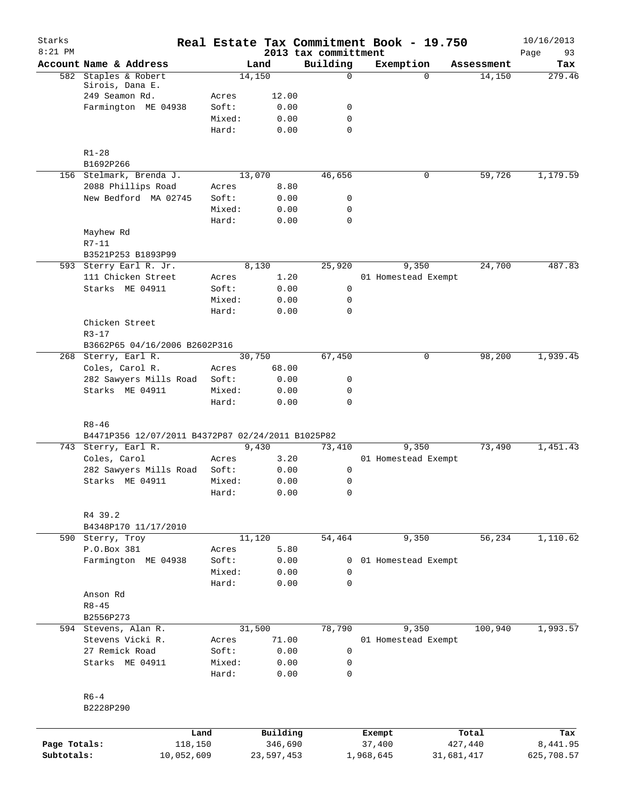| Starks<br>$8:21$ PM |                                                   |        |            | 2013 tax committment       |             | Real Estate Tax Commitment Book - 19.750 |            | 10/16/2013<br>93<br>Page |
|---------------------|---------------------------------------------------|--------|------------|----------------------------|-------------|------------------------------------------|------------|--------------------------|
|                     | Account Name & Address                            |        | Land       | Building                   |             | Exemption                                | Assessment | Tax                      |
| 582                 | Staples & Robert                                  |        | 14,150     |                            | $\mathbf 0$ | $\Omega$                                 | 14,150     | 279.46                   |
|                     | Sirois, Dana E.                                   |        |            |                            |             |                                          |            |                          |
|                     | 249 Seamon Rd.                                    | Acres  | 12.00      |                            |             |                                          |            |                          |
|                     | Farmington ME 04938                               | Soft:  | 0.00       | 0                          |             |                                          |            |                          |
|                     |                                                   | Mixed: | 0.00       | $\mathbf 0$<br>$\mathbf 0$ |             |                                          |            |                          |
|                     |                                                   | Hard:  | 0.00       |                            |             |                                          |            |                          |
|                     | $R1 - 28$                                         |        |            |                            |             |                                          |            |                          |
|                     | B1692P266                                         |        |            |                            |             |                                          |            |                          |
|                     | 156 Stelmark, Brenda J.                           |        | 13,070     | 46,656                     |             | 0                                        | 59,726     | 1,179.59                 |
|                     | 2088 Phillips Road                                | Acres  | 8.80       |                            |             |                                          |            |                          |
|                     | New Bedford MA 02745                              | Soft:  | 0.00       | 0                          |             |                                          |            |                          |
|                     |                                                   | Mixed: | 0.00       | 0                          |             |                                          |            |                          |
|                     |                                                   | Hard:  | 0.00       | $\mathbf 0$                |             |                                          |            |                          |
|                     | Mayhew Rd                                         |        |            |                            |             |                                          |            |                          |
|                     | $R7 - 11$                                         |        |            |                            |             |                                          |            |                          |
|                     | B3521P253 B1893P99                                |        |            |                            |             |                                          |            |                          |
|                     | 593 Sterry Earl R. Jr.                            |        | 8,130      | 25,920                     |             | 9,350                                    | 24,700     | 487.83                   |
|                     | 111 Chicken Street                                | Acres  | 1.20       |                            |             | 01 Homestead Exempt                      |            |                          |
|                     | Starks ME 04911                                   | Soft:  | 0.00       | 0                          |             |                                          |            |                          |
|                     |                                                   | Mixed: | 0.00       | 0                          |             |                                          |            |                          |
|                     |                                                   | Hard:  | 0.00       | $\mathbf 0$                |             |                                          |            |                          |
|                     | Chicken Street                                    |        |            |                            |             |                                          |            |                          |
|                     | $R3 - 17$                                         |        |            |                            |             |                                          |            |                          |
|                     | B3662P65 04/16/2006 B2602P316                     |        |            |                            |             |                                          |            |                          |
|                     | 268 Sterry, Earl R.                               |        | 30,750     | 67,450                     |             | 0                                        | 98,200     | 1,939.45                 |
|                     | Coles, Carol R.                                   | Acres  | 68.00      |                            |             |                                          |            |                          |
|                     | 282 Sawyers Mills Road                            | Soft:  | 0.00       | 0                          |             |                                          |            |                          |
|                     | Starks ME 04911                                   | Mixed: | 0.00       | $\mathbf 0$                |             |                                          |            |                          |
|                     |                                                   | Hard:  | 0.00       | $\mathbf 0$                |             |                                          |            |                          |
|                     |                                                   |        |            |                            |             |                                          |            |                          |
|                     | $R8 - 46$                                         |        |            |                            |             |                                          |            |                          |
|                     | B4471P356 12/07/2011 B4372P87 02/24/2011 B1025P82 |        |            |                            |             |                                          |            |                          |
|                     | 743 Sterry, Earl R.                               |        | 9,430      | 73,410                     |             | 9,350                                    | 73,490     | 1,451.43                 |
|                     | Coles, Carol                                      | Acres  | 3.20       |                            |             | 01 Homestead Exempt                      |            |                          |
|                     | 282 Sawyers Mills Road                            | Soft:  | 0.00       | 0                          |             |                                          |            |                          |
|                     | Starks ME 04911                                   | Mixed: | 0.00       | 0                          |             |                                          |            |                          |
|                     |                                                   | Hard:  | 0.00       | 0                          |             |                                          |            |                          |
|                     | R4 39.2                                           |        |            |                            |             |                                          |            |                          |
|                     | B4348P170 11/17/2010                              |        |            |                            |             |                                          |            |                          |
|                     | 590 Sterry, Troy                                  |        | 11,120     | 54,464                     |             | 9,350                                    | 56, 234    | 1,110.62                 |
|                     | P.O.Box 381                                       | Acres  | 5.80       |                            |             |                                          |            |                          |
|                     | Farmington ME 04938                               | Soft:  | 0.00       |                            | 0           | 01 Homestead Exempt                      |            |                          |
|                     |                                                   | Mixed: | 0.00       | $\mathbf 0$                |             |                                          |            |                          |
|                     |                                                   | Hard:  | 0.00       | $\mathbf 0$                |             |                                          |            |                          |
|                     | Anson Rd                                          |        |            |                            |             |                                          |            |                          |
|                     | $R8 - 45$                                         |        |            |                            |             |                                          |            |                          |
|                     | B2556P273                                         |        |            |                            |             |                                          |            |                          |
|                     | 594 Stevens, Alan R.                              |        | 31,500     | 78,790                     |             | 9,350                                    | 100,940    | 1,993.57                 |
|                     | Stevens Vicki R.                                  | Acres  | 71.00      |                            |             | 01 Homestead Exempt                      |            |                          |
|                     | 27 Remick Road                                    | Soft:  | 0.00       | 0                          |             |                                          |            |                          |
|                     | Starks ME 04911                                   | Mixed: | 0.00       | $\mathbf 0$                |             |                                          |            |                          |
|                     |                                                   | Hard:  | 0.00       | 0                          |             |                                          |            |                          |
|                     |                                                   |        |            |                            |             |                                          |            |                          |
|                     | $R6 - 4$                                          |        |            |                            |             |                                          |            |                          |
|                     | B2228P290                                         |        |            |                            |             |                                          |            |                          |
|                     |                                                   |        |            |                            |             |                                          |            |                          |
|                     |                                                   | Land   | Building   |                            | Exempt      |                                          | Total      | Tax                      |
| Page Totals:        | 118,150                                           |        | 346,690    |                            | 37,400      |                                          | 427,440    | 8,441.95                 |
| Subtotals:          | 10,052,609                                        |        | 23,597,453 |                            | 1,968,645   |                                          | 31,681,417 | 625,708.57               |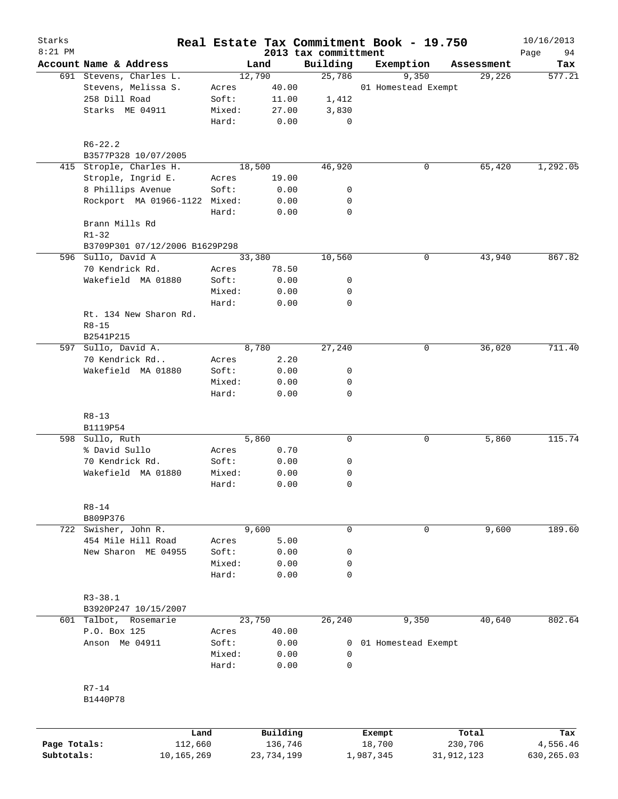| Starks       |                                           |                |              |                                  | Real Estate Tax Commitment Book - 19.750 |              | 10/16/2013          |
|--------------|-------------------------------------------|----------------|--------------|----------------------------------|------------------------------------------|--------------|---------------------|
| $8:21$ PM    | Account Name & Address                    |                | Land         | 2013 tax committment<br>Building | Exemption                                | Assessment   | Page<br>94<br>Tax   |
|              | 691 Stevens, Charles L.                   |                | 12,790       | 25,786                           | 9,350                                    | 29,226       | $\overline{577.21}$ |
|              | Stevens, Melissa S.                       | Acres          | 40.00        |                                  | 01 Homestead Exempt                      |              |                     |
|              | 258 Dill Road                             | Soft:          | 11.00        | 1,412                            |                                          |              |                     |
|              | Starks ME 04911                           | Mixed:         | 27.00        | 3,830                            |                                          |              |                     |
|              |                                           | Hard:          | 0.00         | 0                                |                                          |              |                     |
|              | $R6 - 22.2$                               |                |              |                                  |                                          |              |                     |
|              | B3577P328 10/07/2005                      |                |              |                                  |                                          |              |                     |
|              | 415 Strople, Charles H.                   |                | 18,500       | 46,920                           | 0                                        | 65,420       | 1,292.05            |
|              | Strople, Ingrid E.                        | Acres          | 19.00        |                                  |                                          |              |                     |
|              | 8 Phillips Avenue                         | Soft:          | 0.00         | 0                                |                                          |              |                     |
|              | Rockport MA 01966-1122 Mixed:             |                | 0.00         | 0                                |                                          |              |                     |
|              |                                           | Hard:          | 0.00         | $\mathbf 0$                      |                                          |              |                     |
|              | Brann Mills Rd                            |                |              |                                  |                                          |              |                     |
|              | $R1 - 32$                                 |                |              |                                  |                                          |              |                     |
|              | B3709P301 07/12/2006 B1629P298            |                |              |                                  |                                          |              |                     |
|              | 596 Sullo, David A                        |                | 33,380       | 10,560                           | 0                                        | 43,940       | 867.82              |
|              | 70 Kendrick Rd.                           | Acres          | 78.50        |                                  |                                          |              |                     |
|              | Wakefield MA 01880                        | Soft:          | 0.00         | 0                                |                                          |              |                     |
|              |                                           | Mixed:         | 0.00         | 0                                |                                          |              |                     |
|              |                                           | Hard:          | 0.00         | $\mathbf 0$                      |                                          |              |                     |
|              | Rt. 134 New Sharon Rd.                    |                |              |                                  |                                          |              |                     |
|              | $R8 - 15$                                 |                |              |                                  |                                          |              |                     |
|              | B2541P215                                 |                |              |                                  |                                          |              |                     |
|              | 597 Sullo, David A.                       |                | 8,780        | 27,240                           | 0                                        | 36,020       | 711.40              |
|              | 70 Kendrick Rd                            | Acres          | 2.20         |                                  |                                          |              |                     |
|              | Wakefield MA 01880                        | Soft:          | 0.00         | 0                                |                                          |              |                     |
|              |                                           | Mixed:         | 0.00         | 0                                |                                          |              |                     |
|              |                                           | Hard:          | 0.00         | $\mathbf 0$                      |                                          |              |                     |
|              | $R8 - 13$                                 |                |              |                                  |                                          |              |                     |
|              | B1119P54                                  |                | 5,860        |                                  |                                          |              | 115.74              |
|              | 598 Sullo, Ruth                           |                |              | 0                                | 0                                        | 5,860        |                     |
|              | % David Sullo<br>70 Kendrick Rd.          | Acres<br>Soft: | 0.70<br>0.00 | 0                                |                                          |              |                     |
|              | Wakefield MA 01880                        | Mixed:         |              | 0                                |                                          |              |                     |
|              |                                           | Hard:          | 0.00<br>0.00 | $\mathbf 0$                      |                                          |              |                     |
|              |                                           |                |              |                                  |                                          |              |                     |
|              | $R8 - 14$                                 |                |              |                                  |                                          |              |                     |
|              | B809P376                                  |                |              |                                  |                                          |              |                     |
|              | 722 Swisher, John R.                      |                | 9,600        | 0                                | 0                                        | 9,600        | 189.60              |
|              | 454 Mile Hill Road                        | Acres          | 5.00         |                                  |                                          |              |                     |
|              | New Sharon ME 04955                       | Soft:          | 0.00         | 0                                |                                          |              |                     |
|              |                                           | Mixed:         | 0.00         | 0                                |                                          |              |                     |
|              |                                           | Hard:          | 0.00         | $\mathbf 0$                      |                                          |              |                     |
|              |                                           |                |              |                                  |                                          |              |                     |
|              | $R3 - 38.1$                               |                |              |                                  |                                          |              |                     |
| 601          | B3920P247 10/15/2007<br>Talbot, Rosemarie |                | 23,750       | 26,240                           | 9,350                                    | 40,640       | 802.64              |
|              | P.O. Box 125                              | Acres          | 40.00        |                                  |                                          |              |                     |
|              | Anson Me 04911                            | Soft:          | 0.00         |                                  | 01 Homestead Exempt                      |              |                     |
|              |                                           | Mixed:         | 0.00         | 0<br>0                           |                                          |              |                     |
|              |                                           | Hard:          | 0.00         | $\Omega$                         |                                          |              |                     |
|              |                                           |                |              |                                  |                                          |              |                     |
|              | $R7 - 14$<br>B1440P78                     |                |              |                                  |                                          |              |                     |
|              |                                           |                |              |                                  |                                          |              |                     |
|              |                                           | Land           | Building     |                                  | Exempt                                   | Total        | Tax                 |
| Page Totals: |                                           | 112,660        | 136,746      |                                  | 18,700                                   | 230,706      | 4,556.46            |
| Subtotals:   | 10,165,269                                |                | 23,734,199   |                                  | 1,987,345                                | 31, 912, 123 | 630,265.03          |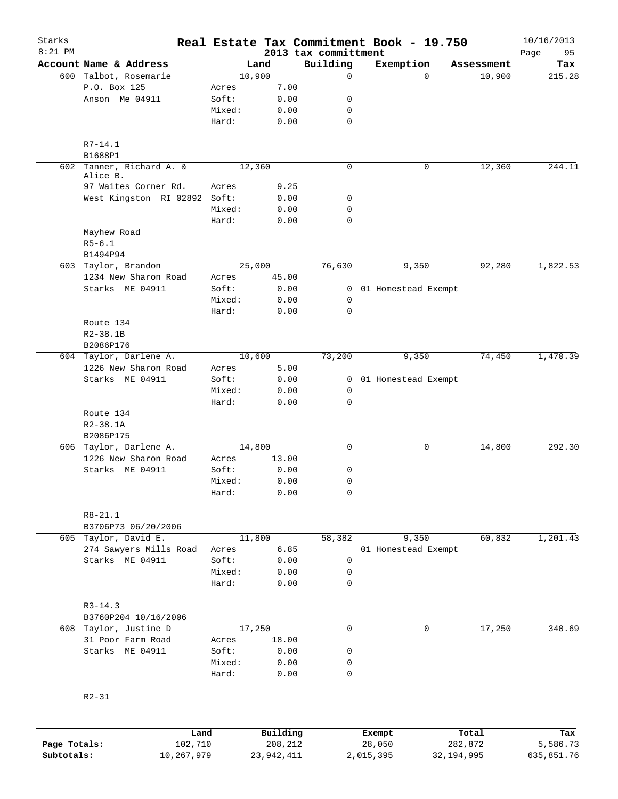| Starks       |                                  |                 |                     |                                  | Real Estate Tax Commitment Book - 19.750 |                      | 10/16/2013        |
|--------------|----------------------------------|-----------------|---------------------|----------------------------------|------------------------------------------|----------------------|-------------------|
| $8:21$ PM    | Account Name & Address           |                 | Land                | 2013 tax committment<br>Building | Exemption                                |                      | 95<br>Page<br>Tax |
|              | 600 Talbot, Rosemarie            |                 | 10,900              | $\mathbf 0$                      | $\Omega$                                 | Assessment<br>10,900 | 215.28            |
|              | P.O. Box 125                     | Acres           | 7.00                |                                  |                                          |                      |                   |
|              | Anson Me 04911                   | Soft:           | 0.00                | 0                                |                                          |                      |                   |
|              |                                  | Mixed:          | 0.00                | 0                                |                                          |                      |                   |
|              |                                  | Hard:           | 0.00                | $\mathbf 0$                      |                                          |                      |                   |
|              |                                  |                 |                     |                                  |                                          |                      |                   |
|              | $R7 - 14.1$<br>B1688P1           |                 |                     |                                  |                                          |                      |                   |
|              | 602 Tanner, Richard A. &         |                 | 12,360              | $\mathbf 0$                      | 0                                        | 12,360               | 244.11            |
|              | Alice B.<br>97 Waites Corner Rd. | Acres           | 9.25                |                                  |                                          |                      |                   |
|              | West Kingston RI 02892 Soft:     |                 | 0.00                | 0                                |                                          |                      |                   |
|              |                                  | Mixed:          | 0.00                | $\mathbf 0$                      |                                          |                      |                   |
|              |                                  | Hard:           | 0.00                | 0                                |                                          |                      |                   |
|              | Mayhew Road                      |                 |                     |                                  |                                          |                      |                   |
|              | $R5 - 6.1$                       |                 |                     |                                  |                                          |                      |                   |
|              | B1494P94                         |                 |                     |                                  |                                          |                      |                   |
|              | 603 Taylor, Brandon              |                 | 25,000              | 76,630                           | 9,350                                    | 92,280               | 1,822.53          |
|              | 1234 New Sharon Road             | Acres           | 45.00               |                                  |                                          |                      |                   |
|              | Starks ME 04911                  | Soft:           | 0.00                |                                  | 0 01 Homestead Exempt                    |                      |                   |
|              |                                  | Mixed:          | 0.00                | 0                                |                                          |                      |                   |
|              |                                  | Hard:           | 0.00                | 0                                |                                          |                      |                   |
|              | Route 134                        |                 |                     |                                  |                                          |                      |                   |
|              | $R2 - 38.1B$                     |                 |                     |                                  |                                          |                      |                   |
|              | B2086P176                        |                 |                     |                                  |                                          |                      |                   |
|              | 604 Taylor, Darlene A.           |                 | 10,600              | 73,200                           | 9,350                                    | 74,450               | 1,470.39          |
|              | 1226 New Sharon Road             | Acres           | 5.00                |                                  |                                          |                      |                   |
|              | Starks ME 04911                  | Soft:           | 0.00                |                                  | 0 01 Homestead Exempt                    |                      |                   |
|              |                                  | Mixed:          | 0.00                | 0                                |                                          |                      |                   |
|              |                                  | Hard:           | 0.00                | 0                                |                                          |                      |                   |
|              | Route 134                        |                 |                     |                                  |                                          |                      |                   |
|              | $R2 - 38.1A$                     |                 |                     |                                  |                                          |                      |                   |
|              | B2086P175                        |                 |                     |                                  |                                          |                      |                   |
|              | 606 Taylor, Darlene A.           |                 | 14,800              | $\mathsf{O}$                     | 0                                        | 14,800               | 292.30            |
|              | 1226 New Sharon Road             | Acres           | 13.00               |                                  |                                          |                      |                   |
|              | Starks ME 04911                  | Soft:           | 0.00                | 0                                |                                          |                      |                   |
|              |                                  | Mixed:          | 0.00                | $\mathbf 0$                      |                                          |                      |                   |
|              |                                  | Hard:           | 0.00                | 0                                |                                          |                      |                   |
|              | $R8 - 21.1$                      |                 |                     |                                  |                                          |                      |                   |
|              | B3706P73 06/20/2006              |                 |                     |                                  |                                          |                      |                   |
|              | 605 Taylor, David E.             |                 | 11,800              | 58,382                           | 9,350                                    | 60,832               | 1,201.43          |
|              | 274 Sawyers Mills Road           | Acres           | 6.85                |                                  | 01 Homestead Exempt                      |                      |                   |
|              | Starks ME 04911                  | Soft:           | 0.00                | $\mathbf 0$                      |                                          |                      |                   |
|              |                                  | Mixed:          | 0.00                | 0                                |                                          |                      |                   |
|              |                                  | Hard:           | 0.00                | $\mathbf 0$                      |                                          |                      |                   |
|              |                                  |                 |                     |                                  |                                          |                      |                   |
|              | $R3 - 14.3$                      |                 |                     |                                  |                                          |                      |                   |
|              | B3760P204 10/16/2006             |                 |                     |                                  |                                          |                      |                   |
|              | 608 Taylor, Justine D            |                 | 17,250              | $\mathbf 0$                      | 0                                        | 17,250               | 340.69            |
|              | 31 Poor Farm Road                | Acres           | 18.00               |                                  |                                          |                      |                   |
|              | Starks ME 04911                  | Soft:           | 0.00                | 0                                |                                          |                      |                   |
|              |                                  | Mixed:<br>Hard: | 0.00<br>0.00        | 0<br>$\mathbf 0$                 |                                          |                      |                   |
|              |                                  |                 |                     |                                  |                                          |                      |                   |
|              | $R2 - 31$                        |                 |                     |                                  |                                          |                      |                   |
|              |                                  |                 |                     |                                  |                                          |                      |                   |
| Page Totals: | 102,710                          | Land            | Building<br>208,212 |                                  | Exempt<br>28,050                         | Total<br>282,872     | Tax<br>5,586.73   |
| Subtotals:   | 10,267,979                       |                 | 23,942,411          |                                  | 2,015,395<br>32, 194, 995                |                      | 635,851.76        |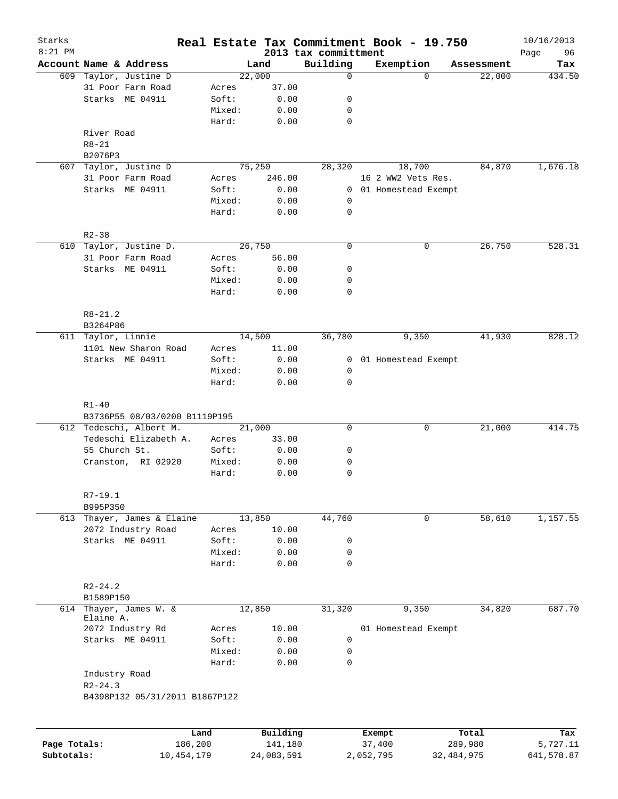| Starks<br>$8:21$ PM |                                                                       |         |        |          | 2013 tax committment | Real Estate Tax Commitment Book - 19.750 |            | 10/16/2013<br>Page<br>96 |
|---------------------|-----------------------------------------------------------------------|---------|--------|----------|----------------------|------------------------------------------|------------|--------------------------|
|                     | Account Name & Address                                                |         |        | Land     | Building             | Exemption                                | Assessment | Tax                      |
|                     | 609 Taylor, Justine D                                                 |         | 22,000 |          | $\mathbf 0$          | $\Omega$                                 | 22,000     | 434.50                   |
|                     | 31 Poor Farm Road                                                     |         | Acres  | 37.00    |                      |                                          |            |                          |
|                     | Starks ME 04911                                                       |         | Soft:  | 0.00     | 0                    |                                          |            |                          |
|                     |                                                                       |         | Mixed: | 0.00     | 0                    |                                          |            |                          |
|                     |                                                                       |         | Hard:  | 0.00     | 0                    |                                          |            |                          |
|                     | River Road                                                            |         |        |          |                      |                                          |            |                          |
|                     | $R8 - 21$                                                             |         |        |          |                      |                                          |            |                          |
|                     | B2076P3                                                               |         |        |          |                      |                                          |            |                          |
|                     |                                                                       |         |        |          |                      |                                          |            |                          |
| 607                 | Taylor, Justine D                                                     |         | 75,250 |          | 28,320               | 18,700                                   | 84,870     | 1,676.18                 |
|                     | 31 Poor Farm Road                                                     |         | Acres  | 246.00   |                      | 16 2 WW2 Vets Res.                       |            |                          |
|                     | Starks ME 04911                                                       |         | Soft:  | 0.00     | $\overline{0}$       | 01 Homestead Exempt                      |            |                          |
|                     |                                                                       |         | Mixed: | 0.00     | 0                    |                                          |            |                          |
|                     |                                                                       |         | Hard:  | 0.00     | 0                    |                                          |            |                          |
|                     |                                                                       |         |        |          |                      |                                          |            |                          |
|                     | $R2 - 38$                                                             |         |        |          |                      |                                          |            |                          |
|                     | 610 Taylor, Justine D.                                                |         | 26,750 |          | $\mathbf 0$          | 0                                        | 26,750     | 528.31                   |
|                     | 31 Poor Farm Road                                                     |         | Acres  | 56.00    |                      |                                          |            |                          |
|                     | Starks ME 04911                                                       |         | Soft:  | 0.00     | 0                    |                                          |            |                          |
|                     |                                                                       |         | Mixed: | 0.00     | 0                    |                                          |            |                          |
|                     |                                                                       |         | Hard:  | 0.00     | $\mathbf 0$          |                                          |            |                          |
|                     |                                                                       |         |        |          |                      |                                          |            |                          |
|                     | $R8 - 21.2$                                                           |         |        |          |                      |                                          |            |                          |
|                     | B3264P86                                                              |         |        |          |                      |                                          |            |                          |
|                     | 611 Taylor, Linnie                                                    |         | 14,500 |          | 36,780               | 9,350                                    | 41,930     | 828.12                   |
|                     | 1101 New Sharon Road                                                  |         | Acres  | 11.00    |                      |                                          |            |                          |
|                     | Starks ME 04911                                                       |         | Soft:  | 0.00     | $\overline{0}$       | 01 Homestead Exempt                      |            |                          |
|                     |                                                                       |         | Mixed: | 0.00     | 0                    |                                          |            |                          |
|                     |                                                                       |         | Hard:  | 0.00     | $\mathbf 0$          |                                          |            |                          |
|                     | $R1 - 40$<br>B3736P55 08/03/0200 B1119P195<br>612 Tedeschi, Albert M. |         | 21,000 |          | $\mathbf 0$          | 0                                        | 21,000     | 414.75                   |
|                     | Tedeschi Elizabeth A.                                                 |         | Acres  | 33.00    |                      |                                          |            |                          |
|                     | 55 Church St.                                                         |         | Soft:  | 0.00     | 0                    |                                          |            |                          |
|                     | Cranston, RI 02920                                                    |         | Mixed: | 0.00     | 0                    |                                          |            |                          |
|                     |                                                                       |         | Hard:  |          |                      |                                          |            |                          |
|                     |                                                                       |         |        | 0.00     | 0                    |                                          |            |                          |
|                     | $R7 - 19.1$                                                           |         |        |          |                      |                                          |            |                          |
|                     |                                                                       |         |        |          |                      |                                          |            |                          |
|                     | B995P350                                                              |         |        |          |                      | $\mathbf 0$                              |            |                          |
|                     | 613 Thayer, James & Elaine                                            |         | 13,850 |          | 44,760               |                                          | 58,610     | 1,157.55                 |
|                     | 2072 Industry Road                                                    |         | Acres  | 10.00    |                      |                                          |            |                          |
|                     | Starks ME 04911                                                       |         | Soft:  | 0.00     | 0                    |                                          |            |                          |
|                     |                                                                       |         | Mixed: | 0.00     | $\mathbf 0$          |                                          |            |                          |
|                     |                                                                       |         | Hard:  | 0.00     | $\mathbf 0$          |                                          |            |                          |
|                     |                                                                       |         |        |          |                      |                                          |            |                          |
|                     | $R2 - 24.2$                                                           |         |        |          |                      |                                          |            |                          |
|                     | B1589P150                                                             |         |        |          |                      |                                          |            |                          |
| 614                 | Thayer, James W. &                                                    |         | 12,850 |          | 31,320               | 9,350                                    | 34,820     | 687.70                   |
|                     | Elaine A.<br>2072 Industry Rd                                         |         | Acres  | 10.00    |                      | 01 Homestead Exempt                      |            |                          |
|                     | Starks ME 04911                                                       |         | Soft:  | 0.00     | $\mathbf 0$          |                                          |            |                          |
|                     |                                                                       |         |        |          |                      |                                          |            |                          |
|                     |                                                                       |         | Mixed: | 0.00     | $\mathsf{O}$         |                                          |            |                          |
|                     |                                                                       |         | Hard:  | 0.00     | $\mathbf 0$          |                                          |            |                          |
|                     | Industry Road                                                         |         |        |          |                      |                                          |            |                          |
|                     | $R2 - 24.3$                                                           |         |        |          |                      |                                          |            |                          |
|                     | B4398P132 05/31/2011 B1867P122                                        |         |        |          |                      |                                          |            |                          |
|                     |                                                                       |         |        |          |                      |                                          |            |                          |
|                     |                                                                       |         |        |          |                      |                                          |            |                          |
|                     |                                                                       | Land    |        | Building |                      | Exempt                                   | Total      | Tax                      |
| Page Totals:        |                                                                       | 186,200 |        | 141,180  |                      | 37,400                                   | 289,980    | 5,727.11                 |

**Subtotals:** 10,454,179 24,083,591 2,052,795 32,484,975 641,578.87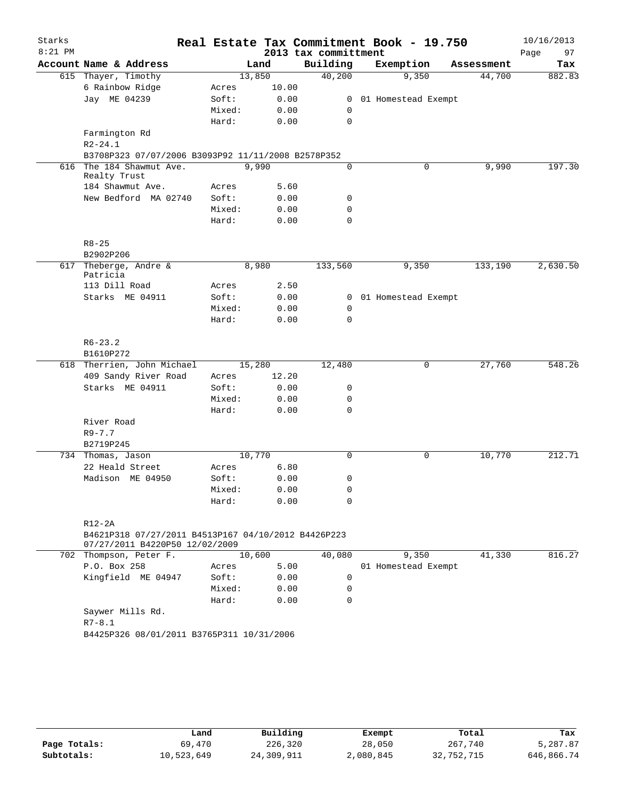| Starks    |                                                                                       |        |        |       |                      | Real Estate Tax Commitment Book - 19.750 |            | 10/16/2013 |          |
|-----------|---------------------------------------------------------------------------------------|--------|--------|-------|----------------------|------------------------------------------|------------|------------|----------|
| $8:21$ PM |                                                                                       |        |        |       | 2013 tax committment |                                          |            | Page       | 97       |
|           | Account Name & Address                                                                |        | Land   |       | Building             | Exemption                                | Assessment |            | Tax      |
|           | 615 Thayer, Timothy                                                                   |        | 13,850 |       | 40,200               | 9,350                                    | 44,700     |            | 882.83   |
|           | 6 Rainbow Ridge                                                                       | Acres  |        | 10.00 |                      |                                          |            |            |          |
|           | Jay ME 04239                                                                          | Soft:  |        | 0.00  | $\mathbf{0}$         | 01 Homestead Exempt                      |            |            |          |
|           |                                                                                       | Mixed: |        | 0.00  | 0                    |                                          |            |            |          |
|           |                                                                                       | Hard:  |        | 0.00  | 0                    |                                          |            |            |          |
|           | Farmington Rd                                                                         |        |        |       |                      |                                          |            |            |          |
|           | $R2 - 24.1$                                                                           |        |        |       |                      |                                          |            |            |          |
|           | B3708P323 07/07/2006 B3093P92 11/11/2008 B2578P352                                    |        |        |       |                      |                                          |            |            |          |
| 616       | The 184 Shawmut Ave.<br>Realty Trust                                                  |        | 9,990  |       | 0                    | 0                                        | 9,990      |            | 197.30   |
|           | 184 Shawmut Ave.                                                                      | Acres  |        | 5.60  |                      |                                          |            |            |          |
|           | New Bedford MA 02740                                                                  | Soft:  |        | 0.00  | 0                    |                                          |            |            |          |
|           |                                                                                       | Mixed: |        | 0.00  | 0                    |                                          |            |            |          |
|           |                                                                                       | Hard:  |        | 0.00  | 0                    |                                          |            |            |          |
|           | $R8 - 25$                                                                             |        |        |       |                      |                                          |            |            |          |
|           | B2902P206                                                                             |        |        |       |                      |                                          |            |            |          |
| 617       | Theberge, Andre &                                                                     |        | 8,980  |       | 133,560              | 9,350                                    | 133,190    |            | 2,630.50 |
|           | Patricia                                                                              |        |        |       |                      |                                          |            |            |          |
|           | 113 Dill Road                                                                         | Acres  |        | 2.50  |                      |                                          |            |            |          |
|           | Starks ME 04911                                                                       | Soft:  |        | 0.00  | 0                    | 01 Homestead Exempt                      |            |            |          |
|           |                                                                                       | Mixed: |        | 0.00  | 0                    |                                          |            |            |          |
|           |                                                                                       | Hard:  |        | 0.00  | 0                    |                                          |            |            |          |
|           | $R6 - 23.2$                                                                           |        |        |       |                      |                                          |            |            |          |
|           | B1610P272                                                                             |        |        |       |                      |                                          |            |            |          |
|           | 618 Therrien, John Michael                                                            |        | 15,280 |       | 12,480               | 0                                        | 27,760     |            | 548.26   |
|           | 409 Sandy River Road                                                                  | Acres  |        | 12.20 |                      |                                          |            |            |          |
|           | Starks ME 04911                                                                       | Soft:  |        | 0.00  | 0                    |                                          |            |            |          |
|           |                                                                                       | Mixed: |        | 0.00  | 0                    |                                          |            |            |          |
|           |                                                                                       | Hard:  |        | 0.00  | 0                    |                                          |            |            |          |
|           | River Road                                                                            |        |        |       |                      |                                          |            |            |          |
|           | $R9 - 7.7$                                                                            |        |        |       |                      |                                          |            |            |          |
|           | B2719P245                                                                             |        |        |       |                      |                                          |            |            |          |
|           | 734 Thomas, Jason                                                                     |        | 10,770 |       | 0                    | 0                                        | 10,770     |            | 212.71   |
|           | 22 Heald Street                                                                       | Acres  |        | 6.80  |                      |                                          |            |            |          |
|           | Madison ME 04950                                                                      | Soft:  |        | 0.00  | 0                    |                                          |            |            |          |
|           |                                                                                       | Mixed: |        | 0.00  | 0                    |                                          |            |            |          |
|           |                                                                                       | Hard:  |        | 0.00  | 0                    |                                          |            |            |          |
|           |                                                                                       |        |        |       |                      |                                          |            |            |          |
|           | $R12-2A$                                                                              |        |        |       |                      |                                          |            |            |          |
|           | B4621P318 07/27/2011 B4513P167 04/10/2012 B4426P223<br>07/27/2011 B4220P50 12/02/2009 |        |        |       |                      |                                          |            |            |          |
|           | 702 Thompson, Peter F.                                                                |        | 10,600 |       | 40,080               | 9,350                                    | 41,330     |            | 816.27   |
|           | P.O. Box 258                                                                          | Acres  |        | 5.00  |                      | 01 Homestead Exempt                      |            |            |          |
|           | Kingfield ME 04947                                                                    | Soft:  |        | 0.00  | 0                    |                                          |            |            |          |
|           |                                                                                       | Mixed: |        | 0.00  | 0                    |                                          |            |            |          |
|           |                                                                                       | Hard:  |        | 0.00  | 0                    |                                          |            |            |          |
|           | Saywer Mills Rd.                                                                      |        |        |       |                      |                                          |            |            |          |
|           | $R7 - 8.1$                                                                            |        |        |       |                      |                                          |            |            |          |
|           | B4425P326 08/01/2011 B3765P311 10/31/2006                                             |        |        |       |                      |                                          |            |            |          |
|           |                                                                                       |        |        |       |                      |                                          |            |            |          |
|           |                                                                                       |        |        |       |                      |                                          |            |            |          |

|              | Land       | Building   | Exempt    | Total      | Tax        |
|--------------|------------|------------|-----------|------------|------------|
| Page Totals: | 69,470     | 226,320    | 28,050    | 267,740    | 5,287.87   |
| Subtotals:   | 10,523,649 | 24,309,911 | 2,080,845 | 32,752,715 | 646,866.74 |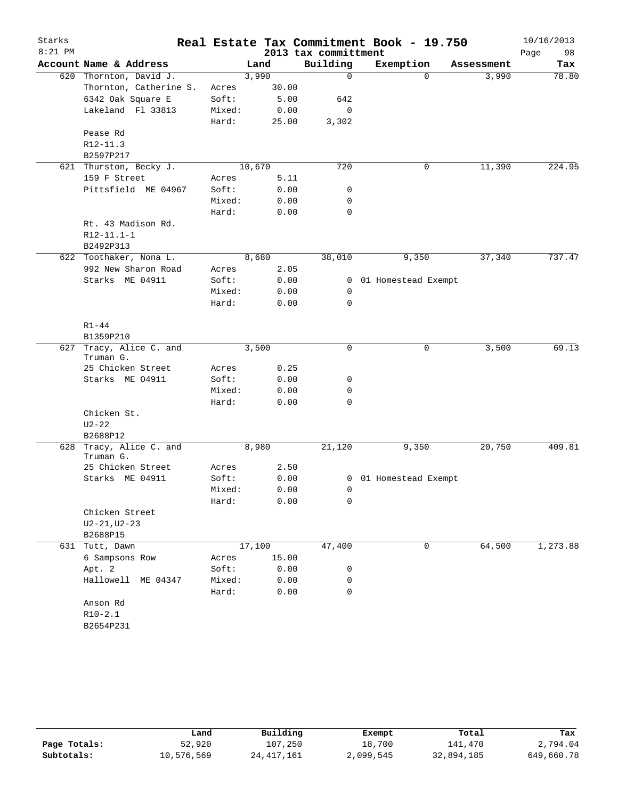| Starks    |                                      |        |        |                      | Real Estate Tax Commitment Book - 19.750 |              |            | 10/16/2013 |
|-----------|--------------------------------------|--------|--------|----------------------|------------------------------------------|--------------|------------|------------|
| $8:21$ PM |                                      |        |        | 2013 tax committment |                                          |              |            | 98<br>Page |
|           | Account Name & Address               |        | Land   | Building             | Exemption                                |              | Assessment | Tax        |
|           | 620 Thornton, David J.               |        | 3,990  | 0                    |                                          | $\Omega$     | 3,990      | 78.80      |
|           | Thornton, Catherine S.               | Acres  | 30.00  |                      |                                          |              |            |            |
|           | 6342 Oak Square E                    | Soft:  | 5.00   | 642                  |                                          |              |            |            |
|           | Lakeland Fl 33813                    | Mixed: | 0.00   | 0                    |                                          |              |            |            |
|           |                                      | Hard:  | 25.00  | 3,302                |                                          |              |            |            |
|           | Pease Rd                             |        |        |                      |                                          |              |            |            |
|           | R12-11.3                             |        |        |                      |                                          |              |            |            |
|           | B2597P217                            |        |        |                      |                                          |              |            |            |
|           | 621 Thurston, Becky J.               |        | 10,670 | 720                  |                                          | 0            | 11,390     | 224.95     |
|           | 159 F Street                         | Acres  | 5.11   |                      |                                          |              |            |            |
|           | Pittsfield ME 04967                  | Soft:  | 0.00   | 0                    |                                          |              |            |            |
|           |                                      | Mixed: | 0.00   | 0                    |                                          |              |            |            |
|           | Rt. 43 Madison Rd.                   | Hard:  | 0.00   | $\mathbf 0$          |                                          |              |            |            |
|           | $R12 - 11.1 - 1$                     |        |        |                      |                                          |              |            |            |
|           | B2492P313                            |        |        |                      |                                          |              |            |            |
|           | 622 Toothaker, Nona L.               |        | 8,680  | 38,010               | 9,350                                    |              | 37,340     | 737.47     |
|           | 992 New Sharon Road                  | Acres  | 2.05   |                      |                                          |              |            |            |
|           | Starks ME 04911                      | Soft:  | 0.00   | $\mathbf{0}$         | 01 Homestead Exempt                      |              |            |            |
|           |                                      | Mixed: | 0.00   | 0                    |                                          |              |            |            |
|           |                                      | Hard:  | 0.00   | 0                    |                                          |              |            |            |
|           |                                      |        |        |                      |                                          |              |            |            |
|           | $R1 - 44$                            |        |        |                      |                                          |              |            |            |
|           | B1359P210                            |        |        |                      |                                          |              |            |            |
|           | 627 Tracy, Alice C. and              |        | 3,500  | 0                    |                                          | $\mathsf{O}$ | 3,500      | 69.13      |
|           | Truman G.                            |        |        |                      |                                          |              |            |            |
|           | 25 Chicken Street                    | Acres  | 0.25   |                      |                                          |              |            |            |
|           | Starks ME 04911                      | Soft:  | 0.00   | 0                    |                                          |              |            |            |
|           |                                      | Mixed: | 0.00   | 0                    |                                          |              |            |            |
|           |                                      | Hard:  | 0.00   | 0                    |                                          |              |            |            |
|           | Chicken St.                          |        |        |                      |                                          |              |            |            |
|           | $U2 - 22$                            |        |        |                      |                                          |              |            |            |
|           | B2688P12                             |        |        |                      |                                          |              |            |            |
|           | 628 Tracy, Alice C. and<br>Truman G. |        | 8,980  | 21,120               | 9,350                                    |              | 20,750     | 409.81     |
|           | 25 Chicken Street                    | Acres  | 2.50   |                      |                                          |              |            |            |
|           | Starks ME 04911                      | Soft:  | 0.00   |                      | 0 01 Homestead Exempt                    |              |            |            |
|           |                                      | Mixed: | 0.00   | $\overline{0}$       |                                          |              |            |            |
|           |                                      | Hard:  | 0.00   | 0                    |                                          |              |            |            |
|           | Chicken Street                       |        |        |                      |                                          |              |            |            |
|           | $U2 - 21, U2 - 23$                   |        |        |                      |                                          |              |            |            |
|           | B2688P15                             |        |        |                      |                                          |              |            |            |
|           | 631 Tutt, Dawn                       |        | 17,100 | 47,400               |                                          | 0            | 64,500     | 1,273.88   |
|           | 6 Sampsons Row                       | Acres  | 15.00  |                      |                                          |              |            |            |
|           | Apt. 2                               | Soft:  | 0.00   | 0                    |                                          |              |            |            |
|           | Hallowell ME 04347                   | Mixed: | 0.00   | 0                    |                                          |              |            |            |
|           |                                      | Hard:  | 0.00   | 0                    |                                          |              |            |            |
|           | Anson Rd                             |        |        |                      |                                          |              |            |            |
|           | $R10-2.1$                            |        |        |                      |                                          |              |            |            |
|           | B2654P231                            |        |        |                      |                                          |              |            |            |

|              | Land       | Building     | Exempt    | Total      | Tax        |
|--------------|------------|--------------|-----------|------------|------------|
| Page Totals: | 52,920     | 107,250      | 18,700    | 141.470    | 2,794.04   |
| Subtotals:   | 10,576,569 | 24, 417, 161 | 2,099,545 | 32,894,185 | 649,660.78 |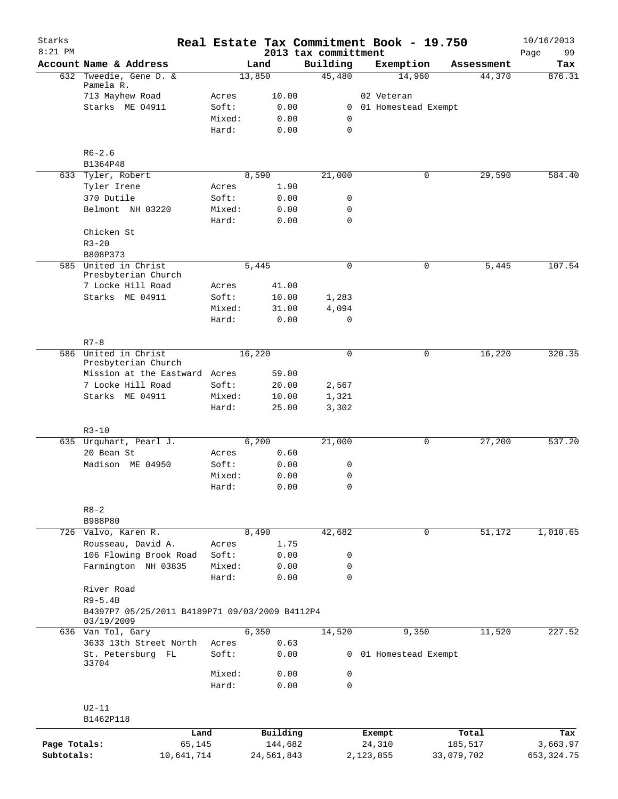| Starks<br>$8:21$ PM |                                                              |        |               | 2013 tax committment | Real Estate Tax Commitment Book - 19.750 |            | 10/16/2013        |
|---------------------|--------------------------------------------------------------|--------|---------------|----------------------|------------------------------------------|------------|-------------------|
|                     | Account Name & Address                                       |        | Land          | Building             | Exemption                                | Assessment | 99<br>Page<br>Tax |
| 632                 | Tweedie, Gene D. &                                           |        | 13,850        | 45,480               | 14,960                                   | 44,370     | 876.31            |
|                     | Pamela R.                                                    |        |               |                      |                                          |            |                   |
|                     | 713 Mayhew Road                                              | Acres  | 10.00         |                      | 02 Veteran                               |            |                   |
|                     | Starks ME 04911                                              | Soft:  | 0.00          |                      | 0 01 Homestead Exempt                    |            |                   |
|                     |                                                              | Mixed: | 0.00          | 0                    |                                          |            |                   |
|                     |                                                              | Hard:  | 0.00          | $\mathbf 0$          |                                          |            |                   |
|                     | $R6 - 2.6$                                                   |        |               |                      |                                          |            |                   |
|                     | B1364P48                                                     |        |               |                      |                                          |            |                   |
|                     | 633 Tyler, Robert                                            |        | 8,590         | 21,000               | 0                                        | 29,590     | 584.40            |
|                     | Tyler Irene                                                  | Acres  | 1.90          |                      |                                          |            |                   |
|                     | 370 Dutile                                                   | Soft:  | 0.00          | 0                    |                                          |            |                   |
|                     | Belmont NH 03220                                             | Mixed: | 0.00          | 0                    |                                          |            |                   |
|                     |                                                              | Hard:  | 0.00          | $\mathbf 0$          |                                          |            |                   |
|                     | Chicken St                                                   |        |               |                      |                                          |            |                   |
|                     | $R3 - 20$<br>B808P373                                        |        |               |                      |                                          |            |                   |
|                     | 585 United in Christ                                         |        | 5,445         | 0                    | 0                                        | 5,445      | 107.54            |
|                     | Presbyterian Church                                          |        |               |                      |                                          |            |                   |
|                     | 7 Locke Hill Road                                            | Acres  | 41.00         |                      |                                          |            |                   |
|                     | Starks ME 04911                                              | Soft:  | 10.00         | 1,283                |                                          |            |                   |
|                     |                                                              | Mixed: | 31.00         | 4,094                |                                          |            |                   |
|                     |                                                              | Hard:  | 0.00          | 0                    |                                          |            |                   |
|                     |                                                              |        |               |                      |                                          |            |                   |
| 586                 | $R7 - 8$<br>United in Christ                                 |        | 16,220        | 0                    | 0                                        | 16,220     | 320.35            |
|                     | Presbyterian Church                                          |        |               |                      |                                          |            |                   |
|                     | Mission at the Eastward Acres                                |        | 59.00         |                      |                                          |            |                   |
|                     | 7 Locke Hill Road                                            | Soft:  | 20.00         | 2,567                |                                          |            |                   |
|                     | Starks ME 04911                                              | Mixed: | 10.00         | 1,321                |                                          |            |                   |
|                     |                                                              | Hard:  | 25.00         | 3,302                |                                          |            |                   |
|                     |                                                              |        |               |                      |                                          |            |                   |
|                     | $R3 - 10$<br>635 Urquhart, Pearl J.                          |        | 6,200         | 21,000               | 0                                        | 27,200     | 537.20            |
|                     | 20 Bean St                                                   | Acres  | 0.60          |                      |                                          |            |                   |
|                     | Madison ME 04950                                             | Soft:  | 0.00          | 0                    |                                          |            |                   |
|                     |                                                              | Mixed: | 0.00          | 0                    |                                          |            |                   |
|                     |                                                              | Hard:  | 0.00          | 0                    |                                          |            |                   |
|                     |                                                              |        |               |                      |                                          |            |                   |
|                     | $R8 - 2$                                                     |        |               |                      |                                          |            |                   |
|                     | B988P80                                                      |        |               |                      | $\mathbf 0$                              |            |                   |
|                     | 726 Valvo, Karen R.<br>Rousseau, David A.                    | Acres  | 8,490<br>1.75 | 42,682               |                                          | 51,172     | 1,010.65          |
|                     | 106 Flowing Brook Road                                       | Soft:  | 0.00          | 0                    |                                          |            |                   |
|                     | Farmington NH 03835                                          | Mixed: | 0.00          | 0                    |                                          |            |                   |
|                     |                                                              | Hard:  | 0.00          | $\mathbf 0$          |                                          |            |                   |
|                     | River Road                                                   |        |               |                      |                                          |            |                   |
|                     | $R9 - 5.4B$                                                  |        |               |                      |                                          |            |                   |
|                     | B4397P7 05/25/2011 B4189P71 09/03/2009 B4112P4<br>03/19/2009 |        |               |                      |                                          |            |                   |
|                     | 636 Van Tol, Gary                                            |        | 6,350         | 14,520               | 9,350                                    | 11,520     | 227.52            |
|                     | 3633 13th Street North                                       | Acres  | 0.63          |                      |                                          |            |                   |
|                     | St. Petersburg FL<br>33704                                   | Soft:  | 0.00          | 0                    | 01 Homestead Exempt                      |            |                   |
|                     |                                                              | Mixed: | 0.00          | 0                    |                                          |            |                   |
|                     |                                                              | Hard:  | 0.00          | 0                    |                                          |            |                   |
|                     |                                                              |        |               |                      |                                          |            |                   |
|                     | $U2-11$<br>B1462P118                                         |        |               |                      |                                          |            |                   |
|                     | Land                                                         |        | Building      |                      | Exempt                                   | Total      | Tax               |
| Page Totals:        | 65,145                                                       |        | 144,682       |                      | 24,310                                   | 185,517    | 3,663.97          |
| Subtotals:          | 10,641,714                                                   |        | 24,561,843    |                      | 2,123,855                                | 33,079,702 | 653, 324.75       |
|                     |                                                              |        |               |                      |                                          |            |                   |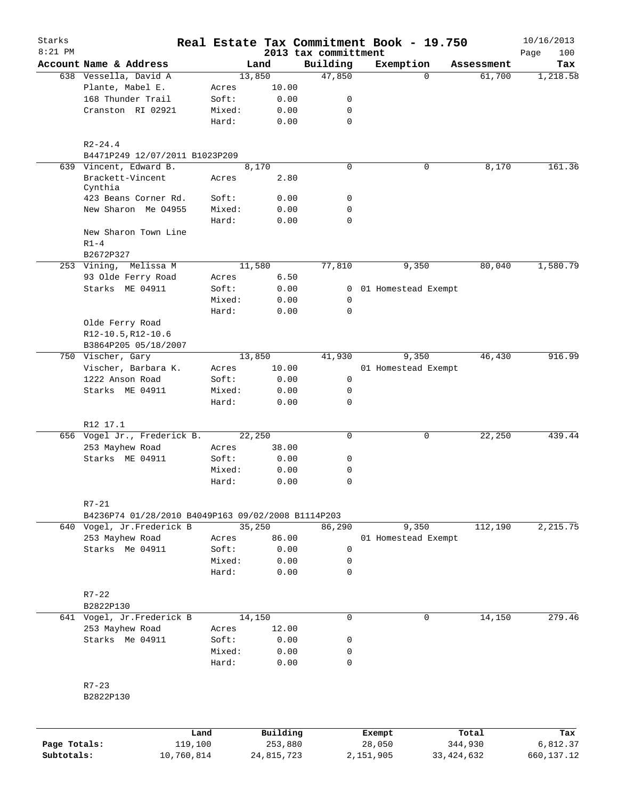| Starks       |                                                    |        |                |      |                      | Real Estate Tax Commitment Book - 19.750 |                      | 10/16/2013  |
|--------------|----------------------------------------------------|--------|----------------|------|----------------------|------------------------------------------|----------------------|-------------|
| $8:21$ PM    |                                                    |        |                |      | 2013 tax committment |                                          |                      | Page<br>100 |
|              | Account Name & Address<br>638 Vessella, David A    |        | Land<br>13,850 |      | Building<br>47,850   | Exemption<br>$\Omega$                    | Assessment<br>61,700 | Tax         |
|              | Plante, Mabel E.                                   | Acres  | 10.00          |      |                      |                                          |                      | 1,218.58    |
|              | 168 Thunder Trail                                  | Soft:  |                | 0.00 | 0                    |                                          |                      |             |
|              | Cranston RI 02921                                  | Mixed: |                | 0.00 | 0                    |                                          |                      |             |
|              |                                                    | Hard:  |                | 0.00 | $\mathbf 0$          |                                          |                      |             |
|              |                                                    |        |                |      |                      |                                          |                      |             |
|              | $R2 - 24.4$<br>B4471P249 12/07/2011 B1023P209      |        |                |      |                      |                                          |                      |             |
|              | 639 Vincent, Edward B.                             |        | 8,170          |      | $\mathbf 0$          | 0                                        | 8,170                | 161.36      |
|              | Brackett-Vincent<br>Cynthia                        | Acres  |                | 2.80 |                      |                                          |                      |             |
|              | 423 Beans Corner Rd.                               | Soft:  |                | 0.00 | 0                    |                                          |                      |             |
|              | New Sharon Me 04955                                | Mixed: |                | 0.00 | 0                    |                                          |                      |             |
|              |                                                    | Hard:  |                | 0.00 | 0                    |                                          |                      |             |
|              | New Sharon Town Line                               |        |                |      |                      |                                          |                      |             |
|              | $R1-4$                                             |        |                |      |                      |                                          |                      |             |
|              | B2672P327                                          |        |                |      |                      |                                          |                      |             |
|              | 253 Vining, Melissa M                              |        | 11,580         |      | 77,810               | 9,350                                    | 80,040               | 1,580.79    |
|              | 93 Olde Ferry Road                                 | Acres  |                | 6.50 |                      |                                          |                      |             |
|              | Starks ME 04911                                    | Soft:  |                | 0.00 |                      | 0 01 Homestead Exempt                    |                      |             |
|              |                                                    | Mixed: |                | 0.00 | 0                    |                                          |                      |             |
|              |                                                    | Hard:  |                | 0.00 | 0                    |                                          |                      |             |
|              | Olde Ferry Road                                    |        |                |      |                      |                                          |                      |             |
|              | R12-10.5, R12-10.6                                 |        |                |      |                      |                                          |                      |             |
|              | B3864P205 05/18/2007                               |        |                |      |                      |                                          |                      |             |
|              | 750 Vischer, Gary                                  |        | 13,850         |      | 41,930               | 9,350                                    | 46,430               | 916.99      |
|              | Vischer, Barbara K.                                | Acres  | 10.00          |      |                      | 01 Homestead Exempt                      |                      |             |
|              | 1222 Anson Road                                    | Soft:  |                | 0.00 | 0                    |                                          |                      |             |
|              | Starks ME 04911                                    | Mixed: |                | 0.00 | 0                    |                                          |                      |             |
|              |                                                    | Hard:  |                | 0.00 | 0                    |                                          |                      |             |
|              | R12 17.1                                           |        |                |      |                      |                                          |                      |             |
|              | 656 Vogel Jr., Frederick B.                        |        | 22,250         |      | $\mathbf 0$          | 0                                        | 22,250               | 439.44      |
|              | 253 Mayhew Road                                    | Acres  | 38.00          |      |                      |                                          |                      |             |
|              | Starks ME 04911                                    | Soft:  |                | 0.00 | 0                    |                                          |                      |             |
|              |                                                    | Mixed: |                | 0.00 | 0                    |                                          |                      |             |
|              |                                                    | Hard:  |                | 0.00 | $\mathbf 0$          |                                          |                      |             |
|              | $R7 - 21$                                          |        |                |      |                      |                                          |                      |             |
|              | B4236P74 01/28/2010 B4049P163 09/02/2008 B1114P203 |        |                |      |                      |                                          |                      |             |
|              | 640 Vogel, Jr.Frederick B                          |        | 35,250         |      | 86,290               | 9,350                                    | 112,190              | 2,215.75    |
|              | 253 Mayhew Road                                    | Acres  | 86.00          |      |                      | 01 Homestead Exempt                      |                      |             |
|              | Starks Me 04911                                    | Soft:  |                | 0.00 | 0                    |                                          |                      |             |
|              |                                                    | Mixed: |                | 0.00 | 0                    |                                          |                      |             |
|              |                                                    | Hard:  |                | 0.00 | 0                    |                                          |                      |             |
|              | $R7 - 22$                                          |        |                |      |                      |                                          |                      |             |
|              | B2822P130                                          |        |                |      |                      |                                          |                      |             |
|              | 641 Vogel, Jr.Frederick B                          |        | 14,150         |      | 0                    | 0                                        | 14,150               | 279.46      |
|              | 253 Mayhew Road                                    | Acres  | 12.00          |      |                      |                                          |                      |             |
|              | Starks Me 04911                                    | Soft:  |                | 0.00 | 0                    |                                          |                      |             |
|              |                                                    | Mixed: |                | 0.00 | 0                    |                                          |                      |             |
|              |                                                    | Hard:  |                | 0.00 | 0                    |                                          |                      |             |
|              | $R7 - 23$                                          |        |                |      |                      |                                          |                      |             |
|              | B2822P130                                          |        |                |      |                      |                                          |                      |             |
|              |                                                    |        |                |      |                      |                                          |                      |             |
|              |                                                    | Land   | Building       |      |                      | Exempt                                   | Total                | Tax         |
| Page Totals: | 119,100                                            |        | 253,880        |      |                      | 28,050                                   | 344,930              | 6,812.37    |

**Subtotals:** 10,760,814 24,815,723 2,151,905 33,424,632 660,137.12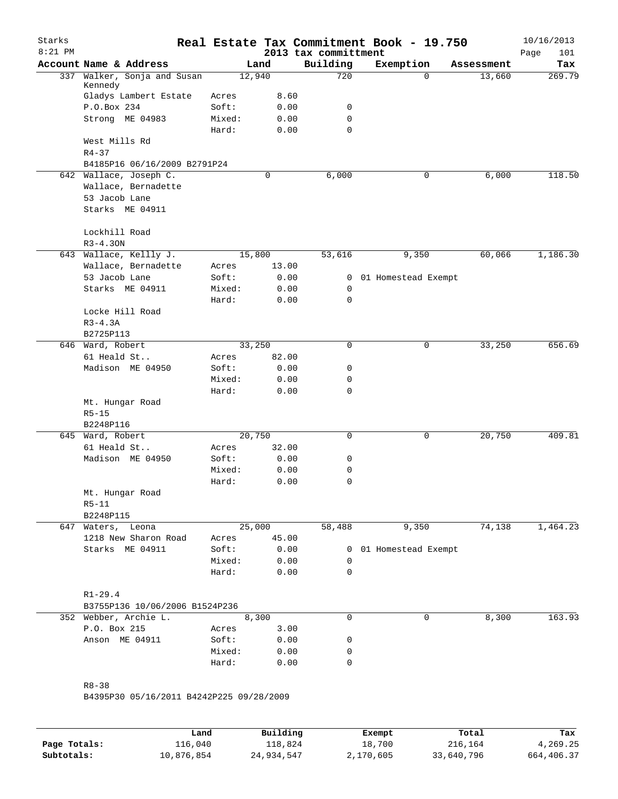| Starks<br>$8:21$ PM |                                          |        |             | 2013 tax committment | Real Estate Tax Commitment Book - 19.750 |            | 10/16/2013<br>101<br>Page |
|---------------------|------------------------------------------|--------|-------------|----------------------|------------------------------------------|------------|---------------------------|
|                     | Account Name & Address                   |        | Land        | Building             | Exemption                                | Assessment | Tax                       |
| 337                 | Walker, Sonja and Susan<br>Kennedy       |        | 12,940      | 720                  | $\Omega$                                 | 13,660     | 269.79                    |
|                     | Gladys Lambert Estate                    | Acres  | 8.60        |                      |                                          |            |                           |
|                     | P.O.Box 234                              | Soft:  | 0.00        | 0                    |                                          |            |                           |
|                     | Strong ME 04983                          | Mixed: | 0.00        | 0                    |                                          |            |                           |
|                     |                                          | Hard:  | 0.00        | 0                    |                                          |            |                           |
|                     | West Mills Rd                            |        |             |                      |                                          |            |                           |
|                     | $R4 - 37$                                |        |             |                      |                                          |            |                           |
|                     | B4185P16 06/16/2009 B2791P24             |        |             |                      |                                          |            |                           |
|                     | 642 Wallace, Joseph C.                   |        | $\mathbf 0$ | 6,000                | $\mathbf 0$                              | 6,000      | 118.50                    |
|                     | Wallace, Bernadette                      |        |             |                      |                                          |            |                           |
|                     | 53 Jacob Lane                            |        |             |                      |                                          |            |                           |
|                     | Starks ME 04911                          |        |             |                      |                                          |            |                           |
|                     |                                          |        |             |                      |                                          |            |                           |
|                     | Lockhill Road                            |        |             |                      |                                          |            |                           |
|                     | $R3 - 4.30N$                             |        |             |                      |                                          |            |                           |
|                     | 643 Wallace, Kellly J.                   |        | 15,800      | 53,616               | 9,350                                    | 60,066     | 1,186.30                  |
|                     | Wallace, Bernadette                      |        |             |                      |                                          |            |                           |
|                     |                                          | Acres  | 13.00       |                      |                                          |            |                           |
|                     | 53 Jacob Lane                            | Soft:  | 0.00        | 0                    | 01 Homestead Exempt                      |            |                           |
|                     | Starks ME 04911                          | Mixed: | 0.00        | $\mathbf 0$          |                                          |            |                           |
|                     |                                          | Hard:  | 0.00        | 0                    |                                          |            |                           |
|                     | Locke Hill Road                          |        |             |                      |                                          |            |                           |
|                     | $R3-4.3A$                                |        |             |                      |                                          |            |                           |
|                     | B2725P113                                |        |             |                      |                                          |            |                           |
|                     | 646 Ward, Robert                         |        | 33,250      | 0                    | 0                                        | 33,250     | 656.69                    |
|                     | 61 Heald St                              | Acres  | 82.00       |                      |                                          |            |                           |
|                     | Madison ME 04950                         | Soft:  | 0.00        | 0                    |                                          |            |                           |
|                     |                                          | Mixed: | 0.00        | 0                    |                                          |            |                           |
|                     |                                          | Hard:  | 0.00        | 0                    |                                          |            |                           |
|                     | Mt. Hungar Road                          |        |             |                      |                                          |            |                           |
|                     | $R5 - 15$                                |        |             |                      |                                          |            |                           |
|                     | B2248P116                                |        |             |                      |                                          |            |                           |
|                     | 645 Ward, Robert                         |        | 20,750      | 0                    | 0                                        | 20,750     | 409.81                    |
|                     | 61 Heald St                              | Acres  | 32.00       |                      |                                          |            |                           |
|                     | Madison ME 04950                         | Soft:  | 0.00        | 0                    |                                          |            |                           |
|                     |                                          | Mixed: | 0.00        | 0                    |                                          |            |                           |
|                     |                                          | Hard:  | 0.00        | 0                    |                                          |            |                           |
|                     | Mt. Hungar Road                          |        |             |                      |                                          |            |                           |
|                     | $R5-11$                                  |        |             |                      |                                          |            |                           |
|                     | B2248P115                                |        |             |                      |                                          |            |                           |
|                     | 647 Waters, Leona                        |        | 25,000      | 58,488               | 9,350                                    | 74,138     | 1,464.23                  |
|                     | 1218 New Sharon Road                     | Acres  | 45.00       |                      |                                          |            |                           |
|                     | Starks ME 04911                          | Soft:  | 0.00        | $\overline{0}$       | 01 Homestead Exempt                      |            |                           |
|                     |                                          | Mixed: | 0.00        | $\mathbf 0$          |                                          |            |                           |
|                     |                                          | Hard:  | 0.00        | 0                    |                                          |            |                           |
|                     |                                          |        |             |                      |                                          |            |                           |
|                     | $R1 - 29.4$                              |        |             |                      |                                          |            |                           |
|                     | B3755P136 10/06/2006 B1524P236           |        |             |                      |                                          |            |                           |
|                     | 352 Webber, Archie L.                    |        | 8,300       | $\Omega$             | $\mathbf 0$                              | 8,300      | 163.93                    |
|                     | P.O. Box 215                             | Acres  | 3.00        |                      |                                          |            |                           |
|                     | Anson ME 04911                           | Soft:  | 0.00        | 0                    |                                          |            |                           |
|                     |                                          | Mixed: | 0.00        | 0                    |                                          |            |                           |
|                     |                                          | Hard:  | 0.00        | 0                    |                                          |            |                           |
|                     |                                          |        |             |                      |                                          |            |                           |
|                     | $R8 - 38$                                |        |             |                      |                                          |            |                           |
|                     | B4395P30 05/16/2011 B4242P225 09/28/2009 |        |             |                      |                                          |            |                           |
|                     |                                          |        |             |                      |                                          |            |                           |
|                     |                                          |        |             |                      |                                          |            |                           |

|              | Land       | Building   | Exempt    | Total      | Tax        |
|--------------|------------|------------|-----------|------------|------------|
| Page Totals: | 116,040    | 118,824    | 18,700    | 216,164    | 4,269.25   |
| Subtotals:   | 10,876,854 | 24,934,547 | 2,170,605 | 33,640,796 | 664,406.37 |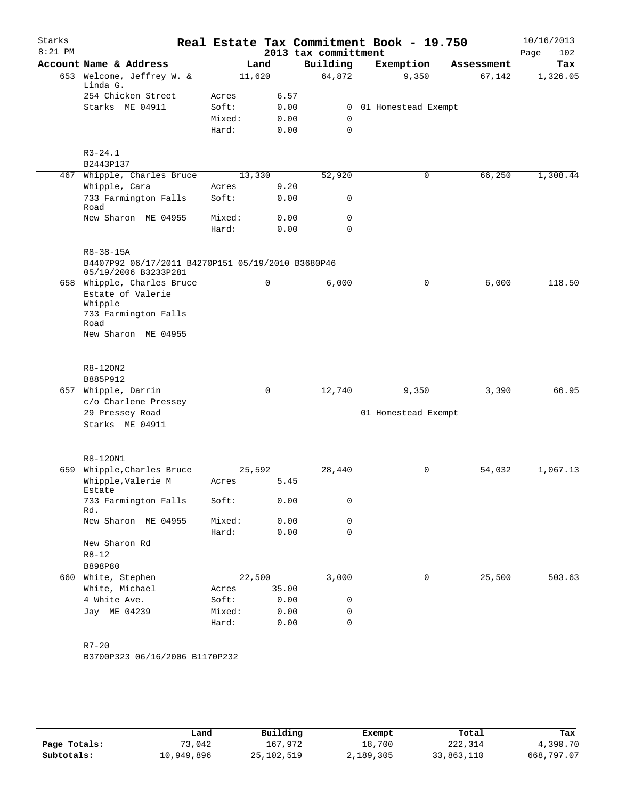| Starks    |                                                                           |        |        |                      | Real Estate Tax Commitment Book - 19.750 |            | 10/16/2013  |
|-----------|---------------------------------------------------------------------------|--------|--------|----------------------|------------------------------------------|------------|-------------|
| $8:21$ PM |                                                                           |        |        | 2013 tax committment |                                          |            | Page<br>102 |
|           | Account Name & Address                                                    |        | Land   | Building             | Exemption                                | Assessment | Tax         |
|           | 653 Welcome, Jeffrey W. &<br>Linda G.                                     |        | 11,620 | 64,872               | 9,350                                    | 67,142     | 1,326.05    |
|           | 254 Chicken Street                                                        | Acres  | 6.57   |                      |                                          |            |             |
|           | Starks ME 04911                                                           | Soft:  | 0.00   | 0                    | 01 Homestead Exempt                      |            |             |
|           |                                                                           | Mixed: | 0.00   | 0                    |                                          |            |             |
|           |                                                                           | Hard:  | 0.00   | 0                    |                                          |            |             |
|           |                                                                           |        |        |                      |                                          |            |             |
|           | $R3 - 24.1$                                                               |        |        |                      |                                          |            |             |
|           | B2443P137                                                                 |        |        |                      |                                          |            |             |
|           | 467 Whipple, Charles Bruce                                                |        | 13,330 | 52,920               | 0                                        | 66,250     | 1,308.44    |
|           | Whipple, Cara                                                             | Acres  | 9.20   |                      |                                          |            |             |
|           | 733 Farmington Falls<br>Road                                              | Soft:  | 0.00   | 0                    |                                          |            |             |
|           | New Sharon ME 04955                                                       | Mixed: | 0.00   | 0                    |                                          |            |             |
|           |                                                                           | Hard:  | 0.00   | 0                    |                                          |            |             |
|           |                                                                           |        |        |                      |                                          |            |             |
|           | $R8 - 38 - 15A$                                                           |        |        |                      |                                          |            |             |
|           | B4407P92 06/17/2011 B4270P151 05/19/2010 B3680P46<br>05/19/2006 B3233P281 |        |        |                      |                                          |            |             |
|           | 658 Whipple, Charles Bruce                                                |        | 0      | 6,000                | 0                                        | 6,000      | 118.50      |
|           | Estate of Valerie                                                         |        |        |                      |                                          |            |             |
|           | Whipple                                                                   |        |        |                      |                                          |            |             |
|           | 733 Farmington Falls<br>Road                                              |        |        |                      |                                          |            |             |
|           | New Sharon ME 04955                                                       |        |        |                      |                                          |            |             |
|           |                                                                           |        |        |                      |                                          |            |             |
|           |                                                                           |        |        |                      |                                          |            |             |
|           | R8-120N2<br>B885P912                                                      |        |        |                      |                                          |            |             |
|           | 657 Whipple, Darrin                                                       |        | 0      | 12,740               | 9,350                                    | 3,390      | 66.95       |
|           | c/o Charlene Pressey                                                      |        |        |                      |                                          |            |             |
|           | 29 Pressey Road                                                           |        |        |                      | 01 Homestead Exempt                      |            |             |
|           | Starks ME 04911                                                           |        |        |                      |                                          |            |             |
|           |                                                                           |        |        |                      |                                          |            |             |
|           |                                                                           |        |        |                      |                                          |            |             |
|           | R8-120N1<br>659 Whipple, Charles Bruce                                    |        | 25,592 | 28,440               | 0                                        | 54,032     | 1,067.13    |
|           | Whipple, Valerie M                                                        | Acres  | 5.45   |                      |                                          |            |             |
|           | Estate                                                                    |        |        |                      |                                          |            |             |
|           | 733 Farmington Falls<br>Rd.                                               | Soft:  | 0.00   | 0                    |                                          |            |             |
|           | New Sharon ME 04955                                                       | Mixed: | 0.00   | 0                    |                                          |            |             |
|           |                                                                           | Hard:  | 0.00   | 0                    |                                          |            |             |
|           | New Sharon Rd                                                             |        |        |                      |                                          |            |             |
|           | $R8 - 12$                                                                 |        |        |                      |                                          |            |             |
|           | B898P80                                                                   |        |        |                      |                                          |            |             |
|           | 660 White, Stephen                                                        |        | 22,500 | 3,000                | $\mathbf 0$                              | 25,500     | 503.63      |
|           | White, Michael                                                            | Acres  | 35.00  |                      |                                          |            |             |
|           | 4 White Ave.                                                              | Soft:  | 0.00   | 0                    |                                          |            |             |
|           | Jay ME 04239                                                              | Mixed: | 0.00   | 0                    |                                          |            |             |
|           |                                                                           | Hard:  | 0.00   | 0                    |                                          |            |             |
|           |                                                                           |        |        |                      |                                          |            |             |
|           | $R7 - 20$                                                                 |        |        |                      |                                          |            |             |
|           | B3700P323 06/16/2006 B1170P232                                            |        |        |                      |                                          |            |             |
|           |                                                                           |        |        |                      |                                          |            |             |

|              | Land       | Building     | Exempt    | Total      | Tax        |
|--------------|------------|--------------|-----------|------------|------------|
| Page Totals: | 73,042     | 167,972      | 18,700    | 222,314    | 4,390.70   |
| Subtotals:   | 10,949,896 | 25, 102, 519 | 2,189,305 | 33,863,110 | 668,797.07 |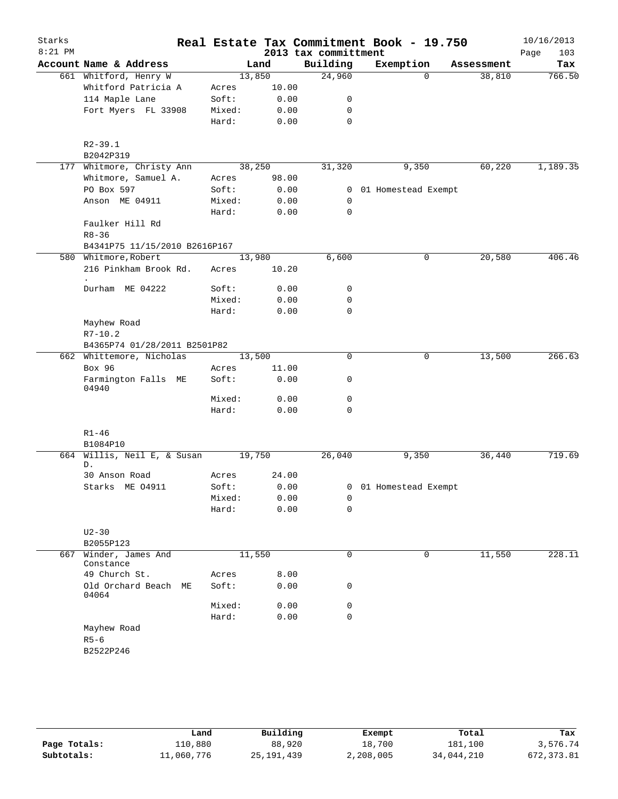|                                    |                                                                                                        |                                                               |                                                                  | Real Estate Tax Commitment Book - 19.750                                                                                                                                                                                                   |                                            | 10/16/2013<br>103<br>Page                                          |
|------------------------------------|--------------------------------------------------------------------------------------------------------|---------------------------------------------------------------|------------------------------------------------------------------|--------------------------------------------------------------------------------------------------------------------------------------------------------------------------------------------------------------------------------------------|--------------------------------------------|--------------------------------------------------------------------|
| Account Name & Address             |                                                                                                        |                                                               |                                                                  |                                                                                                                                                                                                                                            | Assessment                                 | Tax                                                                |
|                                    |                                                                                                        |                                                               |                                                                  | $\Omega$                                                                                                                                                                                                                                   |                                            | 766.50                                                             |
| Whitford Patricia A                | Acres                                                                                                  |                                                               |                                                                  |                                                                                                                                                                                                                                            |                                            |                                                                    |
|                                    | Soft:                                                                                                  |                                                               | 0                                                                |                                                                                                                                                                                                                                            |                                            |                                                                    |
| Fort Myers FL 33908                | Mixed:                                                                                                 |                                                               | $\mathbf 0$                                                      |                                                                                                                                                                                                                                            |                                            |                                                                    |
|                                    | Hard:                                                                                                  |                                                               | $\mathbf 0$                                                      |                                                                                                                                                                                                                                            |                                            |                                                                    |
| $R2 - 39.1$                        |                                                                                                        |                                                               |                                                                  |                                                                                                                                                                                                                                            |                                            |                                                                    |
| B2042P319                          |                                                                                                        |                                                               |                                                                  |                                                                                                                                                                                                                                            |                                            |                                                                    |
| 177 Whitmore, Christy Ann          |                                                                                                        |                                                               | 31,320                                                           | 9,350                                                                                                                                                                                                                                      | 60,220                                     | 1,189.35                                                           |
| Whitmore, Samuel A.                | Acres                                                                                                  |                                                               |                                                                  |                                                                                                                                                                                                                                            |                                            |                                                                    |
| PO Box 597                         | Soft:                                                                                                  |                                                               |                                                                  |                                                                                                                                                                                                                                            |                                            |                                                                    |
| Anson ME 04911                     | Mixed:                                                                                                 |                                                               | 0                                                                |                                                                                                                                                                                                                                            |                                            |                                                                    |
|                                    | Hard:                                                                                                  |                                                               | $\mathbf 0$                                                      |                                                                                                                                                                                                                                            |                                            |                                                                    |
| Faulker Hill Rd<br>$R8 - 36$       |                                                                                                        |                                                               |                                                                  |                                                                                                                                                                                                                                            |                                            |                                                                    |
|                                    |                                                                                                        |                                                               |                                                                  |                                                                                                                                                                                                                                            |                                            |                                                                    |
|                                    |                                                                                                        |                                                               |                                                                  | 0                                                                                                                                                                                                                                          | 20,580                                     | 406.46                                                             |
| 216 Pinkham Brook Rd.<br>$\bullet$ | Acres                                                                                                  |                                                               |                                                                  |                                                                                                                                                                                                                                            |                                            |                                                                    |
| Durham ME 04222                    | Soft:                                                                                                  |                                                               | 0                                                                |                                                                                                                                                                                                                                            |                                            |                                                                    |
|                                    | Mixed:                                                                                                 |                                                               | $\mathbf 0$                                                      |                                                                                                                                                                                                                                            |                                            |                                                                    |
|                                    | Hard:                                                                                                  |                                                               | $\mathbf 0$                                                      |                                                                                                                                                                                                                                            |                                            |                                                                    |
| Mayhew Road<br>$R7 - 10.2$         |                                                                                                        |                                                               |                                                                  |                                                                                                                                                                                                                                            |                                            |                                                                    |
|                                    |                                                                                                        |                                                               |                                                                  |                                                                                                                                                                                                                                            |                                            |                                                                    |
| 662 Whittemore, Nicholas           |                                                                                                        |                                                               | $\mathbf 0$                                                      | 0                                                                                                                                                                                                                                          | 13,500                                     | 266.63                                                             |
| Box 96                             | Acres                                                                                                  |                                                               |                                                                  |                                                                                                                                                                                                                                            |                                            |                                                                    |
| Farmington Falls ME<br>04940       | Soft:                                                                                                  |                                                               | 0                                                                |                                                                                                                                                                                                                                            |                                            |                                                                    |
|                                    | Mixed:                                                                                                 |                                                               | 0                                                                |                                                                                                                                                                                                                                            |                                            |                                                                    |
|                                    | Hard:                                                                                                  |                                                               | $\mathbf 0$                                                      |                                                                                                                                                                                                                                            |                                            |                                                                    |
| $R1 - 46$                          |                                                                                                        |                                                               |                                                                  |                                                                                                                                                                                                                                            |                                            |                                                                    |
|                                    |                                                                                                        |                                                               |                                                                  |                                                                                                                                                                                                                                            |                                            | 719.69                                                             |
| D.                                 |                                                                                                        |                                                               |                                                                  |                                                                                                                                                                                                                                            |                                            |                                                                    |
| 30 Anson Road                      | Acres                                                                                                  |                                                               |                                                                  |                                                                                                                                                                                                                                            |                                            |                                                                    |
| Starks ME 04911                    | Soft:                                                                                                  |                                                               |                                                                  |                                                                                                                                                                                                                                            |                                            |                                                                    |
|                                    | Mixed:                                                                                                 |                                                               | 0                                                                |                                                                                                                                                                                                                                            |                                            |                                                                    |
|                                    | Hard:                                                                                                  |                                                               | 0                                                                |                                                                                                                                                                                                                                            |                                            |                                                                    |
| $U2-30$<br>B2055P123               |                                                                                                        |                                                               |                                                                  |                                                                                                                                                                                                                                            |                                            |                                                                    |
| Winder, James And<br>Constance     |                                                                                                        |                                                               | $\mathbf 0$                                                      | 0                                                                                                                                                                                                                                          | 11,550                                     | 228.11                                                             |
| 49 Church St.                      | Acres                                                                                                  |                                                               |                                                                  |                                                                                                                                                                                                                                            |                                            |                                                                    |
| Old Orchard Beach ME<br>04064      | Soft:                                                                                                  |                                                               | 0                                                                |                                                                                                                                                                                                                                            |                                            |                                                                    |
|                                    | Mixed:                                                                                                 |                                                               | 0                                                                |                                                                                                                                                                                                                                            |                                            |                                                                    |
|                                    | Hard:                                                                                                  |                                                               | $\mathbf 0$                                                      |                                                                                                                                                                                                                                            |                                            |                                                                    |
| Mayhew Road                        |                                                                                                        |                                                               |                                                                  |                                                                                                                                                                                                                                            |                                            |                                                                    |
| $R5-6$                             |                                                                                                        |                                                               |                                                                  |                                                                                                                                                                                                                                            |                                            |                                                                    |
| B2522P246                          |                                                                                                        |                                                               |                                                                  |                                                                                                                                                                                                                                            |                                            |                                                                    |
| 664                                | 661 Whitford, Henry W<br>114 Maple Lane<br>580 Whitmore, Robert<br>B1084P10<br>Willis, Neil E, & Susan | B4341P75 11/15/2010 B2616P167<br>B4365P74 01/28/2011 B2501P82 | Land<br>13,850<br>38,250<br>13,980<br>13,500<br>19,750<br>11,550 | Building<br>24,960<br>10.00<br>0.00<br>0.00<br>0.00<br>98.00<br>0.00<br>0.00<br>0.00<br>6,600<br>10.20<br>0.00<br>0.00<br>0.00<br>11.00<br>0.00<br>0.00<br>0.00<br>26,040<br>24.00<br>0.00<br>0.00<br>0.00<br>8.00<br>0.00<br>0.00<br>0.00 | 2013 tax committment<br>Exemption<br>9,350 | 38,810<br>0 01 Homestead Exempt<br>36,440<br>0 01 Homestead Exempt |

|              | Land       | Building     | Exempt    | Total      | Tax        |
|--------------|------------|--------------|-----------|------------|------------|
| Page Totals: | 110,880    | 88,920       | 18,700    | 181,100    | 3,576.74   |
| Subtotals:   | 11,060,776 | 25, 191, 439 | 2,208,005 | 34,044,210 | 672,373.81 |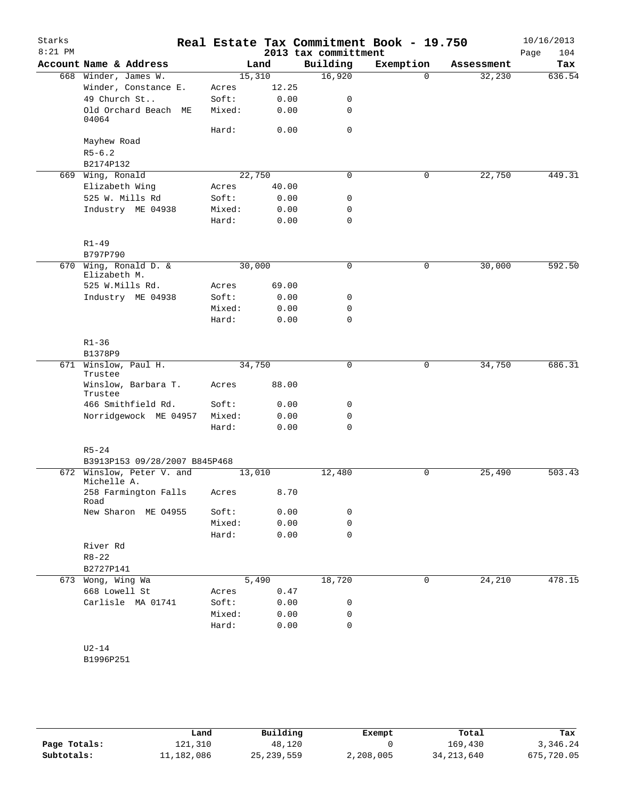| Starks<br>$8:21$ PM |                                          |        |        | 2013 tax committment | Real Estate Tax Commitment Book - 19.750 |            | 10/16/2013<br>Page<br>104 |
|---------------------|------------------------------------------|--------|--------|----------------------|------------------------------------------|------------|---------------------------|
|                     | Account Name & Address                   |        | Land   | Building             | Exemption                                | Assessment | Tax                       |
|                     | 668 Winder, James W.                     | 15,310 |        | 16,920               | $\Omega$                                 | 32,230     | 636.54                    |
|                     | Winder, Constance E.                     | Acres  | 12.25  |                      |                                          |            |                           |
|                     | 49 Church St                             | Soft:  | 0.00   | 0                    |                                          |            |                           |
|                     | Old Orchard Beach ME<br>04064            | Mixed: | 0.00   | 0                    |                                          |            |                           |
|                     |                                          | Hard:  | 0.00   | $\mathbf 0$          |                                          |            |                           |
|                     | Mayhew Road                              |        |        |                      |                                          |            |                           |
|                     | $R5 - 6.2$                               |        |        |                      |                                          |            |                           |
|                     | B2174P132                                |        |        |                      |                                          |            |                           |
|                     | 669 Wing, Ronald                         | 22,750 |        | $\mathbf 0$          | $\mathbf 0$                              | 22,750     | 449.31                    |
|                     | Elizabeth Wing                           | Acres  | 40.00  |                      |                                          |            |                           |
|                     | 525 W. Mills Rd                          | Soft:  | 0.00   | 0                    |                                          |            |                           |
|                     | Industry ME 04938                        | Mixed: | 0.00   | $\mathbf 0$          |                                          |            |                           |
|                     |                                          | Hard:  | 0.00   | $\mathbf 0$          |                                          |            |                           |
|                     | $R1 - 49$                                |        |        |                      |                                          |            |                           |
|                     | B797P790                                 |        |        |                      |                                          |            |                           |
|                     | 670 Wing, Ronald D. &<br>Elizabeth M.    | 30,000 |        | 0                    | 0                                        | 30,000     | 592.50                    |
|                     | 525 W.Mills Rd.                          | Acres  | 69.00  |                      |                                          |            |                           |
|                     | Industry ME 04938                        | Soft:  | 0.00   | 0                    |                                          |            |                           |
|                     |                                          | Mixed: | 0.00   | 0                    |                                          |            |                           |
|                     |                                          | Hard:  | 0.00   | $\Omega$             |                                          |            |                           |
|                     | $R1 - 36$                                |        |        |                      |                                          |            |                           |
|                     | B1378P9                                  |        |        |                      |                                          |            |                           |
|                     | 671 Winslow, Paul H.<br>Trustee          | 34,750 |        | 0                    | 0                                        | 34,750     | 686.31                    |
|                     | Winslow, Barbara T.<br>Trustee           | Acres  | 88.00  |                      |                                          |            |                           |
|                     | 466 Smithfield Rd.                       | Soft:  | 0.00   | 0                    |                                          |            |                           |
|                     | Norridgewock ME 04957                    | Mixed: | 0.00   | $\mathbf 0$          |                                          |            |                           |
|                     |                                          | Hard:  | 0.00   | $\mathbf 0$          |                                          |            |                           |
|                     | $R5 - 24$                                |        |        |                      |                                          |            |                           |
|                     | B3913P153 09/28/2007 B845P468            |        |        |                      |                                          |            |                           |
|                     | 672 Winslow, Peter V. and<br>Michelle A. | 13,010 |        | 12,480               | 0                                        | 25,490     | 503.43                    |
|                     | 258 Farmington Falls<br>Road             | Acres  | 8.70   |                      |                                          |            |                           |
|                     | New Sharon ME 04955                      | Soft:  | 0.00   | 0                    |                                          |            |                           |
|                     |                                          | Mixed: | 0.00   | 0                    |                                          |            |                           |
|                     |                                          | Hard:  | 0.00   | 0                    |                                          |            |                           |
|                     | River Rd                                 |        |        |                      |                                          |            |                           |
|                     | $R8 - 22$                                |        |        |                      |                                          |            |                           |
|                     | B2727P141                                |        |        |                      |                                          |            |                           |
|                     | 673 Wong, Wing Wa                        | 5,490  |        | 18,720               | 0                                        | 24,210     | 478.15                    |
|                     | 668 Lowell St                            | Acres  | $0.47$ |                      |                                          |            |                           |
|                     | Carlisle MA 01741                        | Soft:  | 0.00   | 0                    |                                          |            |                           |
|                     |                                          | Mixed: | 0.00   | 0                    |                                          |            |                           |
|                     |                                          | Hard:  | 0.00   | $\mathbf 0$          |                                          |            |                           |
|                     | $U2-14$                                  |        |        |                      |                                          |            |                           |
|                     | B1996P251                                |        |        |                      |                                          |            |                           |

|              | Land       | Building     | Exempt    | Total        | Tax        |
|--------------|------------|--------------|-----------|--------------|------------|
| Page Totals: | 121,310    | 48,120       |           | 169,430      | 3,346.24   |
| Subtotals:   | 11,182,086 | 25, 239, 559 | 2,208,005 | 34, 213, 640 | 675,720.05 |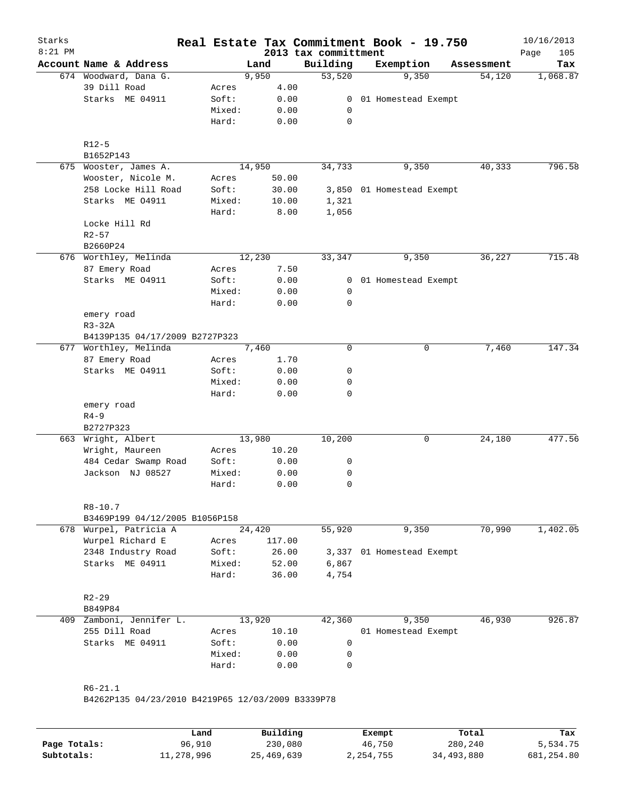| Starks<br>$8:21$ PM |                                                   |                 |                       |              | 2013 tax committment | Real Estate Tax Commitment Book - 19.750 |            | 10/16/2013<br>Page<br>105 |
|---------------------|---------------------------------------------------|-----------------|-----------------------|--------------|----------------------|------------------------------------------|------------|---------------------------|
|                     | Account Name & Address                            |                 | Land                  |              | Building             | Exemption                                | Assessment | Tax                       |
|                     | 674 Woodward, Dana G.                             |                 | 9,950                 |              | 53,520               | 9,350                                    | 54,120     | 1,068.87                  |
|                     | 39 Dill Road                                      | Acres           |                       | 4.00         |                      |                                          |            |                           |
|                     | Starks ME 04911                                   | Soft:           |                       | 0.00         | $\overline{0}$       | 01 Homestead Exempt                      |            |                           |
|                     |                                                   | Mixed:          |                       | 0.00         | 0                    |                                          |            |                           |
|                     |                                                   | Hard:           |                       | 0.00         | 0                    |                                          |            |                           |
|                     | $R12-5$                                           |                 |                       |              |                      |                                          |            |                           |
|                     | B1652P143                                         |                 |                       |              |                      |                                          |            |                           |
|                     | 675 Wooster, James A.                             |                 | 14,950                |              | 34,733               | 9,350                                    | 40,333     | 796.58                    |
|                     | Wooster, Nicole M.                                | Acres           |                       | 50.00        |                      |                                          |            |                           |
|                     | 258 Locke Hill Road                               | Soft:           |                       | 30.00        |                      | 3,850 01 Homestead Exempt                |            |                           |
|                     | Starks ME 04911                                   | Mixed:<br>Hard: | 10.00                 | 8.00         | 1,321<br>1,056       |                                          |            |                           |
|                     | Locke Hill Rd                                     |                 |                       |              |                      |                                          |            |                           |
|                     | $R2 - 57$                                         |                 |                       |              |                      |                                          |            |                           |
|                     | B2660P24                                          |                 |                       |              |                      |                                          |            |                           |
|                     | 676 Worthley, Melinda                             |                 | 12,230                |              | 33,347               | 9,350                                    | 36,227     | 715.48                    |
|                     | 87 Emery Road                                     | Acres           |                       | 7.50         |                      |                                          |            |                           |
|                     | Starks ME 04911                                   | Soft:           |                       | 0.00         |                      | 0 01 Homestead Exempt                    |            |                           |
|                     |                                                   | Mixed:          |                       | 0.00         | 0                    |                                          |            |                           |
|                     |                                                   | Hard:           |                       | 0.00         | 0                    |                                          |            |                           |
|                     | emery road                                        |                 |                       |              |                      |                                          |            |                           |
|                     | $R3-32A$                                          |                 |                       |              |                      |                                          |            |                           |
|                     | B4139P135 04/17/2009 B2727P323                    |                 |                       |              |                      |                                          |            |                           |
| 677                 | Worthley, Melinda                                 |                 | 7,460                 |              | $\mathbf 0$          | 0                                        | 7,460      | 147.34                    |
|                     | 87 Emery Road                                     | Acres           |                       | 1.70         |                      |                                          |            |                           |
|                     | Starks ME 04911                                   | Soft:           |                       | 0.00         | 0                    |                                          |            |                           |
|                     |                                                   | Mixed:          |                       | 0.00         | 0                    |                                          |            |                           |
|                     |                                                   | Hard:           |                       | 0.00         | $\mathbf 0$          |                                          |            |                           |
|                     | emery road                                        |                 |                       |              |                      |                                          |            |                           |
|                     | $R4 - 9$                                          |                 |                       |              |                      |                                          |            |                           |
|                     | B2727P323                                         |                 |                       |              |                      |                                          |            |                           |
| 663                 | Wright, Albert                                    |                 | 13,980                |              | 10,200               | 0                                        | 24,180     | 477.56                    |
|                     | Wright, Maureen                                   | Acres           |                       | 10.20        |                      |                                          |            |                           |
|                     | 484 Cedar Swamp Road<br>Jackson NJ 08527          | Soft:<br>Mixed: |                       | 0.00         | 0                    |                                          |            |                           |
|                     |                                                   | Hard:           |                       | 0.00<br>0.00 | 0<br>0               |                                          |            |                           |
|                     |                                                   |                 |                       |              |                      |                                          |            |                           |
|                     | $R8 - 10.7$<br>B3469P199 04/12/2005 B1056P158     |                 |                       |              |                      |                                          |            |                           |
|                     | 678 Wurpel, Patricia A                            |                 | $\overline{24}$ , 420 |              | 55,920               | 9,350                                    | 70,990     | 1,402.05                  |
|                     | Wurpel Richard E                                  | Acres           | 117.00                |              |                      |                                          |            |                           |
|                     | 2348 Industry Road                                | Soft:           |                       | 26.00        | 3,337                | 01 Homestead Exempt                      |            |                           |
|                     | Starks ME 04911                                   | Mixed:          |                       | 52.00        | 6,867                |                                          |            |                           |
|                     |                                                   | Hard:           |                       | 36.00        | 4,754                |                                          |            |                           |
|                     | $R2 - 29$                                         |                 |                       |              |                      |                                          |            |                           |
|                     | B849P84                                           |                 |                       |              |                      |                                          |            |                           |
|                     | 409 Zamboni, Jennifer L.                          |                 | 13,920                |              | 42,360               | 9,350                                    | 46,930     | 926.87                    |
|                     | 255 Dill Road                                     | Acres           |                       | 10.10        |                      | 01 Homestead Exempt                      |            |                           |
|                     | Starks ME 04911                                   | Soft:           |                       | 0.00         | 0                    |                                          |            |                           |
|                     |                                                   | Mixed:          |                       | 0.00         | 0                    |                                          |            |                           |
|                     |                                                   | Hard:           |                       | 0.00         | $\mathbf 0$          |                                          |            |                           |
|                     |                                                   |                 |                       |              |                      |                                          |            |                           |
|                     | $R6 - 21.1$                                       |                 |                       |              |                      |                                          |            |                           |
|                     | B4262P135 04/23/2010 B4219P65 12/03/2009 B3339P78 |                 |                       |              |                      |                                          |            |                           |
|                     |                                                   |                 |                       |              |                      |                                          |            |                           |

|              | Land       | Building   | Exempt    | Total      | Tax        |
|--------------|------------|------------|-----------|------------|------------|
| Page Totals: | 96,910     | 230,080    | 46,750    | 280,240    | 5,534.75   |
| Subtotals:   | 11,278,996 | 25,469,639 | 2,254,755 | 34,493,880 | 681,254.80 |